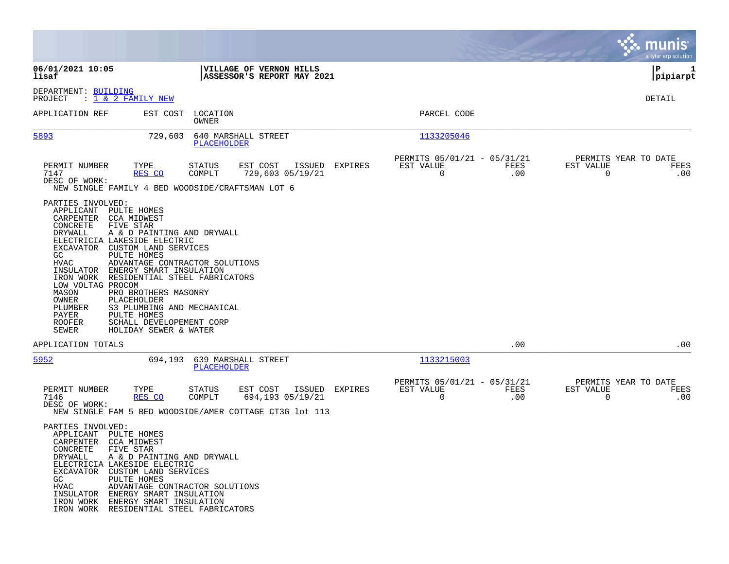|                                                                                                                                                                                                       |                                                                                                                                                                                                                                                                                                                                                                                     |                         |                                                                                         |                |                                                         |             |                                               | munis<br>a tyler erp solution |
|-------------------------------------------------------------------------------------------------------------------------------------------------------------------------------------------------------|-------------------------------------------------------------------------------------------------------------------------------------------------------------------------------------------------------------------------------------------------------------------------------------------------------------------------------------------------------------------------------------|-------------------------|-----------------------------------------------------------------------------------------|----------------|---------------------------------------------------------|-------------|-----------------------------------------------|-------------------------------|
| 06/01/2021 10:05<br>lisaf                                                                                                                                                                             |                                                                                                                                                                                                                                                                                                                                                                                     |                         | VILLAGE OF VERNON HILLS<br>ASSESSOR'S REPORT MAY 2021                                   |                |                                                         |             |                                               | lР<br>1<br> pipiarpt          |
| DEPARTMENT: BUILDING<br>PROJECT                                                                                                                                                                       | : <u>1 &amp; 2 FAMILY NEW</u>                                                                                                                                                                                                                                                                                                                                                       |                         |                                                                                         |                |                                                         |             |                                               | DETAIL                        |
| APPLICATION REF                                                                                                                                                                                       | EST COST                                                                                                                                                                                                                                                                                                                                                                            | LOCATION<br>OWNER       |                                                                                         |                | PARCEL CODE                                             |             |                                               |                               |
| 5893                                                                                                                                                                                                  | 729,603                                                                                                                                                                                                                                                                                                                                                                             | PLACEHOLDER             | 640 MARSHALL STREET                                                                     |                | 1133205046                                              |             |                                               |                               |
| PERMIT NUMBER<br>7147<br>DESC OF WORK:                                                                                                                                                                | TYPE<br>RES CO<br>NEW SINGLE FAMILY 4 BED WOODSIDE/CRAFTSMAN LOT 6                                                                                                                                                                                                                                                                                                                  | <b>STATUS</b><br>COMPLT | EST COST<br>ISSUED<br>729,603 05/19/21                                                  | EXPIRES        | PERMITS 05/01/21 - 05/31/21<br>EST VALUE<br>$\mathbf 0$ | FEES<br>.00 | PERMITS YEAR TO DATE<br>EST VALUE<br>$\Omega$ | FEES<br>.00                   |
| PARTIES INVOLVED:<br>APPLICANT PULTE HOMES<br>CARPENTER CCA MIDWEST<br>CONCRETE<br>DRYWALL<br>GC.<br><b>HVAC</b><br>LOW VOLTAG PROCOM<br>MASON<br>OWNER<br>PLUMBER<br>PAYER<br><b>ROOFER</b><br>SEWER | FIVE STAR<br>A & D PAINTING AND DRYWALL<br>ELECTRICIA LAKESIDE ELECTRIC<br>EXCAVATOR CUSTOM LAND SERVICES<br>PULTE HOMES<br>ADVANTAGE CONTRACTOR SOLUTIONS<br>INSULATOR ENERGY SMART INSULATION<br>IRON WORK RESIDENTIAL STEEL FABRICATORS<br>PRO BROTHERS MASONRY<br>PLACEHOLDER<br>S3 PLUMBING AND MECHANICAL<br>PULTE HOMES<br>SCHALL DEVELOPEMENT CORP<br>HOLIDAY SEWER & WATER |                         |                                                                                         |                |                                                         |             |                                               |                               |
| APPLICATION TOTALS                                                                                                                                                                                    |                                                                                                                                                                                                                                                                                                                                                                                     |                         |                                                                                         |                |                                                         | .00         |                                               | .00                           |
| 5952                                                                                                                                                                                                  | 694,193                                                                                                                                                                                                                                                                                                                                                                             | PLACEHOLDER             | 639 MARSHALL STREET                                                                     |                | 1133215003                                              |             |                                               |                               |
| PERMIT NUMBER<br>7146<br>DESC OF WORK:                                                                                                                                                                | TYPE<br>RES CO                                                                                                                                                                                                                                                                                                                                                                      | <b>STATUS</b><br>COMPLT | EST COST<br>694,193 05/19/21<br>NEW SINGLE FAM 5 BED WOODSIDE/AMER COTTAGE CT3G lot 113 | ISSUED EXPIRES | PERMITS 05/01/21 - 05/31/21<br>EST VALUE<br>$\Omega$    | FEES<br>.00 | PERMITS YEAR TO DATE<br>EST VALUE<br>$\Omega$ | FEES<br>.00                   |
| PARTIES INVOLVED:<br>APPLICANT PULTE HOMES<br>CARPENTER CCA MIDWEST<br>CONCRETE<br>DRYWALL<br>GC<br>HVAC                                                                                              | FIVE STAR<br>A & D PAINTING AND DRYWALL<br>ELECTRICIA LAKESIDE ELECTRIC<br>EXCAVATOR CUSTOM LAND SERVICES<br>PULTE HOMES<br>ADVANTAGE CONTRACTOR SOLUTIONS<br>INSULATOR ENERGY SMART INSULATION<br>IRON WORK ENERGY SMART INSULATION<br>IRON WORK RESIDENTIAL STEEL FABRICATORS                                                                                                     |                         |                                                                                         |                |                                                         |             |                                               |                               |

 $\bullet$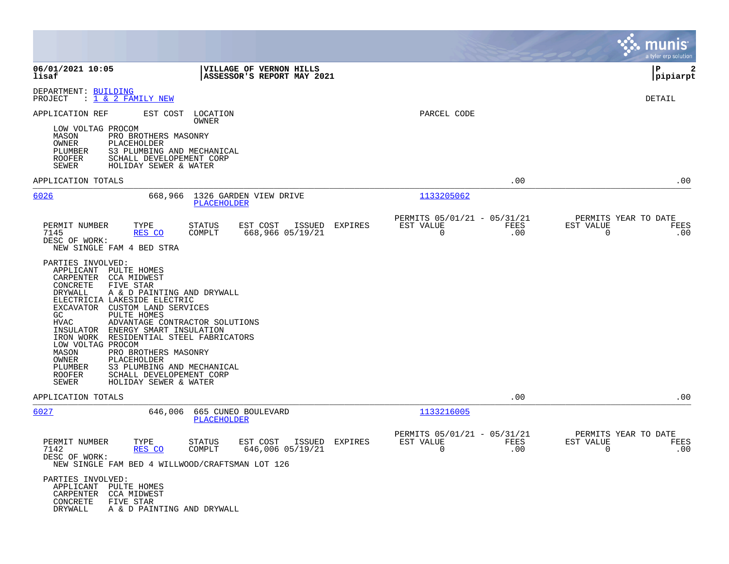|                                                                                                                                                                                                                                                                                                                                                                                                                                                                                                                                                                              |                                                                           |                                                            |                          | munis<br>a tyler erp solution                          |
|------------------------------------------------------------------------------------------------------------------------------------------------------------------------------------------------------------------------------------------------------------------------------------------------------------------------------------------------------------------------------------------------------------------------------------------------------------------------------------------------------------------------------------------------------------------------------|---------------------------------------------------------------------------|------------------------------------------------------------|--------------------------|--------------------------------------------------------|
| 06/01/2021 10:05<br>lisaf                                                                                                                                                                                                                                                                                                                                                                                                                                                                                                                                                    | <b>VILLAGE OF VERNON HILLS</b><br>ASSESSOR'S REPORT MAY 2021              |                                                            |                          | l P<br>2<br> pipiarpt                                  |
| DEPARTMENT: BUILDING<br>: 1 & 2 FAMILY NEW<br>PROJECT                                                                                                                                                                                                                                                                                                                                                                                                                                                                                                                        |                                                                           |                                                            |                          | DETAIL                                                 |
| APPLICATION REF<br>EST COST<br>LOW VOLTAG PROCOM<br>MASON<br>PRO BROTHERS MASONRY<br>OWNER<br>PLACEHOLDER<br>PLUMBER<br>S3 PLUMBING AND MECHANICAL<br>SCHALL DEVELOPEMENT CORP<br>ROOFER<br>SEWER<br>HOLIDAY SEWER & WATER                                                                                                                                                                                                                                                                                                                                                   | LOCATION<br>OWNER                                                         | PARCEL CODE                                                |                          |                                                        |
| APPLICATION TOTALS                                                                                                                                                                                                                                                                                                                                                                                                                                                                                                                                                           |                                                                           |                                                            | .00                      | .00                                                    |
| 6026<br>668,966                                                                                                                                                                                                                                                                                                                                                                                                                                                                                                                                                              | 1326 GARDEN VIEW DRIVE<br><b>PLACEHOLDER</b>                              | 1133205062                                                 |                          |                                                        |
| PERMIT NUMBER<br>TYPE<br>7145<br>RES CO<br>DESC OF WORK:<br>NEW SINGLE FAM 4 BED STRA                                                                                                                                                                                                                                                                                                                                                                                                                                                                                        | <b>STATUS</b><br>EST COST<br>ISSUED EXPIRES<br>COMPLT<br>668,966 05/19/21 | PERMITS 05/01/21 - 05/31/21<br>EST VALUE<br>$\overline{0}$ | FEES<br>EST VALUE<br>.00 | PERMITS YEAR TO DATE<br>FEES<br>$\mathbf 0$<br>.00     |
| PARTIES INVOLVED:<br>APPLICANT<br>PULTE HOMES<br>CARPENTER<br><b>CCA MIDWEST</b><br>CONCRETE<br>FIVE STAR<br>DRYWALL<br>A & D PAINTING AND DRYWALL<br>ELECTRICIA LAKESIDE ELECTRIC<br>EXCAVATOR CUSTOM LAND SERVICES<br>GC<br>PULTE HOMES<br><b>HVAC</b><br>ADVANTAGE CONTRACTOR SOLUTIONS<br>ENERGY SMART INSULATION<br>INSULATOR<br>IRON WORK RESIDENTIAL STEEL FABRICATORS<br>LOW VOLTAG PROCOM<br>PRO BROTHERS MASONRY<br>MASON<br>OWNER<br>PLACEHOLDER<br>PLUMBER<br>S3 PLUMBING AND MECHANICAL<br>SCHALL DEVELOPEMENT CORP<br>ROOFER<br>SEWER<br>HOLIDAY SEWER & WATER |                                                                           |                                                            |                          |                                                        |
| APPLICATION TOTALS                                                                                                                                                                                                                                                                                                                                                                                                                                                                                                                                                           |                                                                           |                                                            | .00                      | .00                                                    |
| 6027<br>646,006                                                                                                                                                                                                                                                                                                                                                                                                                                                                                                                                                              | 665 CUNEO BOULEVARD<br>PLACEHOLDER                                        | 1133216005                                                 |                          |                                                        |
| PERMIT NUMBER<br>TYPE<br>7142<br>RES CO<br>DESC OF WORK:<br>NEW SINGLE FAM BED 4 WILLWOOD/CRAFTSMAN LOT 126                                                                                                                                                                                                                                                                                                                                                                                                                                                                  | <b>STATUS</b><br>EST COST<br>ISSUED EXPIRES<br>COMPLT<br>646,006 05/19/21 | PERMITS 05/01/21 - 05/31/21<br>EST VALUE<br>$\overline{0}$ | FEES<br>EST VALUE<br>.00 | PERMITS YEAR TO DATE<br><b>FEES</b><br>$\Omega$<br>.00 |
| PARTIES INVOLVED:<br>APPLICANT<br>PULTE HOMES<br><b>CCA MIDWEST</b><br>CARPENTER<br>CONCRETE<br>FIVE STAR<br>DRYWALL<br>A & D PAINTING AND DRYWALL                                                                                                                                                                                                                                                                                                                                                                                                                           |                                                                           |                                                            |                          |                                                        |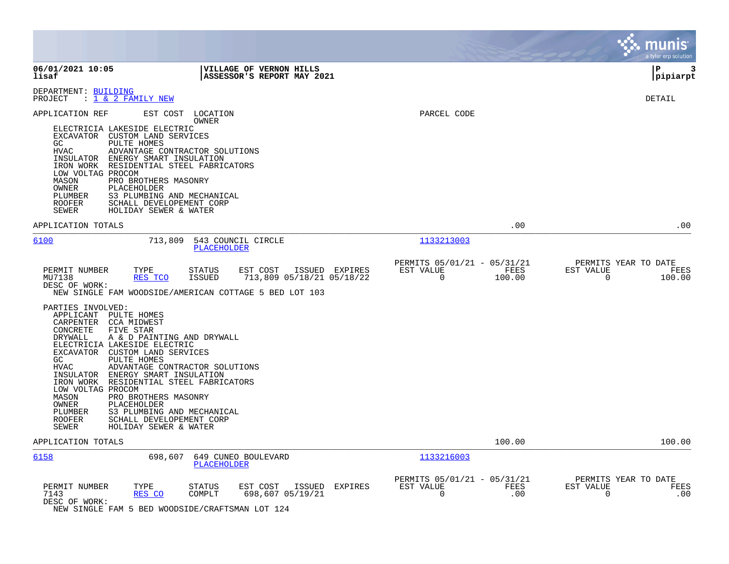|                                                                                                                                                                                                                                                                                                                                                                                                                                                                                                                                                                                                                                                                                                                                                                                    |                                                                            | munis <sup>®</sup><br>a tyler erp solution                   |
|------------------------------------------------------------------------------------------------------------------------------------------------------------------------------------------------------------------------------------------------------------------------------------------------------------------------------------------------------------------------------------------------------------------------------------------------------------------------------------------------------------------------------------------------------------------------------------------------------------------------------------------------------------------------------------------------------------------------------------------------------------------------------------|----------------------------------------------------------------------------|--------------------------------------------------------------|
| 06/01/2021 10:05<br><b>VILLAGE OF VERNON HILLS</b><br>ASSESSOR'S REPORT MAY 2021<br>lisaf                                                                                                                                                                                                                                                                                                                                                                                                                                                                                                                                                                                                                                                                                          |                                                                            | l P<br>3<br> pipiarpt                                        |
| DEPARTMENT: BUILDING<br>: 1 & 2 FAMILY NEW<br>PROJECT                                                                                                                                                                                                                                                                                                                                                                                                                                                                                                                                                                                                                                                                                                                              |                                                                            | <b>DETAIL</b>                                                |
| EST COST LOCATION<br>APPLICATION REF<br>OWNER<br>ELECTRICIA LAKESIDE ELECTRIC<br>EXCAVATOR CUSTOM LAND SERVICES<br>PULTE HOMES<br>GC<br>HVAC<br>ADVANTAGE CONTRACTOR SOLUTIONS<br>INSULATOR<br>ENERGY SMART INSULATION<br>IRON WORK<br>RESIDENTIAL STEEL FABRICATORS<br>LOW VOLTAG PROCOM<br>PRO BROTHERS MASONRY<br>MASON<br>OWNER<br>PLACEHOLDER<br>S3 PLUMBING AND MECHANICAL<br>PLUMBER<br>ROOFER<br>SCHALL DEVELOPEMENT CORP<br>SEWER<br>HOLIDAY SEWER & WATER                                                                                                                                                                                                                                                                                                                | PARCEL CODE                                                                |                                                              |
| APPLICATION TOTALS                                                                                                                                                                                                                                                                                                                                                                                                                                                                                                                                                                                                                                                                                                                                                                 | .00                                                                        | .00                                                          |
| 6100<br>713,809<br>543 COUNCIL CIRCLE<br>PLACEHOLDER                                                                                                                                                                                                                                                                                                                                                                                                                                                                                                                                                                                                                                                                                                                               | 1133213003                                                                 |                                                              |
| EST COST<br>PERMIT NUMBER<br>TYPE<br>STATUS<br>ISSUED EXPIRES<br>MU7138<br>RES TCO<br><b>ISSUED</b><br>713,809 05/18/21 05/18/22<br>DESC OF WORK:<br>NEW SINGLE FAM WOODSIDE/AMERICAN COTTAGE 5 BED LOT 103<br>PARTIES INVOLVED:<br>APPLICANT PULTE HOMES<br>CARPENTER CCA MIDWEST<br>FIVE STAR<br>CONCRETE<br>DRYWALL<br>A & D PAINTING AND DRYWALL<br>ELECTRICIA LAKESIDE ELECTRIC<br>EXCAVATOR CUSTOM LAND SERVICES<br>GC<br>PULTE HOMES<br><b>HVAC</b><br>ADVANTAGE CONTRACTOR SOLUTIONS<br>INSULATOR ENERGY SMART INSULATION<br>IRON WORK RESIDENTIAL STEEL FABRICATORS<br>LOW VOLTAG PROCOM<br>MASON<br>PRO BROTHERS MASONRY<br>OWNER<br>PLACEHOLDER<br>PLUMBER<br>S3 PLUMBING AND MECHANICAL<br>SCHALL DEVELOPEMENT CORP<br><b>ROOFER</b><br>HOLIDAY SEWER & WATER<br>SEWER | PERMITS 05/01/21 - 05/31/21<br>EST VALUE<br>FEES<br>$\mathsf{O}$<br>100.00 | PERMITS YEAR TO DATE<br>EST VALUE<br>FEES<br>0<br>100.00     |
| APPLICATION TOTALS                                                                                                                                                                                                                                                                                                                                                                                                                                                                                                                                                                                                                                                                                                                                                                 | 100.00                                                                     | 100.00                                                       |
| 6158<br>698,607<br>649 CUNEO BOULEVARD<br><b>PLACEHOLDER</b>                                                                                                                                                                                                                                                                                                                                                                                                                                                                                                                                                                                                                                                                                                                       | 1133216003                                                                 |                                                              |
| PERMIT NUMBER<br>TYPE<br>STATUS<br>EST COST<br>ISSUED<br><b>EXPIRES</b><br>COMPLT<br>698,607 05/19/21<br>7143<br>RES CO<br>DESC OF WORK:<br>NEW SINGLE FAM 5 BED WOODSIDE/CRAFTSMAN LOT 124                                                                                                                                                                                                                                                                                                                                                                                                                                                                                                                                                                                        | PERMITS 05/01/21 - 05/31/21<br>EST VALUE<br>FEES<br>$\mathbf 0$<br>.00     | PERMITS YEAR TO DATE<br>EST VALUE<br>FEES<br>$\Omega$<br>.00 |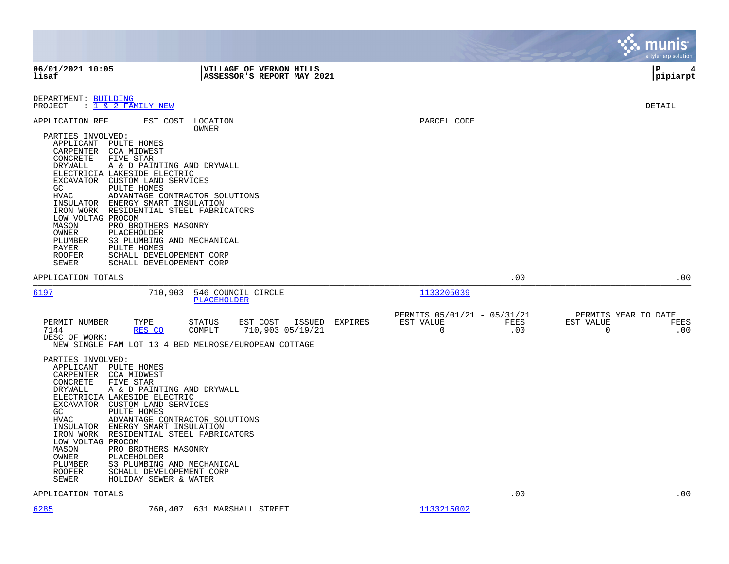|                                                                                                                                                                                                                                                                                     |                                                                                                                                                                                                                                                                                                                                                                                                                                                                                |                                                                 |                    | munis<br>a tyler erp solution                         |
|-------------------------------------------------------------------------------------------------------------------------------------------------------------------------------------------------------------------------------------------------------------------------------------|--------------------------------------------------------------------------------------------------------------------------------------------------------------------------------------------------------------------------------------------------------------------------------------------------------------------------------------------------------------------------------------------------------------------------------------------------------------------------------|-----------------------------------------------------------------|--------------------|-------------------------------------------------------|
| 06/01/2021 10:05<br>lisaf                                                                                                                                                                                                                                                           | VILLAGE OF VERNON HILLS<br>ASSESSOR'S REPORT MAY 2021                                                                                                                                                                                                                                                                                                                                                                                                                          |                                                                 |                    | l P<br>4<br> pipiarpt                                 |
| DEPARTMENT: BUILDING<br>$: 1 \& 2$ FAMILY NEW<br>PROJECT                                                                                                                                                                                                                            |                                                                                                                                                                                                                                                                                                                                                                                                                                                                                |                                                                 |                    | DETAIL                                                |
| APPLICATION REF<br>PARTIES INVOLVED:<br>APPLICANT<br>CARPENTER<br>CONCRETE<br>DRYWALL<br>ELECTRICIA LAKESIDE ELECTRIC<br>GC<br><b>HVAC</b><br>INSULATOR<br>LOW VOLTAG PROCOM<br>MASON<br>OWNER<br>PLUMBER<br>PAYER<br><b>ROOFER</b><br>SEWER                                        | EST COST LOCATION<br>OWNER<br>PULTE HOMES<br>CCA MIDWEST<br>FIVE STAR<br>A & D PAINTING AND DRYWALL<br>EXCAVATOR CUSTOM LAND SERVICES<br>PULTE HOMES<br>ADVANTAGE CONTRACTOR SOLUTIONS<br>ENERGY SMART INSULATION<br>IRON WORK RESIDENTIAL STEEL FABRICATORS<br>PRO BROTHERS MASONRY<br>PLACEHOLDER<br>S3 PLUMBING AND MECHANICAL<br>PULTE HOMES<br>SCHALL DEVELOPEMENT CORP<br>SCHALL DEVELOPEMENT CORP                                                                       | PARCEL CODE                                                     |                    |                                                       |
| APPLICATION TOTALS                                                                                                                                                                                                                                                                  |                                                                                                                                                                                                                                                                                                                                                                                                                                                                                |                                                                 | .00                | .00                                                   |
| 6197                                                                                                                                                                                                                                                                                | 710,903<br>546 COUNCIL CIRCLE<br>PLACEHOLDER                                                                                                                                                                                                                                                                                                                                                                                                                                   | 1133205039                                                      |                    |                                                       |
| PERMIT NUMBER<br>7144<br>DESC OF WORK:<br>PARTIES INVOLVED:<br>APPLICANT PULTE HOMES<br>CARPENTER<br>CONCRETE<br>DRYWALL<br>ELECTRICIA LAKESIDE ELECTRIC<br>GC<br>HVAC<br>INSULATOR<br>IRON WORK<br>LOW VOLTAG PROCOM<br>MASON<br>OWNER<br>PLUMBER<br><b>ROOFER</b><br><b>SEWER</b> | EST COST<br>TYPE<br><b>STATUS</b><br>ISSUED<br>RES CO<br>COMPLT<br>710,903 05/19/21<br>NEW SINGLE FAM LOT 13 4 BED MELROSE/EUROPEAN COTTAGE<br>CCA MIDWEST<br>FIVE STAR<br>A & D PAINTING AND DRYWALL<br>EXCAVATOR CUSTOM LAND SERVICES<br>PULTE HOMES<br>ADVANTAGE CONTRACTOR SOLUTIONS<br>ENERGY SMART INSULATION<br>RESIDENTIAL STEEL FABRICATORS<br>PRO BROTHERS MASONRY<br>PLACEHOLDER<br>S3 PLUMBING AND MECHANICAL<br>SCHALL DEVELOPEMENT CORP<br>HOLIDAY SEWER & WATER | PERMITS 05/01/21 - 05/31/21<br><b>EXPIRES</b><br>EST VALUE<br>0 | <b>FEES</b><br>.00 | PERMITS YEAR TO DATE<br>EST VALUE<br>FEES<br>0<br>.00 |
| APPLICATION TOTALS                                                                                                                                                                                                                                                                  |                                                                                                                                                                                                                                                                                                                                                                                                                                                                                |                                                                 | .00                | .00                                                   |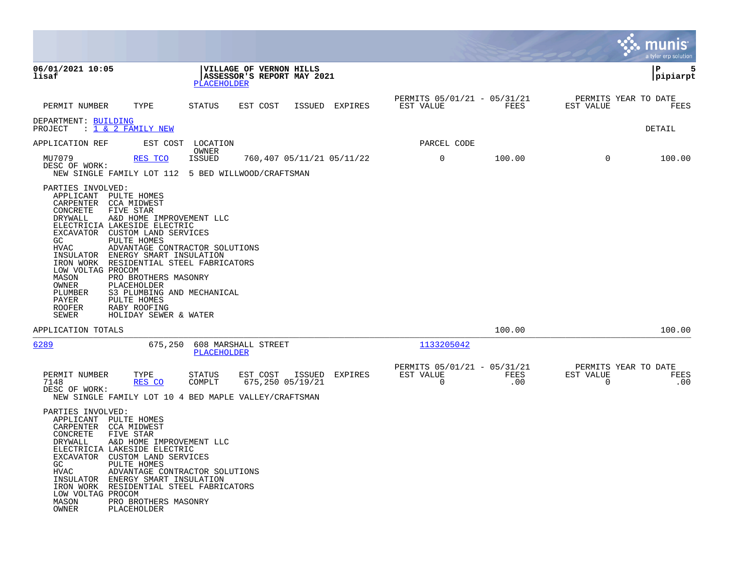|                                                                                                                                                                                                                                                                                                                                                                                                                                                                                                                                                                                |                                                                             |                           |                |                                                         |             |                                                  | <b>nis</b><br>a tyler erp solution |
|--------------------------------------------------------------------------------------------------------------------------------------------------------------------------------------------------------------------------------------------------------------------------------------------------------------------------------------------------------------------------------------------------------------------------------------------------------------------------------------------------------------------------------------------------------------------------------|-----------------------------------------------------------------------------|---------------------------|----------------|---------------------------------------------------------|-------------|--------------------------------------------------|------------------------------------|
| 06/01/2021 10:05<br>lisaf                                                                                                                                                                                                                                                                                                                                                                                                                                                                                                                                                      | VILLAGE OF VERNON HILLS<br>ASSESSOR'S REPORT MAY 2021<br><b>PLACEHOLDER</b> |                           |                |                                                         |             |                                                  | 5<br>ΙP<br> pipiarpt               |
| PERMIT NUMBER<br>TYPE                                                                                                                                                                                                                                                                                                                                                                                                                                                                                                                                                          | <b>STATUS</b><br>EST COST                                                   |                           | ISSUED EXPIRES | PERMITS 05/01/21 - 05/31/21<br>EST VALUE                | FEES        | PERMITS YEAR TO DATE<br>EST VALUE                | FEES                               |
| DEPARTMENT: BUILDING<br>$: 1 \& 2$ FAMILY NEW<br>PROJECT                                                                                                                                                                                                                                                                                                                                                                                                                                                                                                                       |                                                                             |                           |                |                                                         |             |                                                  | DETAIL                             |
| APPLICATION REF                                                                                                                                                                                                                                                                                                                                                                                                                                                                                                                                                                | EST COST LOCATION                                                           |                           |                | PARCEL CODE                                             |             |                                                  |                                    |
| MU7079<br>RES TCO<br>DESC OF WORK:<br>NEW SINGLE FAMILY LOT 112 5 BED WILLWOOD/CRAFTSMAN                                                                                                                                                                                                                                                                                                                                                                                                                                                                                       | OWNER<br><b>ISSUED</b>                                                      | 760,407 05/11/21 05/11/22 |                | $\mathsf{O}$                                            | 100.00      | $\Omega$                                         | 100.00                             |
| PARTIES INVOLVED:<br>APPLICANT PULTE HOMES<br>CARPENTER CCA MIDWEST<br>FIVE STAR<br>CONCRETE<br>DRYWALL<br>A&D HOME IMPROVEMENT LLC<br>ELECTRICIA LAKESIDE ELECTRIC<br>EXCAVATOR CUSTOM LAND SERVICES<br>GC.<br>PULTE HOMES<br><b>HVAC</b><br>ADVANTAGE CONTRACTOR SOLUTIONS<br>INSULATOR ENERGY SMART INSULATION<br>IRON WORK RESIDENTIAL STEEL FABRICATORS<br>LOW VOLTAG PROCOM<br>MASON<br>PRO BROTHERS MASONRY<br>OWNER<br>PLACEHOLDER<br>S3 PLUMBING AND MECHANICAL<br>PLUMBER<br>PULTE HOMES<br>PAYER<br><b>ROOFER</b><br>RABY ROOFING<br>SEWER<br>HOLIDAY SEWER & WATER |                                                                             |                           |                |                                                         |             |                                                  |                                    |
| APPLICATION TOTALS                                                                                                                                                                                                                                                                                                                                                                                                                                                                                                                                                             |                                                                             |                           |                |                                                         | 100.00      |                                                  | 100.00                             |
| 6289                                                                                                                                                                                                                                                                                                                                                                                                                                                                                                                                                                           | 675,250 608 MARSHALL STREET<br><b>PLACEHOLDER</b>                           |                           |                | 1133205042                                              |             |                                                  |                                    |
| PERMIT NUMBER<br>TYPE<br>7148<br>RES CO<br>DESC OF WORK:<br>NEW SINGLE FAMILY LOT 10 4 BED MAPLE VALLEY/CRAFTSMAN<br>PARTIES INVOLVED:<br>APPLICANT PULTE HOMES<br>CARPENTER CCA MIDWEST<br>CONCRETE<br>FIVE STAR<br>DRYWALL<br>A&D HOME IMPROVEMENT LLC<br>ELECTRICIA LAKESIDE ELECTRIC<br>EXCAVATOR<br>CUSTOM LAND SERVICES<br>GC.<br>PULTE HOMES<br><b>HVAC</b><br>ADVANTAGE CONTRACTOR SOLUTIONS<br>INSULATOR ENERGY SMART INSULATION<br>IRON WORK RESIDENTIAL STEEL FABRICATORS<br>LOW VOLTAG PROCOM<br>MASON<br>PRO BROTHERS MASONRY                                     | STATUS<br>EST COST<br>COMPLT                                                | 675,250 05/19/21          | ISSUED EXPIRES | PERMITS 05/01/21 - 05/31/21<br>EST VALUE<br>$\mathbf 0$ | FEES<br>.00 | PERMITS YEAR TO DATE<br>EST VALUE<br>$\mathbf 0$ | FEES<br>.00                        |

**College**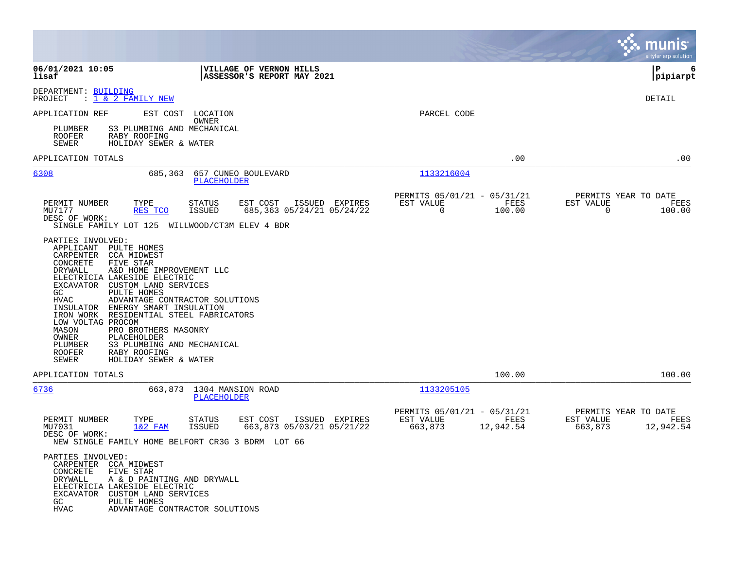|                                                                                                                                                                                                                                                                                                                               |                                                                                                                                                                                                       |                                                                          | munis<br>a tyler erp solution                                     |
|-------------------------------------------------------------------------------------------------------------------------------------------------------------------------------------------------------------------------------------------------------------------------------------------------------------------------------|-------------------------------------------------------------------------------------------------------------------------------------------------------------------------------------------------------|--------------------------------------------------------------------------|-------------------------------------------------------------------|
| 06/01/2021 10:05<br>lisaf                                                                                                                                                                                                                                                                                                     | VILLAGE OF VERNON HILLS<br>ASSESSOR'S REPORT MAY 2021                                                                                                                                                 |                                                                          | P<br>6<br>pipiarpt                                                |
| DEPARTMENT: BUILDING<br>PROJECT<br>: <u>1 &amp; 2 FAMILY NEW</u>                                                                                                                                                                                                                                                              |                                                                                                                                                                                                       |                                                                          | DETAIL                                                            |
| APPLICATION REF                                                                                                                                                                                                                                                                                                               | EST COST<br>LOCATION<br>OWNER                                                                                                                                                                         | PARCEL CODE                                                              |                                                                   |
| PLUMBER<br><b>ROOFER</b><br>RABY ROOFING<br>SEWER                                                                                                                                                                                                                                                                             | S3 PLUMBING AND MECHANICAL<br>HOLIDAY SEWER & WATER                                                                                                                                                   |                                                                          |                                                                   |
| APPLICATION TOTALS                                                                                                                                                                                                                                                                                                            |                                                                                                                                                                                                       | .00                                                                      | .00                                                               |
| 6308                                                                                                                                                                                                                                                                                                                          | 685,363<br>657 CUNEO BOULEVARD<br>PLACEHOLDER                                                                                                                                                         | 1133216004                                                               |                                                                   |
| PERMIT NUMBER<br>TYPE<br>MU7177<br>RES TCO<br>DESC OF WORK:                                                                                                                                                                                                                                                                   | EST COST<br>STATUS<br>ISSUED EXPIRES<br><b>ISSUED</b><br>685,363 05/24/21 05/24/22<br>SINGLE FAMILY LOT 125 WILLWOOD/CT3M ELEV 4 BDR                                                                  | PERMITS 05/01/21 - 05/31/21<br>EST VALUE<br>FEES<br>0<br>100.00          | PERMITS YEAR TO DATE<br>EST VALUE<br>FEES<br>0<br>100.00          |
| APPLICANT PULTE HOMES<br>CARPENTER CCA MIDWEST<br>CONCRETE<br>FIVE STAR<br>DRYWALL<br>ELECTRICIA LAKESIDE ELECTRIC<br>EXCAVATOR CUSTOM LAND SERVICES<br>PULTE HOMES<br>GC<br><b>HVAC</b><br>INSULATOR<br>IRON WORK<br>LOW VOLTAG PROCOM<br>MASON<br>OWNER<br>PLACEHOLDER<br>PLUMBER<br><b>ROOFER</b><br>RABY ROOFING<br>SEWER | A&D HOME IMPROVEMENT LLC<br>ADVANTAGE CONTRACTOR SOLUTIONS<br>ENERGY SMART INSULATION<br>RESIDENTIAL STEEL FABRICATORS<br>PRO BROTHERS MASONRY<br>S3 PLUMBING AND MECHANICAL<br>HOLIDAY SEWER & WATER |                                                                          |                                                                   |
| APPLICATION TOTALS                                                                                                                                                                                                                                                                                                            |                                                                                                                                                                                                       | 100.00                                                                   | 100.00                                                            |
| 6736                                                                                                                                                                                                                                                                                                                          | 663,873 1304 MANSION ROAD<br>PLACEHOLDER                                                                                                                                                              | 1133205105                                                               |                                                                   |
| PERMIT NUMBER<br>TYPE<br>MU7031<br>$1&2$ FAM<br>DESC OF WORK:                                                                                                                                                                                                                                                                 | EST COST<br>ISSUED EXPIRES<br>STATUS<br><b>ISSUED</b><br>663,873 05/03/21 05/21/22<br>NEW SINGLE FAMILY HOME BELFORT CR3G 3 BDRM LOT 66                                                               | PERMITS 05/01/21 - 05/31/21<br>EST VALUE<br>FEES<br>663,873<br>12,942.54 | PERMITS YEAR TO DATE<br>EST VALUE<br>FEES<br>663,873<br>12,942.54 |
| PARTIES INVOLVED:<br>CARPENTER CCA MIDWEST<br>CONCRETE<br>FIVE STAR<br>DRYWALL<br>ELECTRICIA LAKESIDE ELECTRIC<br>EXCAVATOR CUSTOM LAND SERVICES<br>GC.<br>PULTE HOMES<br><b>HVAC</b>                                                                                                                                         | A & D PAINTING AND DRYWALL<br>ADVANTAGE CONTRACTOR SOLUTIONS                                                                                                                                          |                                                                          |                                                                   |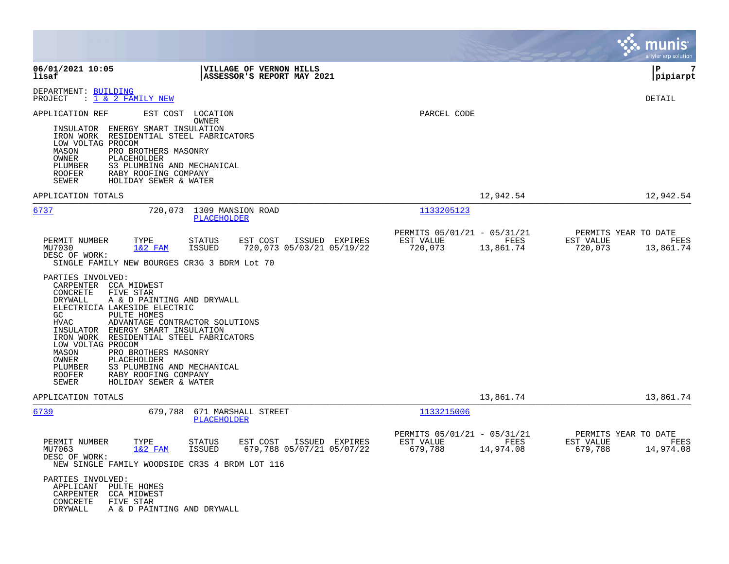|                                                                                                                                                                                                                                                                                                                                                                                                                                                                                                                                                                                                                                                                                                      |                                                                          | munis<br>a tyler erp solution                                     |
|------------------------------------------------------------------------------------------------------------------------------------------------------------------------------------------------------------------------------------------------------------------------------------------------------------------------------------------------------------------------------------------------------------------------------------------------------------------------------------------------------------------------------------------------------------------------------------------------------------------------------------------------------------------------------------------------------|--------------------------------------------------------------------------|-------------------------------------------------------------------|
| VILLAGE OF VERNON HILLS<br>06/01/2021 10:05<br>ASSESSOR'S REPORT MAY 2021<br>lisaf                                                                                                                                                                                                                                                                                                                                                                                                                                                                                                                                                                                                                   |                                                                          | 7<br>P<br> pipiarpt                                               |
| DEPARTMENT: BUILDING<br>: <u>1 &amp; 2 FAMILY NEW</u><br>PROJECT                                                                                                                                                                                                                                                                                                                                                                                                                                                                                                                                                                                                                                     |                                                                          | <b>DETAIL</b>                                                     |
| APPLICATION REF<br>EST COST LOCATION<br>OWNER<br>INSULATOR ENERGY SMART INSULATION<br>IRON WORK RESIDENTIAL STEEL FABRICATORS<br>LOW VOLTAG PROCOM<br>MASON<br>PRO BROTHERS MASONRY<br>OWNER<br>PLACEHOLDER<br>S3 PLUMBING AND MECHANICAL<br>PLUMBER<br><b>ROOFER</b><br>RABY ROOFING COMPANY<br>SEWER<br>HOLIDAY SEWER & WATER                                                                                                                                                                                                                                                                                                                                                                      | PARCEL CODE                                                              |                                                                   |
| APPLICATION TOTALS                                                                                                                                                                                                                                                                                                                                                                                                                                                                                                                                                                                                                                                                                   | 12,942.54                                                                | 12,942.54                                                         |
| 6737<br>720,073 1309 MANSION ROAD<br>PLACEHOLDER                                                                                                                                                                                                                                                                                                                                                                                                                                                                                                                                                                                                                                                     | 1133205123                                                               |                                                                   |
| PERMIT NUMBER<br>TYPE<br><b>STATUS</b><br>EST COST<br>ISSUED EXPIRES<br>$1&2$ FAM<br>ISSUED<br>720,073 05/03/21 05/19/22<br>MU7030<br>DESC OF WORK:<br>SINGLE FAMILY NEW BOURGES CR3G 3 BDRM Lot 70<br>PARTIES INVOLVED:<br>CARPENTER CCA MIDWEST<br>CONCRETE<br>FIVE STAR<br>DRYWALL<br>A & D PAINTING AND DRYWALL<br>ELECTRICIA LAKESIDE ELECTRIC<br>GC<br>PULTE HOMES<br><b>HVAC</b><br>ADVANTAGE CONTRACTOR SOLUTIONS<br>INSULATOR ENERGY SMART INSULATION<br>IRON WORK RESIDENTIAL STEEL FABRICATORS<br>LOW VOLTAG PROCOM<br>MASON<br>PRO BROTHERS MASONRY<br>OWNER<br>PLACEHOLDER<br>S3 PLUMBING AND MECHANICAL<br>PLUMBER<br>RABY ROOFING COMPANY<br>ROOFER<br>SEWER<br>HOLIDAY SEWER & WATER | PERMITS 05/01/21 - 05/31/21<br>EST VALUE<br>FEES<br>13,861.74<br>720,073 | PERMITS YEAR TO DATE<br>EST VALUE<br>FEES<br>720,073<br>13,861.74 |
| APPLICATION TOTALS                                                                                                                                                                                                                                                                                                                                                                                                                                                                                                                                                                                                                                                                                   | 13,861.74                                                                | 13,861.74                                                         |
| 679,788<br>671 MARSHALL STREET<br>6739<br>PLACEHOLDER                                                                                                                                                                                                                                                                                                                                                                                                                                                                                                                                                                                                                                                | 1133215006                                                               |                                                                   |
| PERMIT NUMBER<br>TYPE<br><b>STATUS</b><br>EST COST<br>ISSUED EXPIRES<br>$1&2$ FAM<br>MU7063<br><b>ISSUED</b><br>679,788 05/07/21 05/07/22<br>DESC OF WORK:<br>NEW SINGLE FAMILY WOODSIDE CR3S 4 BRDM LOT 116<br>PARTIES INVOLVED:<br>APPLICANT PULTE HOMES<br>CARPENTER<br><b>CCA MIDWEST</b><br>CONCRETE<br>FIVE STAR<br>DRYWALL<br>A & D PAINTING AND DRYWALL                                                                                                                                                                                                                                                                                                                                      | PERMITS 05/01/21 - 05/31/21<br>EST VALUE<br>FEES<br>679,788<br>14,974.08 | PERMITS YEAR TO DATE<br>EST VALUE<br>FEES<br>679,788<br>14,974.08 |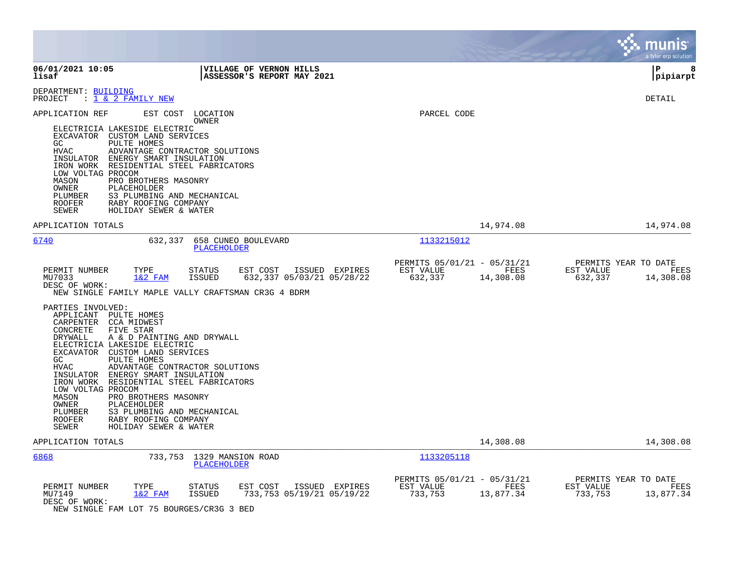|                                                                                                                                                                                                                                                                                                                                                                                                                                                                                                                                                                                                                                                                                                                                                                         |                                                                          | munis<br>a tyler erp solution                                     |
|-------------------------------------------------------------------------------------------------------------------------------------------------------------------------------------------------------------------------------------------------------------------------------------------------------------------------------------------------------------------------------------------------------------------------------------------------------------------------------------------------------------------------------------------------------------------------------------------------------------------------------------------------------------------------------------------------------------------------------------------------------------------------|--------------------------------------------------------------------------|-------------------------------------------------------------------|
| 06/01/2021 10:05<br><b>VILLAGE OF VERNON HILLS</b><br>lisaf<br>ASSESSOR'S REPORT MAY 2021                                                                                                                                                                                                                                                                                                                                                                                                                                                                                                                                                                                                                                                                               |                                                                          | l P<br>8<br> pipiarpt                                             |
| DEPARTMENT: BUILDING<br>: 1 & 2 FAMILY NEW<br>PROJECT                                                                                                                                                                                                                                                                                                                                                                                                                                                                                                                                                                                                                                                                                                                   |                                                                          | <b>DETAIL</b>                                                     |
| APPLICATION REF<br>EST COST<br>LOCATION<br>OWNER<br>ELECTRICIA LAKESIDE ELECTRIC<br>EXCAVATOR CUSTOM LAND SERVICES<br>PULTE HOMES<br>GC<br>HVAC<br>ADVANTAGE CONTRACTOR SOLUTIONS<br>INSULATOR<br>ENERGY SMART INSULATION<br>IRON WORK<br>RESIDENTIAL STEEL FABRICATORS<br>LOW VOLTAG PROCOM<br>PRO BROTHERS MASONRY<br>MASON<br>OWNER<br>PLACEHOLDER<br>S3 PLUMBING AND MECHANICAL<br>PLUMBER<br>ROOFER<br>RABY ROOFING COMPANY<br>HOLIDAY SEWER & WATER<br>SEWER                                                                                                                                                                                                                                                                                                      | PARCEL CODE                                                              |                                                                   |
| APPLICATION TOTALS                                                                                                                                                                                                                                                                                                                                                                                                                                                                                                                                                                                                                                                                                                                                                      | 14,974.08                                                                | 14,974.08                                                         |
| 6740<br>632,337<br>658 CUNEO BOULEVARD<br>PLACEHOLDER                                                                                                                                                                                                                                                                                                                                                                                                                                                                                                                                                                                                                                                                                                                   | 1133215012                                                               |                                                                   |
| EST COST<br>ISSUED EXPIRES<br>PERMIT NUMBER<br>TYPE<br>STATUS<br>632,337 05/03/21 05/28/22<br>MU7033<br>$1&2$ FAM<br>ISSUED<br>DESC OF WORK:<br>NEW SINGLE FAMILY MAPLE VALLY CRAFTSMAN CR3G 4 BDRM<br>PARTIES INVOLVED:<br>APPLICANT PULTE HOMES<br>CARPENTER CCA MIDWEST<br>FIVE STAR<br>CONCRETE<br>DRYWALL<br>A & D PAINTING AND DRYWALL<br>ELECTRICIA LAKESIDE ELECTRIC<br>EXCAVATOR CUSTOM LAND SERVICES<br>PULTE HOMES<br>GC.<br><b>HVAC</b><br>ADVANTAGE CONTRACTOR SOLUTIONS<br>INSULATOR ENERGY SMART INSULATION<br>IRON WORK RESIDENTIAL STEEL FABRICATORS<br>LOW VOLTAG PROCOM<br>MASON<br>PRO BROTHERS MASONRY<br>OWNER<br>PLACEHOLDER<br>PLUMBER<br>S3 PLUMBING AND MECHANICAL<br>RABY ROOFING COMPANY<br><b>ROOFER</b><br>HOLIDAY SEWER & WATER<br>SEWER | PERMITS 05/01/21 - 05/31/21<br>FEES<br>EST VALUE<br>632,337<br>14,308.08 | PERMITS YEAR TO DATE<br>EST VALUE<br>FEES<br>632,337<br>14,308.08 |
| APPLICATION TOTALS                                                                                                                                                                                                                                                                                                                                                                                                                                                                                                                                                                                                                                                                                                                                                      | 14,308.08                                                                | 14,308.08                                                         |
| 6868<br>733,753 1329 MANSION ROAD<br><b>PLACEHOLDER</b>                                                                                                                                                                                                                                                                                                                                                                                                                                                                                                                                                                                                                                                                                                                 | 1133205118                                                               |                                                                   |
| PERMIT NUMBER<br>TYPE<br><b>STATUS</b><br>EST COST<br>ISSUED EXPIRES<br>1&2 FAM<br>733,753 05/19/21 05/19/22<br>MU7149<br>ISSUED<br>DESC OF WORK:<br>NEW SINGLE FAM LOT 75 BOURGES/CR3G 3 BED                                                                                                                                                                                                                                                                                                                                                                                                                                                                                                                                                                           | PERMITS 05/01/21 - 05/31/21<br>EST VALUE<br>FEES<br>733,753<br>13,877.34 | PERMITS YEAR TO DATE<br>EST VALUE<br>FEES<br>13,877.34<br>733,753 |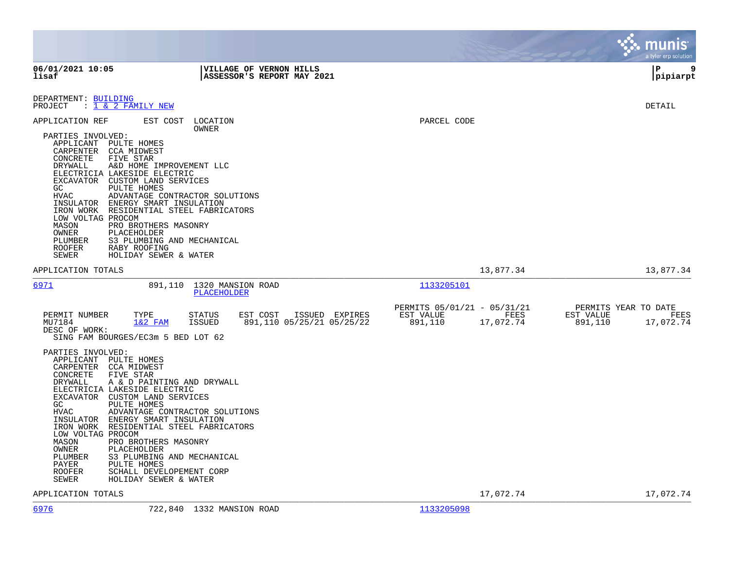|                                                                                                                                                                                                                                                                                                                                                                                                                                                                                          |                                                                                                                        |                                                                          | munis<br>a tyler erp solution                                     |
|------------------------------------------------------------------------------------------------------------------------------------------------------------------------------------------------------------------------------------------------------------------------------------------------------------------------------------------------------------------------------------------------------------------------------------------------------------------------------------------|------------------------------------------------------------------------------------------------------------------------|--------------------------------------------------------------------------|-------------------------------------------------------------------|
| 06/01/2021 10:05<br>lisaf                                                                                                                                                                                                                                                                                                                                                                                                                                                                | <b>VILLAGE OF VERNON HILLS</b><br>ASSESSOR'S REPORT MAY 2021                                                           |                                                                          | l P<br>9<br> pipiarpt                                             |
| DEPARTMENT: BUILDING<br>PROJECT<br>$: 1 \& 2$ FAMILY NEW                                                                                                                                                                                                                                                                                                                                                                                                                                 |                                                                                                                        |                                                                          | DETAIL                                                            |
| EST COST<br>APPLICATION REF<br>PARTIES INVOLVED:<br>APPLICANT PULTE HOMES<br>CARPENTER CCA MIDWEST<br>FIVE STAR<br>CONCRETE<br>DRYWALL<br>ELECTRICIA LAKESIDE ELECTRIC<br>EXCAVATOR CUSTOM LAND SERVICES<br>GC<br>PULTE HOMES<br><b>HVAC</b><br>INSULATOR ENERGY SMART INSULATION<br>IRON WORK RESIDENTIAL STEEL FABRICATORS<br>LOW VOLTAG PROCOM<br>MASON<br>PRO BROTHERS MASONRY<br>OWNER<br>PLACEHOLDER<br>PLUMBER<br>RABY ROOFING<br><b>ROOFER</b><br>SEWER<br>HOLIDAY SEWER & WATER | LOCATION<br>OWNER<br>A&D HOME IMPROVEMENT LLC<br>ADVANTAGE CONTRACTOR SOLUTIONS<br>S3 PLUMBING AND MECHANICAL          | PARCEL CODE                                                              |                                                                   |
| APPLICATION TOTALS                                                                                                                                                                                                                                                                                                                                                                                                                                                                       |                                                                                                                        | 13,877.34                                                                | 13,877.34                                                         |
| 6971                                                                                                                                                                                                                                                                                                                                                                                                                                                                                     | 1320 MANSION ROAD<br>891,110<br><b>PLACEHOLDER</b>                                                                     | 1133205101                                                               |                                                                   |
| PERMIT NUMBER<br>TYPE<br>MU7184<br>$1&2$ FAM<br>DESC OF WORK:<br>SING FAM BOURGES/EC3m 5 BED LOT 62                                                                                                                                                                                                                                                                                                                                                                                      | <b>STATUS</b><br>ISSUED EXPIRES<br>EST COST<br><b>ISSUED</b><br>891,110 05/25/21 05/25/22                              | PERMITS 05/01/21 - 05/31/21<br>EST VALUE<br>FEES<br>891,110<br>17,072.74 | PERMITS YEAR TO DATE<br>EST VALUE<br>FEES<br>891,110<br>17,072.74 |
| PARTIES INVOLVED:<br>APPLICANT PULTE HOMES<br>CARPENTER CCA MIDWEST<br>FIVE STAR<br>CONCRETE<br>DRYWALL<br>ELECTRICIA LAKESIDE ELECTRIC<br>EXCAVATOR CUSTOM LAND SERVICES<br>PULTE HOMES<br>GC<br><b>HVAC</b><br>INSULATOR ENERGY SMART INSULATION<br>IRON WORK RESIDENTIAL STEEL FABRICATORS<br>LOW VOLTAG PROCOM<br>MASON<br>PRO BROTHERS MASONRY<br>OWNER<br>PLACEHOLDER<br>PLUMBER<br>PAYER<br>PULTE HOMES<br><b>ROOFER</b><br>HOLIDAY SEWER & WATER<br>SEWER                        | A & D PAINTING AND DRYWALL<br>ADVANTAGE CONTRACTOR SOLUTIONS<br>S3 PLUMBING AND MECHANICAL<br>SCHALL DEVELOPEMENT CORP |                                                                          |                                                                   |
| APPLICATION TOTALS                                                                                                                                                                                                                                                                                                                                                                                                                                                                       |                                                                                                                        | 17,072.74                                                                | 17,072.74                                                         |
| 6976                                                                                                                                                                                                                                                                                                                                                                                                                                                                                     | 722,840 1332 MANSION ROAD                                                                                              | 1133205098                                                               |                                                                   |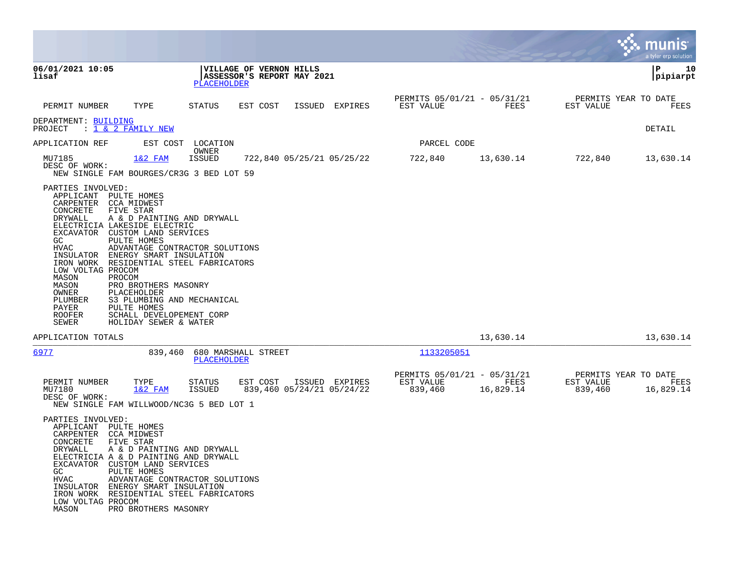|                                                                                                                                                                                                                                                                                                                                                          |                                                                                                                                                                                                                                                             |                                                       |                                             |                                                     |                   |                                              | a tyler erp solution  |
|----------------------------------------------------------------------------------------------------------------------------------------------------------------------------------------------------------------------------------------------------------------------------------------------------------------------------------------------------------|-------------------------------------------------------------------------------------------------------------------------------------------------------------------------------------------------------------------------------------------------------------|-------------------------------------------------------|---------------------------------------------|-----------------------------------------------------|-------------------|----------------------------------------------|-----------------------|
| 06/01/2021 10:05<br>lisaf                                                                                                                                                                                                                                                                                                                                | PLACEHOLDER                                                                                                                                                                                                                                                 | VILLAGE OF VERNON HILLS<br>ASSESSOR'S REPORT MAY 2021 |                                             |                                                     |                   |                                              | ΙP<br>10<br> pipiarpt |
| PERMIT NUMBER                                                                                                                                                                                                                                                                                                                                            | TYPE<br>STATUS                                                                                                                                                                                                                                              | EST COST                                              | ISSUED<br>EXPIRES                           | PERMITS 05/01/21 - 05/31/21<br>EST VALUE            | FEES              | PERMITS YEAR TO DATE<br>EST VALUE            | FEES                  |
| DEPARTMENT: BUILDING<br>: 1 & 2 FAMILY NEW<br>PROJECT                                                                                                                                                                                                                                                                                                    |                                                                                                                                                                                                                                                             |                                                       |                                             |                                                     |                   |                                              | DETAIL                |
| APPLICATION REF                                                                                                                                                                                                                                                                                                                                          | EST COST<br>LOCATION<br>OWNER                                                                                                                                                                                                                               |                                                       |                                             | PARCEL CODE                                         |                   |                                              |                       |
| MU7185<br>DESC OF WORK:                                                                                                                                                                                                                                                                                                                                  | $1&2$ FAM<br><b>ISSUED</b><br>NEW SINGLE FAM BOURGES/CR3G 3 BED LOT 59                                                                                                                                                                                      |                                                       | 722,840 05/25/21 05/25/22                   | 722,840                                             | 13,630.14         | 722,840                                      | 13,630.14             |
| PARTIES INVOLVED:<br>APPLICANT<br>PULTE HOMES<br>CARPENTER<br>CCA MIDWEST<br>CONCRETE<br>FIVE STAR<br>DRYWALL<br>ELECTRICIA LAKESIDE ELECTRIC<br>EXCAVATOR<br>GC.<br>PULTE HOMES<br>HVAC<br>INSULATOR<br>IRON WORK<br>LOW VOLTAG PROCOM<br>MASON<br>PROCOM<br>MASON<br>OWNER<br>PLACEHOLDER<br>PLUMBER<br>PAYER<br>PULTE HOMES<br><b>ROOFER</b><br>SEWER | A & D PAINTING AND DRYWALL<br>CUSTOM LAND SERVICES<br>ADVANTAGE CONTRACTOR SOLUTIONS<br>ENERGY SMART INSULATION<br>RESIDENTIAL STEEL FABRICATORS<br>PRO BROTHERS MASONRY<br>S3 PLUMBING AND MECHANICAL<br>SCHALL DEVELOPEMENT CORP<br>HOLIDAY SEWER & WATER |                                                       |                                             |                                                     |                   |                                              |                       |
| APPLICATION TOTALS                                                                                                                                                                                                                                                                                                                                       |                                                                                                                                                                                                                                                             |                                                       |                                             |                                                     | 13,630.14         |                                              | 13,630.14             |
| 6977                                                                                                                                                                                                                                                                                                                                                     | 839,460<br>PLACEHOLDER                                                                                                                                                                                                                                      | 680 MARSHALL STREET                                   |                                             | 1133205051                                          |                   |                                              |                       |
| PERMIT NUMBER<br>MU7180<br>DESC OF WORK:                                                                                                                                                                                                                                                                                                                 | TYPE<br><b>STATUS</b><br>$1&2$ FAM<br><b>ISSUED</b><br>NEW SINGLE FAM WILLWOOD/NC3G 5 BED LOT 1                                                                                                                                                             | EST COST                                              | ISSUED EXPIRES<br>839,460 05/24/21 05/24/22 | PERMITS 05/01/21 - 05/31/21<br>EST VALUE<br>839,460 | FEES<br>16,829.14 | PERMITS YEAR TO DATE<br>EST VALUE<br>839,460 | FEES<br>16,829.14     |
| PARTIES INVOLVED:<br>PULTE HOMES<br>APPLICANT<br>CARPENTER<br>CCA MIDWEST<br>CONCRETE<br>FIVE STAR<br>DRYWALL<br>EXCAVATOR CUSTOM LAND SERVICES<br>GC<br>PULTE HOMES<br>HVAC<br>LOW VOLTAG PROCOM<br>MASON                                                                                                                                               | A & D PAINTING AND DRYWALL<br>ELECTRICIA A & D PAINTING AND DRYWALL<br>ADVANTAGE CONTRACTOR SOLUTIONS<br>INSULATOR ENERGY SMART INSULATION<br>IRON WORK RESIDENTIAL STEEL FABRICATORS<br>PRO BROTHERS MASONRY                                               |                                                       |                                             |                                                     |                   |                                              |                       |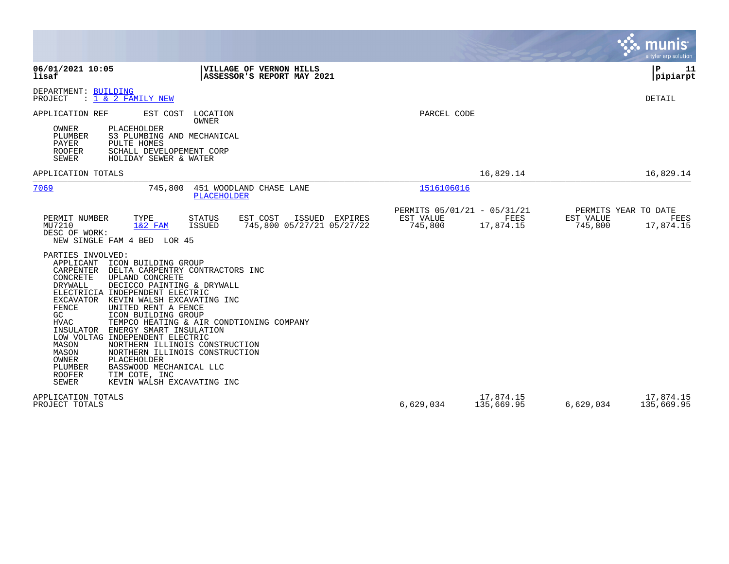|                                                                                                                                                                                                                                                                                                                                                                                                                                                                                                                                                                                                                                                                                                 |                                                     |                         |                      | munis<br>a tyler erp solution             |
|-------------------------------------------------------------------------------------------------------------------------------------------------------------------------------------------------------------------------------------------------------------------------------------------------------------------------------------------------------------------------------------------------------------------------------------------------------------------------------------------------------------------------------------------------------------------------------------------------------------------------------------------------------------------------------------------------|-----------------------------------------------------|-------------------------|----------------------|-------------------------------------------|
| 06/01/2021 10:05<br><b>VILLAGE OF VERNON HILLS</b><br>lisaf<br>ASSESSOR'S REPORT MAY 2021                                                                                                                                                                                                                                                                                                                                                                                                                                                                                                                                                                                                       |                                                     |                         |                      | l P<br>11<br> pipiarpt                    |
| DEPARTMENT: BUILDING<br>PROJECT<br>$: 1 \& 2$ FAMILY NEW                                                                                                                                                                                                                                                                                                                                                                                                                                                                                                                                                                                                                                        |                                                     |                         |                      | DETAIL                                    |
| APPLICATION REF<br>EST COST<br>LOCATION<br>OWNER<br>OWNER<br>PLACEHOLDER<br><b>PLUMBER</b><br>S3 PLUMBING AND MECHANICAL<br>PAYER<br>PULTE HOMES<br><b>ROOFER</b><br>SCHALL DEVELOPEMENT CORP<br><b>SEWER</b><br>HOLIDAY SEWER & WATER                                                                                                                                                                                                                                                                                                                                                                                                                                                          | PARCEL CODE                                         |                         |                      |                                           |
| APPLICATION TOTALS                                                                                                                                                                                                                                                                                                                                                                                                                                                                                                                                                                                                                                                                              |                                                     | 16,829.14               |                      | 16,829.14                                 |
| 7069<br>745,800<br>451 WOODLAND CHASE LANE<br><b>PLACEHOLDER</b>                                                                                                                                                                                                                                                                                                                                                                                                                                                                                                                                                                                                                                | 1516106016                                          |                         |                      |                                           |
| ISSUED EXPIRES<br>PERMIT NUMBER<br>TYPE<br><b>STATUS</b><br>EST COST<br>MU7210<br>$1&2$ FAM<br>ISSUED<br>745,800 05/27/21 05/27/22<br>DESC OF WORK:<br>NEW SINGLE FAM 4 BED LOR 45                                                                                                                                                                                                                                                                                                                                                                                                                                                                                                              | PERMITS 05/01/21 - 05/31/21<br>EST VALUE<br>745,800 | FEES<br>17,874.15       | EST VALUE<br>745,800 | PERMITS YEAR TO DATE<br>FEES<br>17,874.15 |
| PARTIES INVOLVED:<br>APPLICANT<br>ICON BUILDING GROUP<br>CARPENTER<br>DELTA CARPENTRY CONTRACTORS INC<br>CONCRETE<br>UPLAND CONCRETE<br>DRYWALL<br>DECICCO PAINTING & DRYWALL<br>ELECTRICIA INDEPENDENT ELECTRIC<br>EXCAVATOR KEVIN WALSH EXCAVATING INC<br>FENCE<br>UNITED RENT A FENCE<br>GC<br>ICON BUILDING GROUP<br><b>HVAC</b><br>TEMPCO HEATING & AIR CONDTIONING COMPANY<br>INSULATOR<br>ENERGY SMART INSULATION<br>LOW VOLTAG INDEPENDENT ELECTRIC<br>NORTHERN ILLINOIS CONSTRUCTION<br>MASON<br>NORTHERN ILLINOIS CONSTRUCTION<br>MASON<br>OWNER<br>PLACEHOLDER<br>PLUMBER<br>BASSWOOD MECHANICAL LLC<br><b>ROOFER</b><br>TIM COTE, INC<br><b>SEWER</b><br>KEVIN WALSH EXCAVATING INC |                                                     |                         |                      |                                           |
| APPLICATION TOTALS<br>PROJECT TOTALS                                                                                                                                                                                                                                                                                                                                                                                                                                                                                                                                                                                                                                                            | 6,629,034                                           | 17,874.15<br>135,669.95 | 6,629,034            | 17,874.15<br>135,669.95                   |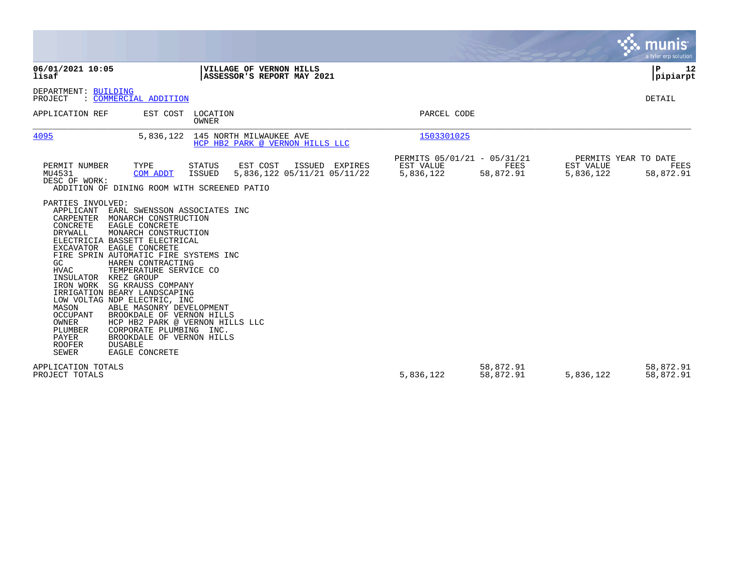|                                                                                                                                                                                                                                                                                                                                                                                                                                                                                                                                                                                                                           |                                                                                                                           |                                                       |                          |                                                | <b>munis</b><br>a tyler erp solution |
|---------------------------------------------------------------------------------------------------------------------------------------------------------------------------------------------------------------------------------------------------------------------------------------------------------------------------------------------------------------------------------------------------------------------------------------------------------------------------------------------------------------------------------------------------------------------------------------------------------------------------|---------------------------------------------------------------------------------------------------------------------------|-------------------------------------------------------|--------------------------|------------------------------------------------|--------------------------------------|
| 06/01/2021 10:05<br>lisaf                                                                                                                                                                                                                                                                                                                                                                                                                                                                                                                                                                                                 | VILLAGE OF VERNON HILLS<br>ASSESSOR'S REPORT MAY 2021                                                                     |                                                       |                          |                                                | $\mathbf P$<br>12<br> pipiarpt       |
| DEPARTMENT: BUILDING<br>PROJECT<br>: COMMERCIAL ADDITION                                                                                                                                                                                                                                                                                                                                                                                                                                                                                                                                                                  |                                                                                                                           |                                                       |                          |                                                | DETAIL                               |
| APPLICATION REF<br>EST COST                                                                                                                                                                                                                                                                                                                                                                                                                                                                                                                                                                                               | LOCATION<br>OWNER                                                                                                         | PARCEL CODE                                           |                          |                                                |                                      |
| 4095<br>5,836,122                                                                                                                                                                                                                                                                                                                                                                                                                                                                                                                                                                                                         | 145 NORTH MILWAUKEE AVE<br>HCP HB2 PARK @ VERNON HILLS LLC                                                                | 1503301025                                            |                          |                                                |                                      |
| PERMIT NUMBER<br>TYPE<br>MU4531<br>COM ADDT<br>DESC OF WORK:<br>ADDITION OF DINING ROOM WITH SCREENED PATIO                                                                                                                                                                                                                                                                                                                                                                                                                                                                                                               | EST COST<br>ISSUED EXPIRES<br><b>STATUS</b><br>5,836,122 05/11/21 05/11/22<br><b>ISSUED</b>                               | PERMITS 05/01/21 - 05/31/21<br>EST VALUE<br>5,836,122 | <b>FEES</b><br>58,872.91 | PERMITS YEAR TO DATE<br>EST VALUE<br>5,836,122 | FEES<br>58,872.91                    |
| PARTIES INVOLVED:<br>APPLICANT<br>CARPENTER<br>MONARCH CONSTRUCTION<br>CONCRETE<br>EAGLE CONCRETE<br>DRYWALL<br>MONARCH CONSTRUCTION<br>ELECTRICIA BASSETT ELECTRICAL<br>EXCAVATOR<br>EAGLE CONCRETE<br>FIRE SPRIN AUTOMATIC FIRE SYSTEMS INC<br>GC<br>HAREN CONTRACTING<br><b>HVAC</b><br>TEMPERATURE SERVICE CO<br>INSULATOR KREZ GROUP<br>IRON WORK<br>SG KRAUSS COMPANY<br>IRRIGATION BEARY LANDSCAPING<br>LOW VOLTAG NDP ELECTRIC, INC<br>MASON<br>ABLE MASONRY DEVELOPMENT<br>OCCUPANT<br>OWNER<br>PLUMBER<br>CORPORATE PLUMBING INC.<br>PAYER<br><b>ROOFER</b><br><b>DUSABLE</b><br><b>SEWER</b><br>EAGLE CONCRETE | EARL SWENSSON ASSOCIATES INC<br>BROOKDALE OF VERNON HILLS<br>HCP HB2 PARK @ VERNON HILLS LLC<br>BROOKDALE OF VERNON HILLS |                                                       |                          |                                                |                                      |
| APPLICATION TOTALS<br>PROJECT TOTALS                                                                                                                                                                                                                                                                                                                                                                                                                                                                                                                                                                                      |                                                                                                                           | 5,836,122                                             | 58,872.91<br>58,872.91   | 5,836,122                                      | 58,872.91<br>58,872.91               |

the property of the control of

and the contract of the contract of the contract of the contract of the contract of the contract of the contract of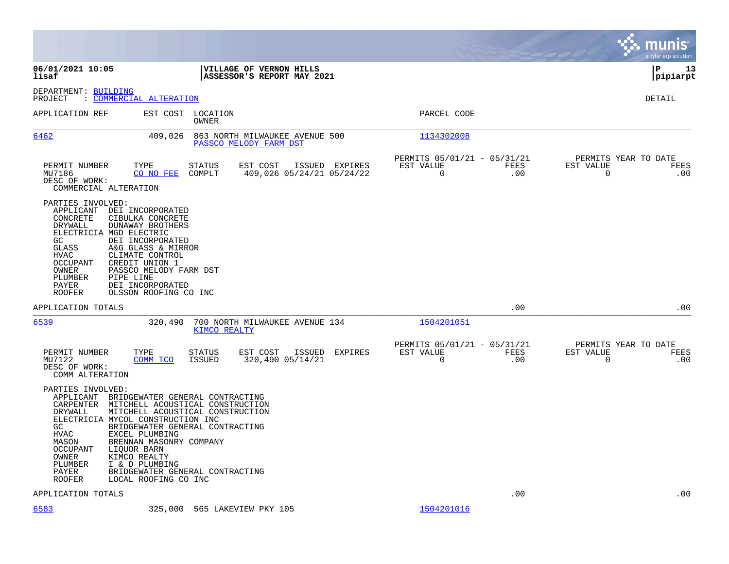|                                                                                                                                          |                                                                                                                                                                                                                                                                                                                                                    |                                |                                                          |                |                                                         |             |                                                  | munis<br>a tyler erp solution |
|------------------------------------------------------------------------------------------------------------------------------------------|----------------------------------------------------------------------------------------------------------------------------------------------------------------------------------------------------------------------------------------------------------------------------------------------------------------------------------------------------|--------------------------------|----------------------------------------------------------|----------------|---------------------------------------------------------|-------------|--------------------------------------------------|-------------------------------|
| 06/01/2021 10:05<br>lisaf                                                                                                                |                                                                                                                                                                                                                                                                                                                                                    |                                | VILLAGE OF VERNON HILLS<br>ASSESSOR'S REPORT MAY 2021    |                |                                                         |             |                                                  | lР<br>13<br> pipiarpt         |
| DEPARTMENT: BUILDING<br>PROJECT                                                                                                          | <u>COMMERCIAL ALTERATION</u>                                                                                                                                                                                                                                                                                                                       |                                |                                                          |                |                                                         |             |                                                  | <b>DETAIL</b>                 |
| APPLICATION REF                                                                                                                          |                                                                                                                                                                                                                                                                                                                                                    | EST COST LOCATION<br>OWNER     |                                                          |                | PARCEL CODE                                             |             |                                                  |                               |
| 6462                                                                                                                                     | 409,026                                                                                                                                                                                                                                                                                                                                            |                                | 863 NORTH MILWAUKEE AVENUE 500<br>PASSCO MELODY FARM DST |                | 1134302008                                              |             |                                                  |                               |
| PERMIT NUMBER<br>MU7186<br>DESC OF WORK:                                                                                                 | TYPE<br>CO NO FEE<br>COMMERCIAL ALTERATION                                                                                                                                                                                                                                                                                                         | <b>STATUS</b><br>COMPLT        | EST COST<br>409,026 05/24/21 05/24/22                    | ISSUED EXPIRES | PERMITS 05/01/21 - 05/31/21<br>EST VALUE<br>$\mathbf 0$ | FEES<br>.00 | PERMITS YEAR TO DATE<br>EST VALUE<br>$\mathbf 0$ | FEES<br>.00                   |
| PARTIES INVOLVED:<br>CONCRETE<br>DRYWALL<br>GC<br>GLASS<br>HVAC<br>OCCUPANT<br>OWNER<br>PLUMBER<br>PAYER<br><b>ROOFER</b>                | APPLICANT DEI INCORPORATED<br>CIBULKA CONCRETE<br>DUNAWAY BROTHERS<br>ELECTRICIA MGD ELECTRIC<br>DEI INCORPORATED<br>A&G GLASS & MIRROR<br>CLIMATE CONTROL<br>CREDIT UNION 1<br>PASSCO MELODY FARM DST<br>PIPE LINE<br>DEI INCORPORATED<br>OLSSON ROOFING CO INC                                                                                   |                                |                                                          |                |                                                         |             |                                                  |                               |
| APPLICATION TOTALS                                                                                                                       |                                                                                                                                                                                                                                                                                                                                                    |                                |                                                          |                |                                                         | .00         |                                                  | .00                           |
| 6539                                                                                                                                     | 320,490                                                                                                                                                                                                                                                                                                                                            | KIMCO REALTY                   | 700 NORTH MILWAUKEE AVENUE 134                           |                | 1504201051                                              |             |                                                  |                               |
| PERMIT NUMBER<br>MU7122<br>DESC OF WORK:<br>COMM ALTERATION                                                                              | TYPE<br>COMM TCO                                                                                                                                                                                                                                                                                                                                   | <b>STATUS</b><br><b>ISSUED</b> | EST COST<br>ISSUED<br>320,490 05/14/21                   | EXPIRES        | PERMITS 05/01/21 - 05/31/21<br>EST VALUE<br>$\mathbf 0$ | FEES<br>.00 | PERMITS YEAR TO DATE<br>EST VALUE<br>$\mathbf 0$ | FEES<br>.00                   |
| PARTIES INVOLVED:<br>CARPENTER<br>DRYWALL<br>GC<br><b>HVAC</b><br>MASON<br><b>OCCUPANT</b><br>OWNER<br>PLUMBER<br>PAYER<br><b>ROOFER</b> | APPLICANT BRIDGEWATER GENERAL CONTRACTING<br>MITCHELL ACOUSTICAL CONSTRUCTION<br>MITCHELL ACOUSTICAL CONSTRUCTION<br>ELECTRICIA MYCOL CONSTRUCTION INC<br>BRIDGEWATER GENERAL CONTRACTING<br>EXCEL PLUMBING<br>BRENNAN MASONRY COMPANY<br>LIOUOR BARN<br>KIMCO REALTY<br>I & D PLUMBING<br>BRIDGEWATER GENERAL CONTRACTING<br>LOCAL ROOFING CO INC |                                |                                                          |                |                                                         |             |                                                  |                               |
| APPLICATION TOTALS                                                                                                                       |                                                                                                                                                                                                                                                                                                                                                    |                                |                                                          |                |                                                         | .00         |                                                  | .00                           |

[6583](http://vvh-munis1:55000/views/PassThru.aspx?-E=uHy9FEjUEoCEFvK/FPwxvuILZpyDbN11zmyqzql9PxO2/ilSAdqXY2vu3a5TYqyN&) 325,000 565 LAKEVIEW PKY 105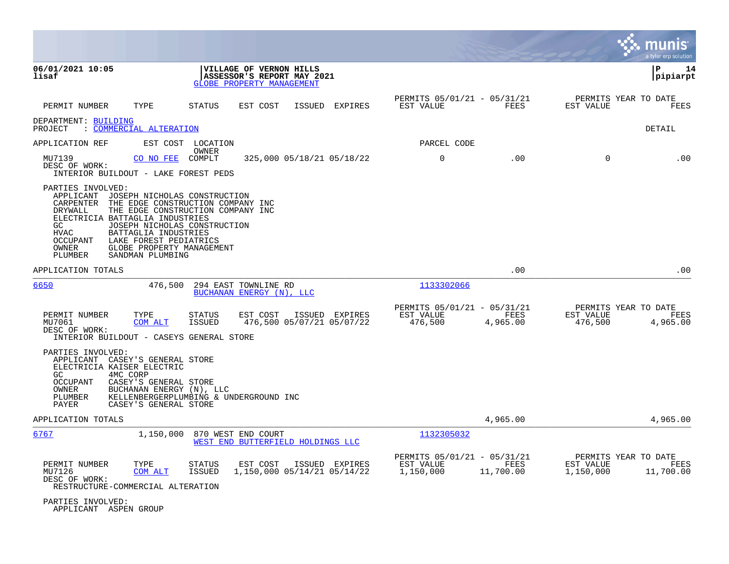|                                                                                                                                                                                                                                                                                |                                                                                                        |                                                                            | munis<br>a tyler erp solution                                       |
|--------------------------------------------------------------------------------------------------------------------------------------------------------------------------------------------------------------------------------------------------------------------------------|--------------------------------------------------------------------------------------------------------|----------------------------------------------------------------------------|---------------------------------------------------------------------|
| 06/01/2021 10:05<br>lisaf                                                                                                                                                                                                                                                      | VILLAGE OF VERNON HILLS<br>ASSESSOR'S REPORT MAY 2021<br>GLOBE PROPERTY MANAGEMENT                     |                                                                            | ΙP<br>14<br> pipiarpt                                               |
| TYPE<br>PERMIT NUMBER                                                                                                                                                                                                                                                          | STATUS<br>EST COST<br>ISSUED EXPIRES                                                                   | PERMITS 05/01/21 - 05/31/21<br>FEES<br>EST VALUE                           | PERMITS YEAR TO DATE<br>EST VALUE<br>FEES                           |
| DEPARTMENT: BUILDING<br>: COMMERCIAL ALTERATION<br>PROJECT                                                                                                                                                                                                                     |                                                                                                        |                                                                            | DETAIL                                                              |
| APPLICATION REF                                                                                                                                                                                                                                                                | EST COST LOCATION                                                                                      | PARCEL CODE                                                                |                                                                     |
| MU7139<br>CO NO FEE<br>DESC OF WORK:<br>INTERIOR BUILDOUT - LAKE FOREST PEDS                                                                                                                                                                                                   | OWNER<br>COMPLT<br>325,000 05/18/21 05/18/22                                                           | $\mathbf 0$<br>.00                                                         | $\mathbf 0$<br>.00                                                  |
| PARTIES INVOLVED:<br>APPLICANT JOSEPH NICHOLAS CONSTRUCTION<br>CARPENTER<br>DRYWALL<br>ELECTRICIA BATTAGLIA INDUSTRIES<br>GC<br><b>HVAC</b><br>BATTAGLIA INDUSTRIES<br>OCCUPANT<br>LAKE FOREST PEDIATRICS<br>OWNER<br>GLOBE PROPERTY MANAGEMENT<br>PLUMBER<br>SANDMAN PLUMBING | THE EDGE CONSTRUCTION COMPANY INC<br>THE EDGE CONSTRUCTION COMPANY INC<br>JOSEPH NICHOLAS CONSTRUCTION |                                                                            |                                                                     |
| APPLICATION TOTALS                                                                                                                                                                                                                                                             |                                                                                                        | .00                                                                        | .00                                                                 |
| 6650<br>476,500                                                                                                                                                                                                                                                                | 294 EAST TOWNLINE RD<br>BUCHANAN ENERGY (N), LLC                                                       | 1133302066                                                                 |                                                                     |
| PERMIT NUMBER<br>TYPE<br>MU7061<br>COM ALT<br>DESC OF WORK:<br>INTERIOR BUILDOUT - CASEYS GENERAL STORE                                                                                                                                                                        | EST COST<br>ISSUED EXPIRES<br>STATUS<br>476,500 05/07/21 05/07/22<br>ISSUED                            | PERMITS 05/01/21 - 05/31/21<br>EST VALUE<br>FEES<br>476,500<br>4,965.00    | PERMITS YEAR TO DATE<br>EST VALUE<br>FEES<br>476,500<br>4,965.00    |
| PARTIES INVOLVED:<br>APPLICANT CASEY'S GENERAL STORE<br>ELECTRICIA KAISER ELECTRIC<br>4MC CORP<br>GC.<br><b>OCCUPANT</b><br>CASEY'S GENERAL STORE<br>OWNER<br>BUCHANAN ENERGY (N), LLC<br>PLUMBER<br>PAYER<br>CASEY'S GENERAL STORE                                            | KELLENBERGERPLUMBING & UNDERGROUND INC                                                                 |                                                                            |                                                                     |
| APPLICATION TOTALS                                                                                                                                                                                                                                                             |                                                                                                        | 4,965.00                                                                   | 4,965.00                                                            |
| 6767<br>1,150,000                                                                                                                                                                                                                                                              | 870 WEST END COURT<br>WEST END BUTTERFIELD HOLDINGS LLC                                                | 1132305032                                                                 |                                                                     |
| PERMIT NUMBER<br>TYPE<br>MU7126<br>COM ALT<br>DESC OF WORK:<br>RESTRUCTURE-COMMERCIAL ALTERATION                                                                                                                                                                               | <b>STATUS</b><br>EST COST<br>ISSUED EXPIRES<br>ISSUED<br>1,150,000 05/14/21 05/14/22                   | PERMITS 05/01/21 - 05/31/21<br>EST VALUE<br>FEES<br>11,700.00<br>1,150,000 | PERMITS YEAR TO DATE<br>EST VALUE<br>FEES<br>1,150,000<br>11,700.00 |
| PARTIES INVOLVED:<br>APPLICANT ASPEN GROUP                                                                                                                                                                                                                                     |                                                                                                        |                                                                            |                                                                     |

**Contract Contract**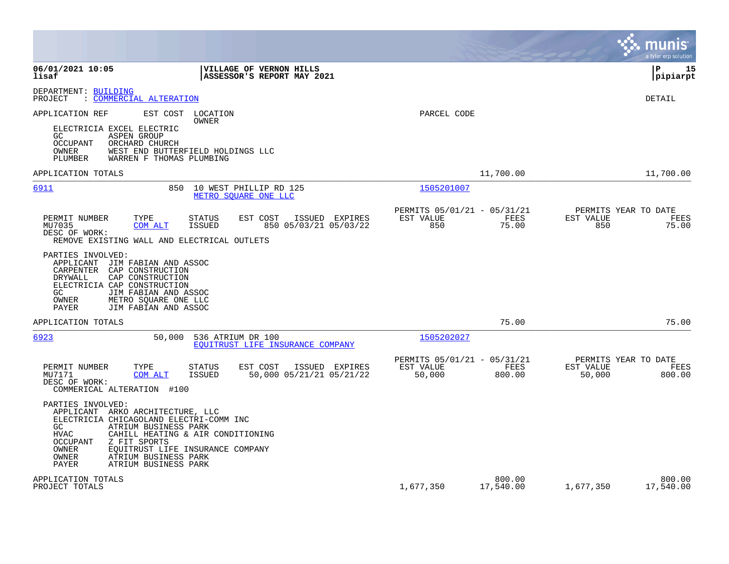|                                                                                                                                                                                                                                                                                                                                |                                                                      | mun<br>a tyler erp solution                                   |
|--------------------------------------------------------------------------------------------------------------------------------------------------------------------------------------------------------------------------------------------------------------------------------------------------------------------------------|----------------------------------------------------------------------|---------------------------------------------------------------|
| 06/01/2021 10:05<br>VILLAGE OF VERNON HILLS<br>lisaf<br>ASSESSOR'S REPORT MAY 2021                                                                                                                                                                                                                                             |                                                                      | 15<br>l P<br> pipiarpt                                        |
| DEPARTMENT: BUILDING<br>: COMMERCIAL ALTERATION<br>PROJECT                                                                                                                                                                                                                                                                     |                                                                      | DETAIL                                                        |
| APPLICATION REF<br>EST COST<br>LOCATION<br>OWNER<br>ELECTRICIA EXCEL ELECTRIC<br>GC.<br><b>ASPEN GROUP</b><br><b>OCCUPANT</b><br>ORCHARD CHURCH                                                                                                                                                                                | PARCEL CODE                                                          |                                                               |
| OWNER<br>WEST END BUTTERFIELD HOLDINGS LLC<br>WARREN F THOMAS PLUMBING<br>PLUMBER                                                                                                                                                                                                                                              |                                                                      |                                                               |
| APPLICATION TOTALS                                                                                                                                                                                                                                                                                                             | 11,700.00                                                            | 11,700.00                                                     |
| 6911<br>850<br>10 WEST PHILLIP RD 125<br>METRO SOUARE ONE LLC                                                                                                                                                                                                                                                                  | 1505201007                                                           |                                                               |
| PERMIT NUMBER<br>TYPE<br><b>STATUS</b><br>EST COST<br>ISSUED EXPIRES<br>MU7035<br>COM ALT<br><b>ISSUED</b><br>850 05/03/21 05/03/22<br>DESC OF WORK:<br>REMOVE EXISTING WALL AND ELECTRICAL OUTLETS                                                                                                                            | PERMITS 05/01/21 - 05/31/21<br>EST VALUE<br>FEES<br>850<br>75.00     | PERMITS YEAR TO DATE<br>EST VALUE<br>FEES<br>850<br>75.00     |
| PARTIES INVOLVED:<br>APPLICANT<br>JIM FABIAN AND ASSOC<br>CARPENTER<br>CAP CONSTRUCTION<br>DRYWALL<br>CAP CONSTRUCTION<br>ELECTRICIA CAP CONSTRUCTION<br>GC.<br>JIM FABIAN AND ASSOC<br>METRO SQUARE ONE LLC<br>OWNER<br>JIM FABIAN AND ASSOC<br>PAYER                                                                         |                                                                      |                                                               |
| APPLICATION TOTALS                                                                                                                                                                                                                                                                                                             | 75.00                                                                | 75.00                                                         |
| 6923<br>50,000<br>536 ATRIUM DR 100<br>EOUITRUST LIFE INSURANCE COMPANY                                                                                                                                                                                                                                                        | 1505202027                                                           |                                                               |
| PERMIT NUMBER<br>TYPE<br><b>STATUS</b><br>EST COST<br>ISSUED EXPIRES<br>MU7171<br>ISSUED<br>50,000 05/21/21 05/21/22<br>COM ALT<br>DESC OF WORK:<br>COMMERICAL ALTERATION #100                                                                                                                                                 | PERMITS 05/01/21 - 05/31/21<br>EST VALUE<br>FEES<br>50,000<br>800.00 | PERMITS YEAR TO DATE<br>EST VALUE<br>FEES<br>50,000<br>800.00 |
| PARTIES INVOLVED:<br>APPLICANT ARKO ARCHITECTURE, LLC<br>ELECTRICIA CHICAGOLAND ELECTRI-COMM INC<br>ATRIUM BUSINESS PARK<br>GC.<br><b>HVAC</b><br>CAHILL HEATING & AIR CONDITIONING<br>Z FIT SPORTS<br>OCCUPANT<br>OWNER<br>EQUITRUST LIFE INSURANCE COMPANY<br>OWNER<br>ATRIUM BUSINESS PARK<br>ATRIUM BUSINESS PARK<br>PAYER |                                                                      |                                                               |
| APPLICATION TOTALS<br>PROJECT TOTALS                                                                                                                                                                                                                                                                                           | 800.00<br>1,677,350<br>17,540.00                                     | 800.00<br>1,677,350<br>17,540.00                              |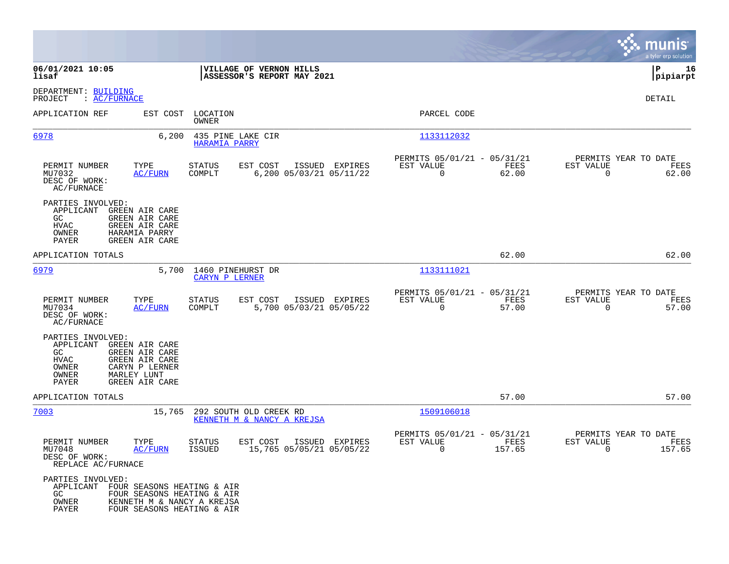|                                                                                                                                                                                          |                                                                                        |                                                                           | munis<br>a tyler erp solution                                      |
|------------------------------------------------------------------------------------------------------------------------------------------------------------------------------------------|----------------------------------------------------------------------------------------|---------------------------------------------------------------------------|--------------------------------------------------------------------|
| 06/01/2021 10:05<br>lisaf                                                                                                                                                                | VILLAGE OF VERNON HILLS<br>ASSESSOR'S REPORT MAY 2021                                  |                                                                           | ΙP<br>16<br> pipiarpt                                              |
| DEPARTMENT: BUILDING<br>PROJECT<br>: AC/FURNACE                                                                                                                                          |                                                                                        |                                                                           | DETAIL                                                             |
| APPLICATION REF<br>EST COST                                                                                                                                                              | LOCATION<br>OWNER                                                                      | PARCEL CODE                                                               |                                                                    |
| 6978                                                                                                                                                                                     | 6,200<br>435 PINE LAKE CIR<br>HARAMIA PARRY                                            | 1133112032                                                                |                                                                    |
| PERMIT NUMBER<br>TYPE<br>MU7032<br><b>AC/FURN</b><br>DESC OF WORK:<br>AC/FURNACE                                                                                                         | EST COST<br>ISSUED EXPIRES<br>STATUS<br>6,200 05/03/21 05/11/22<br>COMPLT              | PERMITS 05/01/21 - 05/31/21<br>EST VALUE<br>FEES<br>$\mathbf 0$<br>62.00  | PERMITS YEAR TO DATE<br>EST VALUE<br>FEES<br>$\mathbf 0$<br>62.00  |
| PARTIES INVOLVED:<br>APPLICANT<br>GREEN AIR CARE<br>GC<br>GREEN AIR CARE<br><b>HVAC</b><br>GREEN AIR CARE<br>OWNER<br>HARAMIA PARRY<br>PAYER<br><b>GREEN AIR CARE</b>                    |                                                                                        |                                                                           |                                                                    |
| APPLICATION TOTALS                                                                                                                                                                       |                                                                                        | 62.00                                                                     | 62.00                                                              |
| 6979                                                                                                                                                                                     | 1460 PINEHURST DR<br>5,700<br>CARYN P LERNER                                           | 1133111021                                                                |                                                                    |
| PERMIT NUMBER<br>TYPE<br>MU7034<br><b>AC/FURN</b><br>DESC OF WORK:<br>AC/FURNACE                                                                                                         | <b>STATUS</b><br>EST COST<br>ISSUED EXPIRES<br>COMPLT<br>5,700 05/03/21 05/05/22       | PERMITS 05/01/21 - 05/31/21<br>FEES<br>EST VALUE<br>$\mathbf 0$<br>57.00  | PERMITS YEAR TO DATE<br>EST VALUE<br>FEES<br>0<br>57.00            |
| PARTIES INVOLVED:<br>APPLICANT<br>GREEN AIR CARE<br>GC.<br>GREEN AIR CARE<br><b>HVAC</b><br>GREEN AIR CARE<br>CARYN P LERNER<br>OWNER<br>OWNER<br>MARLEY LUNT<br>PAYER<br>GREEN AIR CARE |                                                                                        |                                                                           |                                                                    |
| APPLICATION TOTALS                                                                                                                                                                       |                                                                                        | 57.00                                                                     | 57.00                                                              |
| 7003                                                                                                                                                                                     | 15,765<br>292 SOUTH OLD CREEK RD<br>KENNETH M & NANCY A KREJSA                         | 1509106018                                                                |                                                                    |
| PERMIT NUMBER<br>TYPE<br>MU7048<br>AC/FURN<br>DESC OF WORK:<br>REPLACE AC/FURNACE                                                                                                        | EST COST<br>ISSUED EXPIRES<br>STATUS<br>15,765 05/05/21 05/05/22<br>ISSUED             | PERMITS 05/01/21 - 05/31/21<br>FEES<br>EST VALUE<br>$\mathbf 0$<br>157.65 | PERMITS YEAR TO DATE<br>EST VALUE<br>FEES<br>$\mathbf 0$<br>157.65 |
| PARTIES INVOLVED:<br>APPLICANT FOUR SEASONS HEATING & AIR<br>GC.<br>OWNER<br>PAYER                                                                                                       | FOUR SEASONS HEATING & AIR<br>KENNETH M & NANCY A KREJSA<br>FOUR SEASONS HEATING & AIR |                                                                           |                                                                    |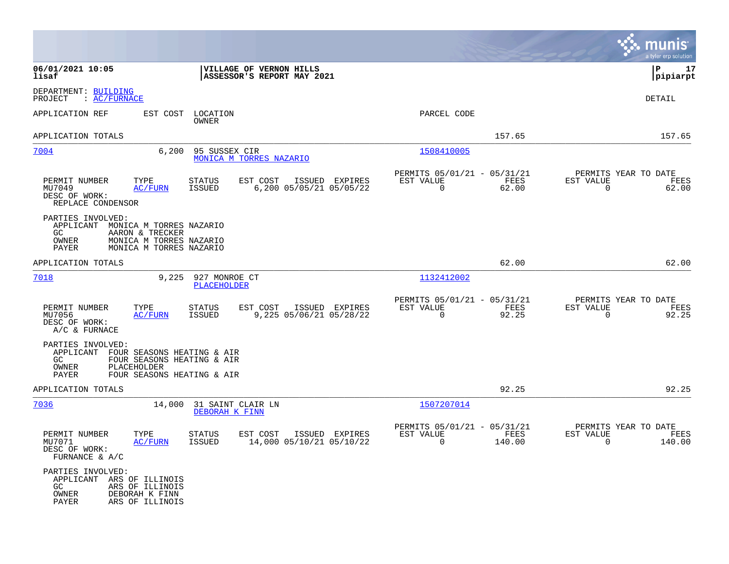|                                                                                                                                                                           |                                                                 | munis<br>a tyler erp solution                                   |
|---------------------------------------------------------------------------------------------------------------------------------------------------------------------------|-----------------------------------------------------------------|-----------------------------------------------------------------|
| 06/01/2021 10:05<br>VILLAGE OF VERNON HILLS<br>ASSESSOR'S REPORT MAY 2021<br>lisaf                                                                                        |                                                                 | P<br>17<br> pipiarpt                                            |
| DEPARTMENT: BUILDING<br>: AC/FURNACE<br>PROJECT                                                                                                                           |                                                                 | DETAIL                                                          |
| APPLICATION REF<br>EST COST<br>LOCATION<br>OWNER                                                                                                                          | PARCEL CODE                                                     |                                                                 |
| APPLICATION TOTALS                                                                                                                                                        | 157.65                                                          | 157.65                                                          |
| 7004<br>6,200<br>95 SUSSEX CIR<br>MONICA M TORRES NAZARIO                                                                                                                 | 1508410005                                                      |                                                                 |
| PERMIT NUMBER<br>TYPE<br><b>STATUS</b><br>EST COST<br>ISSUED EXPIRES<br>6,200 05/05/21 05/05/22<br>MU7049<br>AC/FURN<br>ISSUED<br>DESC OF WORK:<br>REPLACE CONDENSOR      | PERMITS 05/01/21 - 05/31/21<br>FEES<br>EST VALUE<br>0<br>62.00  | PERMITS YEAR TO DATE<br>EST VALUE<br>FEES<br>$\Omega$<br>62.00  |
| PARTIES INVOLVED:<br>APPLICANT MONICA M TORRES NAZARIO<br>GC.<br>AARON & TRECKER<br>OWNER<br>MONICA M TORRES NAZARIO<br>PAYER<br>MONICA M TORRES NAZARIO                  |                                                                 |                                                                 |
| APPLICATION TOTALS                                                                                                                                                        | 62.00                                                           | 62.00                                                           |
| 7018<br>9,225<br>927 MONROE CT<br>PLACEHOLDER                                                                                                                             | 1132412002                                                      |                                                                 |
| PERMIT NUMBER<br>TYPE<br><b>STATUS</b><br>EST COST<br>ISSUED EXPIRES<br>9,225 05/06/21 05/28/22<br>MU7056<br><b>AC/FURN</b><br>ISSUED<br>DESC OF WORK:<br>A/C & FURNACE   | PERMITS 05/01/21 - 05/31/21<br>EST VALUE<br>FEES<br>92.25<br>0  | PERMITS YEAR TO DATE<br>EST VALUE<br>FEES<br>92.25<br>0         |
| PARTIES INVOLVED:<br>APPLICANT FOUR SEASONS HEATING & AIR<br>FOUR SEASONS HEATING & AIR<br>GC.<br>PLACEHOLDER<br>OWNER<br>PAYER<br>FOUR SEASONS HEATING & AIR             |                                                                 |                                                                 |
| APPLICATION TOTALS                                                                                                                                                        | 92.25                                                           | 92.25                                                           |
| 7036<br>14,000<br>31 SAINT CLAIR LN<br>DEBORAH K FINN                                                                                                                     | 1507207014                                                      |                                                                 |
| PERMIT NUMBER<br>TYPE<br><b>STATUS</b><br>EST COST<br>ISSUED EXPIRES<br>14,000 05/10/21 05/10/22<br>MU7071<br><b>AC/FURN</b><br>ISSUED<br>DESC OF WORK:<br>FURNANCE & A/C | PERMITS 05/01/21 - 05/31/21<br>EST VALUE<br>FEES<br>0<br>140.00 | PERMITS YEAR TO DATE<br>EST VALUE<br>FEES<br>$\Omega$<br>140.00 |
| PARTIES INVOLVED:<br>APPLICANT ARS OF ILLINOIS<br>GC<br>ARS OF ILLINOIS<br>OWNER<br>DEBORAH K FINN<br>ARS OF ILLINOIS<br>PAYER                                            |                                                                 |                                                                 |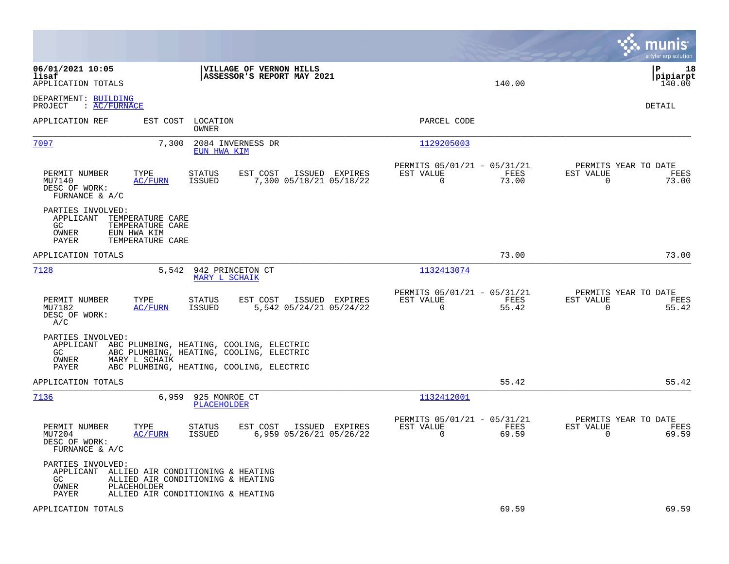|                                                                                                                                                                                    |                                                                          | munis<br>a tyler erp solution                                     |
|------------------------------------------------------------------------------------------------------------------------------------------------------------------------------------|--------------------------------------------------------------------------|-------------------------------------------------------------------|
| 06/01/2021 10:05<br><b>VILLAGE OF VERNON HILLS</b><br>lisaf<br><b>ASSESSOR'S REPORT MAY 2021</b><br>APPLICATION TOTALS                                                             | 140.00                                                                   | l P<br>18<br> pipiarpt<br>140.00                                  |
| DEPARTMENT: BUILDING<br>PROJECT : AC/FURNACE                                                                                                                                       |                                                                          | DETAIL                                                            |
| APPLICATION REF<br>EST COST<br>LOCATION<br>OWNER                                                                                                                                   | PARCEL CODE                                                              |                                                                   |
| 7097<br>7,300<br>2084 INVERNESS DR<br>EUN HWA KIM                                                                                                                                  | 1129205003                                                               |                                                                   |
| PERMIT NUMBER<br>TYPE<br>EST COST<br>ISSUED EXPIRES<br>STATUS<br>MU7140<br>AC/FURN<br>ISSUED<br>7,300 05/18/21 05/18/22<br>DESC OF WORK:<br>FURNANCE & A/C                         | PERMITS 05/01/21 - 05/31/21<br>EST VALUE<br>FEES<br>$\Omega$<br>73.00    | PERMITS YEAR TO DATE<br>EST VALUE<br>FEES<br>$\Omega$<br>73.00    |
| PARTIES INVOLVED:<br>APPLICANT<br>TEMPERATURE CARE<br>GC<br>TEMPERATURE CARE<br>OWNER<br>EUN HWA KIM<br>PAYER<br>TEMPERATURE CARE                                                  |                                                                          |                                                                   |
| APPLICATION TOTALS                                                                                                                                                                 | 73.00                                                                    | 73.00                                                             |
| 7128<br>5,542<br>942 PRINCETON CT<br>MARY L SCHAIK                                                                                                                                 | 1132413074                                                               |                                                                   |
| TYPE<br>EST COST<br>PERMIT NUMBER<br><b>STATUS</b><br>ISSUED EXPIRES<br>MU7182<br><b>AC/FURN</b><br><b>ISSUED</b><br>5,542 05/24/21 05/24/22<br>DESC OF WORK:<br>A/C               | PERMITS 05/01/21 - 05/31/21<br>EST VALUE<br>FEES<br>$\mathbf 0$<br>55.42 | PERMITS YEAR TO DATE<br>EST VALUE<br>FEES<br>$\mathbf 0$<br>55.42 |
| PARTIES INVOLVED:<br>APPLICANT ABC PLUMBING, HEATING, COOLING, ELECTRIC<br>GC<br>ABC PLUMBING, HEATING, COOLING, ELECTRIC<br>OWNER<br>MARY L SCHAIK                                |                                                                          |                                                                   |
| PAYER<br>ABC PLUMBING, HEATING, COOLING, ELECTRIC<br>APPLICATION TOTALS                                                                                                            | 55.42                                                                    | 55.42                                                             |
| 7136<br>6,959<br>925 MONROE CT<br>PLACEHOLDER                                                                                                                                      | 1132412001                                                               |                                                                   |
| PERMIT NUMBER<br>TYPE<br><b>STATUS</b><br>EST COST<br>ISSUED EXPIRES<br><b>ISSUED</b><br>6,959 05/26/21 05/26/22<br>MU7204<br>AC/FURN<br>DESC OF WORK:<br>FURNANCE & $A/C$         | PERMITS 05/01/21 - 05/31/21<br>EST VALUE<br>FEES<br>$\mathbf 0$<br>69.59 | PERMITS YEAR TO DATE<br>EST VALUE<br>FEES<br>0<br>69.59           |
| PARTIES INVOLVED:<br>APPLICANT ALLIED AIR CONDITIONING & HEATING<br>GC.<br>ALLIED AIR CONDITIONING & HEATING<br>OWNER<br>PLACEHOLDER<br>ALLIED AIR CONDITIONING & HEATING<br>PAYER |                                                                          |                                                                   |
| APPLICATION TOTALS                                                                                                                                                                 | 69.59                                                                    | 69.59                                                             |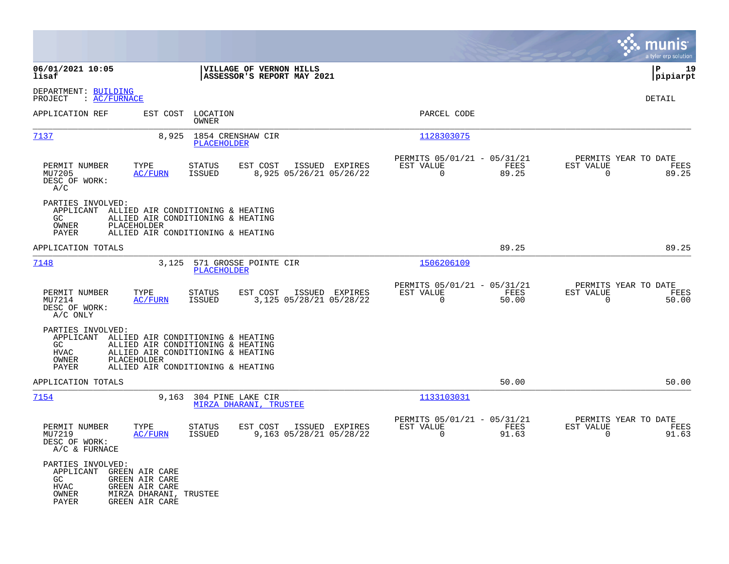|                                                                                                                                                                                |                                                                                                             |                                                                          | munis<br>a tyler erp solution                                        |
|--------------------------------------------------------------------------------------------------------------------------------------------------------------------------------|-------------------------------------------------------------------------------------------------------------|--------------------------------------------------------------------------|----------------------------------------------------------------------|
| 06/01/2021 10:05<br>lisaf                                                                                                                                                      | VILLAGE OF VERNON HILLS<br>ASSESSOR'S REPORT MAY 2021                                                       |                                                                          | l P<br>19<br> pipiarpt                                               |
| DEPARTMENT: BUILDING<br>: AC/FURNACE<br>PROJECT                                                                                                                                |                                                                                                             |                                                                          | DETAIL                                                               |
| APPLICATION REF                                                                                                                                                                | EST COST LOCATION<br>OWNER                                                                                  | PARCEL CODE                                                              |                                                                      |
| 7137                                                                                                                                                                           | 1854 CRENSHAW CIR<br>8,925<br>PLACEHOLDER                                                                   | 1128303075                                                               |                                                                      |
| PERMIT NUMBER<br>TYPE<br>MU7205<br>AC/FURN<br>DESC OF WORK:<br>A/C                                                                                                             | <b>STATUS</b><br>EST COST<br>ISSUED EXPIRES<br>8,925 05/26/21 05/26/22<br>ISSUED                            | PERMITS 05/01/21 - 05/31/21<br>EST VALUE<br>FEES<br>$\Omega$<br>89.25    | PERMITS YEAR TO DATE<br>EST VALUE<br>FEES<br>$\Omega$<br>89.25       |
| PARTIES INVOLVED:<br>APPLICANT ALLIED AIR CONDITIONING & HEATING<br>GC<br>OWNER<br>PLACEHOLDER<br>PAYER                                                                        | ALLIED AIR CONDITIONING & HEATING<br>ALLIED AIR CONDITIONING & HEATING                                      |                                                                          |                                                                      |
| APPLICATION TOTALS                                                                                                                                                             |                                                                                                             | 89.25                                                                    | 89.25                                                                |
| 7148                                                                                                                                                                           | 3,125 571 GROSSE POINTE CIR<br><b>PLACEHOLDER</b>                                                           | 1506206109                                                               |                                                                      |
| PERMIT NUMBER<br>TYPE<br>MU7214<br><b>AC/FURN</b><br>DESC OF WORK:<br>A/C ONLY                                                                                                 | <b>STATUS</b><br>EST COST<br>ISSUED EXPIRES<br>3,125 05/28/21 05/28/22<br>ISSUED                            | PERMITS 05/01/21 - 05/31/21<br>EST VALUE<br>FEES<br>$\Omega$<br>50.00    | PERMITS YEAR TO DATE<br>EST VALUE<br>FEES<br>$\Omega$<br>50.00       |
| PARTIES INVOLVED:<br>APPLICANT ALLIED AIR CONDITIONING & HEATING<br>GC<br><b>HVAC</b><br>OWNER<br>PLACEHOLDER<br>PAYER                                                         | ALLIED AIR CONDITIONING & HEATING<br>ALLIED AIR CONDITIONING & HEATING<br>ALLIED AIR CONDITIONING & HEATING |                                                                          |                                                                      |
| APPLICATION TOTALS                                                                                                                                                             |                                                                                                             | 50.00                                                                    | 50.00                                                                |
| 7154                                                                                                                                                                           | 9,163<br>304 PINE LAKE CIR<br>MIRZA DHARANI, TRUSTEE                                                        | 1133103031                                                               |                                                                      |
| PERMIT NUMBER<br>TYPE<br>MU7219<br>AC/FURN<br>DESC OF WORK:<br>$A/C$ & FURNACE                                                                                                 | <b>STATUS</b><br>EST COST<br>ISSUED EXPIRES<br><b>ISSUED</b><br>9,163 05/28/21 05/28/22                     | PERMITS 05/01/21 - 05/31/21<br>EST VALUE<br>FEES<br>$\mathbf 0$<br>91.63 | PERMITS YEAR TO DATE<br>EST VALUE<br>FEES<br>91.63<br>$\overline{0}$ |
| PARTIES INVOLVED:<br>APPLICANT<br>GREEN AIR CARE<br><b>GREEN AIR CARE</b><br>GC<br>HVAC<br>GREEN AIR CARE<br>MIRZA DHARANI, TRUSTEE<br>OWNER<br><b>GREEN AIR CARE</b><br>PAYER |                                                                                                             |                                                                          |                                                                      |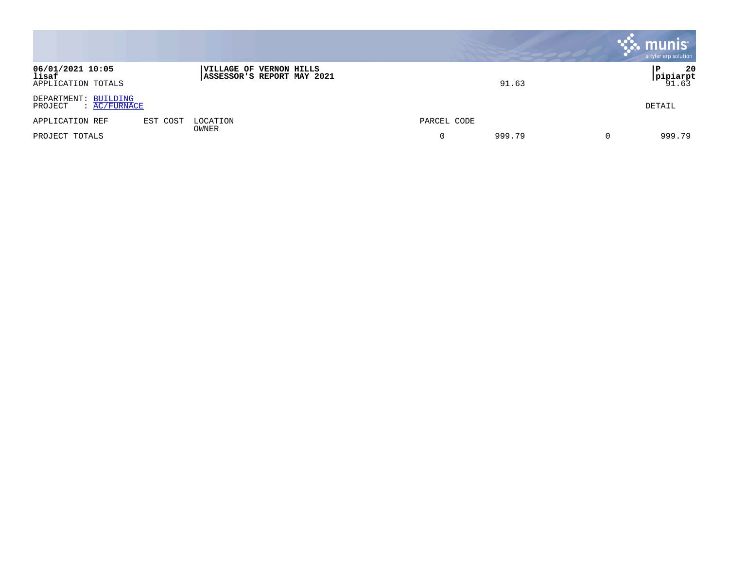|                                                        |          |                                                       |             | <b>munis</b><br>a tyler erp solution |
|--------------------------------------------------------|----------|-------------------------------------------------------|-------------|--------------------------------------|
| 06/01/2021 10:05<br>lisaf<br>APPLICATION TOTALS        |          | VILLAGE OF VERNON HILLS<br>ASSESSOR'S REPORT MAY 2021 | 91.63       | 20<br> pipiarpt<br>91.63             |
| DEPARTMENT: BUILDING<br>$\colon$ AC/FURNACE<br>PROJECT |          |                                                       |             | DETAIL                               |
| APPLICATION REF                                        | EST COST | LOCATION                                              | PARCEL CODE |                                      |
| PROJECT TOTALS                                         |          | OWNER                                                 | 999.79<br>0 | 999.79<br>$\Omega$                   |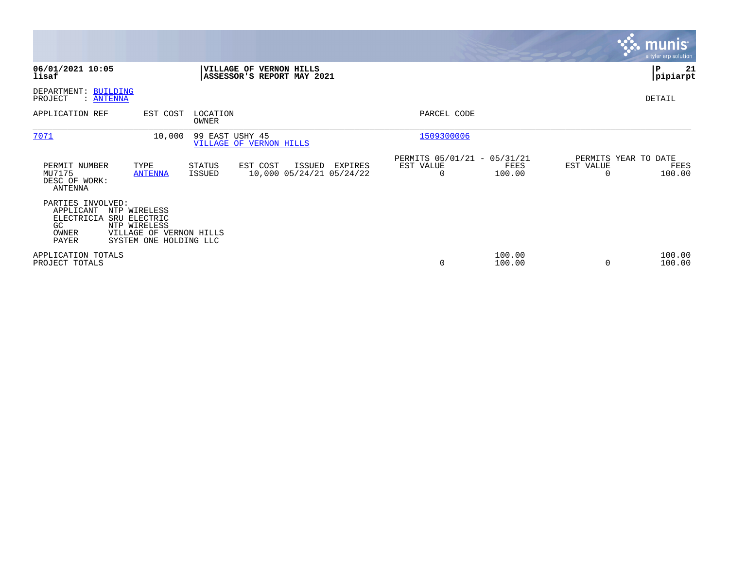|                                                                      |                                                                                                   |                         |                                                       |         |                                               |                  |                                   | munis <sup>®</sup><br>a tyler erp solution |
|----------------------------------------------------------------------|---------------------------------------------------------------------------------------------------|-------------------------|-------------------------------------------------------|---------|-----------------------------------------------|------------------|-----------------------------------|--------------------------------------------|
| 06/01/2021 10:05<br>lisaf                                            |                                                                                                   |                         | VILLAGE OF VERNON HILLS<br>ASSESSOR'S REPORT MAY 2021 |         |                                               |                  |                                   | ∣P<br>21<br> pipiarpt                      |
| DEPARTMENT: BUILDING<br>PROJECT<br>: <u>ANTENNA</u>                  |                                                                                                   |                         |                                                       |         |                                               |                  |                                   | DETAIL                                     |
| APPLICATION REF                                                      | EST COST                                                                                          | LOCATION<br>OWNER       |                                                       |         | PARCEL CODE                                   |                  |                                   |                                            |
| 7071                                                                 | 10,000                                                                                            | 99 EAST USHY 45         | VILLAGE OF VERNON HILLS                               |         | 1509300006                                    |                  |                                   |                                            |
| PERMIT NUMBER<br>MU7175<br>DESC OF WORK:<br><b>ANTENNA</b>           | TYPE<br><b>ANTENNA</b>                                                                            | <b>STATUS</b><br>ISSUED | EST COST<br>ISSUED<br>10,000 05/24/21 05/24/22        | EXPIRES | PERMITS 05/01/21 - 05/31/21<br>EST VALUE<br>0 | FEES<br>100.00   | PERMITS YEAR TO DATE<br>EST VALUE | FEES<br>100.00                             |
| PARTIES INVOLVED:<br>APPLICANT<br>ELECTRICIA<br>GC<br>OWNER<br>PAYER | NTP WIRELESS<br>SRU ELECTRIC<br>NTP WIRELESS<br>VILLAGE OF VERNON HILLS<br>SYSTEM ONE HOLDING LLC |                         |                                                       |         |                                               |                  |                                   |                                            |
| APPLICATION TOTALS<br>PROJECT TOTALS                                 |                                                                                                   |                         |                                                       |         | $\mathbf 0$                                   | 100.00<br>100.00 |                                   | 100.00<br>100.00                           |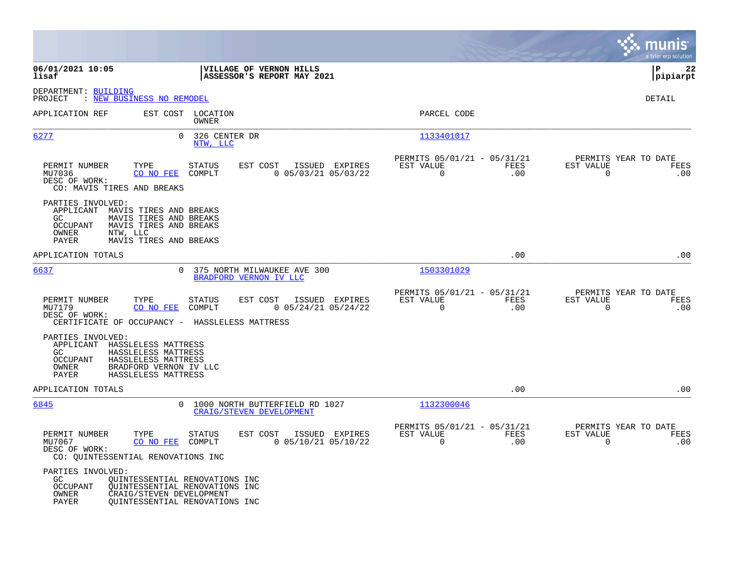|                                                                                                                                                                                                    |                                                                                                    |                                                                        | munis<br>a tyler erp solution                                   |
|----------------------------------------------------------------------------------------------------------------------------------------------------------------------------------------------------|----------------------------------------------------------------------------------------------------|------------------------------------------------------------------------|-----------------------------------------------------------------|
| 06/01/2021 10:05<br>lisaf                                                                                                                                                                          | VILLAGE OF VERNON HILLS<br>ASSESSOR'S REPORT MAY 2021                                              |                                                                        | l P<br>22<br> pipiarpt                                          |
| DEPARTMENT: BUILDING<br>: NEW BUSINESS NO REMODEL<br>PROJECT                                                                                                                                       |                                                                                                    |                                                                        | <b>DETAIL</b>                                                   |
| APPLICATION REF                                                                                                                                                                                    | EST COST LOCATION<br><b>OWNER</b>                                                                  | PARCEL CODE                                                            |                                                                 |
| 6277                                                                                                                                                                                               | $\Omega$<br>326 CENTER DR<br>NTW, LLC                                                              | 1133401017                                                             |                                                                 |
| PERMIT NUMBER<br>TYPE<br>MU7036<br>CO NO FEE<br>DESC OF WORK:<br>CO: MAVIS TIRES AND BREAKS                                                                                                        | EST COST<br>STATUS<br>ISSUED EXPIRES<br>COMPLT<br>$0$ 05/03/21 05/03/22                            | PERMITS 05/01/21 - 05/31/21<br>EST VALUE<br>FEES<br>.00<br>$\mathbf 0$ | PERMITS YEAR TO DATE<br>EST VALUE<br>FEES<br>$\mathbf 0$<br>.00 |
| PARTIES INVOLVED:<br>APPLICANT MAVIS TIRES AND BREAKS<br>MAVIS TIRES AND BREAKS<br>GC.<br>MAVIS TIRES AND BREAKS<br><b>OCCUPANT</b><br><b>OWNER</b><br>NTW, LLC<br>PAYER<br>MAVIS TIRES AND BREAKS |                                                                                                    |                                                                        |                                                                 |
| APPLICATION TOTALS                                                                                                                                                                                 |                                                                                                    | .00                                                                    | .00                                                             |
| 6637                                                                                                                                                                                               | 375 NORTH MILWAUKEE AVE 300<br>$\Omega$<br>BRADFORD VERNON IV LLC                                  | 1503301029                                                             |                                                                 |
| PERMIT NUMBER<br>TYPE<br>MU7179<br>CO NO FEE<br>DESC OF WORK:<br>CERTIFICATE OF OCCUPANCY - HASSLELESS MATTRESS                                                                                    | <b>STATUS</b><br>EST COST<br>ISSUED EXPIRES<br>COMPLT<br>$0$ 05/24/21 05/24/22                     | PERMITS 05/01/21 - 05/31/21<br>EST VALUE<br>FEES<br>$\mathbf 0$<br>.00 | PERMITS YEAR TO DATE<br>EST VALUE<br>FEES<br>$\mathbf 0$<br>.00 |
| PARTIES INVOLVED:<br>APPLICANT<br>HASSLELESS MATTRESS<br>GC.<br>HASSLELESS MATTRESS<br><b>OCCUPANT</b><br>HASSLELESS MATTRESS<br>OWNER<br>BRADFORD VERNON IV LLC<br>HASSLELESS MATTRESS<br>PAYER   |                                                                                                    |                                                                        |                                                                 |
| APPLICATION TOTALS                                                                                                                                                                                 |                                                                                                    | .00                                                                    | .00                                                             |
| 6845                                                                                                                                                                                               | 1000 NORTH BUTTERFIELD RD 1027<br>$\Omega$<br><b>CRAIG/STEVEN DEVELOPMENT</b>                      | 1132300046                                                             |                                                                 |
| PERMIT NUMBER<br>TYPE<br>CO NO FEE<br>MU7067<br>DESC OF WORK:<br>CO: QUINTESSENTIAL RENOVATIONS INC                                                                                                | STATUS<br>EST COST<br>ISSUED EXPIRES<br>COMPLT<br>$0$ 05/10/21 05/10/22                            | PERMITS 05/01/21 - 05/31/21<br>EST VALUE<br>FEES<br>$\Omega$<br>.00    | PERMITS YEAR TO DATE<br>EST VALUE<br>FEES<br>$\Omega$<br>.00    |
| PARTIES INVOLVED:<br>GC<br><b>OCCUPANT</b><br>OWNER<br>CRAIG/STEVEN DEVELOPMENT<br>PAYER                                                                                                           | OUINTESSENTIAL RENOVATIONS INC<br>QUINTESSENTIAL RENOVATIONS INC<br>QUINTESSENTIAL RENOVATIONS INC |                                                                        |                                                                 |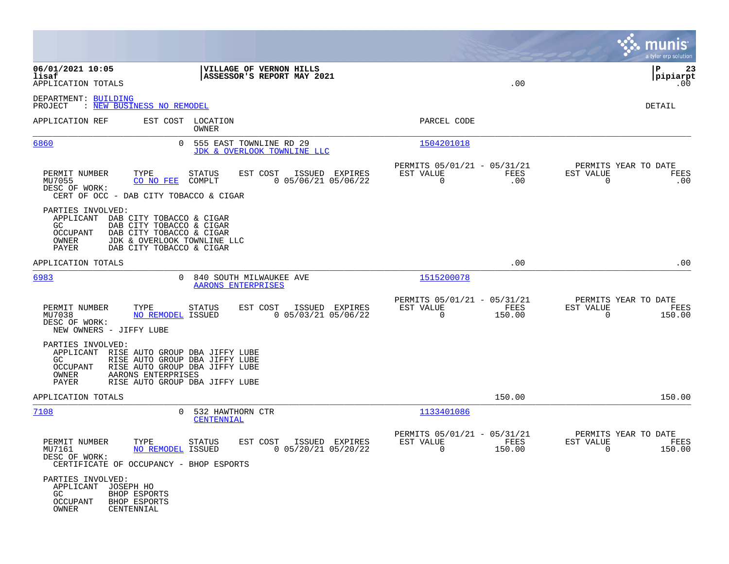|                                                                                                                                                                                                                                |                                                                           | munis<br>a tyler erp solution                                         |
|--------------------------------------------------------------------------------------------------------------------------------------------------------------------------------------------------------------------------------|---------------------------------------------------------------------------|-----------------------------------------------------------------------|
| 06/01/2021 10:05<br>VILLAGE OF VERNON HILLS<br>lisaf<br>ASSESSOR'S REPORT MAY 2021<br>APPLICATION TOTALS                                                                                                                       | .00                                                                       | l P<br>23<br> pipiarpt<br>.00                                         |
| DEPARTMENT: BUILDING<br>PROJECT<br>: NEW BUSINESS NO REMODEL                                                                                                                                                                   |                                                                           | DETAIL                                                                |
| APPLICATION REF<br>EST COST LOCATION<br>OWNER                                                                                                                                                                                  | PARCEL CODE                                                               |                                                                       |
| 6860<br>555 EAST TOWNLINE RD 29<br>JDK & OVERLOOK TOWNLINE LLC                                                                                                                                                                 | 1504201018                                                                |                                                                       |
| PERMIT NUMBER<br>TYPE<br>EST COST<br>STATUS<br>ISSUED EXPIRES<br>$0$ 05/06/21 05/06/22<br>MU7055<br>CO NO FEE<br>COMPLT<br>DESC OF WORK:<br>CERT OF OCC - DAB CITY TOBACCO & CIGAR                                             | PERMITS 05/01/21 - 05/31/21<br>EST VALUE<br>FEES<br>0<br>.00              | PERMITS YEAR TO DATE<br>EST VALUE<br>FEES<br>0<br>.00                 |
| PARTIES INVOLVED:<br>APPLICANT DAB CITY TOBACCO & CIGAR<br>GC.<br>DAB CITY TOBACCO & CIGAR<br><b>OCCUPANT</b><br>DAB CITY TOBACCO & CIGAR<br>OWNER<br>JDK & OVERLOOK TOWNLINE LLC<br>PAYER<br>DAB CITY TOBACCO & CIGAR         |                                                                           |                                                                       |
| APPLICATION TOTALS                                                                                                                                                                                                             | .00                                                                       | .00                                                                   |
| 6983<br>840 SOUTH MILWAUKEE AVE<br>0<br><b>AARONS ENTERPRISES</b>                                                                                                                                                              | 1515200078                                                                |                                                                       |
| ISSUED EXPIRES<br>PERMIT NUMBER<br>TYPE<br>STATUS<br>EST COST<br>$0$ 05/03/21 05/06/22<br>MU7038<br>NO REMODEL ISSUED<br>DESC OF WORK:<br>NEW OWNERS - JIFFY LUBE                                                              | PERMITS 05/01/21 - 05/31/21<br>EST VALUE<br>FEES<br>$\mathbf 0$<br>150.00 | PERMITS YEAR TO DATE<br>EST VALUE<br>FEES<br>$\Omega$<br>150.00       |
| PARTIES INVOLVED:<br>APPLICANT RISE AUTO GROUP DBA JIFFY LUBE<br>GC.<br>RISE AUTO GROUP DBA JIFFY LUBE<br>OCCUPANT<br>RISE AUTO GROUP DBA JIFFY LUBE<br>OWNER<br>AARONS ENTERPRISES<br>PAYER<br>RISE AUTO GROUP DBA JIFFY LUBE |                                                                           |                                                                       |
| APPLICATION TOTALS                                                                                                                                                                                                             | 150.00                                                                    | 150.00                                                                |
| 7108<br>532 HAWTHORN CTR<br>0<br><b>CENTENNIAL</b>                                                                                                                                                                             | 1133401086                                                                |                                                                       |
| PERMIT NUMBER<br>TYPE<br><b>STATUS</b><br>EST COST<br>ISSUED EXPIRES<br>0 05/20/21 05/20/22<br>MU7161<br>NO REMODEL ISSUED<br>DESC OF WORK:<br>CERTIFICATE OF OCCUPANCY - BHOP ESPORTS                                         | PERMITS 05/01/21 - 05/31/21<br>EST VALUE<br>FEES<br>150.00<br>$\sim$ 0    | PERMITS YEAR TO DATE<br>EST VALUE<br>FEES<br>150.00<br>$\overline{0}$ |
| PARTIES INVOLVED:<br>APPLICANT JOSEPH HO<br>BHOP ESPORTS<br>GC<br>OCCUPANT<br><b>BHOP ESPORTS</b><br>OWNER<br>CENTENNIAL                                                                                                       |                                                                           |                                                                       |

 $\mathcal{L}^{\text{max}}$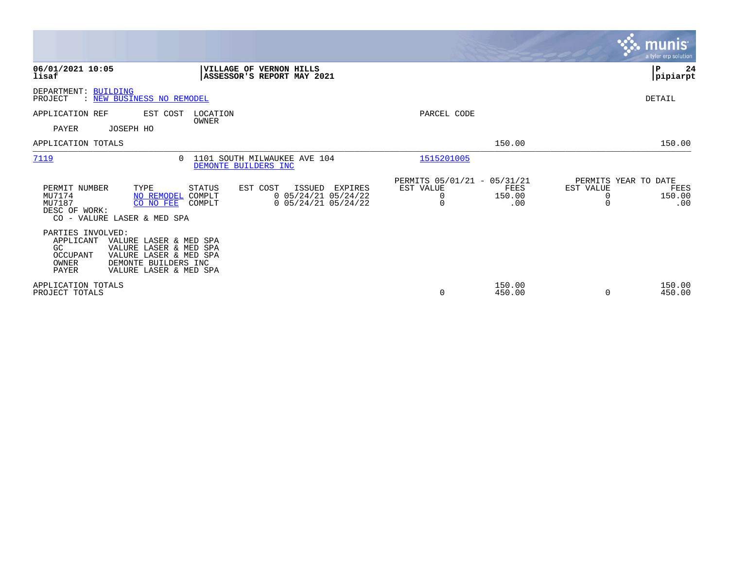|                                                                                                                                                                                                    |                                                                                                    |                                |                                                      | munis<br>a tyler erp solution                                               |
|----------------------------------------------------------------------------------------------------------------------------------------------------------------------------------------------------|----------------------------------------------------------------------------------------------------|--------------------------------|------------------------------------------------------|-----------------------------------------------------------------------------|
| 06/01/2021 10:05<br>lisaf                                                                                                                                                                          | <b>VILLAGE OF VERNON HILLS</b><br>ASSESSOR'S REPORT MAY 2021                                       |                                |                                                      | P<br>24<br> pipiarpt                                                        |
| DEPARTMENT: BUILDING<br>PROJECT<br>: NEW BUSINESS NO REMODEL                                                                                                                                       |                                                                                                    |                                |                                                      | DETAIL                                                                      |
| APPLICATION REF<br>EST COST<br>PAYER<br>JOSEPH HO                                                                                                                                                  | LOCATION<br>OWNER                                                                                  | PARCEL CODE                    |                                                      |                                                                             |
| APPLICATION TOTALS                                                                                                                                                                                 |                                                                                                    |                                | 150.00                                               | 150.00                                                                      |
| 7119<br>$\Omega$                                                                                                                                                                                   | 1101 SOUTH MILWAUKEE AVE 104<br>DEMONTE BUILDERS INC                                               | 1515201005                     |                                                      |                                                                             |
| TYPE<br>PERMIT NUMBER<br>MU7174<br>NO REMODEL<br>MU7187<br>CO NO FEE<br>DESC OF WORK:<br>CO - VALURE LASER & MED SPA                                                                               | EST COST<br>STATUS<br>ISSUED<br>$0$ 05/24/21 05/24/22<br>COMPLT<br>$0$ 05/24/21 05/24/22<br>COMPLT | EST VALUE<br>EXPIRES<br>0<br>0 | PERMITS 05/01/21 - 05/31/21<br>FEES<br>150.00<br>.00 | PERMITS YEAR TO DATE<br>EST VALUE<br>FEES<br>150.00<br>0<br>$\Omega$<br>.00 |
| PARTIES INVOLVED:<br>APPLICANT<br>VALURE LASER & MED SPA<br>GC<br>VALURE LASER & MED SPA<br>OCCUPANT<br>VALURE LASER & MED SPA<br>OWNER<br>DEMONTE BUILDERS INC<br>PAYER<br>VALURE LASER & MED SPA |                                                                                                    |                                |                                                      |                                                                             |
| APPLICATION TOTALS<br>PROJECT TOTALS                                                                                                                                                               |                                                                                                    | 0                              | 150.00<br>450.00                                     | 150.00<br>450.00<br>0                                                       |

 $\sim$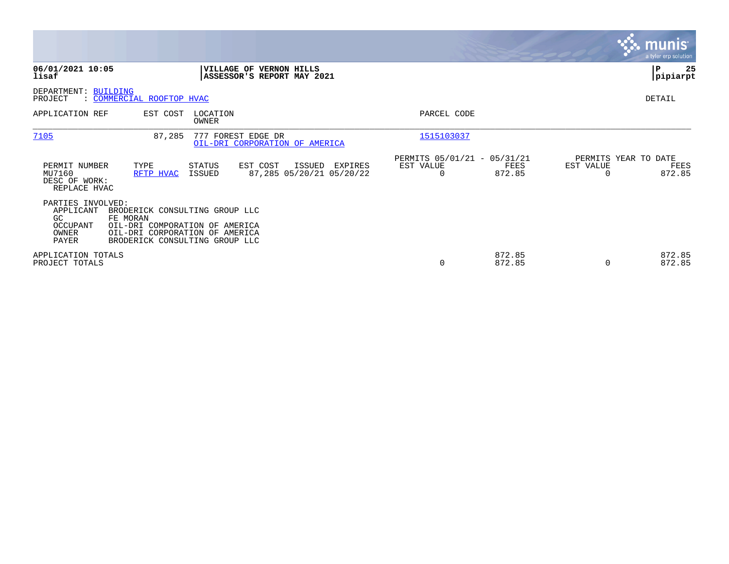|                                                                           |                                                                                                                                                  |                                                                     |                                               |                                                      |                  |                                   | <u>munis</u><br>a tyler erp solution. |
|---------------------------------------------------------------------------|--------------------------------------------------------------------------------------------------------------------------------------------------|---------------------------------------------------------------------|-----------------------------------------------|------------------------------------------------------|------------------|-----------------------------------|---------------------------------------|
| 06/01/2021 10:05<br>lisaf                                                 |                                                                                                                                                  | <b>VILLAGE OF VERNON HILLS</b><br><b>ASSESSOR'S REPORT MAY 2021</b> |                                               |                                                      |                  |                                   | 25<br>P<br> pipiarpt                  |
| DEPARTMENT: BUILDING<br>PROJECT                                           | : COMMERCIAL ROOFTOP HVAC                                                                                                                        |                                                                     |                                               |                                                      |                  |                                   | DETAIL                                |
| APPLICATION REF                                                           | EST COST                                                                                                                                         | LOCATION<br>OWNER                                                   |                                               | PARCEL CODE                                          |                  |                                   |                                       |
| 7105                                                                      | 87,285                                                                                                                                           | 777 FOREST EDGE DR<br>OIL-DRI CORPORATION OF AMERICA                |                                               | 1515103037                                           |                  |                                   |                                       |
| PERMIT NUMBER<br>MU7160<br>DESC OF WORK:<br>REPLACE HVAC                  | TYPE<br>RFTP HVAC                                                                                                                                | EST COST<br><b>STATUS</b><br>ISSUED                                 | ISSUED<br>EXPIRES<br>87,285 05/20/21 05/20/22 | PERMITS 05/01/21 - 05/31/21<br>EST VALUE<br>$\Omega$ | FEES<br>872.85   | PERMITS YEAR TO DATE<br>EST VALUE | FEES<br>872.85                        |
| PARTIES INVOLVED:<br>APPLICANT<br>GC<br>OCCUPANT<br>OWNER<br><b>PAYER</b> | BRODERICK CONSULTING GROUP LLC<br>FE MORAN<br>OIL-DRI COMPORATION OF AMERICA<br>OIL-DRI CORPORATION OF AMERICA<br>BRODERICK CONSULTING GROUP LLC |                                                                     |                                               |                                                      |                  |                                   |                                       |
| APPLICATION TOTALS<br>PROJECT TOTALS                                      |                                                                                                                                                  |                                                                     |                                               | 0                                                    | 872.85<br>872.85 | $\Omega$                          | 872.85<br>872.85                      |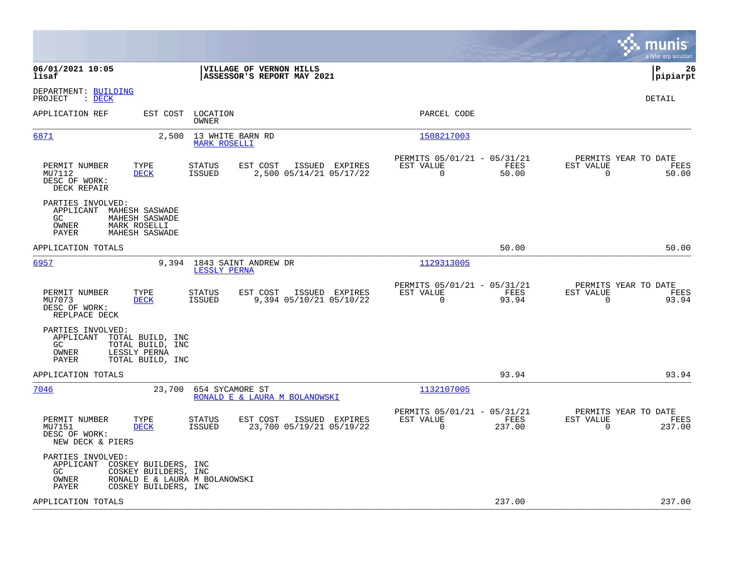|                                                                                                                                                                      |                                                                           | munis<br>a tyler erp solution                                     |
|----------------------------------------------------------------------------------------------------------------------------------------------------------------------|---------------------------------------------------------------------------|-------------------------------------------------------------------|
| 06/01/2021 10:05<br>VILLAGE OF VERNON HILLS<br>lisaf<br>ASSESSOR'S REPORT MAY 2021                                                                                   |                                                                           | l P<br>26<br> pipiarpt                                            |
| DEPARTMENT: BUILDING<br>: DECK<br>PROJECT                                                                                                                            |                                                                           | <b>DETAIL</b>                                                     |
| APPLICATION REF<br>EST COST<br>LOCATION<br>OWNER                                                                                                                     | PARCEL CODE                                                               |                                                                   |
| 6871<br>2,500<br>13 WHITE BARN RD<br><b>MARK ROSELLI</b>                                                                                                             | 1508217003                                                                |                                                                   |
| PERMIT NUMBER<br>EST COST<br>ISSUED EXPIRES<br>TYPE<br>STATUS<br>2,500 05/14/21 05/17/22<br>MU7112<br><b>DECK</b><br>ISSUED<br>DESC OF WORK:<br>DECK REPAIR          | PERMITS 05/01/21 - 05/31/21<br>EST VALUE<br>FEES<br>$\Omega$<br>50.00     | PERMITS YEAR TO DATE<br>EST VALUE<br>FEES<br>$\Omega$<br>50.00    |
| PARTIES INVOLVED:<br>APPLICANT<br>MAHESH SASWADE<br>GC<br>MAHESH SASWADE<br>OWNER<br>MARK ROSELLI<br>PAYER<br>MAHESH SASWADE                                         |                                                                           |                                                                   |
| APPLICATION TOTALS                                                                                                                                                   | 50.00                                                                     | 50.00                                                             |
| 6957<br>9,394 1843 SAINT ANDREW DR<br>LESSLY PERNA                                                                                                                   | 1129313005                                                                |                                                                   |
| EST COST<br>PERMIT NUMBER<br>TYPE<br><b>STATUS</b><br>ISSUED EXPIRES<br>MU7073<br><b>DECK</b><br>ISSUED<br>9,394 05/10/21 05/10/22<br>DESC OF WORK:<br>REPLPACE DECK | PERMITS 05/01/21 - 05/31/21<br>EST VALUE<br>FEES<br>93.94<br>$\mathbf 0$  | PERMITS YEAR TO DATE<br>EST VALUE<br>FEES<br>93.94<br>$\mathbf 0$ |
| PARTIES INVOLVED:<br>APPLICANT TOTAL BUILD, INC<br>GC<br>TOTAL BUILD, INC<br>OWNER<br>LESSLY PERNA<br>PAYER<br>TOTAL BUILD, INC                                      |                                                                           |                                                                   |
| APPLICATION TOTALS                                                                                                                                                   | 93.94                                                                     | 93.94                                                             |
| 7046<br>23,700<br>654 SYCAMORE ST<br>RONALD E & LAURA M BOLANOWSKI                                                                                                   | 1132107005                                                                |                                                                   |
| PERMIT NUMBER<br>TYPE<br>STATUS<br>EST COST<br>ISSUED EXPIRES<br>23,700 05/19/21 05/19/22<br>MU7151<br><b>DECK</b><br>ISSUED<br>DESC OF WORK:<br>NEW DECK & PIERS    | PERMITS 05/01/21 - 05/31/21<br>EST VALUE<br>FEES<br>$\mathbf 0$<br>237.00 | PERMITS YEAR TO DATE<br>EST VALUE<br>FEES<br>0<br>237.00          |
| PARTIES INVOLVED:<br>APPLICANT<br>COSKEY BUILDERS, INC<br>GC<br>COSKEY BUILDERS, INC<br>RONALD E & LAURA M BOLANOWSKI<br>OWNER<br>PAYER<br>COSKEY BUILDERS, INC      |                                                                           |                                                                   |
| APPLICATION TOTALS                                                                                                                                                   | 237.00                                                                    | 237.00                                                            |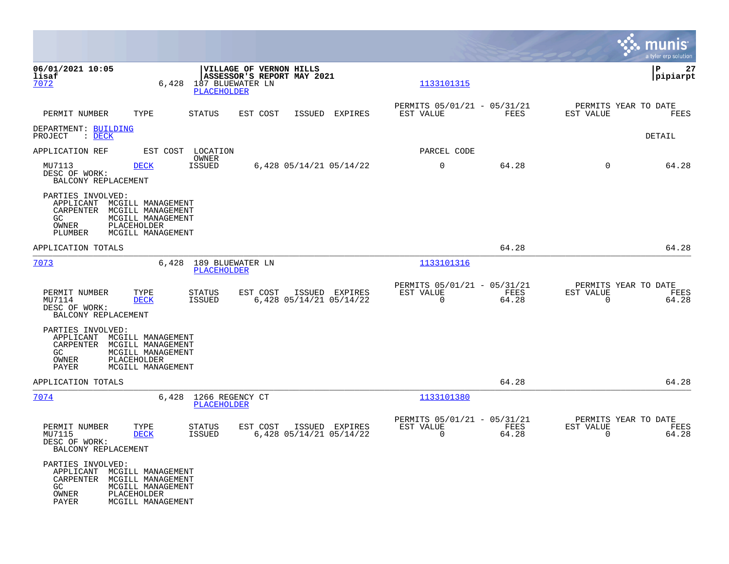|                                                                                       |                                                                                                 |                                              |                                                       |                                           |                       |                                              |                       | munis<br>a tyler erp solution         |
|---------------------------------------------------------------------------------------|-------------------------------------------------------------------------------------------------|----------------------------------------------|-------------------------------------------------------|-------------------------------------------|-----------------------|----------------------------------------------|-----------------------|---------------------------------------|
| 06/01/2021 10:05<br>lisaf<br>7072                                                     |                                                                                                 | 6,428 187 BLUEWATER LN<br><b>PLACEHOLDER</b> | VILLAGE OF VERNON HILLS<br>ASSESSOR'S REPORT MAY 2021 |                                           | 1133101315            |                                              |                       | lР<br>27<br> pipiarpt                 |
| PERMIT NUMBER                                                                         | TYPE                                                                                            | <b>STATUS</b>                                | EST COST                                              | ISSUED EXPIRES                            | EST VALUE             | PERMITS 05/01/21 - 05/31/21<br><b>FEES</b>   | EST VALUE             | PERMITS YEAR TO DATE<br>FEES          |
| DEPARTMENT: BUILDING<br>$\therefore$ DECK<br>PROJECT                                  |                                                                                                 |                                              |                                                       |                                           |                       |                                              |                       | DETAIL                                |
| APPLICATION REF                                                                       |                                                                                                 | EST COST LOCATION                            |                                                       |                                           | PARCEL CODE           |                                              |                       |                                       |
| MU7113<br>DESC OF WORK:<br>BALCONY REPLACEMENT                                        | <b>DECK</b>                                                                                     | OWNER<br><b>ISSUED</b>                       |                                                       | 6,428 05/14/21 05/14/22                   | $\mathbf 0$           | 64.28                                        | $\Omega$              | 64.28                                 |
| PARTIES INVOLVED:<br>APPLICANT<br>CARPENTER<br>GC<br>OWNER<br>PLUMBER                 | MCGILL MANAGEMENT<br>MCGILL MANAGEMENT<br>MCGILL MANAGEMENT<br>PLACEHOLDER<br>MCGILL MANAGEMENT |                                              |                                                       |                                           |                       |                                              |                       |                                       |
| APPLICATION TOTALS                                                                    |                                                                                                 |                                              |                                                       |                                           |                       | 64.28                                        |                       | 64.28                                 |
| 7073                                                                                  |                                                                                                 | 6,428 189 BLUEWATER LN<br><b>PLACEHOLDER</b> |                                                       |                                           | 1133101316            |                                              |                       |                                       |
| PERMIT NUMBER<br>MU7114<br>DESC OF WORK:<br>BALCONY REPLACEMENT                       | TYPE<br><b>DECK</b>                                                                             | <b>STATUS</b><br>ISSUED                      | EST COST                                              | ISSUED EXPIRES<br>6,428 05/14/21 05/14/22 | EST VALUE<br>$\Omega$ | PERMITS 05/01/21 - 05/31/21<br>FEES<br>64.28 | EST VALUE<br>$\Omega$ | PERMITS YEAR TO DATE<br>FEES<br>64.28 |
| PARTIES INVOLVED:<br>APPLICANT MCGILL MANAGEMENT<br>CARPENTER<br>GC<br>OWNER<br>PAYER | MCGILL MANAGEMENT<br>MCGILL MANAGEMENT<br>PLACEHOLDER<br>MCGILL MANAGEMENT                      |                                              |                                                       |                                           |                       |                                              |                       |                                       |
| APPLICATION TOTALS                                                                    |                                                                                                 |                                              |                                                       |                                           |                       | 64.28                                        |                       | 64.28                                 |
| 7074                                                                                  |                                                                                                 | 6,428 1266 REGENCY CT<br>PLACEHOLDER         |                                                       |                                           | 1133101380            |                                              |                       |                                       |
| PERMIT NUMBER<br>MU7115<br>DESC OF WORK:<br>BALCONY REPLACEMENT                       | TYPE<br><b>DECK</b>                                                                             | <b>STATUS</b><br>ISSUED                      | EST COST                                              | ISSUED EXPIRES<br>6,428 05/14/21 05/14/22 | EST VALUE<br>$\Omega$ | PERMITS 05/01/21 - 05/31/21<br>FEES<br>64.28 | EST VALUE<br>$\Omega$ | PERMITS YEAR TO DATE<br>FEES<br>64.28 |
| PARTIES INVOLVED:<br>APPLICANT MCGILL MANAGEMENT<br>CARPENTER<br>GC<br>OWNER<br>PAYER | MCGILL MANAGEMENT<br>MCGILL MANAGEMENT<br>PLACEHOLDER<br>MCGILL MANAGEMENT                      |                                              |                                                       |                                           |                       |                                              |                       |                                       |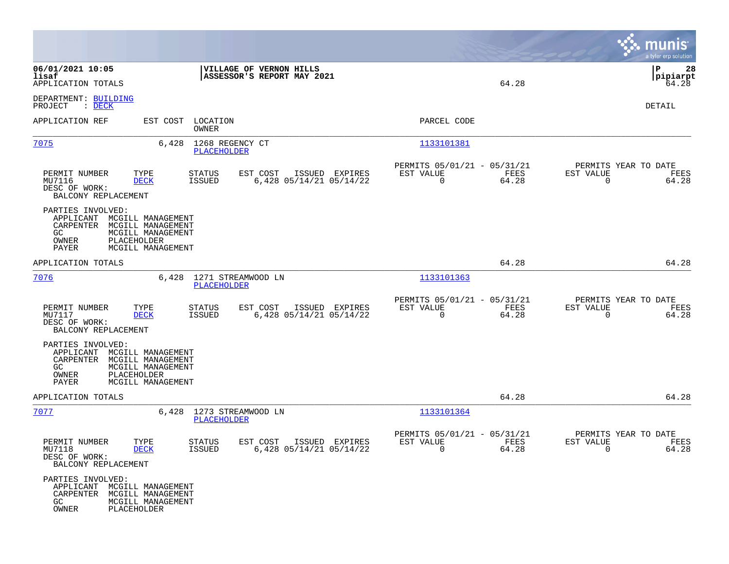|                                                                                                                                                                        |                                                                                  |                                                                                       | munis<br>a tyler erp solution                                        |
|------------------------------------------------------------------------------------------------------------------------------------------------------------------------|----------------------------------------------------------------------------------|---------------------------------------------------------------------------------------|----------------------------------------------------------------------|
| 06/01/2021 10:05<br>lisaf<br>APPLICATION TOTALS                                                                                                                        | VILLAGE OF VERNON HILLS<br>ASSESSOR'S REPORT MAY 2021                            | 64.28                                                                                 | l P<br>28<br> pipiarpt<br>64.28                                      |
| DEPARTMENT: BUILDING<br>PROJECT<br>$\therefore$ DECK                                                                                                                   |                                                                                  |                                                                                       | DETAIL                                                               |
| APPLICATION REF                                                                                                                                                        | EST COST LOCATION<br>OWNER                                                       | PARCEL CODE                                                                           |                                                                      |
| 7075                                                                                                                                                                   | 6,428 1268 REGENCY CT<br><b>PLACEHOLDER</b>                                      | 1133101381                                                                            |                                                                      |
| PERMIT NUMBER<br>TYPE<br>MU7116<br><b>DECK</b><br>DESC OF WORK:<br>BALCONY REPLACEMENT                                                                                 | EST COST<br>ISSUED EXPIRES<br>STATUS<br>6,428 05/14/21 05/14/22<br>ISSUED        | PERMITS 05/01/21 - 05/31/21<br>FEES<br>EST VALUE<br>$\Omega$<br>64.28                 | PERMITS YEAR TO DATE<br>EST VALUE<br>FEES<br>$\Omega$<br>64.28       |
| PARTIES INVOLVED:<br>MCGILL MANAGEMENT<br>APPLICANT<br>CARPENTER<br>MCGILL MANAGEMENT<br>GC<br>MCGILL MANAGEMENT<br>PLACEHOLDER<br>OWNER<br>PAYER<br>MCGILL MANAGEMENT |                                                                                  |                                                                                       |                                                                      |
| APPLICATION TOTALS                                                                                                                                                     |                                                                                  | 64.28                                                                                 | 64.28                                                                |
| 7076                                                                                                                                                                   | 6,428 1271 STREAMWOOD LN<br>PLACEHOLDER                                          | 1133101363                                                                            |                                                                      |
| PERMIT NUMBER<br>TYPE<br>MU7117<br><b>DECK</b><br>DESC OF WORK:<br>BALCONY REPLACEMENT                                                                                 | <b>STATUS</b><br>EST COST<br>ISSUED EXPIRES<br>ISSUED<br>6,428 05/14/21 05/14/22 | PERMITS 05/01/21 - 05/31/21<br>EST VALUE<br>FEES<br>$\Omega$<br>64.28                 | PERMITS YEAR TO DATE<br>EST VALUE<br>FEES<br>64.28<br>$\overline{0}$ |
| PARTIES INVOLVED:<br>APPLICANT<br>MCGILL MANAGEMENT<br>CARPENTER<br>MCGILL MANAGEMENT<br>GC<br>MCGILL MANAGEMENT<br>OWNER<br>PLACEHOLDER<br>PAYER<br>MCGILL MANAGEMENT |                                                                                  |                                                                                       |                                                                      |
| APPLICATION TOTALS                                                                                                                                                     |                                                                                  | 64.28                                                                                 | 64.28                                                                |
| 7077                                                                                                                                                                   | 6,428 1273 STREAMWOOD LN<br>PLACEHOLDER                                          | 1133101364                                                                            |                                                                      |
| PERMIT NUMBER<br>TYPE<br>MU7118<br><b>DECK</b><br>DESC OF WORK:<br>BALCONY REPLACEMENT                                                                                 | <b>STATUS</b><br>EST COST<br>ISSUED EXPIRES<br>6,428 05/14/21 05/14/22<br>ISSUED | PERMITS 05/01/21 - 05/31/21<br>EST VALUE<br>FEES<br>64.28<br>$\overline{\phantom{0}}$ | PERMITS YEAR TO DATE<br>EST VALUE<br>FEES<br>64.28<br>$\overline{0}$ |
| PARTIES INVOLVED:<br>APPLICANT MCGILL MANAGEMENT<br>CARPENTER MCGILL MANAGEMENT<br>GC<br>MCGILL MANAGEMENT<br>OWNER<br>PLACEHOLDER                                     |                                                                                  |                                                                                       |                                                                      |

**Contract**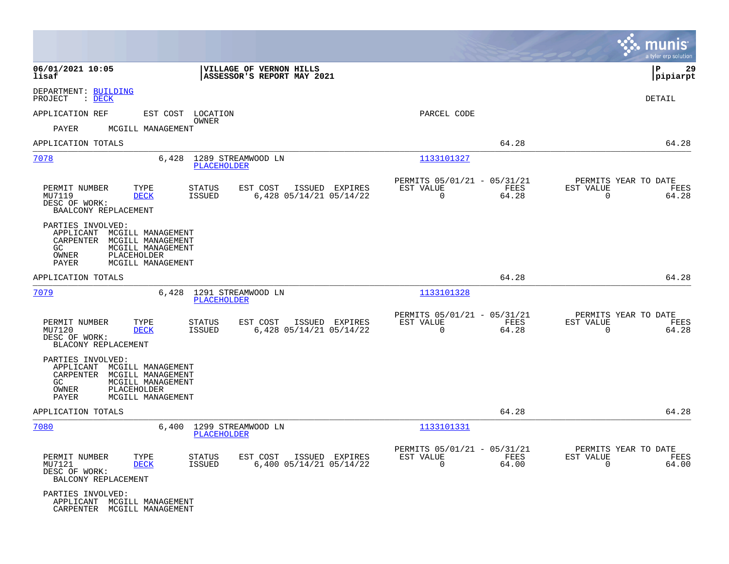|                                                                                                                                                                     |                                                                                         |                                                                           | munis<br>a tyler erp solution                                  |
|---------------------------------------------------------------------------------------------------------------------------------------------------------------------|-----------------------------------------------------------------------------------------|---------------------------------------------------------------------------|----------------------------------------------------------------|
| 06/01/2021 10:05<br>lisaf                                                                                                                                           | VILLAGE OF VERNON HILLS<br>ASSESSOR'S REPORT MAY 2021                                   |                                                                           | 29<br>P<br> pipiarpt                                           |
| DEPARTMENT: BUILDING<br>PROJECT<br>$\cdot$ DECK                                                                                                                     |                                                                                         |                                                                           | <b>DETAIL</b>                                                  |
| APPLICATION REF                                                                                                                                                     | EST COST LOCATION                                                                       | PARCEL CODE                                                               |                                                                |
| PAYER<br>MCGILL MANAGEMENT                                                                                                                                          | OWNER                                                                                   |                                                                           |                                                                |
| APPLICATION TOTALS                                                                                                                                                  |                                                                                         | 64.28                                                                     | 64.28                                                          |
| 7078<br>6,428                                                                                                                                                       | 1289 STREAMWOOD LN<br>PLACEHOLDER                                                       | 1133101327                                                                |                                                                |
| PERMIT NUMBER<br>TYPE<br>MU7119<br><b>DECK</b><br>DESC OF WORK:<br>BAALCONY REPLACEMENT                                                                             | <b>STATUS</b><br>EST COST<br>ISSUED EXPIRES<br><b>ISSUED</b><br>6,428 05/14/21 05/14/22 | PERMITS 05/01/21 - 05/31/21<br>FEES<br>EST VALUE<br>$\Omega$<br>64.28     | PERMITS YEAR TO DATE<br>EST VALUE<br>FEES<br>$\Omega$<br>64.28 |
| PARTIES INVOLVED:<br>APPLICANT MCGILL MANAGEMENT<br>CARPENTER MCGILL MANAGEMENT<br>GC<br>MCGILL MANAGEMENT<br>PLACEHOLDER<br>OWNER<br>PAYER<br>MCGILL MANAGEMENT    |                                                                                         |                                                                           |                                                                |
| APPLICATION TOTALS                                                                                                                                                  |                                                                                         | 64.28                                                                     | 64.28                                                          |
| 7079                                                                                                                                                                | 6,428 1291 STREAMWOOD LN<br>PLACEHOLDER                                                 | 1133101328                                                                |                                                                |
| PERMIT NUMBER<br>TYPE<br>MU7120<br><b>DECK</b><br>DESC OF WORK:<br>BLACONY REPLACEMENT                                                                              | STATUS<br>EST COST<br>ISSUED EXPIRES<br>6,428 05/14/21 05/14/22<br>ISSUED               | PERMITS 05/01/21 - 05/31/21<br>EST VALUE<br>FEES<br>$\Omega$<br>64.28     | PERMITS YEAR TO DATE<br>EST VALUE<br>FEES<br>$\Omega$<br>64.28 |
| PARTIES INVOLVED:<br>MCGILL MANAGEMENT<br>APPLICANT<br>CARPENTER MCGILL MANAGEMENT<br>MCGILL MANAGEMENT<br>GC<br>OWNER<br>PLACEHOLDER<br>PAYER<br>MCGILL MANAGEMENT |                                                                                         |                                                                           |                                                                |
| APPLICATION TOTALS                                                                                                                                                  |                                                                                         | 64.28                                                                     | 64.28                                                          |
| 7080                                                                                                                                                                | 6,400 1299 STREAMWOOD LN<br><b>PLACEHOLDER</b>                                          | 1133101331                                                                |                                                                |
| PERMIT NUMBER<br>TYPE<br>MU7121<br><b>DECK</b><br>DESC OF WORK:<br>BALCONY REPLACEMENT                                                                              | <b>STATUS</b><br>EST COST<br>ISSUED EXPIRES<br>ISSUED<br>$6,400$ $05/14/21$ $05/14/22$  | PERMITS 05/01/21 - 05/31/21<br>FEES<br>EST VALUE<br>64.00<br>$\mathbf{0}$ | PERMITS YEAR TO DATE<br>EST VALUE<br>FEES<br>$\Omega$<br>64.00 |
| PARTIES INVOLVED:<br>APPLICANT MCGILL MANAGEMENT<br>CARPENTER MCGILL MANAGEMENT                                                                                     |                                                                                         |                                                                           |                                                                |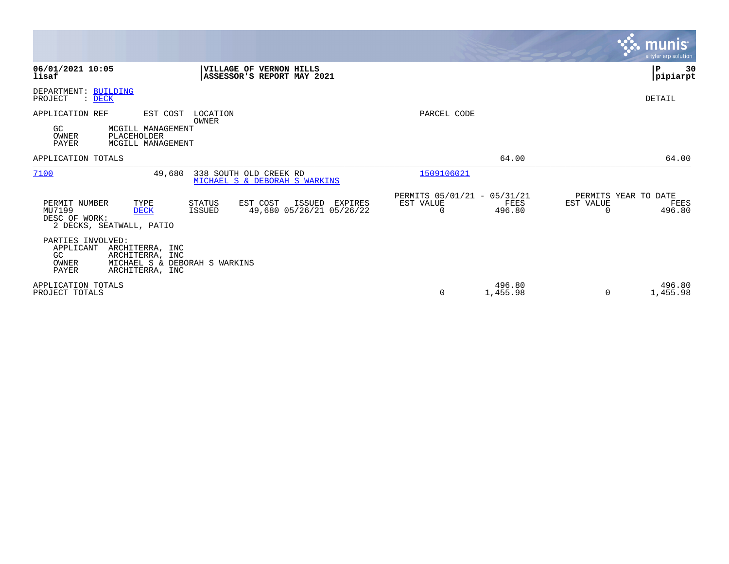|                                                                                                                                                                              |                                                                 | <b>munis</b><br>a tyler erp solution                |
|------------------------------------------------------------------------------------------------------------------------------------------------------------------------------|-----------------------------------------------------------------|-----------------------------------------------------|
| 06/01/2021 10:05<br>VILLAGE OF VERNON HILLS<br>lisaf<br>ASSESSOR'S REPORT MAY 2021                                                                                           |                                                                 | 30<br>lР<br> pipiarpt                               |
| DEPARTMENT: BUILDING<br>PROJECT<br>$:$ DECK                                                                                                                                  |                                                                 | DETAIL                                              |
| APPLICATION REF<br>EST COST<br>LOCATION<br><b>OWNER</b><br>GC.<br>MCGILL MANAGEMENT                                                                                          | PARCEL CODE                                                     |                                                     |
| PLACEHOLDER<br>OWNER<br><b>PAYER</b><br>MCGILL MANAGEMENT                                                                                                                    |                                                                 |                                                     |
| APPLICATION TOTALS                                                                                                                                                           | 64.00                                                           | 64.00                                               |
| 7100<br>338 SOUTH OLD CREEK RD<br>49,680<br>MICHAEL S & DEBORAH S WARKINS                                                                                                    | 1509106021                                                      |                                                     |
| TYPE<br>EST COST<br>PERMIT NUMBER<br>STATUS<br>ISSUED<br>EXPIRES<br>MU7199<br>ISSUED<br>49,680 05/26/21 05/26/22<br><b>DECK</b><br>DESC OF WORK:<br>2 DECKS, SEATWALL, PATIO | PERMITS 05/01/21 - 05/31/21<br>EST VALUE<br>FEES<br>0<br>496.80 | PERMITS YEAR TO DATE<br>EST VALUE<br>FEES<br>496.80 |
| PARTIES INVOLVED:<br>APPLICANT<br>ARCHITERRA, INC<br>GC<br>ARCHITERRA, INC<br>OWNER<br>MICHAEL S & DEBORAH S WARKINS<br><b>PAYER</b><br>ARCHITERRA, INC                      |                                                                 |                                                     |
| APPLICATION TOTALS<br>PROJECT TOTALS                                                                                                                                         | 496.80<br>0<br>1,455.98                                         | 496.80<br>1,455.98<br>$\Omega$                      |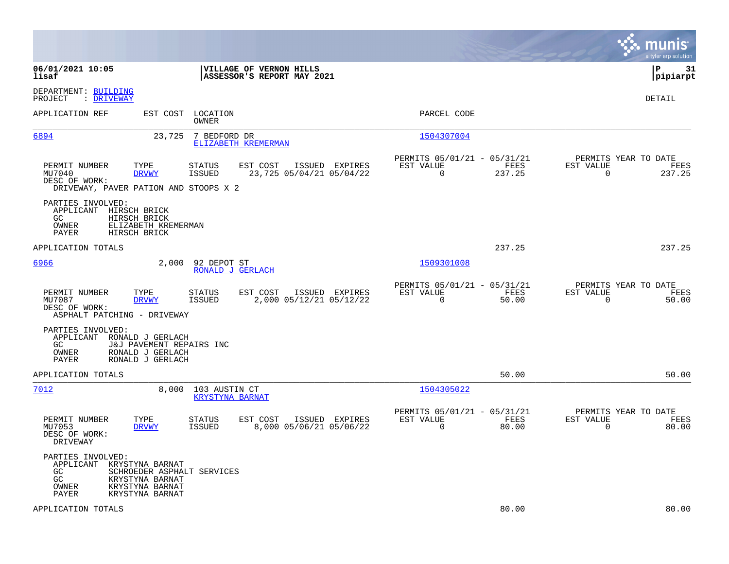|                                                                                                                                          |                                                                                   |                                                                        | munis<br>a tyler erp solution                                      |
|------------------------------------------------------------------------------------------------------------------------------------------|-----------------------------------------------------------------------------------|------------------------------------------------------------------------|--------------------------------------------------------------------|
| 06/01/2021 10:05<br>lisaf                                                                                                                | VILLAGE OF VERNON HILLS<br>ASSESSOR'S REPORT MAY 2021                             |                                                                        | l P<br>31<br> pipiarpt                                             |
| DEPARTMENT: BUILDING<br>: DRIVEWAY<br>PROJECT                                                                                            |                                                                                   |                                                                        | DETAIL                                                             |
| APPLICATION REF                                                                                                                          | EST COST<br>LOCATION<br>OWNER                                                     | PARCEL CODE                                                            |                                                                    |
| 6894                                                                                                                                     | 23,725<br>7 BEDFORD DR<br>ELIZABETH KREMERMAN                                     | 1504307004                                                             |                                                                    |
| TYPE<br>PERMIT NUMBER<br>MU7040<br><b>DRVWY</b><br>DESC OF WORK:<br>DRIVEWAY, PAVER PATION AND STOOPS X 2                                | EST COST<br>ISSUED EXPIRES<br>STATUS<br><b>ISSUED</b><br>23,725 05/04/21 05/04/22 | PERMITS 05/01/21 - 05/31/21<br>EST VALUE<br>FEES<br>$\Omega$<br>237.25 | PERMITS YEAR TO DATE<br>EST VALUE<br>FEES<br>$\mathbf 0$<br>237.25 |
| PARTIES INVOLVED:<br>APPLICANT HIRSCH BRICK<br>GC.<br>HIRSCH BRICK<br>OWNER<br>ELIZABETH KREMERMAN<br>PAYER<br>HIRSCH BRICK              |                                                                                   |                                                                        |                                                                    |
| APPLICATION TOTALS                                                                                                                       |                                                                                   | 237.25                                                                 | 237.25                                                             |
| 6966                                                                                                                                     | 2,000<br>92 DEPOT ST<br>RONALD J GERLACH                                          | 1509301008                                                             |                                                                    |
| PERMIT NUMBER<br>TYPE<br>MU7087<br><b>DRVWY</b><br>DESC OF WORK:<br>ASPHALT PATCHING - DRIVEWAY                                          | EST COST<br>ISSUED EXPIRES<br>STATUS<br>2,000 05/12/21 05/12/22<br><b>ISSUED</b>  | PERMITS 05/01/21 - 05/31/21<br>EST VALUE<br>FEES<br>$\Omega$<br>50.00  | PERMITS YEAR TO DATE<br>EST VALUE<br>FEES<br>$\Omega$<br>50.00     |
| PARTIES INVOLVED:<br>APPLICANT RONALD J GERLACH<br>GC.<br>OWNER<br>RONALD J GERLACH<br>RONALD J GERLACH<br>PAYER                         | J&J PAVEMENT REPAIRS INC                                                          |                                                                        |                                                                    |
| APPLICATION TOTALS                                                                                                                       |                                                                                   | 50.00                                                                  | 50.00                                                              |
| 7012                                                                                                                                     | 8,000<br>103 AUSTIN CT<br><b>KRYSTYNA BARNAT</b>                                  | 1504305022                                                             |                                                                    |
| TYPE<br>PERMIT NUMBER<br>MU7053<br><b>DRVWY</b><br>DESC OF WORK:<br>DRIVEWAY                                                             | ISSUED EXPIRES<br>STATUS<br>EST COST<br>ISSUED<br>8,000 05/06/21 05/06/22         | PERMITS 05/01/21 - 05/31/21<br>EST VALUE<br>FEES<br>$\Omega$<br>80.00  | PERMITS YEAR TO DATE<br>EST VALUE<br>FEES<br>$\Omega$<br>80.00     |
| PARTIES INVOLVED:<br>APPLICANT<br>KRYSTYNA BARNAT<br>GC<br>GC<br>KRYSTYNA BARNAT<br>OWNER<br>KRYSTYNA BARNAT<br>KRYSTYNA BARNAT<br>PAYER | SCHROEDER ASPHALT SERVICES                                                        |                                                                        |                                                                    |
| APPLICATION TOTALS                                                                                                                       |                                                                                   | 80.00                                                                  | 80.00                                                              |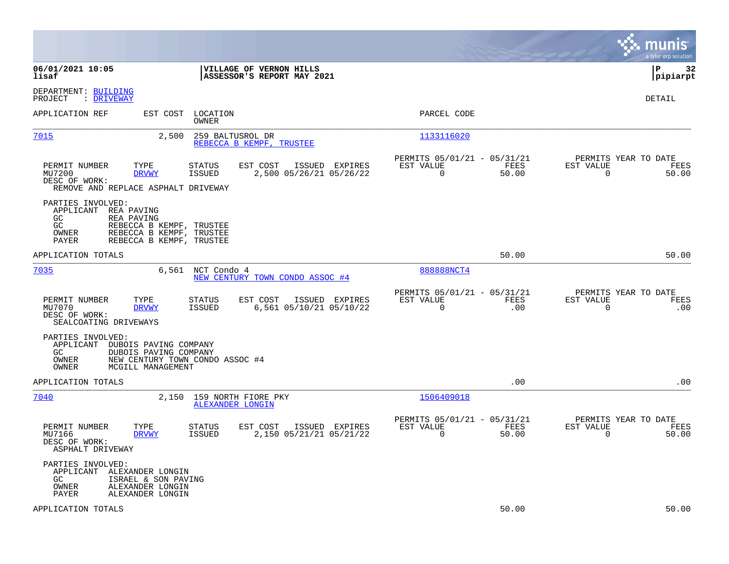|                                                                                                                                                                              |                                                       |                                                         |                    | munis<br>a tyler erp solution                                     |
|------------------------------------------------------------------------------------------------------------------------------------------------------------------------------|-------------------------------------------------------|---------------------------------------------------------|--------------------|-------------------------------------------------------------------|
| 06/01/2021 10:05<br>lisaf                                                                                                                                                    | VILLAGE OF VERNON HILLS<br>ASSESSOR'S REPORT MAY 2021 |                                                         |                    | l P<br>32<br> pipiarpt                                            |
| DEPARTMENT: BUILDING<br>: DRIVEWAY<br>PROJECT                                                                                                                                |                                                       |                                                         |                    | DETAIL                                                            |
| APPLICATION REF<br>EST COST<br>LOCATION<br>OWNER                                                                                                                             |                                                       | PARCEL CODE                                             |                    |                                                                   |
| 7015<br>2,500<br>259 BALTUSROL DR                                                                                                                                            | REBECCA B KEMPF, TRUSTEE                              | 1133116020                                              |                    |                                                                   |
| PERMIT NUMBER<br>TYPE<br>STATUS<br>MU7200<br><b>DRVWY</b><br>ISSUED<br>DESC OF WORK:<br>REMOVE AND REPLACE ASPHALT DRIVEWAY                                                  | EST COST<br>ISSUED EXPIRES<br>2,500 05/26/21 05/26/22 | PERMITS 05/01/21 - 05/31/21<br>EST VALUE<br>$\mathbf 0$ | FEES<br>50.00      | PERMITS YEAR TO DATE<br>EST VALUE<br>FEES<br>$\mathbf 0$<br>50.00 |
| PARTIES INVOLVED:<br>APPLICANT<br>REA PAVING<br>GC<br>REA PAVING<br>GC<br>REBECCA B KEMPF, TRUSTEE<br>REBECCA B KEMPF, TRUSTEE<br>OWNER<br>REBECCA B KEMPF, TRUSTEE<br>PAYER |                                                       |                                                         |                    |                                                                   |
| APPLICATION TOTALS                                                                                                                                                           |                                                       |                                                         | 50.00              | 50.00                                                             |
| 7035<br>6,561 NCT Condo 4                                                                                                                                                    | NEW CENTURY TOWN CONDO ASSOC #4                       | 888888NCT4                                              |                    |                                                                   |
| PERMIT NUMBER<br>TYPE<br>STATUS<br>MU7070<br><b>DRVWY</b><br><b>ISSUED</b><br>DESC OF WORK:<br>SEALCOATING DRIVEWAYS                                                         | EST COST<br>ISSUED EXPIRES<br>6,561 05/10/21 05/10/22 | PERMITS 05/01/21 - 05/31/21<br>EST VALUE<br>$\Omega$    | <b>FEES</b><br>.00 | PERMITS YEAR TO DATE<br>EST VALUE<br>FEES<br>$\Omega$<br>.00      |
| PARTIES INVOLVED:<br>APPLICANT<br>DUBOIS PAVING COMPANY<br>GC.<br>DUBOIS PAVING COMPANY<br>OWNER<br>NEW CENTURY TOWN CONDO ASSOC #4<br>OWNER<br>MCGILL MANAGEMENT            |                                                       |                                                         |                    |                                                                   |
| APPLICATION TOTALS                                                                                                                                                           |                                                       |                                                         | .00                | .00                                                               |
| 7040<br>2,150<br>159 NORTH FIORE PKY<br>ALEXANDER LONGIN                                                                                                                     |                                                       | 1506409018                                              |                    |                                                                   |
| PERMIT NUMBER<br>TYPE<br>STATUS<br>MU7166<br><b>DRVWY</b><br>ISSUED<br>DESC OF WORK:<br>ASPHALT DRIVEWAY                                                                     | EST COST<br>ISSUED EXPIRES<br>2,150 05/21/21 05/21/22 | PERMITS 05/01/21 - 05/31/21<br>EST VALUE<br>$\mathbf 0$ | FEES<br>50.00      | PERMITS YEAR TO DATE<br>EST VALUE<br>FEES<br>$\mathbf 0$<br>50.00 |
| PARTIES INVOLVED:<br>APPLICANT<br>ALEXANDER LONGIN<br>GC<br>ISRAEL & SON PAVING<br>OWNER<br>ALEXANDER LONGIN<br>PAYER<br>ALEXANDER LONGIN                                    |                                                       |                                                         |                    |                                                                   |
| APPLICATION TOTALS                                                                                                                                                           |                                                       |                                                         | 50.00              | 50.00                                                             |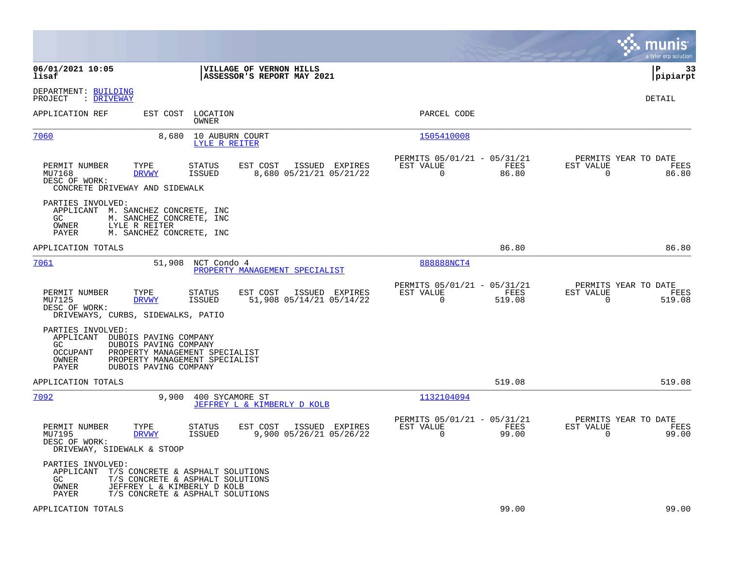|                                                                                                                                                              |                                                                                                                                         |                                                                           | munis<br>a tyler erp solution                                     |
|--------------------------------------------------------------------------------------------------------------------------------------------------------------|-----------------------------------------------------------------------------------------------------------------------------------------|---------------------------------------------------------------------------|-------------------------------------------------------------------|
| 06/01/2021 10:05<br>lisaf                                                                                                                                    | VILLAGE OF VERNON HILLS<br>ASSESSOR'S REPORT MAY 2021                                                                                   |                                                                           | P<br>33<br> pipiarpt                                              |
| DEPARTMENT: BUILDING<br>: DRIVEWAY<br>PROJECT                                                                                                                |                                                                                                                                         |                                                                           | <b>DETAIL</b>                                                     |
| APPLICATION REF                                                                                                                                              | EST COST LOCATION<br>OWNER                                                                                                              | PARCEL CODE                                                               |                                                                   |
| 7060<br>8,680                                                                                                                                                | 10 AUBURN COURT<br>LYLE R REITER                                                                                                        | 1505410008                                                                |                                                                   |
| TYPE<br>PERMIT NUMBER<br><b>DRVWY</b><br>MU7168<br>DESC OF WORK:<br>CONCRETE DRIVEWAY AND SIDEWALK                                                           | EST COST<br>ISSUED EXPIRES<br><b>STATUS</b><br><b>ISSUED</b><br>8,680 05/21/21 05/21/22                                                 | PERMITS 05/01/21 - 05/31/21<br>EST VALUE<br>FEES<br>0<br>86.80            | PERMITS YEAR TO DATE<br>EST VALUE<br>FEES<br>$\mathbf 0$<br>86.80 |
| PARTIES INVOLVED:<br>APPLICANT<br>M. SANCHEZ CONCRETE, INC<br>GC.<br>M. SANCHEZ CONCRETE, INC<br>OWNER<br>LYLE R REITER<br>M. SANCHEZ CONCRETE, INC<br>PAYER |                                                                                                                                         |                                                                           |                                                                   |
| APPLICATION TOTALS                                                                                                                                           |                                                                                                                                         | 86.80                                                                     | 86.80                                                             |
| 7061                                                                                                                                                         | 51,908 NCT Condo 4<br>PROPERTY MANAGEMENT SPECIALIST                                                                                    | 888888NCT4                                                                |                                                                   |
| PERMIT NUMBER<br>TYPE<br>MU7125<br><b>DRVWY</b><br>DESC OF WORK:<br>DRIVEWAYS, CURBS, SIDEWALKS, PATIO                                                       | <b>STATUS</b><br>EST COST<br>ISSUED EXPIRES<br>ISSUED<br>51,908 05/14/21 05/14/22                                                       | PERMITS 05/01/21 - 05/31/21<br>EST VALUE<br>FEES<br>$\mathbf 0$<br>519.08 | PERMITS YEAR TO DATE<br>EST VALUE<br>FEES<br>519.08<br>0          |
| PARTIES INVOLVED:<br>APPLICANT DUBOIS PAVING COMPANY<br>GC.<br>DUBOIS PAVING COMPANY<br><b>OCCUPANT</b><br>OWNER<br>PAYER<br>DUBOIS PAVING COMPANY           | PROPERTY MANAGEMENT SPECIALIST<br>PROPERTY MANAGEMENT SPECIALIST                                                                        |                                                                           |                                                                   |
| APPLICATION TOTALS                                                                                                                                           |                                                                                                                                         | 519.08                                                                    | 519.08                                                            |
| 7092<br>9,900                                                                                                                                                | 400 SYCAMORE ST<br>JEFFREY L & KIMBERLY D KOLB                                                                                          | 1132104094                                                                |                                                                   |
| PERMIT NUMBER<br>TYPE<br>MU7195<br><b>DRVWY</b><br>DESC OF WORK:<br>DRIVEWAY, SIDEWALK & STOOP                                                               | <b>STATUS</b><br>EST COST<br>ISSUED EXPIRES<br><b>ISSUED</b><br>9,900 05/26/21 05/26/22                                                 | PERMITS 05/01/21 - 05/31/21<br>EST VALUE<br>FEES<br>$\mathbf 0$<br>99.00  | PERMITS YEAR TO DATE<br>EST VALUE<br>FEES<br>$\mathbf 0$<br>99.00 |
| PARTIES INVOLVED:<br>APPLICANT<br>GC.<br>OWNER<br>PAYER                                                                                                      | T/S CONCRETE & ASPHALT SOLUTIONS<br>T/S CONCRETE & ASPHALT SOLUTIONS<br>JEFFREY L & KIMBERLY D KOLB<br>T/S CONCRETE & ASPHALT SOLUTIONS |                                                                           |                                                                   |
| APPLICATION TOTALS                                                                                                                                           |                                                                                                                                         | 99.00                                                                     | 99.00                                                             |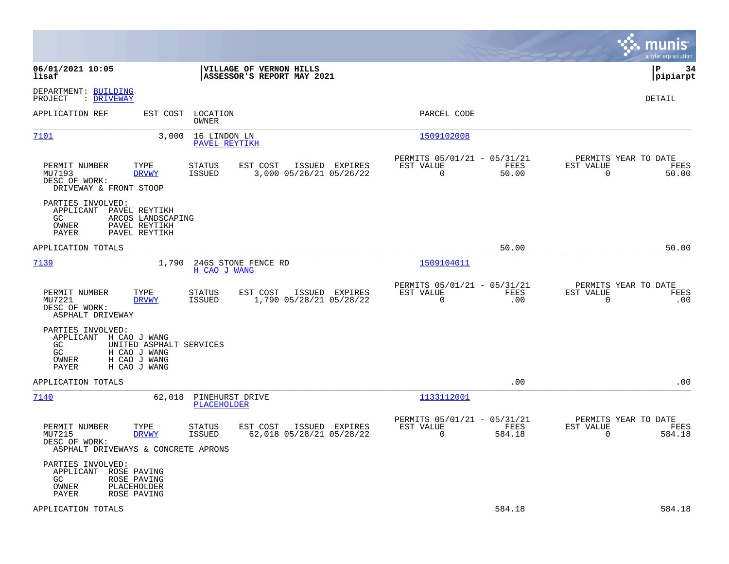|                                                                                                                                                      |                                                                                   |                                                                          | munis<br>a tyler erp solution                                     |
|------------------------------------------------------------------------------------------------------------------------------------------------------|-----------------------------------------------------------------------------------|--------------------------------------------------------------------------|-------------------------------------------------------------------|
| 06/01/2021 10:05<br>lisaf                                                                                                                            | VILLAGE OF VERNON HILLS<br>ASSESSOR'S REPORT MAY 2021                             |                                                                          | l P<br>34<br> pipiarpt                                            |
| DEPARTMENT: BUILDING<br>PROJECT<br>: DRIVEWAY                                                                                                        |                                                                                   |                                                                          | DETAIL                                                            |
| APPLICATION REF<br>EST COST                                                                                                                          | LOCATION<br>OWNER                                                                 | PARCEL CODE                                                              |                                                                   |
| 7101<br>3,000                                                                                                                                        | 16 LINDON LN<br>PAVEL REYTIKH                                                     | 1509102008                                                               |                                                                   |
| PERMIT NUMBER<br>TYPE<br>MU7193<br><b>DRVWY</b><br>DESC OF WORK:<br>DRIVEWAY & FRONT STOOP                                                           | STATUS<br>ISSUED EXPIRES<br>EST COST<br>ISSUED<br>3,000 05/26/21 05/26/22         | PERMITS 05/01/21 - 05/31/21<br>FEES<br>EST VALUE<br>$\mathbf 0$<br>50.00 | PERMITS YEAR TO DATE<br>EST VALUE<br>FEES<br>$\mathbf 0$<br>50.00 |
| PARTIES INVOLVED:<br>APPLICANT<br>PAVEL REYTIKH<br>ARCOS LANDSCAPING<br>GC.<br>PAVEL REYTIKH<br>OWNER<br>PAYER<br>PAVEL REYTIKH                      |                                                                                   |                                                                          |                                                                   |
| APPLICATION TOTALS                                                                                                                                   |                                                                                   | 50.00                                                                    | 50.00                                                             |
| 7139<br>1,790                                                                                                                                        | 246S STONE FENCE RD<br>H CAO J WANG                                               | 1509104011                                                               |                                                                   |
| TYPE<br>PERMIT NUMBER<br>MU7221<br><b>DRVWY</b><br>DESC OF WORK:<br>ASPHALT DRIVEWAY                                                                 | <b>STATUS</b><br>EST COST<br>ISSUED EXPIRES<br>1,790 05/28/21 05/28/22<br>ISSUED  | PERMITS 05/01/21 - 05/31/21<br>FEES<br>EST VALUE<br>$\mathbf 0$<br>.00   | PERMITS YEAR TO DATE<br>EST VALUE<br>FEES<br>$\mathbf 0$<br>.00   |
| PARTIES INVOLVED:<br>APPLICANT H CAO J WANG<br>GC<br>UNITED ASPHALT SERVICES<br>GC<br>H CAO J WANG<br>H CAO J WANG<br>OWNER<br>PAYER<br>H CAO J WANG |                                                                                   |                                                                          |                                                                   |
| APPLICATION TOTALS                                                                                                                                   |                                                                                   | .00                                                                      | .00                                                               |
| 7140<br>62,018                                                                                                                                       | PINEHURST DRIVE<br>PLACEHOLDER                                                    | 1133112001                                                               |                                                                   |
| PERMIT NUMBER<br>TYPE<br>MU7215<br><b>DRVWY</b><br>DESC OF WORK:<br>ASPHALT DRIVEWAYS & CONCRETE APRONS                                              | EST COST<br>ISSUED EXPIRES<br>STATUS<br>62,018 05/28/21 05/28/22<br><b>ISSUED</b> | PERMITS 05/01/21 - 05/31/21<br>EST VALUE<br>FEES<br>$\Omega$<br>584.18   | PERMITS YEAR TO DATE<br>EST VALUE<br>FEES<br>$\Omega$<br>584.18   |
| PARTIES INVOLVED:<br>APPLICANT ROSE PAVING<br>GC.<br>ROSE PAVING<br>OWNER<br>PLACEHOLDER<br>PAYER<br>ROSE PAVING                                     |                                                                                   |                                                                          |                                                                   |
| APPLICATION TOTALS                                                                                                                                   |                                                                                   | 584.18                                                                   | 584.18                                                            |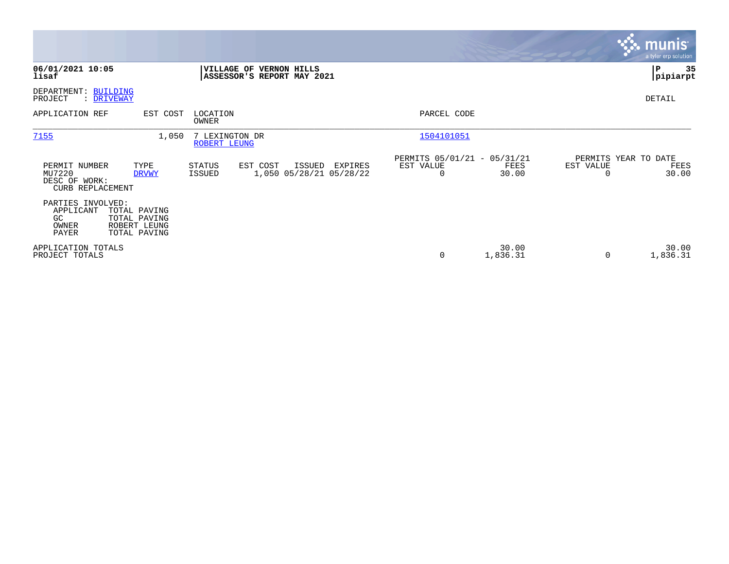|                                                              |                                                              |                                |                                                              |         |                                               |                   |           | <b>munis</b><br>a tyler erp solution  |
|--------------------------------------------------------------|--------------------------------------------------------------|--------------------------------|--------------------------------------------------------------|---------|-----------------------------------------------|-------------------|-----------|---------------------------------------|
| 06/01/2021 10:05<br>lisaf                                    |                                                              |                                | <b>VILLAGE OF VERNON HILLS</b><br>ASSESSOR'S REPORT MAY 2021 |         |                                               |                   |           | ∣P<br>35<br> pipiarpt                 |
| DEPARTMENT: BUILDING<br>PROJECT                              | : DRIVEWAY                                                   |                                |                                                              |         |                                               |                   |           | DETAIL                                |
| APPLICATION REF                                              | EST COST                                                     | LOCATION<br>OWNER              |                                                              |         | PARCEL CODE                                   |                   |           |                                       |
| 7155                                                         | 1,050                                                        | 7 LEXINGTON DR<br>ROBERT LEUNG |                                                              |         | 1504101051                                    |                   |           |                                       |
| PERMIT NUMBER<br>MU7220<br>DESC OF WORK:<br>CURB REPLACEMENT | TYPE<br><b>DRVWY</b>                                         | <b>STATUS</b><br><b>ISSUED</b> | EST COST<br>ISSUED<br>1,050 05/28/21 05/28/22                | EXPIRES | PERMITS 05/01/21 - 05/31/21<br>EST VALUE<br>0 | FEES<br>30.00     | EST VALUE | PERMITS YEAR TO DATE<br>FEES<br>30.00 |
| PARTIES INVOLVED:<br>APPLICANT<br>GC<br>OWNER<br>PAYER       | TOTAL PAVING<br>TOTAL PAVING<br>ROBERT LEUNG<br>TOTAL PAVING |                                |                                                              |         |                                               |                   |           |                                       |
| APPLICATION TOTALS<br>PROJECT TOTALS                         |                                                              |                                |                                                              |         | 0                                             | 30.00<br>1,836.31 | 0         | 30.00<br>1,836.31                     |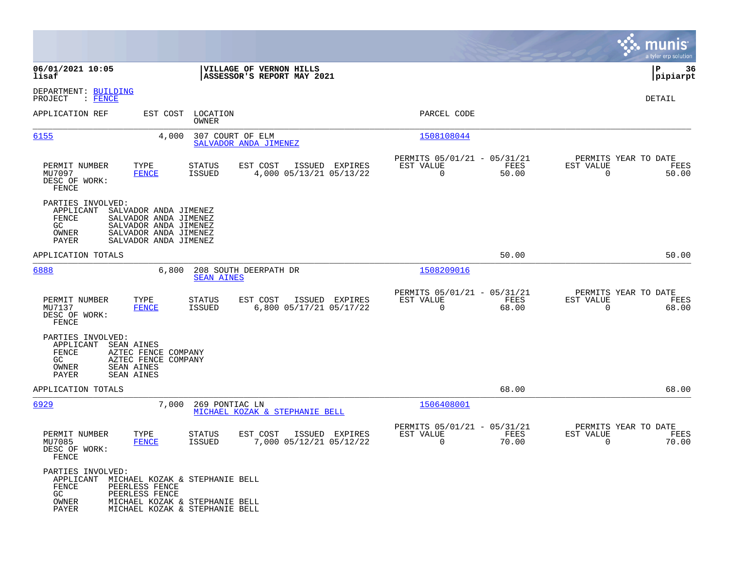|                                                                                                |                                                                                                                           |                                |                                                       |                |                                                         |               |                                                  | munis<br>a tyler erp solution |
|------------------------------------------------------------------------------------------------|---------------------------------------------------------------------------------------------------------------------------|--------------------------------|-------------------------------------------------------|----------------|---------------------------------------------------------|---------------|--------------------------------------------------|-------------------------------|
| 06/01/2021 10:05<br>lisaf                                                                      |                                                                                                                           |                                | VILLAGE OF VERNON HILLS<br>ASSESSOR'S REPORT MAY 2021 |                |                                                         |               |                                                  | 36<br>IΡ<br> pipiarpt         |
| DEPARTMENT: BUILDING<br>PROJECT<br>$:$ FENCE                                                   |                                                                                                                           |                                |                                                       |                |                                                         |               |                                                  | DETAIL                        |
| APPLICATION REF                                                                                | EST COST                                                                                                                  | LOCATION<br>OWNER              |                                                       |                | PARCEL CODE                                             |               |                                                  |                               |
| 6155                                                                                           | 4,000                                                                                                                     | 307 COURT OF ELM               | SALVADOR ANDA JIMENEZ                                 |                | 1508108044                                              |               |                                                  |                               |
| PERMIT NUMBER<br>MU7097<br>DESC OF WORK:<br>FENCE                                              | TYPE<br><b>FENCE</b>                                                                                                      | STATUS<br><b>ISSUED</b>        | EST COST<br>4,000 05/13/21 05/13/22                   | ISSUED EXPIRES | PERMITS 05/01/21 - 05/31/21<br>EST VALUE<br>$\mathbf 0$ | FEES<br>50.00 | PERMITS YEAR TO DATE<br>EST VALUE<br>$\mathbf 0$ | FEES<br>50.00                 |
| PARTIES INVOLVED:<br>APPLICANT<br>FENCE<br>GC<br>OWNER<br>PAYER                                | SALVADOR ANDA JIMENEZ<br>SALVADOR ANDA JIMENEZ<br>SALVADOR ANDA JIMENEZ<br>SALVADOR ANDA JIMENEZ<br>SALVADOR ANDA JIMENEZ |                                |                                                       |                |                                                         |               |                                                  |                               |
| APPLICATION TOTALS                                                                             |                                                                                                                           |                                |                                                       |                |                                                         | 50.00         |                                                  | 50.00                         |
| 6888                                                                                           | 6,800                                                                                                                     | <b>SEAN AINES</b>              | 208 SOUTH DEERPATH DR                                 |                | 1508209016                                              |               |                                                  |                               |
| PERMIT NUMBER<br>MU7137<br>DESC OF WORK:<br>FENCE                                              | TYPE<br>FENCE                                                                                                             | <b>STATUS</b><br><b>ISSUED</b> | EST COST<br>6,800 05/17/21 05/17/22                   | ISSUED EXPIRES | PERMITS 05/01/21 - 05/31/21<br>EST VALUE<br>$\Omega$    | FEES<br>68.00 | PERMITS YEAR TO DATE<br>EST VALUE<br>$\Omega$    | FEES<br>68.00                 |
| PARTIES INVOLVED:<br>APPLICANT<br>FENCE<br>GC<br>OWNER<br>PAYER                                | SEAN AINES<br>AZTEC FENCE COMPANY<br>AZTEC FENCE COMPANY<br>SEAN AINES<br>SEAN AINES                                      |                                |                                                       |                |                                                         |               |                                                  |                               |
| APPLICATION TOTALS                                                                             |                                                                                                                           |                                |                                                       |                |                                                         | 68.00         |                                                  | 68.00                         |
| 6929                                                                                           | 7,000                                                                                                                     | 269 PONTIAC LN                 | MICHAEL KOZAK & STEPHANIE BELL                        |                | 1506408001                                              |               |                                                  |                               |
| PERMIT NUMBER<br>MU7085<br>DESC OF WORK:<br>FENCE                                              | TYPE<br><b>FENCE</b>                                                                                                      | STATUS<br><b>ISSUED</b>        | EST COST<br>7,000 05/12/21 05/12/22                   | ISSUED EXPIRES | PERMITS 05/01/21 - 05/31/21<br>EST VALUE<br>0           | FEES<br>70.00 | PERMITS YEAR TO DATE<br>EST VALUE<br>0           | FEES<br>70.00                 |
| PARTIES INVOLVED:<br>APPLICANT MICHAEL KOZAK & STEPHANIE BELL<br>FENCE<br>GC<br>OWNER<br>PAYER | PEERLESS FENCE<br>PEERLESS FENCE<br>MICHAEL KOZAK & STEPHANIE BELL<br>MICHAEL KOZAK & STEPHANIE BELL                      |                                |                                                       |                |                                                         |               |                                                  |                               |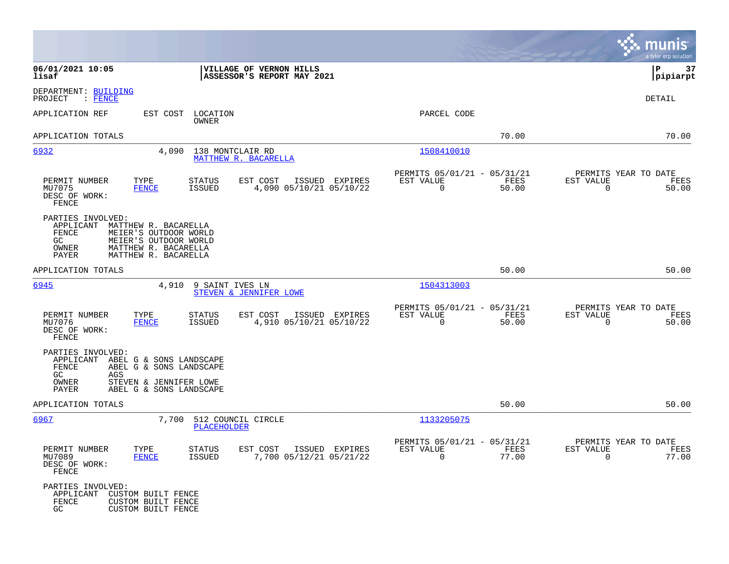|                                                                                                                                                                                           |                                                                          | munis<br>a tyler erp solution                                     |
|-------------------------------------------------------------------------------------------------------------------------------------------------------------------------------------------|--------------------------------------------------------------------------|-------------------------------------------------------------------|
| 06/01/2021 10:05<br>VILLAGE OF VERNON HILLS<br>lisaf<br>ASSESSOR'S REPORT MAY 2021                                                                                                        |                                                                          | 37<br> P<br> pipiarpt                                             |
| DEPARTMENT: BUILDING<br>PROJECT<br>$:$ FENCE                                                                                                                                              |                                                                          | <b>DETAIL</b>                                                     |
| APPLICATION REF<br>EST COST<br>LOCATION<br>OWNER                                                                                                                                          | PARCEL CODE                                                              |                                                                   |
| APPLICATION TOTALS                                                                                                                                                                        | 70.00                                                                    | 70.00                                                             |
| 6932<br>4,090<br>138 MONTCLAIR RD<br>MATTHEW R. BACARELLA                                                                                                                                 | <u>1508410010</u>                                                        |                                                                   |
| PERMIT NUMBER<br>TYPE<br><b>STATUS</b><br>EST COST<br>ISSUED EXPIRES<br>MU7075<br><b>FENCE</b><br><b>ISSUED</b><br>4,090 05/10/21 05/10/22<br>DESC OF WORK:<br>FENCE                      | PERMITS 05/01/21 - 05/31/21<br>EST VALUE<br>FEES<br>$\mathbf 0$<br>50.00 | PERMITS YEAR TO DATE<br>EST VALUE<br>FEES<br>$\mathbf 0$<br>50.00 |
| PARTIES INVOLVED:<br>APPLICANT<br>MATTHEW R. BACARELLA<br>FENCE<br>MEIER'S OUTDOOR WORLD<br>GC<br>MEIER'S OUTDOOR WORLD<br>OWNER<br>MATTHEW R. BACARELLA<br>PAYER<br>MATTHEW R. BACARELLA |                                                                          |                                                                   |
| APPLICATION TOTALS                                                                                                                                                                        | 50.00                                                                    | 50.00                                                             |
| 6945<br>4,910<br>9 SAINT IVES LN<br>STEVEN & JENNIFER LOWE                                                                                                                                | 1504313003                                                               |                                                                   |
| TYPE<br>EST COST<br>PERMIT NUMBER<br>STATUS<br>ISSUED EXPIRES<br>4,910 05/10/21 05/10/22<br>MU7076<br><b>FENCE</b><br><b>ISSUED</b><br>DESC OF WORK:<br>FENCE                             | PERMITS 05/01/21 - 05/31/21<br>EST VALUE<br>FEES<br>$\mathbf 0$<br>50.00 | PERMITS YEAR TO DATE<br>EST VALUE<br>FEES<br>$\mathbf 0$<br>50.00 |
| PARTIES INVOLVED:<br>APPLICANT<br>ABEL G & SONS LANDSCAPE<br>FENCE<br>ABEL G & SONS LANDSCAPE<br>GC<br>AGS<br>OWNER<br>STEVEN & JENNIFER LOWE<br>PAYER<br>ABEL G & SONS LANDSCAPE         |                                                                          |                                                                   |
| APPLICATION TOTALS                                                                                                                                                                        | 50.00                                                                    | 50.00                                                             |
| 6967<br>7,700<br>512 COUNCIL CIRCLE<br>PLACEHOLDER                                                                                                                                        | 1133205075                                                               |                                                                   |
| PERMIT NUMBER<br>TYPE<br>STATUS<br>EST COST ISSUED EXPIRES<br>MU7089<br>7,700 05/12/21 05/21/22<br><b>FENCE</b><br>ISSUED<br>DESC OF WORK:<br>FENCE                                       | PERMITS 05/01/21 - 05/31/21<br>EST VALUE<br>FEES<br>$\Omega$<br>77.00    | PERMITS YEAR TO DATE<br>EST VALUE<br>FEES<br>$\Omega$<br>77.00    |
| PARTIES INVOLVED:<br>APPLICANT<br>CUSTOM BUILT FENCE<br>FENCE<br>CUSTOM BUILT FENCE<br>GC<br>CUSTOM BUILT FENCE                                                                           |                                                                          |                                                                   |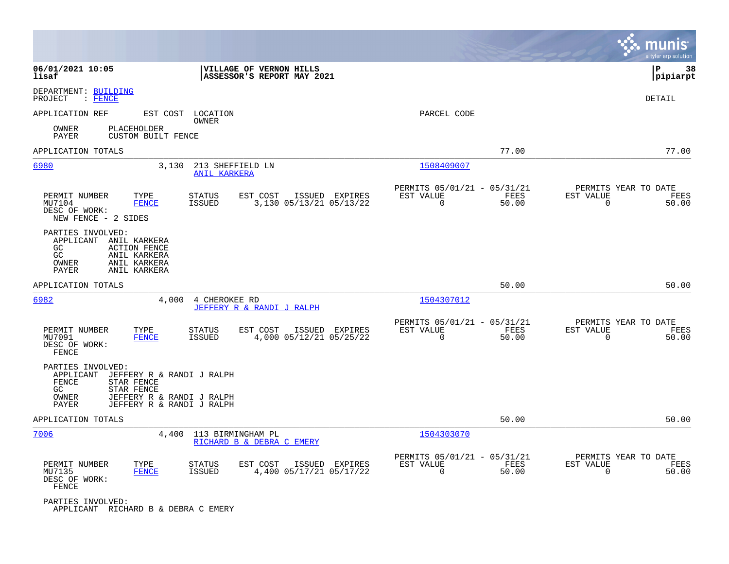|                                                                                                                                                                                     |                                                                          | munis<br>a tyler erp solution                                     |
|-------------------------------------------------------------------------------------------------------------------------------------------------------------------------------------|--------------------------------------------------------------------------|-------------------------------------------------------------------|
| 06/01/2021 10:05<br>VILLAGE OF VERNON HILLS<br>lisaf<br>ASSESSOR'S REPORT MAY 2021                                                                                                  |                                                                          | lР<br>38<br> pipiarpt                                             |
| DEPARTMENT: BUILDING<br>PROJECT<br>$:$ FENCE                                                                                                                                        |                                                                          | DETAIL                                                            |
| EST COST LOCATION<br>APPLICATION REF<br>OWNER                                                                                                                                       | PARCEL CODE                                                              |                                                                   |
| <b>PLACEHOLDER</b><br>OWNER<br><b>PAYER</b><br>CUSTOM BUILT FENCE                                                                                                                   |                                                                          |                                                                   |
| APPLICATION TOTALS                                                                                                                                                                  | 77.00                                                                    | 77.00                                                             |
| 6980<br>3,130<br>213 SHEFFIELD LN<br><b>ANIL KARKERA</b>                                                                                                                            | 1508409007                                                               |                                                                   |
| EST COST<br>PERMIT NUMBER<br>TYPE<br>STATUS<br>ISSUED EXPIRES<br>3,130 05/13/21 05/13/22<br>MU7104<br><b>FENCE</b><br><b>ISSUED</b><br>DESC OF WORK:<br>NEW FENCE - 2 SIDES         | PERMITS 05/01/21 - 05/31/21<br>EST VALUE<br>FEES<br>$\mathbf 0$<br>50.00 | PERMITS YEAR TO DATE<br>EST VALUE<br>FEES<br>$\mathbf 0$<br>50.00 |
| PARTIES INVOLVED:<br>APPLICANT ANIL KARKERA<br>GC<br><b>ACTION FENCE</b><br>GC<br>ANIL KARKERA<br>OWNER<br>ANIL KARKERA<br><b>PAYER</b><br>ANIL KARKERA                             |                                                                          |                                                                   |
| APPLICATION TOTALS                                                                                                                                                                  | 50.00                                                                    | 50.00                                                             |
| 6982<br>4,000<br>4 CHEROKEE RD<br>JEFFERY R & RANDI J RALPH                                                                                                                         | 1504307012                                                               |                                                                   |
| PERMIT NUMBER<br>TYPE<br><b>STATUS</b><br>ISSUED EXPIRES<br>EST COST<br>4,000 05/12/21 05/25/22<br>MU7091<br><b>FENCE</b><br><b>ISSUED</b><br>DESC OF WORK:<br>FENCE                | PERMITS 05/01/21 - 05/31/21<br>EST VALUE<br>FEES<br>$\Omega$<br>50.00    | PERMITS YEAR TO DATE<br>EST VALUE<br>FEES<br>$\Omega$<br>50.00    |
| PARTIES INVOLVED:<br>APPLICANT<br>JEFFERY R & RANDI J RALPH<br>FENCE<br>STAR FENCE<br>GC.<br>STAR FENCE<br>OWNER<br>JEFFERY R & RANDI J RALPH<br>JEFFERY R & RANDI J RALPH<br>PAYER |                                                                          |                                                                   |
| APPLICATION TOTALS                                                                                                                                                                  | 50.00                                                                    | 50.00                                                             |
| 7006<br>4,400<br>113 BIRMINGHAM PL<br>RICHARD B & DEBRA C EMERY                                                                                                                     | 1504303070                                                               |                                                                   |
| PERMIT NUMBER<br>TYPE<br><b>STATUS</b><br>EST COST<br>ISSUED EXPIRES<br>4,400 05/17/21 05/17/22<br>MU7135<br><b>FENCE</b><br><b>ISSUED</b><br>DESC OF WORK:<br>FENCE                | PERMITS 05/01/21 - 05/31/21<br>EST VALUE<br>FEES<br>$\Omega$<br>50.00    | PERMITS YEAR TO DATE<br>EST VALUE<br>FEES<br>$\Omega$<br>50.00    |
| PARTIES INVOLVED:<br>APPLICANT RICHARD B & DEBRA C EMERY                                                                                                                            |                                                                          |                                                                   |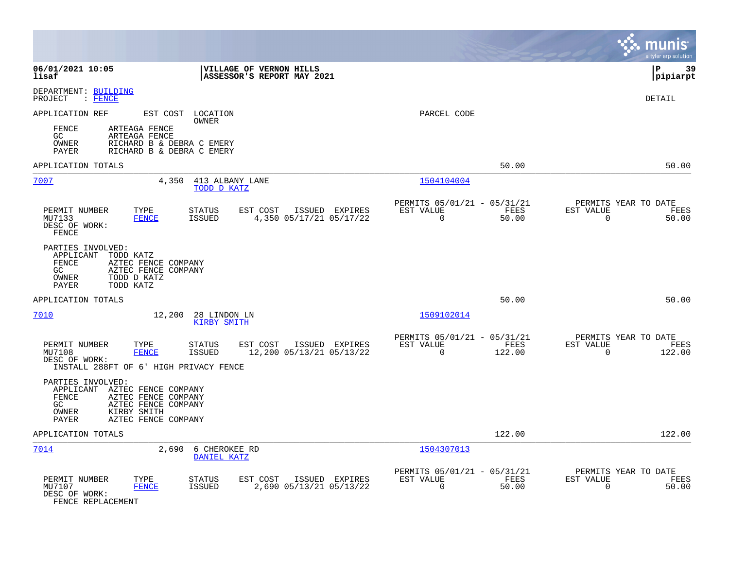|                                                                                                                                                                                                        |                                                                          | munis<br>a tyler erp solution                                     |
|--------------------------------------------------------------------------------------------------------------------------------------------------------------------------------------------------------|--------------------------------------------------------------------------|-------------------------------------------------------------------|
| 06/01/2021 10:05<br>VILLAGE OF VERNON HILLS<br>lisaf<br>ASSESSOR'S REPORT MAY 2021                                                                                                                     |                                                                          | 39<br>∣P<br> pipiarpt                                             |
| DEPARTMENT: BUILDING<br>PROJECT<br>: FENCE                                                                                                                                                             |                                                                          | DETAIL                                                            |
| APPLICATION REF<br>EST COST LOCATION<br>OWNER                                                                                                                                                          | PARCEL CODE                                                              |                                                                   |
| FENCE<br>ARTEAGA FENCE<br>ARTEAGA FENCE<br>GC<br>OWNER<br>RICHARD B & DEBRA C EMERY<br>PAYER<br>RICHARD B & DEBRA C EMERY                                                                              |                                                                          |                                                                   |
| APPLICATION TOTALS                                                                                                                                                                                     | 50.00                                                                    | 50.00                                                             |
| 7007<br>4,350<br>413 ALBANY LANE<br>TODD D KATZ                                                                                                                                                        | 1504104004                                                               |                                                                   |
| PERMIT NUMBER<br>TYPE<br>ISSUED EXPIRES<br><b>STATUS</b><br>EST COST<br><b>FENCE</b><br>ISSUED<br>4,350 05/17/21 05/17/22<br>MU7133<br>DESC OF WORK:<br>FENCE                                          | PERMITS 05/01/21 - 05/31/21<br>EST VALUE<br>FEES<br>0<br>50.00           | PERMITS YEAR TO DATE<br>EST VALUE<br>FEES<br>$\mathbf 0$<br>50.00 |
| PARTIES INVOLVED:<br>APPLICANT<br>TODD KATZ<br><b>FENCE</b><br>AZTEC FENCE COMPANY<br>GC.<br>AZTEC FENCE COMPANY<br>OWNER<br>TODD D KATZ<br>TODD KATZ<br>PAYER                                         |                                                                          |                                                                   |
| APPLICATION TOTALS                                                                                                                                                                                     | 50.00                                                                    | 50.00                                                             |
| 7010<br>12,200<br>28 LINDON LN<br><b>KIRBY SMITH</b>                                                                                                                                                   | 1509102014                                                               |                                                                   |
| PERMIT NUMBER<br>TYPE<br><b>STATUS</b><br>EST COST<br>ISSUED EXPIRES<br>MU7108<br><b>FENCE</b><br><b>ISSUED</b><br>12,200 05/13/21 05/13/22<br>DESC OF WORK:<br>INSTALL 288FT OF 6' HIGH PRIVACY FENCE | PERMITS 05/01/21 - 05/31/21<br>EST VALUE<br>FEES<br>$\Omega$<br>122.00   | PERMITS YEAR TO DATE<br>EST VALUE<br>FEES<br>$\Omega$<br>122.00   |
| PARTIES INVOLVED:<br>APPLICANT AZTEC FENCE COMPANY<br>FENCE<br>AZTEC FENCE COMPANY<br>GC.<br>AZTEC FENCE COMPANY<br>OWNER<br>KIRBY SMITH<br>PAYER<br>AZTEC FENCE COMPANY                               |                                                                          |                                                                   |
| APPLICATION TOTALS                                                                                                                                                                                     | 122.00                                                                   | 122.00                                                            |
| 7014<br>2,690<br>6 CHEROKEE RD<br>DANIEL KATZ                                                                                                                                                          | 1504307013                                                               |                                                                   |
| PERMIT NUMBER<br>TYPE<br><b>STATUS</b><br>EST COST<br>ISSUED EXPIRES<br>MU7107<br><b>FENCE</b><br>ISSUED<br>2,690 05/13/21 05/13/22<br>DESC OF WORK:<br>FENCE REPLACEMENT                              | PERMITS 05/01/21 - 05/31/21<br>EST VALUE<br>FEES<br>$\mathbf 0$<br>50.00 | PERMITS YEAR TO DATE<br>EST VALUE<br>FEES<br>$\mathbf 0$<br>50.00 |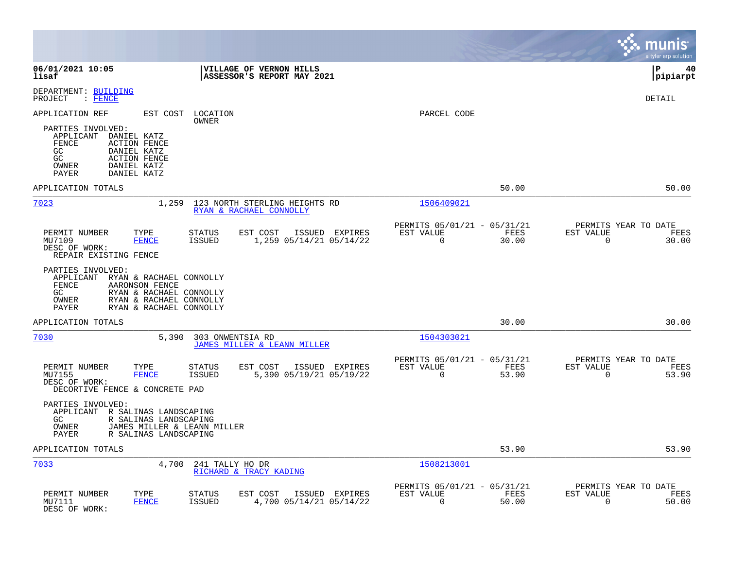|                                                                                                                                                                                             |                                           |                                                         |               |                                                  | munis<br>a tyler erp solution |
|---------------------------------------------------------------------------------------------------------------------------------------------------------------------------------------------|-------------------------------------------|---------------------------------------------------------|---------------|--------------------------------------------------|-------------------------------|
| 06/01/2021 10:05<br>VILLAGE OF VERNON HILLS<br>ASSESSOR'S REPORT MAY 2021<br>lisaf                                                                                                          |                                           |                                                         |               |                                                  | l P<br>40<br> pipiarpt        |
| DEPARTMENT: BUILDING<br>$:$ FENCE<br>PROJECT                                                                                                                                                |                                           |                                                         |               |                                                  | <b>DETAIL</b>                 |
| APPLICATION REF<br>EST COST<br>LOCATION<br>OWNER                                                                                                                                            |                                           | PARCEL CODE                                             |               |                                                  |                               |
| PARTIES INVOLVED:<br>APPLICANT<br>DANIEL KATZ<br>FENCE<br><b>ACTION FENCE</b><br>GC<br>DANIEL KATZ<br>GC.<br><b>ACTION FENCE</b><br>OWNER<br>DANIEL KATZ<br>DANIEL KATZ<br>PAYER            |                                           |                                                         |               |                                                  |                               |
| APPLICATION TOTALS                                                                                                                                                                          |                                           |                                                         | 50.00         |                                                  | 50.00                         |
| 7023<br>1,259<br>123 NORTH STERLING HEIGHTS RD<br>RYAN & RACHAEL CONNOLLY                                                                                                                   |                                           | 1506409021                                              |               |                                                  |                               |
| PERMIT NUMBER<br>EST COST<br>TYPE<br>STATUS<br><b>FENCE</b><br><b>ISSUED</b><br>MU7109<br>DESC OF WORK:<br>REPAIR EXISTING FENCE                                                            | ISSUED EXPIRES<br>1,259 05/14/21 05/14/22 | PERMITS 05/01/21 - 05/31/21<br>EST VALUE<br>$\Omega$    | FEES<br>30.00 | PERMITS YEAR TO DATE<br>EST VALUE<br>$\Omega$    | FEES<br>30.00                 |
| PARTIES INVOLVED:<br>APPLICANT RYAN & RACHAEL CONNOLLY<br>AARONSON FENCE<br>FENCE<br>GC.<br>RYAN & RACHAEL CONNOLLY<br>OWNER<br>RYAN & RACHAEL CONNOLLY<br>RYAN & RACHAEL CONNOLLY<br>PAYER |                                           |                                                         |               |                                                  |                               |
| APPLICATION TOTALS                                                                                                                                                                          |                                           |                                                         | 30.00         |                                                  | 30.00                         |
| 7030<br>5,390<br>303 ONWENTSIA RD<br>JAMES MILLER & LEANN MILLER                                                                                                                            |                                           | 1504303021                                              |               |                                                  |                               |
| PERMIT NUMBER<br>TYPE<br>STATUS<br>EST COST<br>MU7155<br><b>FENCE</b><br><b>ISSUED</b><br>DESC OF WORK:<br>DECORTIVE FENCE & CONCRETE PAD                                                   | ISSUED EXPIRES<br>5,390 05/19/21 05/19/22 | PERMITS 05/01/21 - 05/31/21<br>EST VALUE<br>$\mathbf 0$ | FEES<br>53.90 | PERMITS YEAR TO DATE<br>EST VALUE<br>$\mathbf 0$ | FEES<br>53.90                 |
| PARTIES INVOLVED:<br>APPLICANT R SALINAS LANDSCAPING<br>GC<br>R SALINAS LANDSCAPING<br>JAMES MILLER & LEANN MILLER<br>OWNER<br><b>PAYER</b><br>R SALINAS LANDSCAPING                        |                                           |                                                         |               |                                                  |                               |
| APPLICATION TOTALS                                                                                                                                                                          |                                           |                                                         | 53.90         |                                                  | 53.90                         |
| 7033<br>4,700<br>241 TALLY HO DR<br>RICHARD & TRACY KADING                                                                                                                                  |                                           | 1508213001                                              |               |                                                  |                               |
| TYPE<br>PERMIT NUMBER<br>STATUS<br>EST COST<br>MU7111<br><b>FENCE</b><br><b>ISSUED</b><br>DESC OF WORK:                                                                                     | ISSUED EXPIRES<br>4,700 05/14/21 05/14/22 | PERMITS 05/01/21 - 05/31/21<br>EST VALUE<br>$\mathbf 0$ | FEES<br>50.00 | PERMITS YEAR TO DATE<br>EST VALUE<br>$\mathbf 0$ | FEES<br>50.00                 |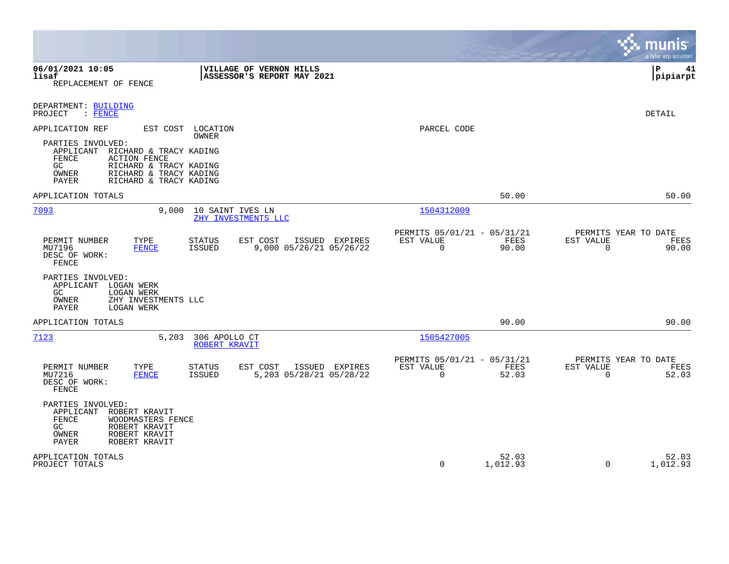|                                                                                                                                                                                                                                                    |                                                                          | munis<br>a tyler erp solution                                     |
|----------------------------------------------------------------------------------------------------------------------------------------------------------------------------------------------------------------------------------------------------|--------------------------------------------------------------------------|-------------------------------------------------------------------|
| 06/01/2021 10:05<br><b>VILLAGE OF VERNON HILLS</b><br>lisaf<br>ASSESSOR'S REPORT MAY 2021<br>REPLACEMENT OF FENCE                                                                                                                                  |                                                                          | l P<br>41<br> pipiarpt                                            |
| DEPARTMENT: BUILDING<br>: FENCE<br>PROJECT                                                                                                                                                                                                         |                                                                          | <b>DETAIL</b>                                                     |
| APPLICATION REF<br>EST COST<br>LOCATION<br>OWNER<br>PARTIES INVOLVED:<br>APPLICANT<br>RICHARD & TRACY KADING<br>FENCE<br><b>ACTION FENCE</b><br>RICHARD & TRACY KADING<br>GC<br>OWNER<br>RICHARD & TRACY KADING<br>PAYER<br>RICHARD & TRACY KADING | PARCEL CODE                                                              |                                                                   |
| APPLICATION TOTALS                                                                                                                                                                                                                                 | 50.00                                                                    | 50.00                                                             |
| 7093<br>9,000<br>10 SAINT IVES LN<br>ZHY INVESTMENTS LLC                                                                                                                                                                                           | 1504312009                                                               |                                                                   |
| PERMIT NUMBER<br>TYPE<br><b>STATUS</b><br>EST COST<br>ISSUED EXPIRES<br>MU7196<br><b>FENCE</b><br><b>ISSUED</b><br>9,000 05/26/21 05/26/22<br>DESC OF WORK:<br>FENCE                                                                               | PERMITS 05/01/21 - 05/31/21<br>EST VALUE<br>FEES<br>$\mathbf 0$<br>90.00 | PERMITS YEAR TO DATE<br>EST VALUE<br>FEES<br>90.00<br>$\mathbf 0$ |
| PARTIES INVOLVED:<br>LOGAN WERK<br>APPLICANT<br><b>LOGAN WERK</b><br>GC.<br>OWNER<br>ZHY INVESTMENTS LLC<br>PAYER<br>LOGAN WERK                                                                                                                    |                                                                          |                                                                   |
| APPLICATION TOTALS                                                                                                                                                                                                                                 | 90.00                                                                    | 90.00                                                             |
| 5,203<br>7123<br>306 APOLLO CT<br>ROBERT KRAVIT                                                                                                                                                                                                    | 1505427005                                                               |                                                                   |
| ISSUED EXPIRES<br>PERMIT NUMBER<br>TYPE<br><b>STATUS</b><br>EST COST<br>5,203 05/28/21 05/28/22<br>MU7216<br><b>FENCE</b><br>ISSUED<br>DESC OF WORK:<br>FENCE                                                                                      | PERMITS 05/01/21 - 05/31/21<br>EST VALUE<br>FEES<br>$\Omega$<br>52.03    | PERMITS YEAR TO DATE<br>EST VALUE<br>FEES<br>$\Omega$<br>52.03    |
| PARTIES INVOLVED:<br>APPLICANT<br>ROBERT KRAVIT<br>FENCE<br>WOODMASTERS FENCE<br>GC<br>ROBERT KRAVIT<br>ROBERT KRAVIT<br>OWNER<br>ROBERT KRAVIT<br>PAYER                                                                                           |                                                                          |                                                                   |
| APPLICATION TOTALS<br>PROJECT TOTALS                                                                                                                                                                                                               | 52.03<br>$\mathbf 0$<br>1,012.93                                         | 52.03<br>$\mathbf 0$<br>1,012.93                                  |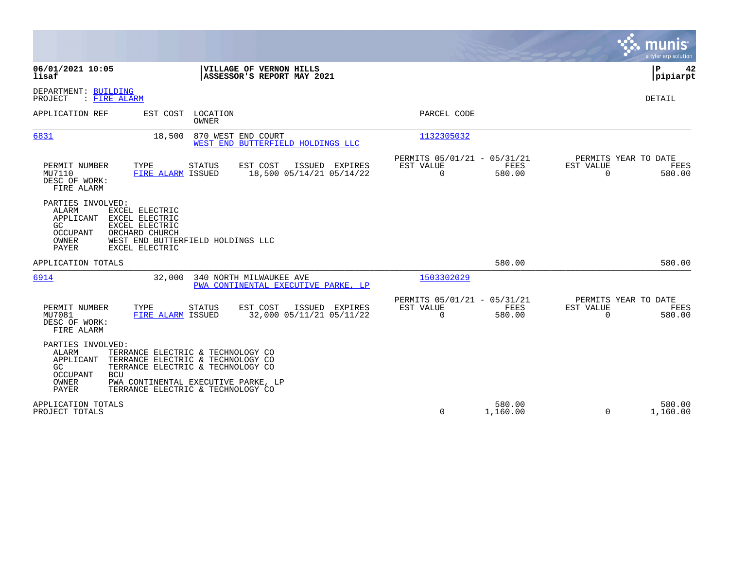|                                                                                                                                                                                                                                                                                             |                                                                        | munis<br>a tyler erp solution                                   |
|---------------------------------------------------------------------------------------------------------------------------------------------------------------------------------------------------------------------------------------------------------------------------------------------|------------------------------------------------------------------------|-----------------------------------------------------------------|
| 06/01/2021 10:05<br>VILLAGE OF VERNON HILLS<br>ASSESSOR'S REPORT MAY 2021<br>lisaf                                                                                                                                                                                                          |                                                                        | ΙP<br>42<br> pipiarpt                                           |
| DEPARTMENT: BUILDING<br>PROJECT<br>: FIRE ALARM                                                                                                                                                                                                                                             |                                                                        | DETAIL                                                          |
| LOCATION<br>APPLICATION REF<br>EST COST<br><b>OWNER</b>                                                                                                                                                                                                                                     | PARCEL CODE                                                            |                                                                 |
| 6831<br>870 WEST END COURT<br>18,500<br>WEST END BUTTERFIELD HOLDINGS LLC                                                                                                                                                                                                                   | 1132305032                                                             |                                                                 |
| PERMIT NUMBER<br>TYPE<br>EST COST<br>ISSUED EXPIRES<br><b>STATUS</b><br>FIRE ALARM ISSUED<br>18,500 05/14/21 05/14/22<br>MU7110<br>DESC OF WORK:<br>FIRE ALARM                                                                                                                              | PERMITS 05/01/21 - 05/31/21<br>FEES<br>EST VALUE<br>$\Omega$<br>580.00 | PERMITS YEAR TO DATE<br>EST VALUE<br>FEES<br>$\Omega$<br>580.00 |
| PARTIES INVOLVED:<br>ALARM<br>EXCEL ELECTRIC<br>APPLICANT<br>EXCEL ELECTRIC<br>EXCEL ELECTRIC<br>GC.<br>OCCUPANT<br>ORCHARD CHURCH<br>OWNER<br>WEST END BUTTERFIELD HOLDINGS LLC<br>PAYER<br>EXCEL ELECTRIC                                                                                 |                                                                        |                                                                 |
| APPLICATION TOTALS                                                                                                                                                                                                                                                                          | 580.00                                                                 | 580.00                                                          |
| 6914<br>32,000<br>340 NORTH MILWAUKEE AVE<br>PWA CONTINENTAL EXECUTIVE PARKE. LP                                                                                                                                                                                                            | 1503302029                                                             |                                                                 |
| EST COST<br>PERMIT NUMBER<br>TYPE<br><b>STATUS</b><br>ISSUED EXPIRES<br>32,000 05/11/21 05/11/22<br>MU7081<br>FIRE ALARM ISSUED<br>DESC OF WORK:<br>FIRE ALARM                                                                                                                              | PERMITS 05/01/21 - 05/31/21<br>EST VALUE<br>FEES<br>$\Omega$<br>580.00 | PERMITS YEAR TO DATE<br>EST VALUE<br>FEES<br>580.00<br>$\Omega$ |
| PARTIES INVOLVED:<br>TERRANCE ELECTRIC & TECHNOLOGY CO<br>ALARM<br>APPLICANT<br>TERRANCE ELECTRIC & TECHNOLOGY CO<br>TERRANCE ELECTRIC & TECHNOLOGY CO<br>GC<br>OCCUPANT<br><b>BCU</b><br>OWNER<br>PWA CONTINENTAL EXECUTIVE PARKE, LP<br><b>PAYER</b><br>TERRANCE ELECTRIC & TECHNOLOGY CO |                                                                        |                                                                 |
| APPLICATION TOTALS<br>PROJECT TOTALS                                                                                                                                                                                                                                                        | 580.00<br>$\mathbf 0$<br>1,160.00                                      | 580.00<br>$\Omega$<br>1,160.00                                  |

**Contract**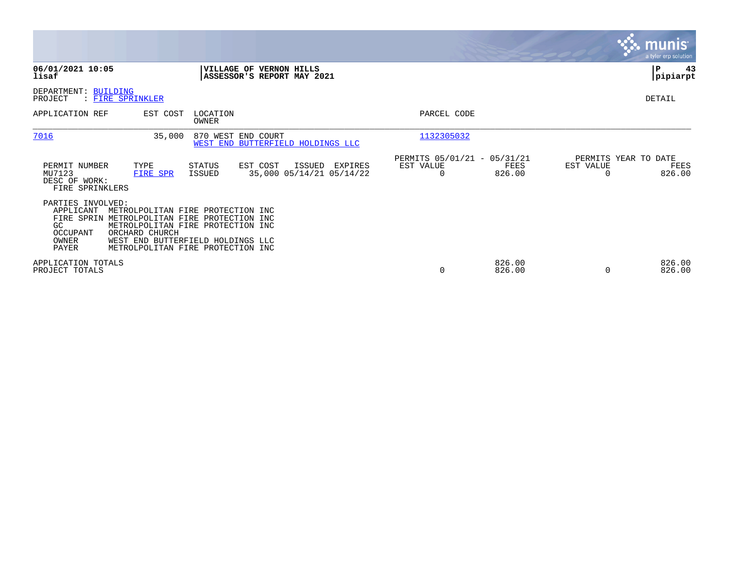|                                                                                                     |                                                                                                                                                                                       |                                                                                   | <b>munis</b><br>a tyler erp solution                |
|-----------------------------------------------------------------------------------------------------|---------------------------------------------------------------------------------------------------------------------------------------------------------------------------------------|-----------------------------------------------------------------------------------|-----------------------------------------------------|
| 06/01/2021 10:05<br>lisaf                                                                           | VILLAGE OF VERNON HILLS<br>ASSESSOR'S REPORT MAY 2021                                                                                                                                 |                                                                                   | 43<br>ΙP<br> pipiarpt                               |
| DEPARTMENT: BUILDING<br>: FIRE SPRINKLER<br>PROJECT                                                 |                                                                                                                                                                                       |                                                                                   | DETAIL                                              |
| APPLICATION REF                                                                                     | EST COST<br>LOCATION<br>OWNER                                                                                                                                                         | PARCEL CODE                                                                       |                                                     |
| 7016                                                                                                | 35,000<br>870 WEST END COURT<br>WEST END BUTTERFIELD HOLDINGS LLC                                                                                                                     | 1132305032                                                                        |                                                     |
| PERMIT NUMBER<br>TYPE<br>MU7123<br>FIRE SPR<br>DESC OF WORK:<br>FIRE SPRINKLERS                     | EST COST<br>ISSUED<br>STATUS<br>35,000 05/14/21 05/14/22<br>ISSUED                                                                                                                    | PERMITS 05/01/21 - 05/31/21<br>EXPIRES<br>EST VALUE<br>FEES<br>826.00<br>$\Omega$ | PERMITS YEAR TO DATE<br>EST VALUE<br>FEES<br>826.00 |
| PARTIES INVOLVED:<br>APPLICANT<br>FIRE SPRIN<br>GC.<br>OCCUPANT<br>ORCHARD CHURCH<br>OWNER<br>PAYER | METROLPOLITAN FIRE PROTECTION INC<br>METROLPOLITAN FIRE PROTECTION INC<br>METROLPOLITAN FIRE PROTECTION INC<br>WEST END BUTTERFIELD HOLDINGS LLC<br>METROLPOLITAN FIRE PROTECTION INC |                                                                                   |                                                     |
| APPLICATION TOTALS<br>PROJECT TOTALS                                                                |                                                                                                                                                                                       | 826.00<br>$\mathbf 0$<br>826.00                                                   | 826.00<br>826.00<br>$\Omega$                        |

 $\sim$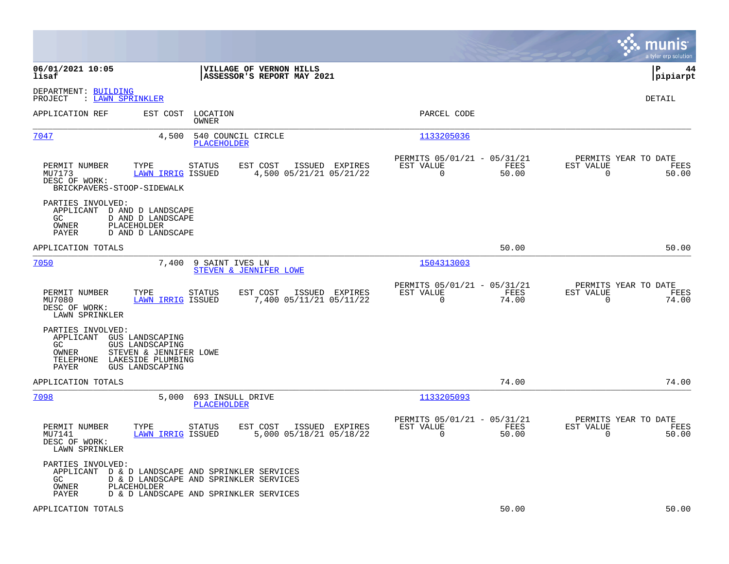|                                                                                                                                                                          |                                                                                                                                      |                                                                          | munis<br>a tyler erp solution                                     |
|--------------------------------------------------------------------------------------------------------------------------------------------------------------------------|--------------------------------------------------------------------------------------------------------------------------------------|--------------------------------------------------------------------------|-------------------------------------------------------------------|
| 06/01/2021 10:05<br>lisaf                                                                                                                                                | VILLAGE OF VERNON HILLS<br>ASSESSOR'S REPORT MAY 2021                                                                                |                                                                          | lР<br>44<br> pipiarpt                                             |
| DEPARTMENT: BUILDING<br>: LAWN SPRINKLER<br>PROJECT                                                                                                                      |                                                                                                                                      |                                                                          | <b>DETAIL</b>                                                     |
| APPLICATION REF                                                                                                                                                          | EST COST LOCATION<br><b>OWNER</b>                                                                                                    | PARCEL CODE                                                              |                                                                   |
| 7047                                                                                                                                                                     | 540 COUNCIL CIRCLE<br>4,500<br><b>PLACEHOLDER</b>                                                                                    | 1133205036                                                               |                                                                   |
| PERMIT NUMBER<br>TYPE<br>MU7173<br>DESC OF WORK:<br>BRICKPAVERS-STOOP-SIDEWALK                                                                                           | EST COST<br>ISSUED EXPIRES<br>STATUS<br><b>LAWN IRRIG ISSUED</b><br>4,500 05/21/21 05/21/22                                          | PERMITS 05/01/21 - 05/31/21<br>EST VALUE<br>FEES<br>$\mathbf 0$<br>50.00 | PERMITS YEAR TO DATE<br>EST VALUE<br>FEES<br>$\mathbf 0$<br>50.00 |
| PARTIES INVOLVED:<br>APPLICANT D AND D LANDSCAPE<br>D AND D LANDSCAPE<br>GC<br>PLACEHOLDER<br>OWNER<br>PAYER<br>D AND D LANDSCAPE                                        |                                                                                                                                      |                                                                          |                                                                   |
| APPLICATION TOTALS                                                                                                                                                       |                                                                                                                                      | 50.00                                                                    | 50.00                                                             |
| 7050                                                                                                                                                                     | 7,400 9 SAINT IVES LN<br>STEVEN & JENNIFER LOWE                                                                                      | 1504313003                                                               |                                                                   |
| PERMIT NUMBER<br>TYPE<br>MU7080<br>DESC OF WORK:<br>LAWN SPRINKLER                                                                                                       | <b>STATUS</b><br>EST COST<br>ISSUED EXPIRES<br>7,400 05/11/21 05/11/22<br>LAWN IRRIG ISSUED                                          | PERMITS 05/01/21 - 05/31/21<br>EST VALUE<br>FEES<br>0<br>74.00           | PERMITS YEAR TO DATE<br>EST VALUE<br>FEES<br>$\mathbf 0$<br>74.00 |
| PARTIES INVOLVED:<br>APPLICANT GUS LANDSCAPING<br>GC<br>GUS LANDSCAPING<br>OWNER<br>STEVEN & JENNIFER LOWE<br>TELEPHONE<br>LAKESIDE PLUMBING<br>PAYER<br>GUS LANDSCAPING |                                                                                                                                      |                                                                          |                                                                   |
| APPLICATION TOTALS                                                                                                                                                       |                                                                                                                                      | 74.00                                                                    | 74.00                                                             |
| 7098                                                                                                                                                                     | 5,000<br>693 INSULL DRIVE<br>PLACEHOLDER                                                                                             | 1133205093                                                               |                                                                   |
| TYPE<br>PERMIT NUMBER<br>MU7141<br>DESC OF WORK:<br>LAWN SPRINKLER                                                                                                       | <b>STATUS</b><br>EST COST<br>ISSUED EXPIRES<br><b>LAWN IRRIG ISSUED</b><br>5,000 05/18/21 05/18/22                                   | PERMITS 05/01/21 - 05/31/21<br>EST VALUE<br>FEES<br>$\Omega$<br>50.00    | PERMITS YEAR TO DATE<br>EST VALUE<br>FEES<br>50.00<br>$\Omega$    |
| PARTIES INVOLVED:<br>GC<br>OWNER<br>PLACEHOLDER<br>PAYER                                                                                                                 | APPLICANT D & D LANDSCAPE AND SPRINKLER SERVICES<br>D & D LANDSCAPE AND SPRINKLER SERVICES<br>D & D LANDSCAPE AND SPRINKLER SERVICES |                                                                          |                                                                   |
| APPLICATION TOTALS                                                                                                                                                       |                                                                                                                                      | 50.00                                                                    | 50.00                                                             |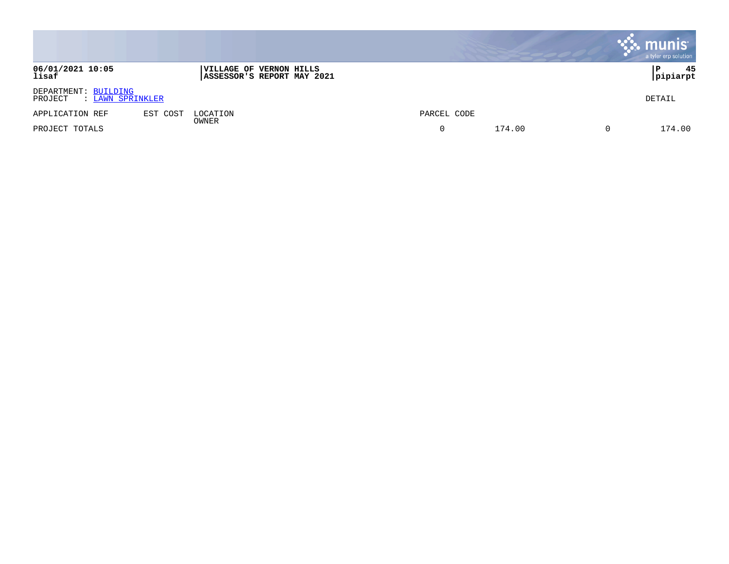|                                                     |          |                         |                            |             |        | $\mathbb{R}$ munis | a tyler erp solution |
|-----------------------------------------------------|----------|-------------------------|----------------------------|-------------|--------|--------------------|----------------------|
| 06/01/2021 10:05<br>lisaf                           |          | VILLAGE OF VERNON HILLS | ASSESSOR'S REPORT MAY 2021 |             |        | P                  | 45<br> pipiarpt      |
| DEPARTMENT: BUILDING<br>: LAWN SPRINKLER<br>PROJECT |          |                         |                            |             |        |                    | DETAIL               |
| APPLICATION REF                                     | EST COST | LOCATION                |                            | PARCEL CODE |        |                    |                      |
| PROJECT TOTALS                                      |          | OWNER                   |                            |             | 174.00 |                    | 174.00               |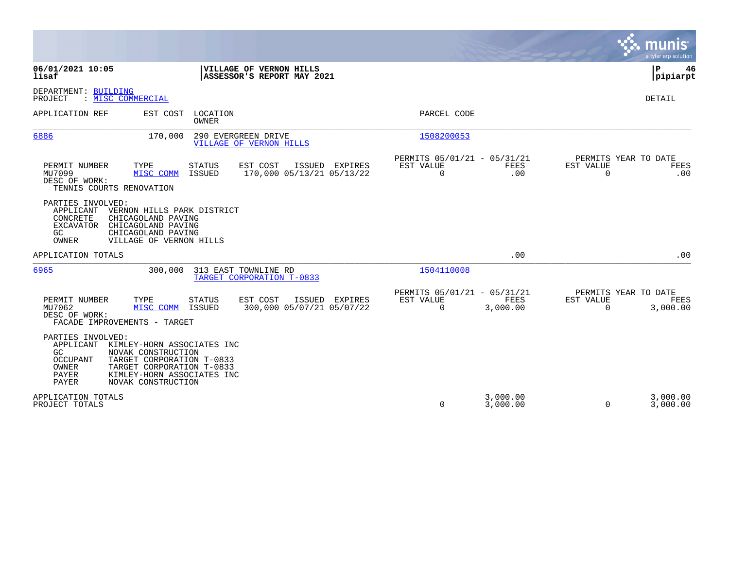|                                                                                                                                                                                                                                                             |                                                                                 | munis<br>a tyler erp solution                                       |
|-------------------------------------------------------------------------------------------------------------------------------------------------------------------------------------------------------------------------------------------------------------|---------------------------------------------------------------------------------|---------------------------------------------------------------------|
| 06/01/2021 10:05<br>VILLAGE OF VERNON HILLS<br>lisaf<br>ASSESSOR'S REPORT MAY 2021                                                                                                                                                                          |                                                                                 | Þ<br>46<br> pipiarpt                                                |
| DEPARTMENT: BUILDING<br>: MISC COMMERCIAL<br>PROJECT                                                                                                                                                                                                        |                                                                                 | DETAIL                                                              |
| APPLICATION REF<br>EST COST<br>LOCATION<br>OWNER                                                                                                                                                                                                            | PARCEL CODE                                                                     |                                                                     |
| 170,000<br>290 EVERGREEN DRIVE<br>6886<br><b>VILLAGE OF VERNON HILLS</b>                                                                                                                                                                                    | 1508200053                                                                      |                                                                     |
| TYPE<br>EST COST<br>PERMIT NUMBER<br>STATUS<br>ISSUED EXPIRES<br>MU7099<br>MISC COMM<br>ISSUED<br>170,000 05/13/21 05/13/22<br>DESC OF WORK:<br>TENNIS COURTS RENOVATION                                                                                    | PERMITS 05/01/21 - 05/31/21<br>EST VALUE<br>FEES<br>$\Omega$<br>.00             | PERMITS YEAR TO DATE<br>EST VALUE<br><b>FEES</b><br>$\Omega$<br>.00 |
| PARTIES INVOLVED:<br>APPLICANT<br>VERNON HILLS PARK DISTRICT<br>CONCRETE<br>CHICAGOLAND PAVING<br><b>EXCAVATOR</b><br>CHICAGOLAND PAVING<br>GC<br>CHICAGOLAND PAVING<br>OWNER<br>VILLAGE OF VERNON HILLS                                                    |                                                                                 |                                                                     |
| APPLICATION TOTALS                                                                                                                                                                                                                                          | .00                                                                             | .00                                                                 |
| 313 EAST TOWNLINE RD<br>6965<br>300,000<br>TARGET CORPORATION T-0833                                                                                                                                                                                        | 1504110008                                                                      |                                                                     |
| EST COST<br>PERMIT NUMBER<br>TYPE<br>STATUS<br>ISSUED EXPIRES<br>300,000 05/07/21 05/07/22<br>MU7062<br>MISC COMM<br>ISSUED<br>DESC OF WORK:<br>FACADE IMPROVEMENTS - TARGET                                                                                | PERMITS 05/01/21 - 05/31/21<br><b>EST VALUE</b><br>FEES<br>$\Omega$<br>3,000.00 | PERMITS YEAR TO DATE<br>EST VALUE<br>FEES<br>$\Omega$<br>3,000.00   |
| PARTIES INVOLVED:<br>APPLICANT<br>KIMLEY-HORN ASSOCIATES INC<br>GC<br>NOVAK CONSTRUCTION<br><b>OCCUPANT</b><br>TARGET CORPORATION T-0833<br><b>OWNER</b><br>TARGET CORPORATION T-0833<br>PAYER<br>KIMLEY-HORN ASSOCIATES INC<br>NOVAK CONSTRUCTION<br>PAYER |                                                                                 |                                                                     |
| APPLICATION TOTALS<br>PROJECT TOTALS                                                                                                                                                                                                                        | 3,000.00<br>0<br>3,000.00                                                       | 3,000.00<br>3,000.00<br>$\Omega$                                    |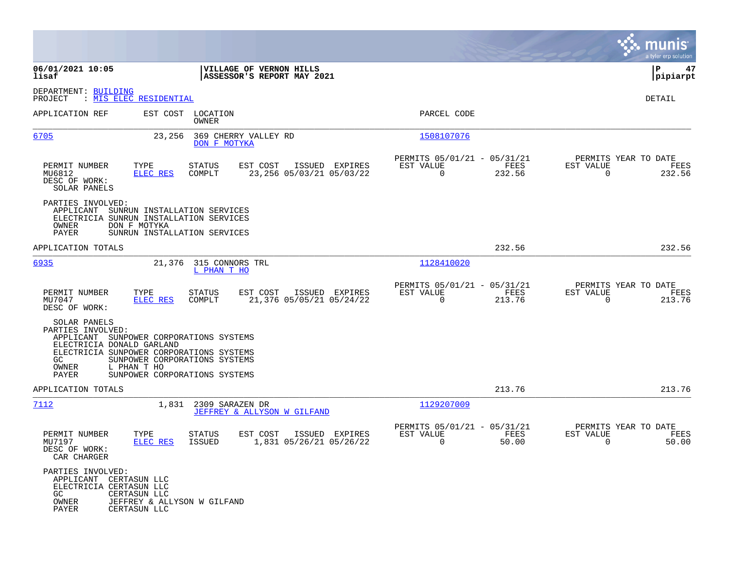|                                                                                                                                                                                |                                                                               |                                       |                                                       |                           |                |                                                         |                |                          | munis<br>a tyler erp solution          |
|--------------------------------------------------------------------------------------------------------------------------------------------------------------------------------|-------------------------------------------------------------------------------|---------------------------------------|-------------------------------------------------------|---------------------------|----------------|---------------------------------------------------------|----------------|--------------------------|----------------------------------------|
| 06/01/2021 10:05<br>lisaf                                                                                                                                                      |                                                                               |                                       | VILLAGE OF VERNON HILLS<br>ASSESSOR'S REPORT MAY 2021 |                           |                |                                                         |                |                          | ΙP<br>47<br> pipiarpt                  |
| DEPARTMENT: BUILDING<br>PROJECT                                                                                                                                                | : MIS ELEC RESIDENTIAL                                                        |                                       |                                                       |                           |                |                                                         |                |                          | DETAIL                                 |
| APPLICATION REF                                                                                                                                                                |                                                                               | EST COST LOCATION<br>OWNER            |                                                       |                           |                | PARCEL CODE                                             |                |                          |                                        |
| 6705                                                                                                                                                                           | 23,256                                                                        | DON F MOTYKA                          | 369 CHERRY VALLEY RD                                  |                           |                | 1508107076                                              |                |                          |                                        |
| PERMIT NUMBER<br>MU6812<br>DESC OF WORK:<br>SOLAR PANELS                                                                                                                       | TYPE<br><b>ELEC RES</b>                                                       | <b>STATUS</b><br>COMPLT               | EST COST                                              | 23, 256 05/03/21 05/03/22 | ISSUED EXPIRES | PERMITS 05/01/21 - 05/31/21<br>EST VALUE<br>$\mathbf 0$ | FEES<br>232.56 | EST VALUE<br>$\Omega$    | PERMITS YEAR TO DATE<br>FEES<br>232.56 |
| PARTIES INVOLVED:<br>APPLICANT<br>ELECTRICIA SUNRUN INSTALLATION SERVICES<br>OWNER<br>PAYER                                                                                    | SUNRUN INSTALLATION SERVICES<br>DON F MOTYKA<br>SUNRUN INSTALLATION SERVICES  |                                       |                                                       |                           |                |                                                         |                |                          |                                        |
| APPLICATION TOTALS                                                                                                                                                             |                                                                               |                                       |                                                       |                           |                |                                                         | 232.56         |                          | 232.56                                 |
| 6935                                                                                                                                                                           |                                                                               | 21,376 315 CONNORS TRL<br>L PHAN T HO |                                                       |                           |                | 1128410020                                              |                |                          |                                        |
| PERMIT NUMBER<br>MU7047<br>DESC OF WORK:                                                                                                                                       | TYPE<br>ELEC RES                                                              | STATUS<br>COMPLT                      | EST COST                                              | 21,376 05/05/21 05/24/22  | ISSUED EXPIRES | PERMITS 05/01/21 - 05/31/21<br>EST VALUE<br>0           | FEES<br>213.76 | EST VALUE<br>$\mathbf 0$ | PERMITS YEAR TO DATE<br>FEES<br>213.76 |
| SOLAR PANELS<br>PARTIES INVOLVED:<br>APPLICANT SUNPOWER CORPORATIONS SYSTEMS<br>ELECTRICIA DONALD GARLAND<br>ELECTRICIA SUNPOWER CORPORATIONS SYSTEMS<br>GC.<br>OWNER<br>PAYER | SUNPOWER CORPORATIONS SYSTEMS<br>L PHAN T HO<br>SUNPOWER CORPORATIONS SYSTEMS |                                       |                                                       |                           |                |                                                         |                |                          |                                        |
| APPLICATION TOTALS                                                                                                                                                             |                                                                               |                                       |                                                       |                           |                |                                                         | 213.76         |                          | 213.76                                 |
| 7112                                                                                                                                                                           | 1,831                                                                         | 2309 SARAZEN DR                       | JEFFREY & ALLYSON W GILFAND                           |                           |                | 1129207009                                              |                |                          |                                        |
| PERMIT NUMBER<br>MU7197<br>DESC OF WORK:<br>CAR CHARGER                                                                                                                        | TYPE<br>ELEC RES                                                              | STATUS<br><b>ISSUED</b>               | EST COST                                              | 1,831 05/26/21 05/26/22   | ISSUED EXPIRES | PERMITS 05/01/21 - 05/31/21<br>EST VALUE<br>$\mathbf 0$ | FEES<br>50.00  | EST VALUE<br>0           | PERMITS YEAR TO DATE<br>FEES<br>50.00  |
| PARTIES INVOLVED:<br>APPLICANT CERTASUN LLC<br>ELECTRICIA CERTASUN LLC<br>GC<br>OWNER<br>PAYER                                                                                 | CERTASUN LLC<br>JEFFREY & ALLYSON W GILFAND<br>CERTASUN LLC                   |                                       |                                                       |                           |                |                                                         |                |                          |                                        |

 $\sim$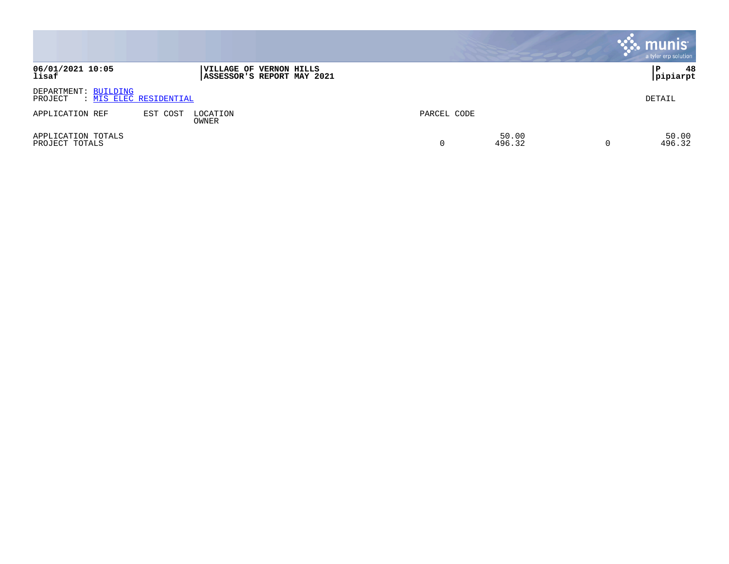|                                      |                        |                                                       |             |                 | $\cdot$ munis<br>a tyler erp solution |
|--------------------------------------|------------------------|-------------------------------------------------------|-------------|-----------------|---------------------------------------|
| 06/01/2021 10:05<br>lisaf            |                        | VILLAGE OF VERNON HILLS<br>ASSESSOR'S REPORT MAY 2021 |             |                 | 48<br>P<br> pipiarpt                  |
| DEPARTMENT: BUILDING<br>PROJECT      | : MIS ELEC RESIDENTIAL |                                                       |             |                 | DETAIL                                |
| APPLICATION REF                      | EST COST               | LOCATION<br>OWNER                                     | PARCEL CODE |                 |                                       |
| APPLICATION TOTALS<br>PROJECT TOTALS |                        |                                                       | 0           | 50.00<br>496.32 | 50.00<br>496.32                       |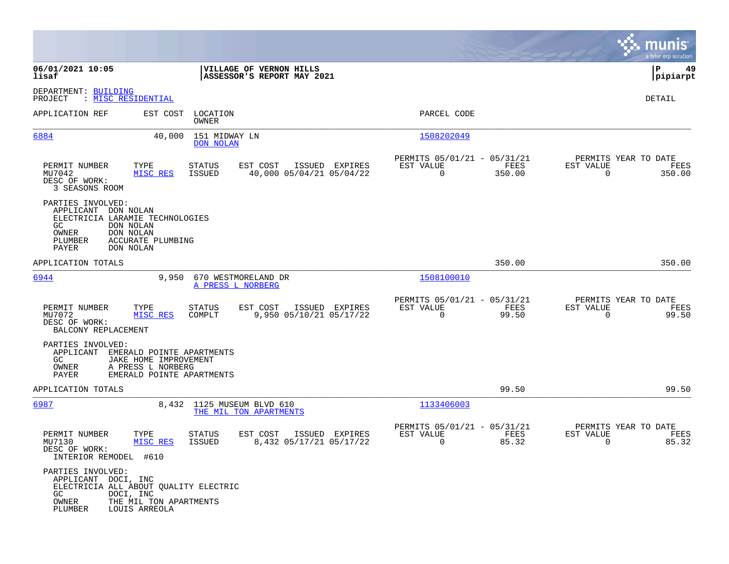|                                                                                                                                                       |                                                                                                      |                                                        |                                                         |                |                                                  | munis<br>a tyler erp solution |
|-------------------------------------------------------------------------------------------------------------------------------------------------------|------------------------------------------------------------------------------------------------------|--------------------------------------------------------|---------------------------------------------------------|----------------|--------------------------------------------------|-------------------------------|
| 06/01/2021 10:05<br>lisaf                                                                                                                             |                                                                                                      | VILLAGE OF VERNON HILLS<br>ASSESSOR'S REPORT MAY 2021  |                                                         |                |                                                  | ΙP<br>49<br> pipiarpt         |
| DEPARTMENT: BUILDING<br>PROJECT<br>: MISC RESIDENTIAL                                                                                                 |                                                                                                      |                                                        |                                                         |                |                                                  | DETAIL                        |
| APPLICATION REF                                                                                                                                       | LOCATION<br>EST COST<br>OWNER                                                                        |                                                        | PARCEL CODE                                             |                |                                                  |                               |
| 6884                                                                                                                                                  | 40,000<br>151 MIDWAY LN<br><b>DON NOLAN</b>                                                          |                                                        | 1508202049                                              |                |                                                  |                               |
| PERMIT NUMBER<br>MU7042<br>DESC OF WORK:<br>3 SEASONS ROOM                                                                                            | TYPE<br><b>STATUS</b><br>MISC RES<br>ISSUED                                                          | EST COST<br>ISSUED EXPIRES<br>40,000 05/04/21 05/04/22 | PERMITS 05/01/21 - 05/31/21<br>EST VALUE<br>0           | FEES<br>350.00 | PERMITS YEAR TO DATE<br>EST VALUE<br>$\mathbf 0$ | FEES<br>350.00                |
| PARTIES INVOLVED:<br>APPLICANT DON NOLAN<br>ELECTRICIA LARAMIE TECHNOLOGIES<br>GC<br>DON NOLAN<br>DON NOLAN<br>OWNER<br>PLUMBER<br>PAYER<br>DON NOLAN | ACCURATE PLUMBING                                                                                    |                                                        |                                                         |                |                                                  |                               |
| APPLICATION TOTALS                                                                                                                                    |                                                                                                      |                                                        |                                                         | 350.00         |                                                  | 350.00                        |
| 6944                                                                                                                                                  | 9,950                                                                                                | 670 WESTMORELAND DR<br>A PRESS L NORBERG               | 1508100010                                              |                |                                                  |                               |
| PERMIT NUMBER<br>MU7072<br>DESC OF WORK:<br>BALCONY REPLACEMENT                                                                                       | TYPE<br>STATUS<br>MISC RES<br>COMPLT                                                                 | EST COST<br>ISSUED EXPIRES<br>9,950 05/10/21 05/17/22  | PERMITS 05/01/21 - 05/31/21<br>EST VALUE<br>$\mathbf 0$ | FEES<br>99.50  | PERMITS YEAR TO DATE<br>EST VALUE<br>$\mathbf 0$ | FEES<br>99.50                 |
| PARTIES INVOLVED:<br>APPLICANT<br>GC.<br>OWNER<br>PAYER                                                                                               | EMERALD POINTE APARTMENTS<br>JAKE HOME IMPROVEMENT<br>A PRESS L NORBERG<br>EMERALD POINTE APARTMENTS |                                                        |                                                         |                |                                                  |                               |
| APPLICATION TOTALS                                                                                                                                    |                                                                                                      |                                                        |                                                         | 99.50          |                                                  | 99.50                         |
| 6987                                                                                                                                                  | 8,432                                                                                                | 1125 MUSEUM BLVD 610<br>THE MIL TON APARTMENTS         | 1133406003                                              |                |                                                  |                               |
| PERMIT NUMBER<br>MU7130<br>DESC OF WORK:<br>INTERIOR REMODEL #610                                                                                     | TYPE<br>STATUS<br>MISC RES<br>ISSUED                                                                 | EST COST<br>ISSUED EXPIRES<br>8,432 05/17/21 05/17/22  | PERMITS 05/01/21 - 05/31/21<br>EST VALUE<br>0           | FEES<br>85.32  | PERMITS YEAR TO DATE<br>EST VALUE<br>0           | FEES<br>85.32                 |
| PARTIES INVOLVED:<br>APPLICANT DOCI, INC<br>GC<br>DOCI, INC<br>OWNER<br>PLUMBER                                                                       | ELECTRICIA ALL ABOUT OUALITY ELECTRIC<br>THE MIL TON APARTMENTS<br>LOUIS ARREOLA                     |                                                        |                                                         |                |                                                  |                               |

**College**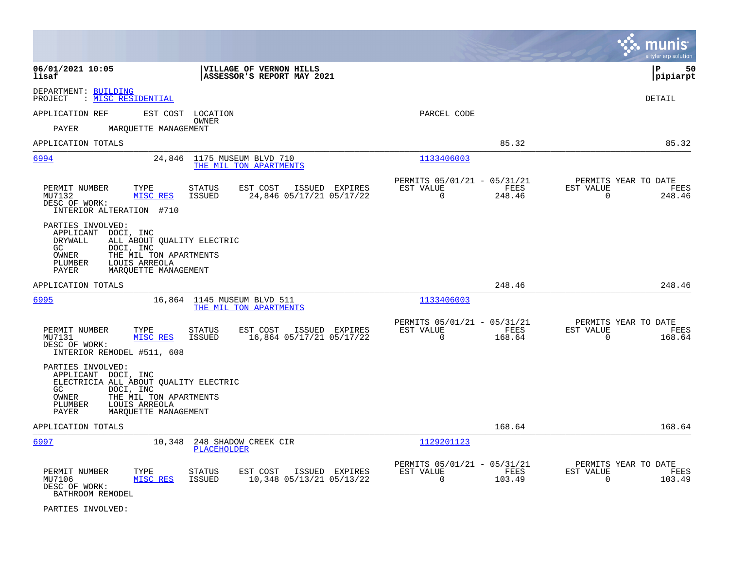|                                                                                                                                                                                                                |                                                                        | munis<br>a tyler erp solution                                   |
|----------------------------------------------------------------------------------------------------------------------------------------------------------------------------------------------------------------|------------------------------------------------------------------------|-----------------------------------------------------------------|
| 06/01/2021 10:05<br>VILLAGE OF VERNON HILLS<br>lisaf<br>ASSESSOR'S REPORT MAY 2021                                                                                                                             |                                                                        | lР<br>50<br> pipiarpt                                           |
| DEPARTMENT: BUILDING<br>: MISC RESIDENTIAL<br>PROJECT                                                                                                                                                          |                                                                        | <b>DETAIL</b>                                                   |
| EST COST LOCATION<br>APPLICATION REF<br>OWNER<br>PAYER<br>MARQUETTE MANAGEMENT                                                                                                                                 | PARCEL CODE                                                            |                                                                 |
| APPLICATION TOTALS                                                                                                                                                                                             | 85.32                                                                  | 85.32                                                           |
| 6994<br>1175 MUSEUM BLVD 710<br>24,846<br>THE MIL TON APARTMENTS                                                                                                                                               | 1133406003                                                             |                                                                 |
| PERMIT NUMBER<br>TYPE<br><b>STATUS</b><br>EST COST<br>ISSUED EXPIRES<br>MU7132<br>24,846 05/17/21 05/17/22<br>MISC RES<br>ISSUED<br>DESC OF WORK:<br>INTERIOR ALTERATION #710                                  | PERMITS 05/01/21 - 05/31/21<br>EST VALUE<br>FEES<br>$\Omega$<br>248.46 | PERMITS YEAR TO DATE<br>EST VALUE<br>FEES<br>$\Omega$<br>248.46 |
| PARTIES INVOLVED:<br>APPLICANT<br>DOCI, INC<br><b>DRYWALL</b><br>ALL ABOUT QUALITY ELECTRIC<br>GC<br>DOCI, INC<br>THE MIL TON APARTMENTS<br>OWNER<br>PLUMBER<br>LOUIS ARREOLA<br>PAYER<br>MARQUETTE MANAGEMENT |                                                                        |                                                                 |
| APPLICATION TOTALS                                                                                                                                                                                             | 248.46                                                                 | 248.46                                                          |
| 6995<br>16,864 1145 MUSEUM BLVD 511<br>THE MIL TON APARTMENTS                                                                                                                                                  | 1133406003                                                             |                                                                 |
| PERMIT NUMBER<br>STATUS<br>EST COST<br>ISSUED EXPIRES<br>TYPE<br>16,864 05/17/21 05/17/22<br>MU7131<br>MISC RES<br><b>ISSUED</b><br>DESC OF WORK:<br>INTERIOR REMODEL #511, 608                                | PERMITS 05/01/21 - 05/31/21<br>EST VALUE<br>FEES<br>$\Omega$<br>168.64 | PERMITS YEAR TO DATE<br>EST VALUE<br>FEES<br>$\Omega$<br>168.64 |
| PARTIES INVOLVED:<br>APPLICANT DOCI, INC<br>ELECTRICIA ALL ABOUT QUALITY ELECTRIC<br>GC.<br>DOCI, INC<br>OWNER<br>THE MIL TON APARTMENTS<br>LOUIS ARREOLA<br>PLUMBER<br>PAYER<br>MARQUETTE MANAGEMENT          |                                                                        |                                                                 |
| APPLICATION TOTALS                                                                                                                                                                                             | 168.64                                                                 | 168.64                                                          |
| 248 SHADOW CREEK CIR<br>6997<br>10,348<br>PLACEHOLDER                                                                                                                                                          | 1129201123                                                             |                                                                 |
| PERMIT NUMBER<br>TYPE<br><b>STATUS</b><br>EST COST<br>ISSUED EXPIRES<br>MISC RES<br><b>ISSUED</b><br>10,348 05/13/21 05/13/22<br>MU7106<br>DESC OF WORK:<br>BATHROOM REMODEL                                   | PERMITS 05/01/21 - 05/31/21<br>EST VALUE<br>FEES<br>$\Omega$<br>103.49 | PERMITS YEAR TO DATE<br>EST VALUE<br>FEES<br>$\Omega$<br>103.49 |

PARTIES INVOLVED: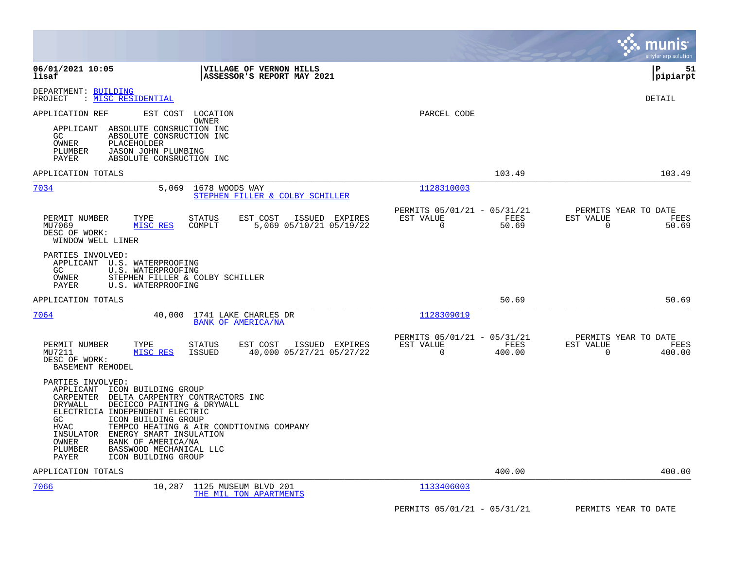|                                                                                                                                                                                                                                                                                                                                                                                                                 |                                                                           | munis<br>a tyler erp solution                                      |
|-----------------------------------------------------------------------------------------------------------------------------------------------------------------------------------------------------------------------------------------------------------------------------------------------------------------------------------------------------------------------------------------------------------------|---------------------------------------------------------------------------|--------------------------------------------------------------------|
| 06/01/2021 10:05<br>VILLAGE OF VERNON HILLS<br>ASSESSOR'S REPORT MAY 2021<br>lisaf                                                                                                                                                                                                                                                                                                                              |                                                                           | l P<br>51<br> pipiarpt                                             |
| DEPARTMENT: BUILDING<br>MISC RESIDENTIAL<br>PROJECT                                                                                                                                                                                                                                                                                                                                                             |                                                                           | <b>DETAIL</b>                                                      |
| APPLICATION REF<br>EST COST<br>LOCATION<br>OWNER<br>APPLICANT<br>ABSOLUTE CONSRUCTION INC<br>GC<br>ABSOLUTE CONSRUCTION INC<br>OWNER<br>PLACEHOLDER<br>JASON JOHN PLUMBING<br>PLUMBER<br>PAYER<br>ABSOLUTE CONSRUCTION INC                                                                                                                                                                                      | PARCEL CODE                                                               |                                                                    |
| APPLICATION TOTALS                                                                                                                                                                                                                                                                                                                                                                                              | 103.49                                                                    | 103.49                                                             |
| 7034<br>5,069<br>1678 WOODS WAY<br>STEPHEN FILLER & COLBY SCHILLER                                                                                                                                                                                                                                                                                                                                              | 1128310003                                                                |                                                                    |
| PERMIT NUMBER<br>TYPE<br>STATUS<br>EST COST<br>ISSUED EXPIRES<br>MISC RES<br>COMPLT<br>5,069 05/10/21 05/19/22<br>MU7069<br>DESC OF WORK:<br>WINDOW WELL LINER                                                                                                                                                                                                                                                  | PERMITS 05/01/21 - 05/31/21<br>EST VALUE<br>FEES<br>$\Omega$<br>50.69     | PERMITS YEAR TO DATE<br>EST VALUE<br>FEES<br>$\Omega$<br>50.69     |
| PARTIES INVOLVED:<br>APPLICANT U.S. WATERPROOFING<br>GC.<br>U.S. WATERPROOFING<br>OWNER<br>STEPHEN FILLER & COLBY SCHILLER<br>PAYER<br>U.S. WATERPROOFING                                                                                                                                                                                                                                                       |                                                                           |                                                                    |
| APPLICATION TOTALS                                                                                                                                                                                                                                                                                                                                                                                              | 50.69                                                                     | 50.69                                                              |
| 7064<br>40,000<br>1741 LAKE CHARLES DR<br>BANK OF AMERICA/NA                                                                                                                                                                                                                                                                                                                                                    | 1128309019                                                                |                                                                    |
| PERMIT NUMBER<br>TYPE<br><b>STATUS</b><br>EST COST<br>ISSUED EXPIRES<br>MISC RES<br>40,000 05/27/21 05/27/22<br>MU7211<br>ISSUED<br>DESC OF WORK:<br>BASEMENT REMODEL                                                                                                                                                                                                                                           | PERMITS 05/01/21 - 05/31/21<br>EST VALUE<br>FEES<br>$\mathbf 0$<br>400.00 | PERMITS YEAR TO DATE<br>EST VALUE<br>FEES<br>$\mathbf 0$<br>400.00 |
| PARTIES INVOLVED:<br>APPLICANT<br>ICON BUILDING GROUP<br>DELTA CARPENTRY CONTRACTORS INC<br>CARPENTER<br>DECICCO PAINTING & DRYWALL<br>DRYWALL<br>ELECTRICIA INDEPENDENT ELECTRIC<br>GC<br>ICON BUILDING GROUP<br>TEMPCO HEATING & AIR CONDTIONING COMPANY<br>HVAC<br>INSULATOR<br>ENERGY SMART INSULATION<br>OWNER<br>BANK OF AMERICA/NA<br>BASSWOOD MECHANICAL LLC<br>PLUMBER<br>PAYER<br>ICON BUILDING GROUP |                                                                           |                                                                    |
| APPLICATION TOTALS                                                                                                                                                                                                                                                                                                                                                                                              | 400.00                                                                    | 400.00                                                             |
| 7066<br>10,287<br>1125 MUSEUM BLVD 201<br>THE MIL TON APARTMENTS                                                                                                                                                                                                                                                                                                                                                | 1133406003                                                                |                                                                    |
|                                                                                                                                                                                                                                                                                                                                                                                                                 | PERMITS 05/01/21 - 05/31/21                                               | PERMITS YEAR TO DATE                                               |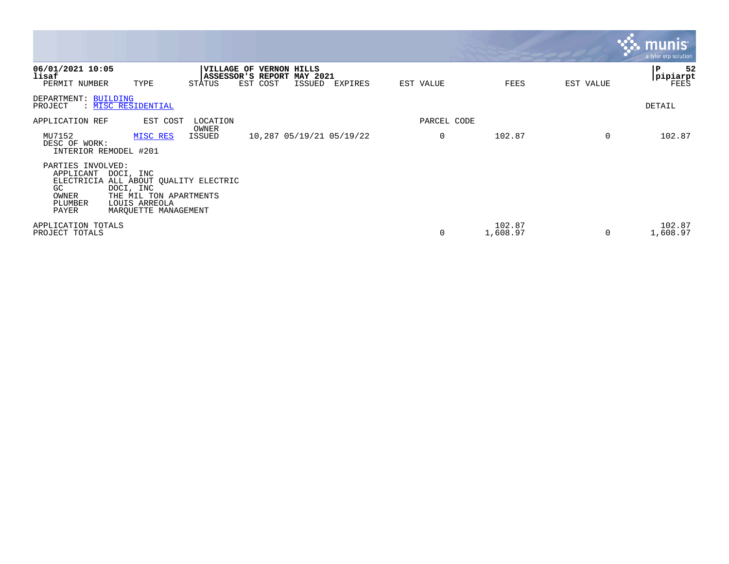|                                                                                 |                                                                                                                         |                 |                                                                           |        |                          |             |                    |                | a tyler erp solution          |
|---------------------------------------------------------------------------------|-------------------------------------------------------------------------------------------------------------------------|-----------------|---------------------------------------------------------------------------|--------|--------------------------|-------------|--------------------|----------------|-------------------------------|
| 06/01/2021 10:05<br>lisaf<br>PERMIT NUMBER                                      | TYPE                                                                                                                    | STATUS          | <b> VILLAGE OF VERNON HILLS</b><br>ASSESSOR'S REPORT MAY 2021<br>EST COST | ISSUED | EXPIRES                  | EST VALUE   | FEES               | EST VALUE      | 52<br>IΡ<br> pipiarpt<br>FEES |
| DEPARTMENT: BUILDING<br>PROJECT                                                 | : MISC RESIDENTIAL                                                                                                      |                 |                                                                           |        |                          |             |                    |                | DETAIL                        |
| APPLICATION REF                                                                 | EST COST                                                                                                                | LOCATION        |                                                                           |        |                          | PARCEL CODE |                    |                |                               |
| MU7152<br>DESC OF WORK:<br>INTERIOR REMODEL #201                                | MISC RES                                                                                                                | OWNER<br>ISSUED |                                                                           |        | 10,287 05/19/21 05/19/22 | 0           | 102.87             | $\overline{0}$ | 102.87                        |
| PARTIES INVOLVED:<br>APPLICANT<br>ELECTRICIA<br>GC<br>OWNER<br>PLUMBER<br>PAYER | DOCI, INC<br>ALL ABOUT QUALITY ELECTRIC<br>DOCI, INC<br>THE MIL TON APARTMENTS<br>LOUIS ARREOLA<br>MARQUETTE MANAGEMENT |                 |                                                                           |        |                          |             |                    |                |                               |
| APPLICATION TOTALS<br>PROJECT TOTALS                                            |                                                                                                                         |                 |                                                                           |        |                          | 0           | 102.87<br>1,608.97 | 0              | 102.87<br>1,608.97            |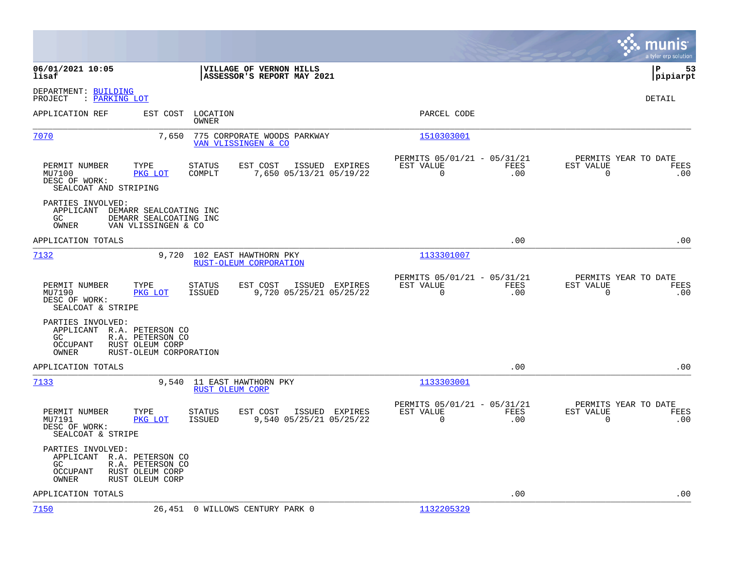|                                                                                                                                       |                                                                                         |                                                                     | munis<br>a tyler erp solution                                   |
|---------------------------------------------------------------------------------------------------------------------------------------|-----------------------------------------------------------------------------------------|---------------------------------------------------------------------|-----------------------------------------------------------------|
| 06/01/2021 10:05<br>lisaf                                                                                                             | VILLAGE OF VERNON HILLS<br>ASSESSOR'S REPORT MAY 2021                                   |                                                                     | l P<br>53<br> pipiarpt                                          |
| DEPARTMENT: BUILDING<br>PROJECT<br>: PARKING LOT                                                                                      |                                                                                         |                                                                     | DETAIL                                                          |
| APPLICATION REF                                                                                                                       | EST COST LOCATION<br>OWNER                                                              | PARCEL CODE                                                         |                                                                 |
| 7070                                                                                                                                  | 7,650<br>775 CORPORATE WOODS PARKWAY<br>VAN VLISSINGEN & CO                             | 1510303001                                                          |                                                                 |
| PERMIT NUMBER<br>TYPE<br>MU7100<br>PKG LOT<br>DESC OF WORK:<br>SEALCOAT AND STRIPING                                                  | <b>STATUS</b><br>EST COST<br>ISSUED EXPIRES<br>COMPLT<br>7,650 05/13/21 05/19/22        | PERMITS 05/01/21 - 05/31/21<br>EST VALUE<br>FEES<br>.00<br>0        | PERMITS YEAR TO DATE<br>EST VALUE<br>FEES<br>$\mathbf 0$<br>.00 |
| PARTIES INVOLVED:<br>APPLICANT DEMARR SEALCOATING INC<br>GC<br>OWNER                                                                  | DEMARR SEALCOATING INC<br>VAN VLISSINGEN & CO                                           |                                                                     |                                                                 |
| APPLICATION TOTALS                                                                                                                    |                                                                                         | .00                                                                 | .00                                                             |
| 7132                                                                                                                                  | 9,720<br>102 EAST HAWTHORN PKY<br>RUST-OLEUM CORPORATION                                | 1133301007                                                          |                                                                 |
| PERMIT NUMBER<br>TYPE<br>MU7190<br>PKG LOT<br>DESC OF WORK:<br>SEALCOAT & STRIPE                                                      | STATUS<br>EST COST<br>ISSUED EXPIRES<br>9,720 05/25/21 05/25/22<br><b>ISSUED</b>        | PERMITS 05/01/21 - 05/31/21<br>EST VALUE<br>FEES<br>$\Omega$<br>.00 | PERMITS YEAR TO DATE<br>EST VALUE<br>FEES<br>$\Omega$<br>.00    |
| PARTIES INVOLVED:<br>APPLICANT R.A. PETERSON CO<br>R.A. PETERSON CO<br>GC.<br><b>OCCUPANT</b><br>RUST OLEUM CORP<br>OWNER             | RUST-OLEUM CORPORATION                                                                  |                                                                     |                                                                 |
| APPLICATION TOTALS                                                                                                                    |                                                                                         | .00                                                                 | .00                                                             |
| 7133                                                                                                                                  | 9,540<br>11 EAST HAWTHORN PKY<br>RUST OLEUM CORP                                        | 1133303001                                                          |                                                                 |
| PERMIT NUMBER<br>TYPE<br>MU7191<br>PKG LOT<br>DESC OF WORK:<br>SEALCOAT & STRIPE                                                      | <b>STATUS</b><br>EST COST<br>ISSUED EXPIRES<br>9,540 05/25/21 05/25/22<br><b>ISSUED</b> | PERMITS 05/01/21 - 05/31/21<br>EST VALUE<br>FEES<br>0<br>.00        | PERMITS YEAR TO DATE<br>EST VALUE<br>FEES<br>$\mathbf 0$<br>.00 |
| PARTIES INVOLVED:<br>APPLICANT R.A. PETERSON CO<br>GC.<br>R.A. PETERSON CO<br>RUST OLEUM CORP<br>OCCUPANT<br>OWNER<br>RUST OLEUM CORP |                                                                                         |                                                                     |                                                                 |
| APPLICATION TOTALS                                                                                                                    |                                                                                         | .00                                                                 | .00                                                             |
| 7150                                                                                                                                  | 26,451 0 WILLOWS CENTURY PARK 0                                                         | 1132205329                                                          |                                                                 |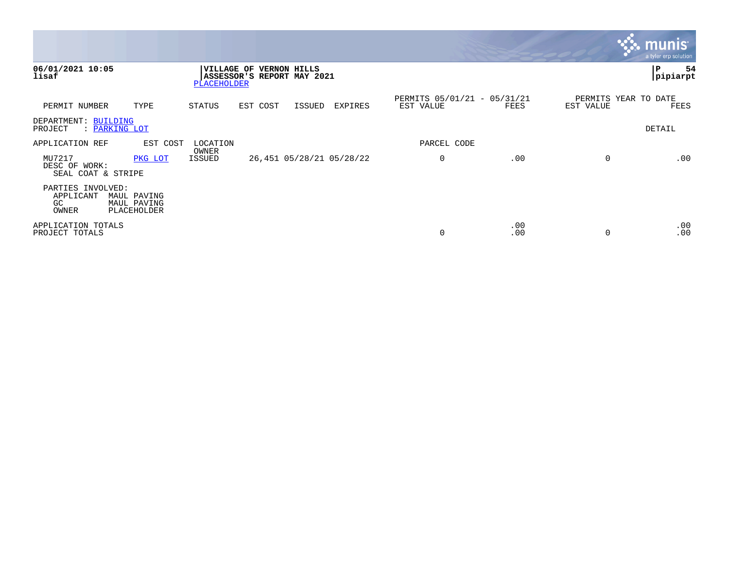|                                                                                                   |                                                                                              |                                          |            | <b>W. munis</b>                   | a tyler erp solution |
|---------------------------------------------------------------------------------------------------|----------------------------------------------------------------------------------------------|------------------------------------------|------------|-----------------------------------|----------------------|
| 06/01/2021 10:05<br>lisaf                                                                         | <b>VERNON HILLS</b><br><b>VILLAGE OF</b><br><b>ASSESSOR'S REPORT MAY 2021</b><br>PLACEHOLDER |                                          |            | P                                 | 54<br> pipiarpt      |
| TYPE<br>PERMIT NUMBER                                                                             | STATUS<br>EST COST<br>ISSUED<br>EXPIRES                                                      | PERMITS 05/01/21 - 05/31/21<br>EST VALUE | FEES       | PERMITS YEAR TO DATE<br>EST VALUE | FEES                 |
| DEPARTMENT: BUILDING<br>: PARKING LOT<br>PROJECT                                                  |                                                                                              |                                          |            | DETAIL                            |                      |
| APPLICATION REF<br>EST COST                                                                       | LOCATION<br>OWNER                                                                            | PARCEL CODE                              |            |                                   |                      |
| MU7217<br>PKG LOT<br>DESC OF WORK:<br>SEAL COAT & STRIPE                                          | 26,451 05/28/21 05/28/22<br>ISSUED                                                           | 0                                        | .00        | $\Omega$                          | .00                  |
| PARTIES INVOLVED:<br>APPLICANT<br>MAUL PAVING<br><b>GC</b><br>MAUL PAVING<br>OWNER<br>PLACEHOLDER |                                                                                              |                                          |            |                                   |                      |
| APPLICATION TOTALS<br>PROJECT TOTALS                                                              |                                                                                              | 0                                        | .00<br>.00 | $\Omega$                          | .00<br>.00           |

and the contract of the contract of the contract of the contract of the contract of the contract of the contract of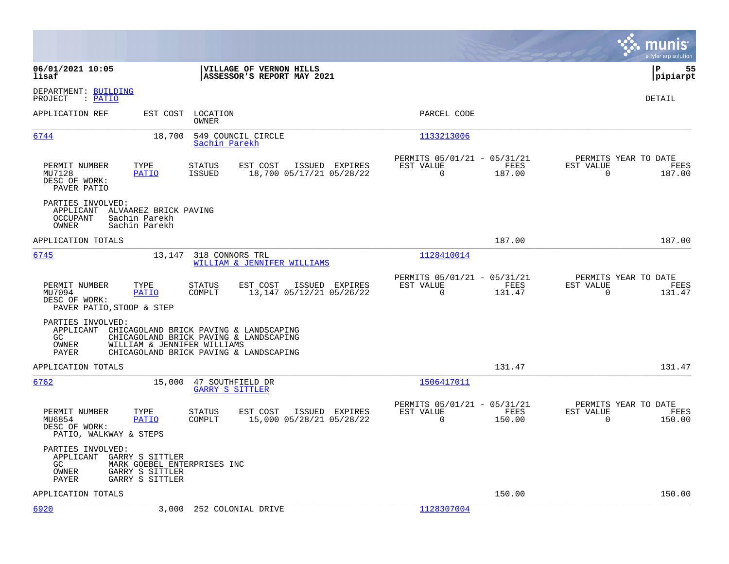|                                                                                                                                                                                                                   |                                                                                                                               | munis<br>a tyler erp solution |
|-------------------------------------------------------------------------------------------------------------------------------------------------------------------------------------------------------------------|-------------------------------------------------------------------------------------------------------------------------------|-------------------------------|
| 06/01/2021 10:05<br>VILLAGE OF VERNON HILLS<br>lisaf<br>ASSESSOR'S REPORT MAY 2021                                                                                                                                |                                                                                                                               | l P<br>55<br> pipiarpt        |
| DEPARTMENT: BUILDING<br>PROJECT<br>: PATIO                                                                                                                                                                        |                                                                                                                               | DETAIL                        |
| APPLICATION REF<br>EST COST<br>LOCATION<br>OWNER                                                                                                                                                                  | PARCEL CODE                                                                                                                   |                               |
| 6744<br>18,700<br>549 COUNCIL CIRCLE<br>Sachin Parekh                                                                                                                                                             | 1133213006                                                                                                                    |                               |
| PERMIT NUMBER<br>TYPE<br><b>STATUS</b><br>EST COST<br>ISSUED EXPIRES<br>18,700 05/17/21 05/28/22<br>MU7128<br><b>ISSUED</b><br>PATIO<br>DESC OF WORK:<br>PAVER PATIO                                              | PERMITS 05/01/21 - 05/31/21<br>PERMITS YEAR TO DATE<br>EST VALUE<br>FEES<br>EST VALUE<br>$\mathbf 0$<br>187.00<br>$\mathbf 0$ | FEES<br>187.00                |
| PARTIES INVOLVED:<br>APPLICANT ALVAAREZ BRICK PAVING<br>OCCUPANT<br>Sachin Parekh<br>OWNER<br>Sachin Parekh                                                                                                       |                                                                                                                               |                               |
| APPLICATION TOTALS                                                                                                                                                                                                | 187.00                                                                                                                        | 187.00                        |
| 6745<br>13,147<br>318 CONNORS TRL<br>WILLIAM & JENNIFER WILLIAMS                                                                                                                                                  | 1128410014                                                                                                                    |                               |
| PERMIT NUMBER<br>TYPE<br><b>STATUS</b><br>EST COST<br>ISSUED EXPIRES<br>MU7094<br><b>PATIO</b><br>COMPLT<br>13,147 05/12/21 05/26/22<br>DESC OF WORK:<br>PAVER PATIO, STOOP & STEP                                | PERMITS 05/01/21 - 05/31/21<br>PERMITS YEAR TO DATE<br>EST VALUE<br>EST VALUE<br>FEES<br>$\Omega$<br>$\Omega$<br>131.47       | FEES<br>131.47                |
| PARTIES INVOLVED:<br>APPLICANT CHICAGOLAND BRICK PAVING & LANDSCAPING<br>CHICAGOLAND BRICK PAVING & LANDSCAPING<br>GC.<br>OWNER<br>WILLIAM & JENNIFER WILLIAMS<br>CHICAGOLAND BRICK PAVING & LANDSCAPING<br>PAYER |                                                                                                                               |                               |
| APPLICATION TOTALS                                                                                                                                                                                                | 131.47                                                                                                                        | 131.47                        |
| 6762<br>47 SOUTHFIELD DR<br>15,000<br><b>GARRY S SITTLER</b>                                                                                                                                                      | 1506417011                                                                                                                    |                               |
| PERMIT NUMBER<br>TYPE<br><b>STATUS</b><br>EST COST<br>ISSUED EXPIRES<br>MU6854<br>PATIO<br>COMPLT<br>15,000 05/28/21 05/28/22<br>DESC OF WORK:<br>PATIO, WALKWAY & STEPS                                          | PERMITS 05/01/21 - 05/31/21<br>PERMITS YEAR TO DATE<br>EST VALUE<br>FEES<br>EST VALUE<br>$\mathbf 0$<br>150.00<br>$\mathbf 0$ | FEES<br>150.00                |
| PARTIES INVOLVED:<br>APPLICANT<br>GARRY S SITTLER<br>MARK GOEBEL ENTERPRISES INC<br>GC.<br>OWNER<br>GARRY S SITTLER<br>GARRY S SITTLER<br>PAYER                                                                   |                                                                                                                               |                               |
| APPLICATION TOTALS                                                                                                                                                                                                | 150.00                                                                                                                        | 150.00                        |
| 6920<br>3,000<br>252 COLONIAL DRIVE                                                                                                                                                                               | 1128307004                                                                                                                    |                               |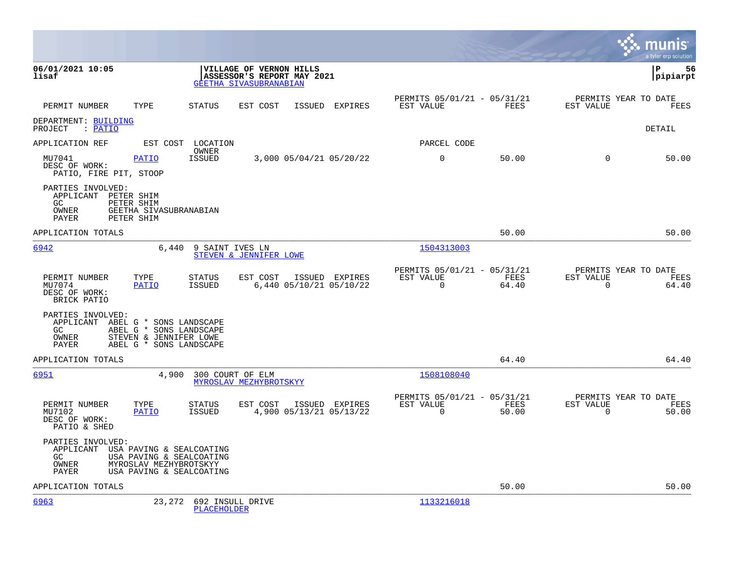|                                                                                                                                                                             |                                                          |                            |                |                                                      |               |                                               | munis<br>a tyler erp solution |
|-----------------------------------------------------------------------------------------------------------------------------------------------------------------------------|----------------------------------------------------------|----------------------------|----------------|------------------------------------------------------|---------------|-----------------------------------------------|-------------------------------|
| 06/01/2021 10:05<br>lisaf                                                                                                                                                   | VILLAGE OF VERNON HILLS<br><b>GEETHA SIVASUBRANABIAN</b> | ASSESSOR'S REPORT MAY 2021 |                |                                                      |               | lР                                            | 56<br> pipiarpt               |
| PERMIT NUMBER<br>TYPE                                                                                                                                                       | <b>STATUS</b><br>EST COST                                |                            | ISSUED EXPIRES | PERMITS 05/01/21 - 05/31/21<br>EST VALUE             | FEES          | PERMITS YEAR TO DATE<br>EST VALUE             | FEES                          |
| DEPARTMENT: BUILDING<br>PROJECT : PATIO                                                                                                                                     |                                                          |                            |                |                                                      |               |                                               | <b>DETAIL</b>                 |
| APPLICATION REF                                                                                                                                                             | EST COST LOCATION                                        |                            |                | PARCEL CODE                                          |               |                                               |                               |
| MU7041<br><b>PATIO</b><br>DESC OF WORK:<br>PATIO, FIRE PIT, STOOP                                                                                                           | OWNER<br><b>ISSUED</b>                                   | 3,000 05/04/21 05/20/22    |                | $\mathbf 0$                                          | 50.00         | $\Omega$                                      | 50.00                         |
| PARTIES INVOLVED:<br>APPLICANT PETER SHIM<br>GC.<br>PETER SHIM<br>OWNER<br>GEETHA SIVASUBRANABIAN<br>PAYER<br>PETER SHIM                                                    |                                                          |                            |                |                                                      |               |                                               |                               |
| APPLICATION TOTALS                                                                                                                                                          |                                                          |                            |                |                                                      | 50.00         |                                               | 50.00                         |
| 6942<br>6,440                                                                                                                                                               | 9 SAINT IVES LN<br>STEVEN & JENNIFER LOWE                |                            |                | 1504313003                                           |               |                                               |                               |
| PERMIT NUMBER<br>TYPE<br>MU7074<br><b>PATIO</b><br>DESC OF WORK:<br>BRICK PATIO                                                                                             | EST COST<br>STATUS<br>ISSUED                             | 6,440 05/10/21 05/10/22    | ISSUED EXPIRES | PERMITS 05/01/21 - 05/31/21<br>EST VALUE<br>$\Omega$ | FEES<br>64.40 | PERMITS YEAR TO DATE<br>EST VALUE<br>$\Omega$ | FEES<br>64.40                 |
| PARTIES INVOLVED:<br>APPLICANT ABEL G * SONS LANDSCAPE<br>GC<br>ABEL G * SONS LANDSCAPE<br>OWNER<br>STEVEN & JENNIFER LOWE<br><b>PAYER</b><br>ABEL G * SONS LANDSCAPE       |                                                          |                            |                |                                                      |               |                                               |                               |
| APPLICATION TOTALS                                                                                                                                                          |                                                          |                            |                |                                                      | 64.40         |                                               | 64.40                         |
| 6951                                                                                                                                                                        | 4,900 300 COURT OF ELM<br>MYROSLAV MEZHYBROTSKYY         |                            |                | 1508108040                                           |               |                                               |                               |
| PERMIT NUMBER<br>TYPE<br>MU7102<br><b>PATIO</b><br>DESC OF WORK:<br>PATIO & SHED                                                                                            | EST COST<br><b>STATUS</b><br>ISSUED                      | 4,900 05/13/21 05/13/22    | ISSUED EXPIRES | PERMITS 05/01/21 - 05/31/21<br>EST VALUE<br>$\Omega$ | FEES<br>50.00 | PERMITS YEAR TO DATE<br>EST VALUE<br>$\Omega$ | FEES<br>50.00                 |
| PARTIES INVOLVED:<br>APPLICANT<br>USA PAVING & SEALCOATING<br>GC<br>USA PAVING & SEALCOATING<br>MYROSLAV MEZHYBROTSKYY<br>OWNER<br>USA PAVING & SEALCOATING<br><b>PAYER</b> |                                                          |                            |                |                                                      |               |                                               |                               |
| APPLICATION TOTALS                                                                                                                                                          |                                                          |                            |                |                                                      | 50.00         |                                               | 50.00                         |
| 6963<br>23,272                                                                                                                                                              | 692 INSULL DRIVE<br><b>PLACEHOLDER</b>                   |                            |                | 1133216018                                           |               |                                               |                               |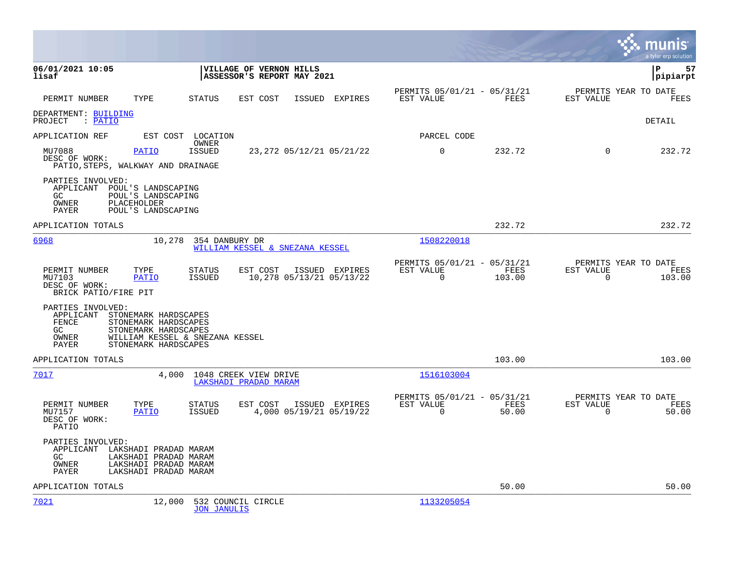|                                                                                                                                                              |                                                                                         |                                                                        | munis<br>a tyler erp solution                                   |
|--------------------------------------------------------------------------------------------------------------------------------------------------------------|-----------------------------------------------------------------------------------------|------------------------------------------------------------------------|-----------------------------------------------------------------|
| 06/01/2021 10:05<br>lisaf                                                                                                                                    | VILLAGE OF VERNON HILLS<br>ASSESSOR'S REPORT MAY 2021                                   |                                                                        | 57<br>l P<br> pipiarpt                                          |
| PERMIT NUMBER<br>TYPE                                                                                                                                        | STATUS<br>EST COST<br>ISSUED EXPIRES                                                    | PERMITS 05/01/21 - 05/31/21<br>EST VALUE<br>FEES                       | PERMITS YEAR TO DATE<br>EST VALUE<br>FEES                       |
| DEPARTMENT: BUILDING<br>PROJECT : PATIO                                                                                                                      |                                                                                         |                                                                        | DETAIL                                                          |
| APPLICATION REF                                                                                                                                              | EST COST LOCATION                                                                       | PARCEL CODE                                                            |                                                                 |
| MU7088<br>PATIO<br>DESC OF WORK:<br>PATIO, STEPS, WALKWAY AND DRAINAGE                                                                                       | OWNER<br><b>ISSUED</b><br>23, 272 05/12/21 05/21/22                                     | $\mathbf 0$<br>232.72                                                  | 232.72<br>$\Omega$                                              |
| PARTIES INVOLVED:<br>APPLICANT POUL'S LANDSCAPING<br>GC.<br>POUL'S LANDSCAPING<br>OWNER<br>PLACEHOLDER<br>POUL'S LANDSCAPING<br>PAYER                        |                                                                                         |                                                                        |                                                                 |
| APPLICATION TOTALS                                                                                                                                           |                                                                                         | 232.72                                                                 | 232.72                                                          |
| 6968                                                                                                                                                         | 10,278 354 DANBURY DR<br>WILLIAM KESSEL & SNEZANA KESSEL                                | 1508220018                                                             |                                                                 |
| PERMIT NUMBER<br>TYPE<br>MU7103<br><b>PATIO</b><br>DESC OF WORK:<br>BRICK PATIO/FIRE PIT                                                                     | STATUS<br>EST COST<br>ISSUED EXPIRES<br>10,278 05/13/21 05/13/22<br>ISSUED              | PERMITS 05/01/21 - 05/31/21<br>FEES<br>EST VALUE<br>$\Omega$<br>103.00 | PERMITS YEAR TO DATE<br>EST VALUE<br>FEES<br>$\Omega$<br>103.00 |
| PARTIES INVOLVED:<br>APPLICANT STONEMARK HARDSCAPES<br>FENCE<br>STONEMARK HARDSCAPES<br>GC<br>STONEMARK HARDSCAPES<br>OWNER<br>PAYER<br>STONEMARK HARDSCAPES | WILLIAM KESSEL & SNEZANA KESSEL                                                         |                                                                        |                                                                 |
| APPLICATION TOTALS                                                                                                                                           |                                                                                         | 103.00                                                                 | 103.00                                                          |
| 7017                                                                                                                                                         | 4,000 1048 CREEK VIEW DRIVE<br>LAKSHADI PRADAD MARAM                                    | 1516103004                                                             |                                                                 |
| PERMIT NUMBER<br>TYPE<br>MU7157<br><b>PATIO</b><br>DESC OF WORK:<br>PATIO                                                                                    | <b>STATUS</b><br>EST COST<br>ISSUED EXPIRES<br>4,000 05/19/21 05/19/22<br><b>ISSUED</b> | PERMITS 05/01/21 - 05/31/21<br>EST VALUE<br>FEES<br>$\Omega$<br>50.00  | PERMITS YEAR TO DATE<br>EST VALUE<br>FEES<br>$\Omega$<br>50.00  |
| PARTIES INVOLVED:<br>APPLICANT LAKSHADI PRADAD MARAM<br>GC.<br>LAKSHADI PRADAD MARAM<br>OWNER<br>LAKSHADI PRADAD MARAM<br>LAKSHADI PRADAD MARAM<br>PAYER     |                                                                                         |                                                                        |                                                                 |
| APPLICATION TOTALS                                                                                                                                           |                                                                                         | 50.00                                                                  | 50.00                                                           |
| 7021<br>12,000                                                                                                                                               | 532 COUNCIL CIRCLE<br><b>JON JANULIS</b>                                                | 1133205054                                                             |                                                                 |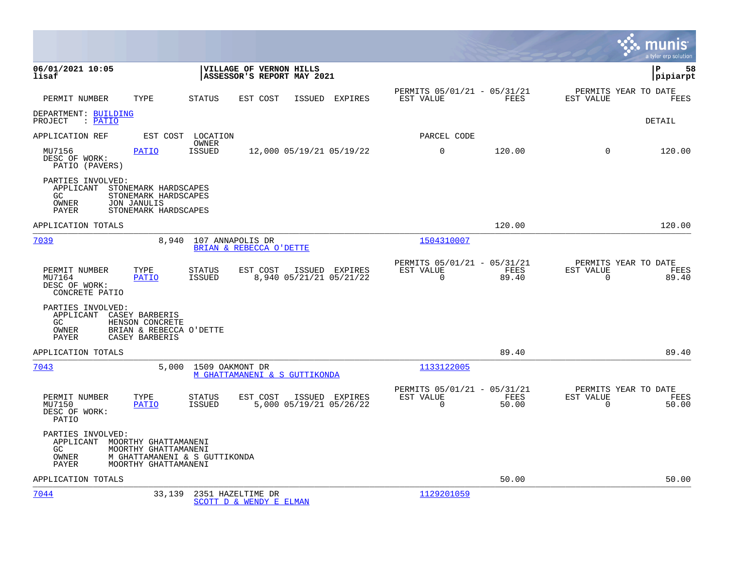|                                                                              |                                                                               |                                |                                                       |                          |                |                                                         |               |                                                  | munis<br>a tyler erp solution |
|------------------------------------------------------------------------------|-------------------------------------------------------------------------------|--------------------------------|-------------------------------------------------------|--------------------------|----------------|---------------------------------------------------------|---------------|--------------------------------------------------|-------------------------------|
| 06/01/2021 10:05<br>lisaf                                                    |                                                                               |                                | VILLAGE OF VERNON HILLS<br>ASSESSOR'S REPORT MAY 2021 |                          |                |                                                         |               |                                                  | lР<br>58<br> pipiarpt         |
| PERMIT NUMBER                                                                | TYPE                                                                          | STATUS                         | EST COST                                              |                          | ISSUED EXPIRES | PERMITS 05/01/21 - 05/31/21<br>EST VALUE                | FEES          | PERMITS YEAR TO DATE<br>EST VALUE                | FEES                          |
| DEPARTMENT: BUILDING<br>PROJECT<br>: PATIO                                   |                                                                               |                                |                                                       |                          |                |                                                         |               |                                                  | <b>DETAIL</b>                 |
| APPLICATION REF                                                              | EST COST                                                                      | LOCATION                       |                                                       |                          |                | PARCEL CODE                                             |               |                                                  |                               |
| MU7156<br>DESC OF WORK:<br>PATIO (PAVERS)                                    | PATIO                                                                         | OWNER<br><b>ISSUED</b>         |                                                       | 12,000 05/19/21 05/19/22 |                | 0                                                       | 120.00        | $\Omega$                                         | 120.00                        |
| PARTIES INVOLVED:<br>APPLICANT STONEMARK HARDSCAPES<br>GC<br>OWNER<br>PAYER  | STONEMARK HARDSCAPES<br><b>JON JANULIS</b><br>STONEMARK HARDSCAPES            |                                |                                                       |                          |                |                                                         |               |                                                  |                               |
| APPLICATION TOTALS                                                           |                                                                               |                                |                                                       |                          |                |                                                         | 120.00        |                                                  | 120.00                        |
| 7039                                                                         | 8,940                                                                         | 107 ANNAPOLIS DR               | BRIAN & REBECCA O'DETTE                               |                          |                | 1504310007                                              |               |                                                  |                               |
| PERMIT NUMBER<br>MU7164<br>DESC OF WORK:<br>CONCRETE PATIO                   | TYPE<br><b>PATIO</b>                                                          | STATUS<br>ISSUED               | EST COST                                              | 8,940 05/21/21 05/21/22  | ISSUED EXPIRES | PERMITS 05/01/21 - 05/31/21<br>EST VALUE<br>$\mathbf 0$ | FEES<br>89.40 | PERMITS YEAR TO DATE<br>EST VALUE<br>$\mathbf 0$ | FEES<br>89.40                 |
| PARTIES INVOLVED:<br>APPLICANT CASEY BARBERIS<br>GC<br><b>OWNER</b><br>PAYER | HENSON CONCRETE<br>BRIAN & REBECCA O'DETTE<br>CASEY BARBERIS                  |                                |                                                       |                          |                |                                                         |               |                                                  |                               |
| APPLICATION TOTALS                                                           |                                                                               |                                |                                                       |                          |                |                                                         | 89.40         |                                                  | 89.40                         |
| 7043                                                                         | 5,000                                                                         | 1509 OAKMONT DR                | M GHATTAMANENI & S GUTTIKONDA                         |                          |                | 1133122005                                              |               |                                                  |                               |
| PERMIT NUMBER<br>MU7150<br>DESC OF WORK:<br>PATIO                            | TYPE<br><b>PATIO</b>                                                          | <b>STATUS</b><br><b>ISSUED</b> | EST COST                                              | 5,000 05/19/21 05/26/22  | ISSUED EXPIRES | PERMITS 05/01/21 - 05/31/21<br>EST VALUE<br>$\Omega$    | FEES<br>50.00 | PERMITS YEAR TO DATE<br>EST VALUE<br>$\Omega$    | FEES<br>50.00                 |
| PARTIES INVOLVED:<br>APPLICANT MOORTHY GHATTAMANENI<br>GC.<br>OWNER<br>PAYER | MOORTHY GHATTAMANENI<br>M GHATTAMANENI & S GUTTIKONDA<br>MOORTHY GHATTAMANENI |                                |                                                       |                          |                |                                                         |               |                                                  |                               |
| APPLICATION TOTALS                                                           |                                                                               |                                |                                                       |                          |                |                                                         | 50.00         |                                                  | 50.00                         |
| 7044                                                                         | 33,139                                                                        |                                | 2351 HAZELTIME DR<br>SCOTT D & WENDY E ELMAN          |                          |                | 1129201059                                              |               |                                                  |                               |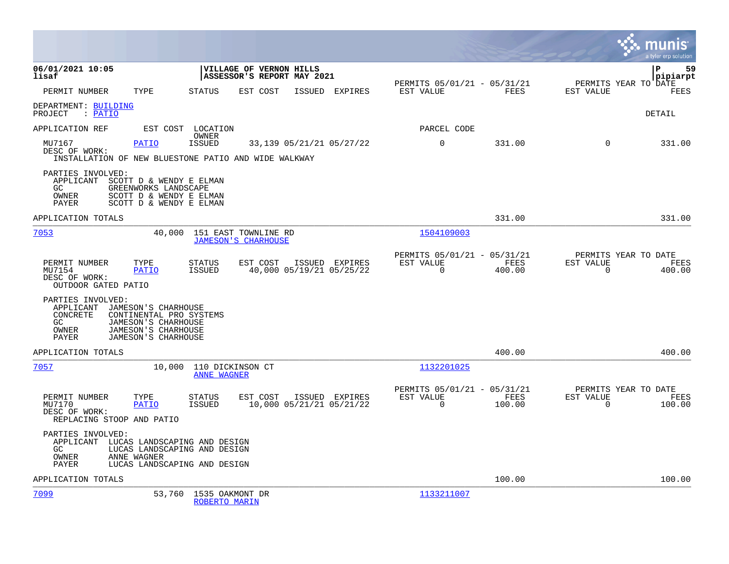|                                                                                                                                                                                            |                                                                                                   |                                                                        | munis<br>a tyler erp solution                                   |
|--------------------------------------------------------------------------------------------------------------------------------------------------------------------------------------------|---------------------------------------------------------------------------------------------------|------------------------------------------------------------------------|-----------------------------------------------------------------|
| 06/01/2021 10:05<br>lisaf                                                                                                                                                                  | VILLAGE OF VERNON HILLS<br>ASSESSOR'S REPORT MAY 2021                                             |                                                                        | lР<br>59<br> pipiarpt                                           |
| TYPE<br>PERMIT NUMBER                                                                                                                                                                      | <b>STATUS</b><br>EST COST<br>ISSUED<br>EXPIRES                                                    | PERMITS 05/01/21 - 05/31/21<br>FEES<br>EST VALUE                       | PERMITS YEAR TO DATE<br>EST VALUE<br>FEES                       |
| DEPARTMENT: BUILDING<br>: PATIO<br>PROJECT                                                                                                                                                 |                                                                                                   |                                                                        | DETAIL                                                          |
| APPLICATION REF<br>EST COST                                                                                                                                                                | LOCATION<br>OWNER                                                                                 | PARCEL CODE                                                            |                                                                 |
| MU7167<br><b>PATIO</b><br>DESC OF WORK:                                                                                                                                                    | <b>ISSUED</b><br>33,139 05/21/21 05/27/22<br>INSTALLATION OF NEW BLUESTONE PATIO AND WIDE WALKWAY | 0<br>331.00                                                            | $\Omega$<br>331.00                                              |
| PARTIES INVOLVED:<br>APPLICANT SCOTT D & WENDY E ELMAN<br>GC<br>GREENWORKS LANDSCAPE<br>OWNER<br>SCOTT D & WENDY E ELMAN<br>PAYER<br>SCOTT D & WENDY E ELMAN                               |                                                                                                   |                                                                        |                                                                 |
| APPLICATION TOTALS                                                                                                                                                                         |                                                                                                   | 331.00                                                                 | 331.00                                                          |
| 7053<br>40,000                                                                                                                                                                             | 151 EAST TOWNLINE RD<br><b>JAMESON'S CHARHOUSE</b>                                                | <u>1504109003</u>                                                      |                                                                 |
| PERMIT NUMBER<br>TYPE<br>MU7154<br><b>PATIO</b><br>DESC OF WORK:<br>OUTDOOR GATED PATIO                                                                                                    | STATUS<br>EST COST<br>ISSUED EXPIRES<br>40,000 05/19/21 05/25/22<br>ISSUED                        | PERMITS 05/01/21 - 05/31/21<br>EST VALUE<br>FEES<br>$\Omega$<br>400.00 | PERMITS YEAR TO DATE<br>EST VALUE<br>FEES<br>$\Omega$<br>400.00 |
| PARTIES INVOLVED:<br>APPLICANT<br>JAMESON'S CHARHOUSE<br>CONCRETE<br>CONTINENTAL PRO SYSTEMS<br>GC.<br>JAMESON'S CHARHOUSE<br>JAMESON'S CHARHOUSE<br>OWNER<br>JAMESON'S CHARHOUSE<br>PAYER |                                                                                                   |                                                                        |                                                                 |
| APPLICATION TOTALS                                                                                                                                                                         |                                                                                                   | 400.00                                                                 | 400.00                                                          |
| 7057<br>10,000                                                                                                                                                                             | 110 DICKINSON CT<br><b>ANNE WAGNER</b>                                                            | 1132201025                                                             |                                                                 |
| PERMIT NUMBER<br>TYPE<br>MU7170<br><b>PATIO</b><br>DESC OF WORK:<br>REPLACING STOOP AND PATIO                                                                                              | STATUS<br>EST COST<br>ISSUED EXPIRES<br><b>ISSUED</b><br>10,000 05/21/21 05/21/22                 | PERMITS 05/01/21 - 05/31/21<br>EST VALUE<br>FEES<br>$\Omega$<br>100.00 | PERMITS YEAR TO DATE<br>EST VALUE<br>FEES<br>$\Omega$<br>100.00 |
| PARTIES INVOLVED:<br>APPLICANT<br>GC.<br><b>OWNER</b><br>ANNE WAGNER<br>PAYER                                                                                                              | LUCAS LANDSCAPING AND DESIGN<br>LUCAS LANDSCAPING AND DESIGN<br>LUCAS LANDSCAPING AND DESIGN      |                                                                        |                                                                 |
| APPLICATION TOTALS                                                                                                                                                                         |                                                                                                   | 100.00                                                                 | 100.00                                                          |
| 7099<br>53,760                                                                                                                                                                             | 1535 OAKMONT DR<br>ROBERTO MARIN                                                                  | 1133211007                                                             |                                                                 |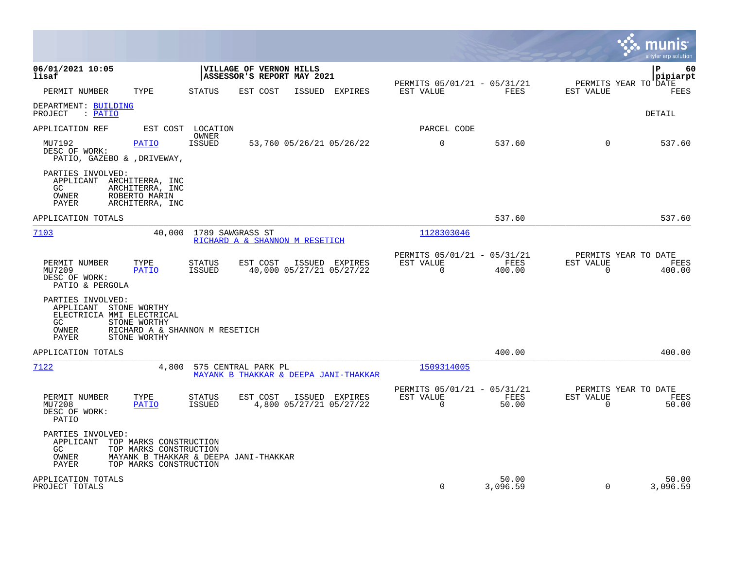|                                                                                                                                       |                                                                                          |                                                                        | munis<br>a tyler erp solution                                          |
|---------------------------------------------------------------------------------------------------------------------------------------|------------------------------------------------------------------------------------------|------------------------------------------------------------------------|------------------------------------------------------------------------|
| 06/01/2021 10:05<br>lisaf                                                                                                             | <b>VILLAGE OF VERNON HILLS</b><br>ASSESSOR'S REPORT MAY 2021                             | PERMITS 05/01/21 - 05/31/21                                            | l P<br>60<br> pipiarpt<br>PERMITS YEAR TO DATE                         |
| PERMIT NUMBER<br>TYPE                                                                                                                 | <b>STATUS</b><br>EST COST<br>ISSUED EXPIRES                                              | EST VALUE<br>FEES                                                      | EST VALUE<br>FEES                                                      |
| DEPARTMENT: BUILDING<br>PROJECT<br>$:$ PATIO                                                                                          |                                                                                          |                                                                        | DETAIL                                                                 |
| APPLICATION REF                                                                                                                       | EST COST LOCATION<br>OWNER                                                               | PARCEL CODE                                                            |                                                                        |
| MU7192<br><b>PATIO</b><br>DESC OF WORK:<br>PATIO, GAZEBO & , DRIVEWAY,                                                                | ISSUED<br>53,760 05/26/21 05/26/22                                                       | $\overline{0}$<br>537.60                                               | $\Omega$<br>537.60                                                     |
| PARTIES INVOLVED:<br>APPLICANT ARCHITERRA, INC<br>GC.<br>ARCHITERRA, INC<br>OWNER<br>ROBERTO MARIN<br>PAYER<br>ARCHITERRA, INC        |                                                                                          |                                                                        |                                                                        |
| APPLICATION TOTALS                                                                                                                    |                                                                                          | 537.60                                                                 | 537.60                                                                 |
| 7103<br>40,000                                                                                                                        | 1789 SAWGRASS ST<br>RICHARD A & SHANNON M RESETICH                                       | 1128303046                                                             |                                                                        |
| PERMIT NUMBER<br>TYPE<br>MU7209<br><b>PATIO</b><br>DESC OF WORK:<br>PATIO & PERGOLA                                                   | <b>STATUS</b><br>EST COST<br>ISSUED EXPIRES<br><b>ISSUED</b><br>40,000 05/27/21 05/27/22 | PERMITS 05/01/21 - 05/31/21<br>FEES<br>EST VALUE<br>$\Omega$<br>400.00 | PERMITS YEAR TO DATE<br><b>EST VALUE</b><br>FEES<br>$\Omega$<br>400.00 |
| PARTIES INVOLVED:<br>APPLICANT STONE WORTHY<br>ELECTRICIA MMI ELECTRICAL<br>STONE WORTHY<br>GC<br>OWNER<br>PAYER<br>STONE WORTHY      | RICHARD A & SHANNON M RESETICH                                                           |                                                                        |                                                                        |
| APPLICATION TOTALS                                                                                                                    |                                                                                          | 400.00                                                                 | 400.00                                                                 |
| 7122<br>4,800                                                                                                                         | 575 CENTRAL PARK PL<br>MAYANK B THAKKAR & DEEPA JANI-THAKKAR                             | 1509314005                                                             |                                                                        |
| PERMIT NUMBER<br>TYPE<br>MU7208<br><b>PATIO</b><br>DESC OF WORK:<br>PATIO                                                             | STATUS<br>EST COST<br>ISSUED EXPIRES<br>4,800 05/27/21 05/27/22<br>ISSUED                | PERMITS 05/01/21 - 05/31/21<br>EST VALUE<br>FEES<br>$\Omega$<br>50.00  | PERMITS YEAR TO DATE<br>EST VALUE<br>FEES<br>$\Omega$<br>50.00         |
| PARTIES INVOLVED:<br>APPLICANT<br>TOP MARKS CONSTRUCTION<br>TOP MARKS CONSTRUCTION<br>GC.<br>OWNER<br>TOP MARKS CONSTRUCTION<br>PAYER | MAYANK B THAKKAR & DEEPA JANI-THAKKAR                                                    |                                                                        |                                                                        |
| APPLICATION TOTALS<br>PROJECT TOTALS                                                                                                  |                                                                                          | 50.00<br>$\mathbf 0$<br>3,096.59                                       | 50.00<br>$\Omega$<br>3,096.59                                          |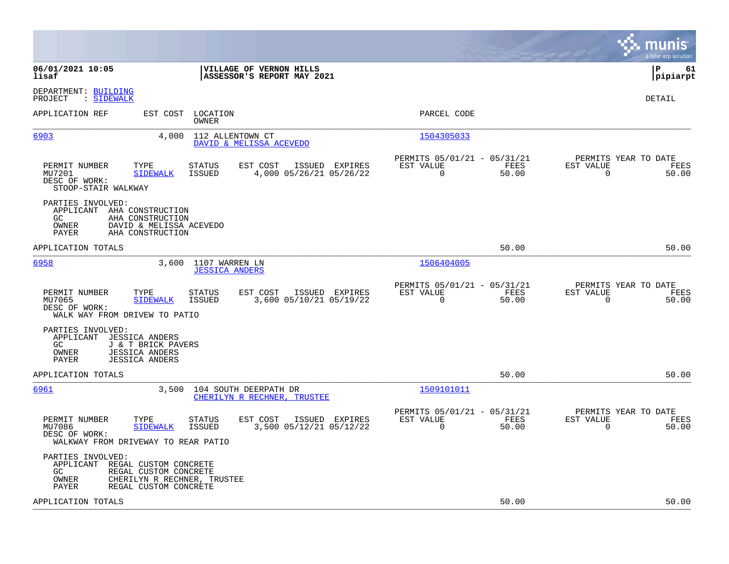|                                                                                                                                                                                                       |                                                                          | a tyler erp solution                                              |
|-------------------------------------------------------------------------------------------------------------------------------------------------------------------------------------------------------|--------------------------------------------------------------------------|-------------------------------------------------------------------|
| 06/01/2021 10:05<br>VILLAGE OF VERNON HILLS<br>ASSESSOR'S REPORT MAY 2021<br>lisaf                                                                                                                    |                                                                          | lР<br>61<br> pipiarpt                                             |
| DEPARTMENT: BUILDING<br>: SIDEWALK<br>PROJECT                                                                                                                                                         |                                                                          | DETAIL                                                            |
| APPLICATION REF<br>EST COST<br>LOCATION<br>OWNER                                                                                                                                                      | PARCEL CODE                                                              |                                                                   |
| 6903<br>4,000<br>112 ALLENTOWN CT<br>DAVID & MELISSA ACEVEDO                                                                                                                                          | 1504305033                                                               |                                                                   |
| PERMIT NUMBER<br>TYPE<br>EST COST<br>STATUS<br>ISSUED EXPIRES<br>MU7201<br><b>ISSUED</b><br>4,000 05/26/21 05/26/22<br><b>SIDEWALK</b><br>DESC OF WORK:<br>STOOP-STAIR WALKWAY                        | PERMITS 05/01/21 - 05/31/21<br>EST VALUE<br>FEES<br>$\mathbf 0$<br>50.00 | PERMITS YEAR TO DATE<br>EST VALUE<br>FEES<br>$\mathbf 0$<br>50.00 |
| PARTIES INVOLVED:<br>APPLICANT<br>AHA CONSTRUCTION<br>GC<br>AHA CONSTRUCTION<br>DAVID & MELISSA ACEVEDO<br>OWNER<br><b>PAYER</b><br>AHA CONSTRUCTION                                                  |                                                                          |                                                                   |
| APPLICATION TOTALS                                                                                                                                                                                    | 50.00                                                                    | 50.00                                                             |
| 6958<br>3,600<br>1107 WARREN LN<br><b>JESSICA ANDERS</b>                                                                                                                                              | 1506404005                                                               |                                                                   |
| PERMIT NUMBER<br>TYPE<br>STATUS<br>EST COST<br>ISSUED EXPIRES<br>MU7065<br>3,600 05/10/21 05/19/22<br><b>SIDEWALK</b><br>ISSUED<br>DESC OF WORK:<br>WALK WAY FROM DRIVEW TO PATIO                     | PERMITS 05/01/21 - 05/31/21<br>EST VALUE<br>FEES<br>$\mathbf 0$<br>50.00 | PERMITS YEAR TO DATE<br>EST VALUE<br>FEES<br>$\mathbf 0$<br>50.00 |
| PARTIES INVOLVED:<br>APPLICANT JESSICA ANDERS<br>GC.<br>J & T BRICK PAVERS<br><b>JESSICA ANDERS</b><br>OWNER<br><b>JESSICA ANDERS</b><br>PAYER                                                        |                                                                          |                                                                   |
| APPLICATION TOTALS                                                                                                                                                                                    | 50.00                                                                    | 50.00                                                             |
| 6961<br>3,500<br>104 SOUTH DEERPATH DR<br>CHERILYN R RECHNER, TRUSTEE                                                                                                                                 | 1509101011                                                               |                                                                   |
| PERMIT NUMBER<br>TYPE<br><b>STATUS</b><br>EST COST<br>ISSUED EXPIRES<br>3,500 05/12/21 05/12/22<br>MU7086<br><b>SIDEWALK</b><br><b>ISSUED</b><br>DESC OF WORK:<br>WALKWAY FROM DRIVEWAY TO REAR PATIO | PERMITS 05/01/21 - 05/31/21<br>EST VALUE<br>FEES<br>$\Omega$<br>50.00    | PERMITS YEAR TO DATE<br>EST VALUE<br>FEES<br>$\Omega$<br>50.00    |
| PARTIES INVOLVED:<br>APPLICANT REGAL CUSTOM CONCRETE<br>GC.<br>REGAL CUSTOM CONCRETE<br>CHERILYN R RECHNER, TRUSTEE<br>OWNER<br><b>PAYER</b><br>REGAL CUSTOM CONCRETE                                 |                                                                          |                                                                   |
| APPLICATION TOTALS                                                                                                                                                                                    | 50.00                                                                    | 50.00                                                             |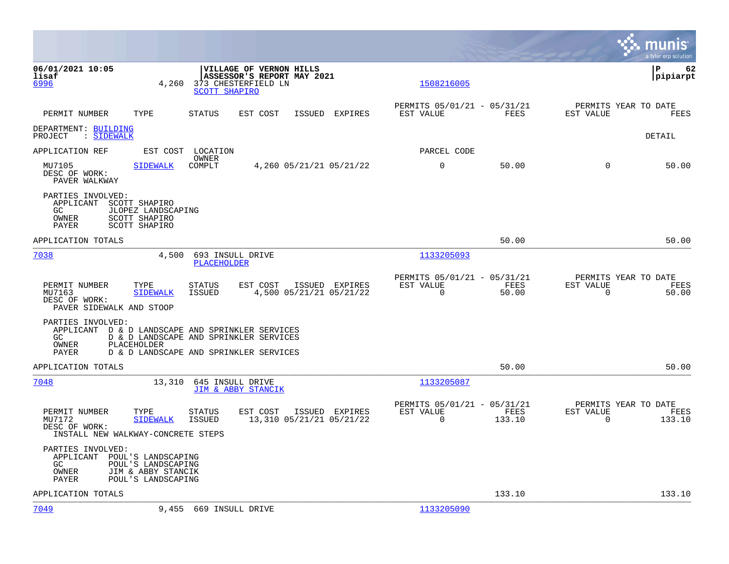|                                                                                                                                                |                                                                                                                                      |                                                                              | munis<br>a tyler erp solution                                      |
|------------------------------------------------------------------------------------------------------------------------------------------------|--------------------------------------------------------------------------------------------------------------------------------------|------------------------------------------------------------------------------|--------------------------------------------------------------------|
| 06/01/2021 10:05<br>lisaf<br>4,260<br>6996                                                                                                     | VILLAGE OF VERNON HILLS<br>ASSESSOR'S REPORT MAY 2021<br>373 CHESTERFIELD LN<br><b>SCOTT SHAPIRO</b>                                 | 1508216005                                                                   | l P<br>62<br> pipiarpt                                             |
| PERMIT NUMBER<br>TYPE                                                                                                                          | <b>STATUS</b><br>ISSUED EXPIRES<br>EST COST                                                                                          | PERMITS 05/01/21 - 05/31/21<br>FEES<br>EST VALUE                             | PERMITS YEAR TO DATE<br>EST VALUE<br>FEES                          |
| DEPARTMENT: BUILDING<br>: SIDEWALK<br>PROJECT                                                                                                  |                                                                                                                                      |                                                                              | DETAIL                                                             |
| APPLICATION REF                                                                                                                                | EST COST LOCATION                                                                                                                    | PARCEL CODE                                                                  |                                                                    |
| MU7105<br><b>SIDEWALK</b><br>DESC OF WORK:<br>PAVER WALKWAY                                                                                    | OWNER<br>COMPLT<br>4,260 05/21/21 05/21/22                                                                                           | $\mathbf 0$<br>50.00                                                         | $\Omega$<br>50.00                                                  |
| PARTIES INVOLVED:<br>APPLICANT SCOTT SHAPIRO<br>GC<br>JLOPEZ LANDSCAPING<br>OWNER<br>SCOTT SHAPIRO<br>SCOTT SHAPIRO<br>PAYER                   |                                                                                                                                      |                                                                              |                                                                    |
| APPLICATION TOTALS                                                                                                                             |                                                                                                                                      | 50.00                                                                        | 50.00                                                              |
| 7038<br>4,500                                                                                                                                  | 693 INSULL DRIVE<br><b>PLACEHOLDER</b>                                                                                               | 1133205093                                                                   |                                                                    |
| PERMIT NUMBER<br>TYPE<br>MU7163<br><b>SIDEWALK</b><br>DESC OF WORK:<br>PAVER SIDEWALK AND STOOP                                                | STATUS<br>EST COST<br>ISSUED EXPIRES<br><b>ISSUED</b><br>4,500 05/21/21 05/21/22                                                     | PERMITS 05/01/21 - 05/31/21<br>EST VALUE<br>FEES<br>$\mathbf 0$<br>50.00     | PERMITS YEAR TO DATE<br>EST VALUE<br>FEES<br>$\mathbf 0$<br>50.00  |
| PARTIES INVOLVED:<br>GC<br>PLACEHOLDER<br>OWNER<br>PAYER                                                                                       | APPLICANT D & D LANDSCAPE AND SPRINKLER SERVICES<br>D & D LANDSCAPE AND SPRINKLER SERVICES<br>D & D LANDSCAPE AND SPRINKLER SERVICES |                                                                              |                                                                    |
| APPLICATION TOTALS                                                                                                                             |                                                                                                                                      | 50.00                                                                        | 50.00                                                              |
| 7048<br>13,310                                                                                                                                 | 645 INSULL DRIVE<br>JIM & ABBY STANCIK                                                                                               | 1133205087                                                                   |                                                                    |
| PERMIT NUMBER<br>TYPE<br>MU7172<br><b>SIDEWALK</b><br>DESC OF WORK:<br>INSTALL NEW WALKWAY-CONCRETE STEPS                                      | <b>STATUS</b><br>EST COST<br>ISSUED EXPIRES<br><b>ISSUED</b><br>13,310 05/21/21 05/21/22                                             | PERMITS 05/01/21 - 05/31/21<br>EST VALUE<br>FEES<br>$\overline{0}$<br>133.10 | PERMITS YEAR TO DATE<br>EST VALUE<br>FEES<br>$\mathbf 0$<br>133.10 |
| PARTIES INVOLVED:<br>APPLICANT<br>POUL'S LANDSCAPING<br>POUL'S LANDSCAPING<br>GC<br>OWNER<br>JIM & ABBY STANCIK<br>POUL'S LANDSCAPING<br>PAYER |                                                                                                                                      |                                                                              |                                                                    |
| APPLICATION TOTALS                                                                                                                             |                                                                                                                                      | 133.10                                                                       | 133.10                                                             |
| 7049                                                                                                                                           | 9,455 669 INSULL DRIVE                                                                                                               | 1133205090                                                                   |                                                                    |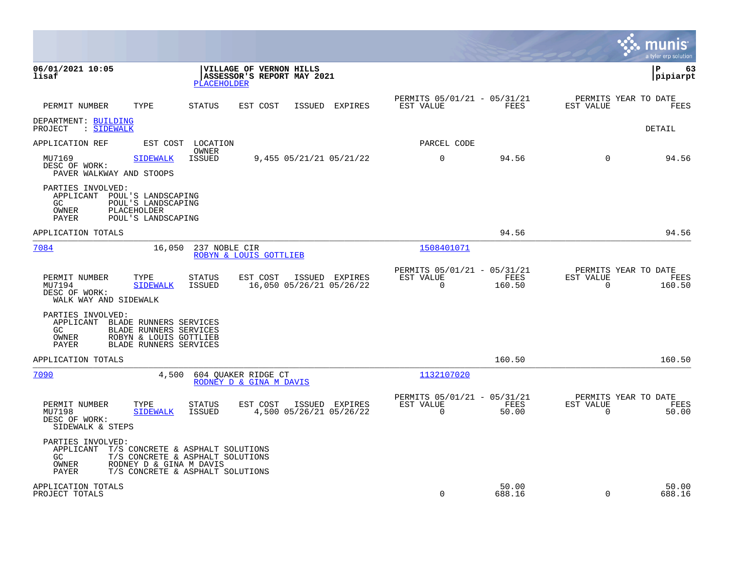|                                                                                                                                                                 |                                                                                                          |                                                       |                |                                                         |                 |                                                     | munis<br>a tyler erp solution |
|-----------------------------------------------------------------------------------------------------------------------------------------------------------------|----------------------------------------------------------------------------------------------------------|-------------------------------------------------------|----------------|---------------------------------------------------------|-----------------|-----------------------------------------------------|-------------------------------|
| 06/01/2021 10:05<br>lisaf                                                                                                                                       | <b>PLACEHOLDER</b>                                                                                       | VILLAGE OF VERNON HILLS<br>ASSESSOR'S REPORT MAY 2021 |                |                                                         |                 |                                                     | ∣P<br>63<br>pipiarpt          |
| TYPE<br>PERMIT NUMBER                                                                                                                                           | <b>STATUS</b>                                                                                            | EST COST                                              | ISSUED EXPIRES | PERMITS 05/01/21 - 05/31/21<br>EST VALUE                | FEES            | PERMITS YEAR TO DATE<br>EST VALUE                   | FEES                          |
| DEPARTMENT: BUILDING<br>PROJECT : SIDEWALK                                                                                                                      |                                                                                                          |                                                       |                |                                                         |                 |                                                     | DETAIL                        |
| APPLICATION REF                                                                                                                                                 | EST COST LOCATION                                                                                        |                                                       |                | PARCEL CODE                                             |                 |                                                     |                               |
| MU7169<br><b>SIDEWALK</b><br>DESC OF WORK:<br>PAVER WALKWAY AND STOOPS                                                                                          | OWNER<br>ISSUED                                                                                          | 9,455 05/21/21 05/21/22                               |                | $\mathbf 0$                                             | 94.56           | $\Omega$                                            | 94.56                         |
| PARTIES INVOLVED:<br>APPLICANT<br>POUL'S LANDSCAPING<br>POUL'S LANDSCAPING<br>GC.<br>OWNER<br>PLACEHOLDER<br>PAYER<br>POUL'S LANDSCAPING                        |                                                                                                          |                                                       |                |                                                         |                 |                                                     |                               |
| APPLICATION TOTALS                                                                                                                                              |                                                                                                          |                                                       |                |                                                         | 94.56           |                                                     | 94.56                         |
| 7084<br>16,050                                                                                                                                                  | 237 NOBLE CIR<br>ROBYN & LOUIS GOTTLIEB                                                                  |                                                       |                | 1508401071                                              |                 |                                                     |                               |
| PERMIT NUMBER<br>TYPE<br>MU7194<br><b>SIDEWALK</b><br>DESC OF WORK:<br>WALK WAY AND SIDEWALK                                                                    | STATUS<br>ISSUED                                                                                         | EST COST<br>16,050 05/26/21 05/26/22                  | ISSUED EXPIRES | PERMITS 05/01/21 - 05/31/21<br>EST VALUE<br>$\mathbf 0$ | FEES<br>160.50  | PERMITS YEAR TO DATE<br>EST VALUE<br>$\overline{0}$ | FEES<br>160.50                |
| PARTIES INVOLVED:<br>APPLICANT<br>BLADE RUNNERS SERVICES<br>GC.<br>BLADE RUNNERS SERVICES<br>OWNER<br>ROBYN & LOUIS GOTTLIEB<br>PAYER<br>BLADE RUNNERS SERVICES |                                                                                                          |                                                       |                |                                                         |                 |                                                     |                               |
| APPLICATION TOTALS                                                                                                                                              |                                                                                                          |                                                       |                |                                                         | 160.50          |                                                     | 160.50                        |
| 7090<br>4,500                                                                                                                                                   | 604 OUAKER RIDGE CT<br>RODNEY D & GINA M DAVIS                                                           |                                                       |                | 1132107020                                              |                 |                                                     |                               |
| PERMIT NUMBER<br>TYPE<br>MU7198<br><b>SIDEWALK</b><br>DESC OF WORK:<br>SIDEWALK & STEPS                                                                         | <b>STATUS</b><br><b>ISSUED</b>                                                                           | EST COST<br>4,500 05/26/21 05/26/22                   | ISSUED EXPIRES | PERMITS 05/01/21 - 05/31/21<br>EST VALUE<br>$\mathbf 0$ | FEES<br>50.00   | PERMITS YEAR TO DATE<br>EST VALUE<br>$\overline{0}$ | FEES<br>50.00                 |
| PARTIES INVOLVED:<br>APPLICANT<br>GC<br>OWNER<br>RODNEY D & GINA M DAVIS<br>PAYER                                                                               | T/S CONCRETE & ASPHALT SOLUTIONS<br>T/S CONCRETE & ASPHALT SOLUTIONS<br>T/S CONCRETE & ASPHALT SOLUTIONS |                                                       |                |                                                         |                 |                                                     |                               |
| APPLICATION TOTALS<br>PROJECT TOTALS                                                                                                                            |                                                                                                          |                                                       |                | $\Omega$                                                | 50.00<br>688.16 | $\Omega$                                            | 50.00<br>688.16               |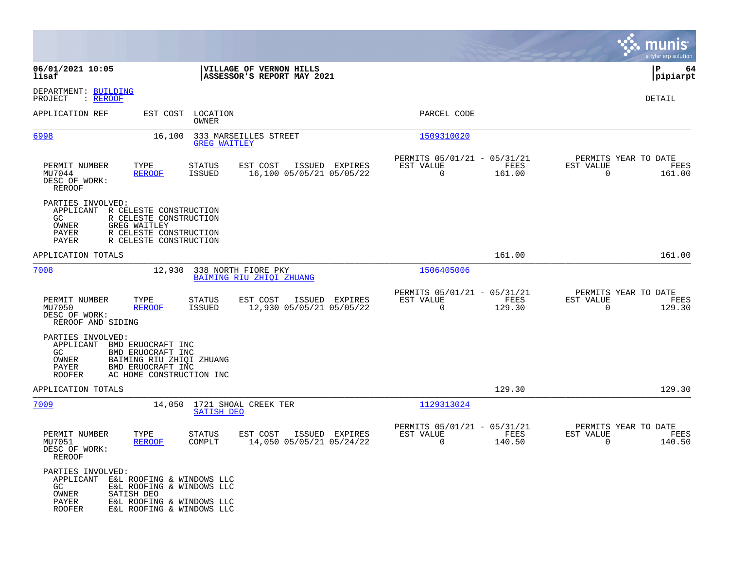|                                                                                                                                                                                                         |                                                                                   |                                                                              | munis<br>a tyler erp solution                                   |
|---------------------------------------------------------------------------------------------------------------------------------------------------------------------------------------------------------|-----------------------------------------------------------------------------------|------------------------------------------------------------------------------|-----------------------------------------------------------------|
| 06/01/2021 10:05<br>lisaf                                                                                                                                                                               | VILLAGE OF VERNON HILLS<br>ASSESSOR'S REPORT MAY 2021                             |                                                                              | 64<br>IΡ<br> pipiarpt                                           |
| DEPARTMENT: BUILDING<br>PROJECT<br>: REROOF                                                                                                                                                             |                                                                                   |                                                                              | DETAIL                                                          |
| APPLICATION REF                                                                                                                                                                                         | EST COST LOCATION<br>OWNER                                                        | PARCEL CODE                                                                  |                                                                 |
| 6998<br>16,100                                                                                                                                                                                          | 333 MARSEILLES STREET<br><b>GREG WAITLEY</b>                                      | 1509310020                                                                   |                                                                 |
| PERMIT NUMBER<br>TYPE<br>MU7044<br><b>REROOF</b><br>DESC OF WORK:<br>REROOF                                                                                                                             | ISSUED EXPIRES<br>STATUS<br>EST COST<br><b>ISSUED</b><br>16,100 05/05/21 05/05/22 | PERMITS 05/01/21 - 05/31/21<br>FEES<br>EST VALUE<br>$\overline{0}$<br>161.00 | PERMITS YEAR TO DATE<br>EST VALUE<br>FEES<br>$\Omega$<br>161.00 |
| PARTIES INVOLVED:<br>APPLICANT R CELESTE CONSTRUCTION<br>R CELESTE CONSTRUCTION<br>GC.<br><b>GREG WAITLEY</b><br>OWNER<br>PAYER<br>R CELESTE CONSTRUCTION<br>PAYER<br>R CELESTE CONSTRUCTION            |                                                                                   |                                                                              |                                                                 |
| APPLICATION TOTALS                                                                                                                                                                                      |                                                                                   | 161.00                                                                       | 161.00                                                          |
| 7008<br>12,930                                                                                                                                                                                          | 338 NORTH FIORE PKY<br>BAIMING RIU ZHIOI ZHUANG                                   | 1506405006                                                                   |                                                                 |
| PERMIT NUMBER<br>TYPE<br>MU7050<br><b>REROOF</b><br>DESC OF WORK:<br>REROOF AND SIDING                                                                                                                  | STATUS<br>EST COST<br>ISSUED EXPIRES<br>12,930 05/05/21 05/05/22<br>ISSUED        | PERMITS 05/01/21 - 05/31/21<br>EST VALUE<br>FEES<br>$\Omega$<br>129.30       | PERMITS YEAR TO DATE<br>EST VALUE<br>FEES<br>$\Omega$<br>129.30 |
| PARTIES INVOLVED:<br>APPLICANT<br>BMD ERUOCRAFT INC<br>BMD ERUOCRAFT INC<br>GC.<br>OWNER<br>BAIMING RIU ZHIQI ZHUANG<br>PAYER<br>BMD ERUOCRAFT INC<br><b>ROOFER</b><br>AC HOME CONSTRUCTION INC         |                                                                                   |                                                                              |                                                                 |
| APPLICATION TOTALS                                                                                                                                                                                      |                                                                                   | 129.30                                                                       | 129.30                                                          |
| 7009                                                                                                                                                                                                    | 14,050 1721 SHOAL CREEK TER<br><b>SATISH DEO</b>                                  | 1129313024                                                                   |                                                                 |
| PERMIT NUMBER<br>TYPE<br>MU7051<br><b>REROOF</b><br>DESC OF WORK:<br>REROOF                                                                                                                             | STATUS<br>EST COST<br>ISSUED EXPIRES<br>14,050 05/05/21 05/24/22<br>COMPLT        | PERMITS 05/01/21 - 05/31/21<br>EST VALUE<br><b>FEES</b><br>140.50<br>0       | PERMITS YEAR TO DATE<br>EST VALUE<br>FEES<br>140.50<br>0        |
| PARTIES INVOLVED:<br>APPLICANT E&L ROOFING & WINDOWS LLC<br>GC.<br>E&L ROOFING & WINDOWS LLC<br>OWNER<br>SATISH DEO<br>PAYER<br>E&L ROOFING & WINDOWS LLC<br><b>ROOFER</b><br>E&L ROOFING & WINDOWS LLC |                                                                                   |                                                                              |                                                                 |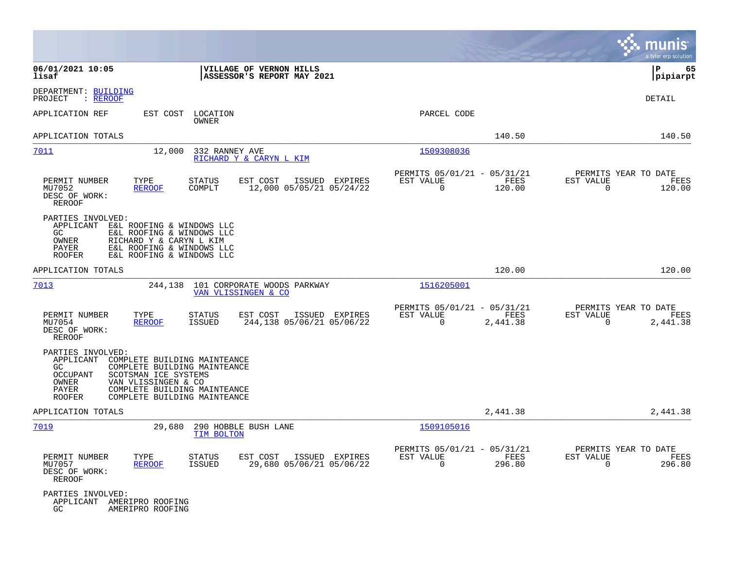|                                                                                                                                                                                                                                                                    |                                                                             | munis<br>a tyler erp solution                                        |
|--------------------------------------------------------------------------------------------------------------------------------------------------------------------------------------------------------------------------------------------------------------------|-----------------------------------------------------------------------------|----------------------------------------------------------------------|
| 06/01/2021 10:05<br>VILLAGE OF VERNON HILLS<br>lisaf<br>ASSESSOR'S REPORT MAY 2021                                                                                                                                                                                 |                                                                             | P<br>65<br> pipiarpt                                                 |
| DEPARTMENT: BUILDING<br>PROJECT<br>: REROOF                                                                                                                                                                                                                        |                                                                             | <b>DETAIL</b>                                                        |
| APPLICATION REF<br>EST COST<br>LOCATION<br>OWNER                                                                                                                                                                                                                   | PARCEL CODE                                                                 |                                                                      |
| APPLICATION TOTALS                                                                                                                                                                                                                                                 | 140.50                                                                      | 140.50                                                               |
| 7011<br>12,000<br>332 RANNEY AVE<br>RICHARD Y & CARYN L KIM                                                                                                                                                                                                        | 1509308036                                                                  |                                                                      |
| PERMIT NUMBER<br>TYPE<br>STATUS<br>EST COST<br>ISSUED EXPIRES<br><b>REROOF</b><br>COMPLT<br>12,000 05/05/21 05/24/22<br>MU7052<br>DESC OF WORK:<br><b>REROOF</b>                                                                                                   | PERMITS 05/01/21 - 05/31/21<br>FEES<br>EST VALUE<br>$\Omega$<br>120.00      | PERMITS YEAR TO DATE<br>EST VALUE<br>FEES<br>$\Omega$<br>120.00      |
| PARTIES INVOLVED:<br>APPLICANT E&L ROOFING & WINDOWS LLC<br>GC<br>E&L ROOFING & WINDOWS LLC<br>OWNER<br>RICHARD Y & CARYN L KIM<br>E&L ROOFING & WINDOWS LLC<br>PAYER<br>E&L ROOFING & WINDOWS LLC<br><b>ROOFER</b>                                                |                                                                             |                                                                      |
| APPLICATION TOTALS                                                                                                                                                                                                                                                 | 120.00                                                                      | 120.00                                                               |
| 7013<br>244,138<br>101 CORPORATE WOODS PARKWAY<br>VAN VLISSINGEN & CO                                                                                                                                                                                              | 1516205001                                                                  |                                                                      |
| TYPE<br>PERMIT NUMBER<br>STATUS<br>EST COST<br>ISSUED EXPIRES<br>244,138 05/06/21 05/06/22<br>MU7054<br><b>REROOF</b><br><b>ISSUED</b><br>DESC OF WORK:<br><b>REROOF</b>                                                                                           | PERMITS 05/01/21 - 05/31/21<br>EST VALUE<br>FEES<br>$\mathbf 0$<br>2,441.38 | PERMITS YEAR TO DATE<br>EST VALUE<br>FEES<br>$\mathbf 0$<br>2,441.38 |
| PARTIES INVOLVED:<br>APPLICANT<br>COMPLETE BUILDING MAINTEANCE<br>GC<br>COMPLETE BUILDING MAINTEANCE<br>OCCUPANT<br>SCOTSMAN ICE SYSTEMS<br>VAN VLISSINGEN & CO<br>OWNER<br>COMPLETE BUILDING MAINTEANCE<br>PAYER<br><b>ROOFER</b><br>COMPLETE BUILDING MAINTEANCE |                                                                             |                                                                      |
| APPLICATION TOTALS                                                                                                                                                                                                                                                 | 2,441.38                                                                    | 2,441.38                                                             |
| 7019<br>29,680<br>290 HOBBLE BUSH LANE<br>TIM BOLTON                                                                                                                                                                                                               | 1509105016                                                                  |                                                                      |
| PERMIT NUMBER<br>TYPE<br>STATUS<br>EST COST<br>ISSUED EXPIRES<br>MU7057<br><b>REROOF</b><br>ISSUED<br>29,680 05/06/21 05/06/22<br>DESC OF WORK:<br>REROOF                                                                                                          | PERMITS 05/01/21 - 05/31/21<br>EST VALUE<br>FEES<br>0<br>296.80             | PERMITS YEAR TO DATE<br>EST VALUE<br>FEES<br>0<br>296.80             |
| PARTIES INVOLVED:<br>APPLICANT AMERIPRO ROOFING<br>GC.<br>AMERIPRO ROOFING                                                                                                                                                                                         |                                                                             |                                                                      |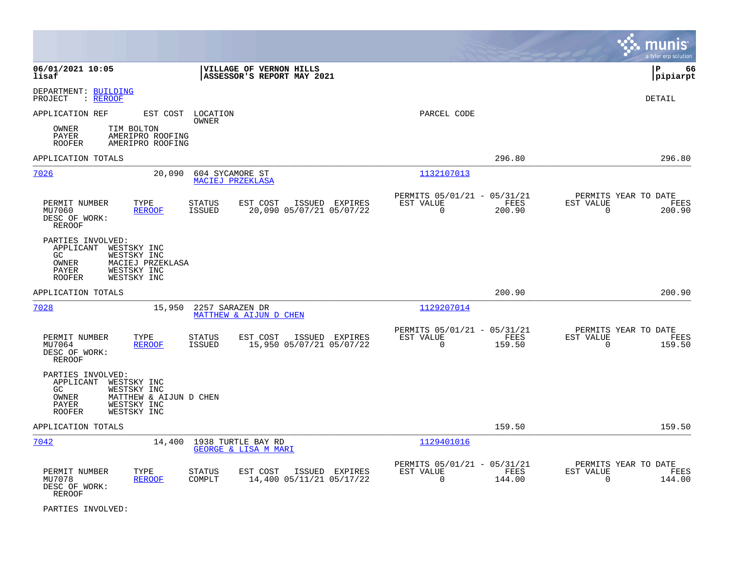|                                                                                                                                                               |                                                                                          |                                                                           | munis<br>a tyler erp solution                                       |
|---------------------------------------------------------------------------------------------------------------------------------------------------------------|------------------------------------------------------------------------------------------|---------------------------------------------------------------------------|---------------------------------------------------------------------|
| 06/01/2021 10:05<br>lisaf                                                                                                                                     | VILLAGE OF VERNON HILLS<br>ASSESSOR'S REPORT MAY 2021                                    |                                                                           | l P<br>66<br> pipiarpt                                              |
| DEPARTMENT: BUILDING<br>PROJECT<br>: REROOF                                                                                                                   |                                                                                          |                                                                           | <b>DETAIL</b>                                                       |
| APPLICATION REF                                                                                                                                               | EST COST LOCATION<br>OWNER                                                               | PARCEL CODE                                                               |                                                                     |
| OWNER<br>TIM BOLTON<br>PAYER<br>AMERIPRO ROOFING<br><b>ROOFER</b><br>AMERIPRO ROOFING                                                                         |                                                                                          |                                                                           |                                                                     |
| APPLICATION TOTALS                                                                                                                                            |                                                                                          | 296.80                                                                    | 296.80                                                              |
| 7026<br>20,090                                                                                                                                                | 604 SYCAMORE ST<br>MACIEJ PRZEKLASA                                                      | 1132107013                                                                |                                                                     |
| PERMIT NUMBER<br>TYPE<br><b>REROOF</b><br>MU7060<br>DESC OF WORK:<br><b>REROOF</b>                                                                            | <b>STATUS</b><br>EST COST<br>ISSUED EXPIRES<br><b>ISSUED</b><br>20,090 05/07/21 05/07/22 | PERMITS 05/01/21 - 05/31/21<br>FEES<br>EST VALUE<br>$\mathbf 0$<br>200.90 | PERMITS YEAR TO DATE<br>EST VALUE<br>FEES<br>$\mathsf{O}$<br>200.90 |
| PARTIES INVOLVED:<br>WESTSKY INC<br>APPLICANT<br>WESTSKY INC<br>GC<br>MACIEJ PRZEKLASA<br>OWNER<br>WESTSKY INC<br>PAYER<br>WESTSKY INC<br><b>ROOFER</b>       |                                                                                          |                                                                           |                                                                     |
| APPLICATION TOTALS                                                                                                                                            |                                                                                          | 200.90                                                                    | 200.90                                                              |
| 7028<br>15,950                                                                                                                                                | 2257 SARAZEN DR<br>MATTHEW & AIJUN D CHEN                                                | 1129207014                                                                |                                                                     |
| PERMIT NUMBER<br>TYPE<br>MU7064<br><b>REROOF</b><br>DESC OF WORK:<br>REROOF                                                                                   | <b>STATUS</b><br>EST COST<br>ISSUED EXPIRES<br>15,950 05/07/21 05/07/22<br>ISSUED        | PERMITS 05/01/21 - 05/31/21<br>EST VALUE<br>FEES<br>$\mathbf 0$<br>159.50 | PERMITS YEAR TO DATE<br>EST VALUE<br>FEES<br>$\mathbf 0$<br>159.50  |
| PARTIES INVOLVED:<br>APPLICANT<br>WESTSKY INC<br>WESTSKY INC<br>GC<br>OWNER<br>MATTHEW & AIJUN D CHEN<br>WESTSKY INC<br>PAYER<br><b>ROOFER</b><br>WESTSKY INC |                                                                                          |                                                                           |                                                                     |
| APPLICATION TOTALS                                                                                                                                            |                                                                                          | 159.50                                                                    | 159.50                                                              |
| 7042                                                                                                                                                          | 14,400 1938 TURTLE BAY RD<br><b>GEORGE &amp; LISA M MARI</b>                             | 1129401016                                                                |                                                                     |
| PERMIT NUMBER<br>TYPE<br><b>REROOF</b><br>MU7078<br>DESC OF WORK:<br><b>REROOF</b>                                                                            | <b>STATUS</b><br>EST COST<br>ISSUED EXPIRES<br>14,400 05/11/21 05/17/22<br>COMPLT        | PERMITS 05/01/21 - 05/31/21<br>EST VALUE<br>FEES<br>$\Omega$<br>144.00    | PERMITS YEAR TO DATE<br>EST VALUE<br>FEES<br>$\Omega$<br>144.00     |

PARTIES INVOLVED: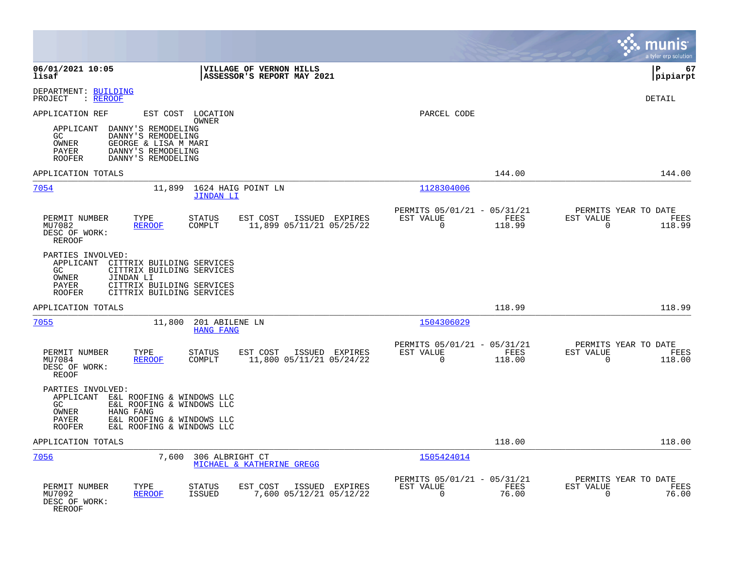|                                                                                                                                                                                                          |                                                                              | munis<br>a tyler erp solution                                          |
|----------------------------------------------------------------------------------------------------------------------------------------------------------------------------------------------------------|------------------------------------------------------------------------------|------------------------------------------------------------------------|
| 06/01/2021 10:05<br>VILLAGE OF VERNON HILLS<br>lisaf<br>ASSESSOR'S REPORT MAY 2021                                                                                                                       |                                                                              | l P<br>67<br> pipiarpt                                                 |
| DEPARTMENT: BUILDING<br>PROJECT<br>: REROOF                                                                                                                                                              |                                                                              | <b>DETAIL</b>                                                          |
| APPLICATION REF<br>EST COST LOCATION<br>OWNER                                                                                                                                                            | PARCEL CODE                                                                  |                                                                        |
| DANNY'S REMODELING<br>APPLICANT<br>DANNY'S REMODELING<br>GC<br>OWNER<br>GEORGE & LISA M MARI<br>DANNY'S REMODELING<br>PAYER<br><b>ROOFER</b><br>DANNY'S REMODELING                                       |                                                                              |                                                                        |
| APPLICATION TOTALS                                                                                                                                                                                       | 144.00                                                                       | 144.00                                                                 |
| 7054<br>11,899<br>1624 HAIG POINT LN<br><b>JINDAN LI</b>                                                                                                                                                 | 1128304006                                                                   |                                                                        |
| PERMIT NUMBER<br>TYPE<br><b>STATUS</b><br>EST COST<br>ISSUED EXPIRES<br>MU7082<br><b>REROOF</b><br>COMPLT<br>11,899 05/11/21 05/25/22<br>DESC OF WORK:<br><b>REROOF</b>                                  | PERMITS 05/01/21 - 05/31/21<br>FEES<br>EST VALUE<br>$\Omega$<br>118.99       | PERMITS YEAR TO DATE<br><b>EST VALUE</b><br>FEES<br>$\Omega$<br>118.99 |
| PARTIES INVOLVED:<br>APPLICANT<br>CITTRIX BUILDING SERVICES<br>CITTRIX BUILDING SERVICES<br>GC<br>OWNER<br>JINDAN LI<br>PAYER<br>CITTRIX BUILDING SERVICES<br>CITTRIX BUILDING SERVICES<br><b>ROOFER</b> |                                                                              |                                                                        |
| APPLICATION TOTALS                                                                                                                                                                                       | 118.99                                                                       | 118.99                                                                 |
| 7055<br>11,800<br>201 ABILENE LN<br><b>HANG FANG</b>                                                                                                                                                     | 1504306029                                                                   |                                                                        |
| PERMIT NUMBER<br>TYPE<br><b>STATUS</b><br>EST COST<br>ISSUED EXPIRES<br>MU7084<br><b>REROOF</b><br>COMPLT<br>11,800 05/11/21 05/24/22<br>DESC OF WORK:<br><b>REOOF</b>                                   | PERMITS 05/01/21 - 05/31/21<br>EST VALUE<br>FEES<br>$\overline{0}$<br>118.00 | PERMITS YEAR TO DATE<br>EST VALUE<br>FEES<br>$\Omega$<br>118.00        |
| PARTIES INVOLVED:<br>APPLICANT E&L ROOFING & WINDOWS LLC<br>GC.<br>E&L ROOFING & WINDOWS LLC<br>OWNER<br>HANG FANG<br>PAYER<br>E&L ROOFING & WINDOWS LLC<br>E&L ROOFING & WINDOWS LLC<br><b>ROOFER</b>   |                                                                              |                                                                        |
| APPLICATION TOTALS                                                                                                                                                                                       | 118.00                                                                       | 118.00                                                                 |
| 7056<br>7,600<br>306 ALBRIGHT CT<br>MICHAEL & KATHERINE GREGG                                                                                                                                            | 1505424014                                                                   |                                                                        |
| PERMIT NUMBER<br>TYPE<br><b>STATUS</b><br>EST COST<br>ISSUED EXPIRES<br>MU7092<br>7,600 05/12/21 05/12/22<br><b>REROOF</b><br>ISSUED<br>DESC OF WORK:<br>REROOF                                          | PERMITS 05/01/21 - 05/31/21<br>EST VALUE<br>FEES<br>$\mathbf 0$<br>76.00     | PERMITS YEAR TO DATE<br>EST VALUE<br>FEES<br>$\mathbf 0$<br>76.00      |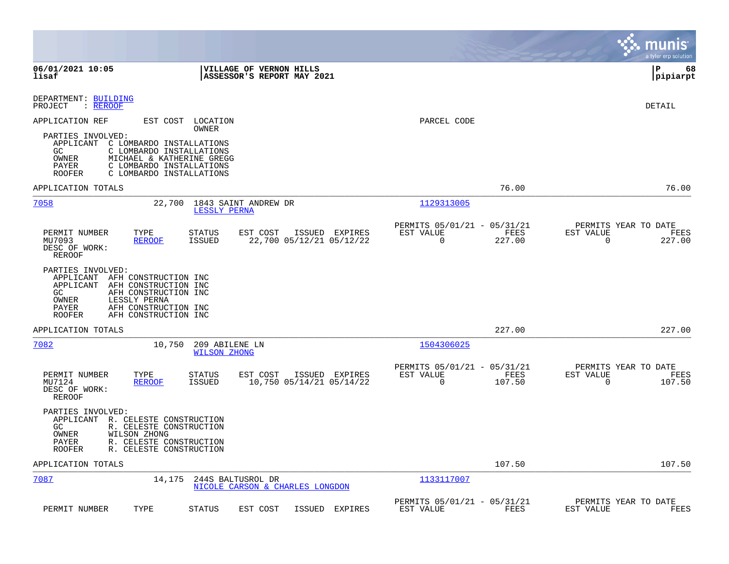|                                                                                                                                                                                                                               |                                                                           | munis<br>a tyler erp solution                                      |
|-------------------------------------------------------------------------------------------------------------------------------------------------------------------------------------------------------------------------------|---------------------------------------------------------------------------|--------------------------------------------------------------------|
| 06/01/2021 10:05<br>VILLAGE OF VERNON HILLS<br>ASSESSOR'S REPORT MAY 2021<br>lisaf                                                                                                                                            |                                                                           | l P<br>68<br> pipiarpt                                             |
| DEPARTMENT: BUILDING<br>PROJECT<br>: REROOF                                                                                                                                                                                   |                                                                           | DETAIL                                                             |
| APPLICATION REF<br>EST COST<br>LOCATION<br>OWNER                                                                                                                                                                              | PARCEL CODE                                                               |                                                                    |
| PARTIES INVOLVED:<br>APPLICANT C LOMBARDO INSTALLATIONS<br>GC.<br>C LOMBARDO INSTALLATIONS<br>OWNER<br>MICHAEL & KATHERINE GREGG<br>PAYER<br>C LOMBARDO INSTALLATIONS<br><b>ROOFER</b><br>C LOMBARDO INSTALLATIONS            |                                                                           |                                                                    |
| APPLICATION TOTALS                                                                                                                                                                                                            | 76.00                                                                     | 76.00                                                              |
| 7058<br>22,700<br>1843 SAINT ANDREW DR<br>LESSLY PERNA                                                                                                                                                                        | 1129313005                                                                |                                                                    |
| PERMIT NUMBER<br><b>STATUS</b><br>EST COST<br>ISSUED EXPIRES<br>TYPE<br><b>ISSUED</b><br>22,700 05/12/21 05/12/22<br>MU7093<br><b>REROOF</b><br>DESC OF WORK:<br>REROOF                                                       | PERMITS 05/01/21 - 05/31/21<br>EST VALUE<br>FEES<br>$\mathbf 0$<br>227.00 | PERMITS YEAR TO DATE<br>EST VALUE<br>FEES<br>$\mathbf 0$<br>227.00 |
| PARTIES INVOLVED:<br>APPLICANT<br>AFH CONSTRUCTION INC<br>APPLICANT<br>AFH CONSTRUCTION INC<br>GC.<br>AFH CONSTRUCTION INC<br>OWNER<br>LESSLY PERNA<br>AFH CONSTRUCTION INC<br>PAYER<br><b>ROOFER</b><br>AFH CONSTRUCTION INC |                                                                           |                                                                    |
| APPLICATION TOTALS                                                                                                                                                                                                            | 227.00                                                                    | 227.00                                                             |
| 7082<br>10,750<br>209 ABILENE LN<br><b>WILSON ZHONG</b>                                                                                                                                                                       | 1504306025                                                                |                                                                    |
| PERMIT NUMBER<br>EST COST<br>ISSUED EXPIRES<br>TYPE<br>STATUS<br><b>ISSUED</b><br>10,750 05/14/21 05/14/22<br>MU7124<br><b>REROOF</b><br>DESC OF WORK:<br>REROOF                                                              | PERMITS 05/01/21 - 05/31/21<br>EST VALUE<br>FEES<br>$\mathbf 0$<br>107.50 | PERMITS YEAR TO DATE<br>EST VALUE<br>FEES<br>$\mathbf 0$<br>107.50 |
| PARTIES INVOLVED:<br>APPLICANT R. CELESTE CONSTRUCTION<br>GC.<br>R. CELESTE CONSTRUCTION<br>OWNER<br>WILSON ZHONG<br>R. CELESTE CONSTRUCTION<br>PAYER<br>R. CELESTE CONSTRUCTION<br><b>ROOFER</b>                             |                                                                           |                                                                    |
| APPLICATION TOTALS                                                                                                                                                                                                            | 107.50                                                                    | 107.50                                                             |
| 7087<br>14,175<br>244S BALTUSROL DR<br>NICOLE CARSON & CHARLES LONGDON                                                                                                                                                        | <u>1133117007</u>                                                         |                                                                    |
| PERMIT NUMBER<br>TYPE<br><b>STATUS</b><br>EST COST<br>ISSUED<br>EXPIRES                                                                                                                                                       | PERMITS 05/01/21 - 05/31/21<br>EST VALUE<br>FEES                          | PERMITS YEAR TO DATE<br>EST VALUE<br>FEES                          |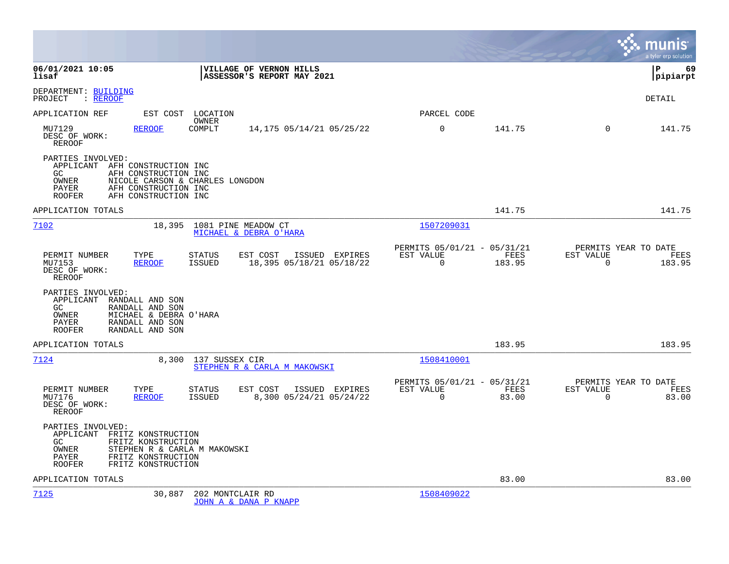|                                                                                                                                                                                                          |                                                                                         |                                                      |                |                                                  | munis<br>a tyler erp solution |
|----------------------------------------------------------------------------------------------------------------------------------------------------------------------------------------------------------|-----------------------------------------------------------------------------------------|------------------------------------------------------|----------------|--------------------------------------------------|-------------------------------|
| 06/01/2021 10:05<br>lisaf                                                                                                                                                                                | VILLAGE OF VERNON HILLS<br>ASSESSOR'S REPORT MAY 2021                                   |                                                      |                |                                                  | 69<br>lР<br> pipiarpt         |
| DEPARTMENT: BUILDING<br>PROJECT<br>: <u>REROOF</u>                                                                                                                                                       |                                                                                         |                                                      |                |                                                  | <b>DETAIL</b>                 |
| APPLICATION REF<br>EST COST LOCATION                                                                                                                                                                     | OWNER                                                                                   | PARCEL CODE                                          |                |                                                  |                               |
| MU7129<br>REROOF<br>DESC OF WORK:<br>REROOF                                                                                                                                                              | COMPLT<br>14,175 05/14/21 05/25/22                                                      | $\mathsf{O}$                                         | 141.75         | $\mathbf 0$                                      | 141.75                        |
| PARTIES INVOLVED:<br>APPLICANT AFH CONSTRUCTION INC<br>GC.<br>AFH CONSTRUCTION INC<br>OWNER<br>NICOLE CARSON & CHARLES LONGDON<br>PAYER<br>AFH CONSTRUCTION INC<br><b>ROOFER</b><br>AFH CONSTRUCTION INC |                                                                                         |                                                      |                |                                                  |                               |
| APPLICATION TOTALS                                                                                                                                                                                       |                                                                                         |                                                      | 141.75         |                                                  | 141.75                        |
| 7102                                                                                                                                                                                                     | 18,395 1081 PINE MEADOW CT<br>MICHAEL & DEBRA O'HARA                                    | 1507209031                                           |                |                                                  |                               |
| PERMIT NUMBER<br>TYPE<br>MU7153<br><b>REROOF</b><br>DESC OF WORK:<br><b>REROOF</b>                                                                                                                       | <b>STATUS</b><br>EST COST<br>ISSUED EXPIRES<br>ISSUED<br>18,395 05/18/21 05/18/22       | PERMITS 05/01/21 - 05/31/21<br>EST VALUE<br>0        | FEES<br>183.95 | PERMITS YEAR TO DATE<br>EST VALUE<br>$\mathbf 0$ | FEES<br>183.95                |
| PARTIES INVOLVED:<br>APPLICANT<br>RANDALL AND SON<br>RANDALL AND SON<br>GC<br>OWNER<br>MICHAEL & DEBRA O'HARA<br>PAYER<br>RANDALL AND SON<br>RANDALL AND SON<br>ROOFER                                   |                                                                                         |                                                      |                |                                                  |                               |
| APPLICATION TOTALS                                                                                                                                                                                       |                                                                                         |                                                      | 183.95         |                                                  | 183.95                        |
| 7124<br>8,300                                                                                                                                                                                            | 137 SUSSEX CIR<br>STEPHEN R & CARLA M MAKOWSKI                                          | 1508410001                                           |                |                                                  |                               |
| PERMIT NUMBER<br>TYPE<br>MU7176<br><b>REROOF</b><br>DESC OF WORK:<br><b>REROOF</b>                                                                                                                       | <b>STATUS</b><br>EST COST<br>ISSUED EXPIRES<br><b>ISSUED</b><br>8,300 05/24/21 05/24/22 | PERMITS 05/01/21 - 05/31/21<br>EST VALUE<br>$\Omega$ | FEES<br>83.00  | PERMITS YEAR TO DATE<br>EST VALUE<br>$\Omega$    | FEES<br>83.00                 |
| PARTIES INVOLVED:<br>APPLICANT FRITZ KONSTRUCTION<br>GC.<br>FRITZ KONSTRUCTION<br>OWNER<br>STEPHEN R & CARLA M MAKOWSKI<br>FRITZ KONSTRUCTION<br><b>PAYER</b><br><b>ROOFER</b><br>FRITZ KONSTRUCTION     |                                                                                         |                                                      |                |                                                  |                               |
| APPLICATION TOTALS                                                                                                                                                                                       |                                                                                         |                                                      | 83.00          |                                                  | 83.00                         |
| 7125<br>30,887                                                                                                                                                                                           | 202 MONTCLAIR RD<br>JOHN A & DANA P KNAPP                                               | 1508409022                                           |                |                                                  |                               |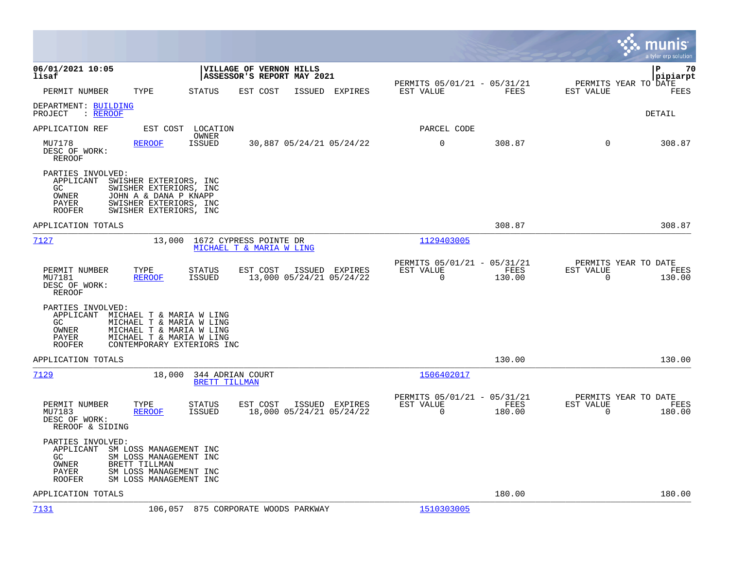|                                                                                                                                                                                                                        |                                                                                          |                                                                                  | munis<br>a tyler erp solution                                      |
|------------------------------------------------------------------------------------------------------------------------------------------------------------------------------------------------------------------------|------------------------------------------------------------------------------------------|----------------------------------------------------------------------------------|--------------------------------------------------------------------|
| 06/01/2021 10:05<br>lisaf                                                                                                                                                                                              | VILLAGE OF VERNON HILLS<br>ASSESSOR'S REPORT MAY 2021                                    |                                                                                  | l P<br>70<br> pipiarpt                                             |
| PERMIT NUMBER<br>TYPE                                                                                                                                                                                                  | <b>STATUS</b><br>EST COST<br>ISSUED EXPIRES                                              | PERMITS 05/01/21 - 05/31/21<br>FEES<br>EST VALUE                                 | PERMITS YEAR TO DATE<br>EST VALUE<br>FEES                          |
| DEPARTMENT: BUILDING<br>: REROOF<br>PROJECT                                                                                                                                                                            |                                                                                          |                                                                                  | <b>DETAIL</b>                                                      |
| APPLICATION REF<br>EST COST                                                                                                                                                                                            | LOCATION<br>OWNER                                                                        | PARCEL CODE                                                                      |                                                                    |
| MU7178<br>REROOF<br>DESC OF WORK:<br>REROOF                                                                                                                                                                            | <b>ISSUED</b><br>30,887 05/24/21 05/24/22                                                | $\mathbf 0$<br>308.87                                                            | $\mathbf 0$<br>308.87                                              |
| PARTIES INVOLVED:<br>APPLICANT<br>SWISHER EXTERIORS, INC<br>GC<br>SWISHER EXTERIORS, INC<br>OWNER<br>JOHN A & DANA P KNAPP<br>SWISHER EXTERIORS, INC<br>PAYER<br><b>ROOFER</b><br>SWISHER EXTERIORS, INC               |                                                                                          |                                                                                  |                                                                    |
| APPLICATION TOTALS                                                                                                                                                                                                     |                                                                                          | 308.87                                                                           | 308.87                                                             |
| 7127<br>13,000                                                                                                                                                                                                         | 1672 CYPRESS POINTE DR<br>MICHAEL T & MARIA W LING                                       | 1129403005                                                                       |                                                                    |
| PERMIT NUMBER<br>TYPE<br>MU7181<br><b>REROOF</b><br>DESC OF WORK:<br><b>REROOF</b>                                                                                                                                     | <b>STATUS</b><br>EST COST<br>ISSUED EXPIRES<br>13,000 05/24/21 05/24/22<br><b>ISSUED</b> | PERMITS 05/01/21 - 05/31/21<br><b>FEES</b><br>EST VALUE<br>$\mathbf 0$<br>130.00 | PERMITS YEAR TO DATE<br>EST VALUE<br>FEES<br>$\mathbf 0$<br>130.00 |
| PARTIES INVOLVED:<br>APPLICANT<br>MICHAEL T & MARIA W LING<br>MICHAEL T & MARIA W LING<br>GC.<br>OWNER<br>MICHAEL T & MARIA W LING<br>MICHAEL T & MARIA W LING<br>PAYER<br><b>ROOFER</b><br>CONTEMPORARY EXTERIORS INC |                                                                                          |                                                                                  |                                                                    |
| APPLICATION TOTALS                                                                                                                                                                                                     |                                                                                          | 130.00                                                                           | 130.00                                                             |
| 7129<br>18,000                                                                                                                                                                                                         | 344 ADRIAN COURT<br><b>BRETT TILLMAN</b>                                                 | 1506402017                                                                       |                                                                    |
| PERMIT NUMBER<br>TYPE<br>MU7183<br><b>REROOF</b><br>DESC OF WORK:<br>REROOF & SIDING                                                                                                                                   | EST COST<br>ISSUED EXPIRES<br><b>STATUS</b><br><b>ISSUED</b><br>18,000 05/24/21 05/24/22 | PERMITS 05/01/21 - 05/31/21<br>FEES<br>EST VALUE<br>$\Omega$<br>180.00           | PERMITS YEAR TO DATE<br>EST VALUE<br>FEES<br>$\Omega$<br>180.00    |
| PARTIES INVOLVED:<br>APPLICANT<br>SM LOSS MANAGEMENT INC<br>GC<br>SM LOSS MANAGEMENT INC<br>OWNER<br>BRETT TILLMAN<br>SM LOSS MANAGEMENT INC<br>PAYER<br>SM LOSS MANAGEMENT INC<br><b>ROOFER</b>                       |                                                                                          |                                                                                  |                                                                    |
| APPLICATION TOTALS                                                                                                                                                                                                     |                                                                                          | 180.00                                                                           | 180.00                                                             |
| 7131                                                                                                                                                                                                                   | 106,057 875 CORPORATE WOODS PARKWAY                                                      | 1510303005                                                                       |                                                                    |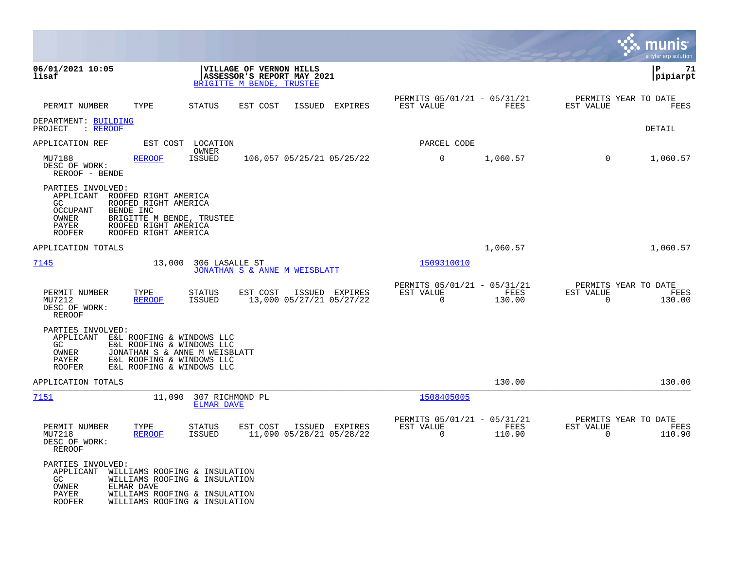|                                                                                                                                                                                                       |                                                                                                                                  |                                                         |                |                                                  | munis<br>a tyler erp solution |
|-------------------------------------------------------------------------------------------------------------------------------------------------------------------------------------------------------|----------------------------------------------------------------------------------------------------------------------------------|---------------------------------------------------------|----------------|--------------------------------------------------|-------------------------------|
| 06/01/2021 10:05<br>lisaf                                                                                                                                                                             | VILLAGE OF VERNON HILLS<br>ASSESSOR'S REPORT MAY 2021<br>BRIGITTE M BENDE, TRUSTEE                                               |                                                         |                |                                                  | P<br>71<br> pipiarpt          |
| PERMIT NUMBER<br>TYPE                                                                                                                                                                                 | <b>STATUS</b><br>EST COST<br>ISSUED<br>EXPIRES                                                                                   | PERMITS 05/01/21 - 05/31/21<br>EST VALUE                | FEES           | PERMITS YEAR TO DATE<br>EST VALUE                | FEES                          |
| DEPARTMENT: BUILDING<br>: REROOF<br>PROJECT                                                                                                                                                           |                                                                                                                                  |                                                         |                |                                                  | DETAIL                        |
| APPLICATION REF<br>EST COST                                                                                                                                                                           | LOCATION                                                                                                                         | PARCEL CODE                                             |                |                                                  |                               |
| MU7188<br><b>REROOF</b><br>DESC OF WORK:<br>REROOF - BENDE                                                                                                                                            | OWNER<br><b>ISSUED</b><br>106,057 05/25/21 05/25/22                                                                              | 0                                                       | 1,060.57       | $\mathbf 0$                                      | 1,060.57                      |
| PARTIES INVOLVED:<br>APPLICANT ROOFED RIGHT AMERICA<br>GC.<br>ROOFED RIGHT AMERICA<br><b>OCCUPANT</b><br>BENDE INC<br>OWNER<br>PAYER<br>ROOFED RIGHT AMERICA<br>ROOFED RIGHT AMERICA<br><b>ROOFER</b> | BRIGITTE M BENDE, TRUSTEE                                                                                                        |                                                         |                |                                                  |                               |
| APPLICATION TOTALS                                                                                                                                                                                    |                                                                                                                                  |                                                         | 1,060.57       |                                                  | 1,060.57                      |
| 7145<br>13,000                                                                                                                                                                                        | 306 LASALLE ST<br>JONATHAN S & ANNE M WEISBLATT                                                                                  | 1509310010                                              |                |                                                  |                               |
| PERMIT NUMBER<br>TYPE<br>MU7212<br><b>REROOF</b><br>DESC OF WORK:<br>REROOF                                                                                                                           | <b>STATUS</b><br>EST COST<br>ISSUED EXPIRES<br><b>ISSUED</b><br>13,000 05/27/21 05/27/22                                         | PERMITS 05/01/21 - 05/31/21<br>EST VALUE<br>$\Omega$    | FEES<br>130.00 | PERMITS YEAR TO DATE<br>EST VALUE<br>$\Omega$    | FEES<br>130.00                |
| PARTIES INVOLVED:<br>APPLICANT<br>E&L ROOFING & WINDOWS LLC<br>GC<br>OWNER<br>PAYER<br><b>ROOFER</b>                                                                                                  | E&L ROOFING & WINDOWS LLC<br>JONATHAN S & ANNE M WEISBLATT<br>E&L ROOFING & WINDOWS LLC<br>E&L ROOFING & WINDOWS LLC             |                                                         |                |                                                  |                               |
| APPLICATION TOTALS                                                                                                                                                                                    |                                                                                                                                  |                                                         | 130.00         |                                                  | 130.00                        |
| 7151<br>11,090                                                                                                                                                                                        | 307 RICHMOND PL<br><b>ELMAR DAVE</b>                                                                                             | 1508405005                                              |                |                                                  |                               |
| PERMIT NUMBER<br>TYPE<br>MU7218<br><b>REROOF</b><br>DESC OF WORK:<br>REROOF                                                                                                                           | <b>STATUS</b><br>EST COST<br>ISSUED EXPIRES<br><b>ISSUED</b><br>11,090 05/28/21 05/28/22                                         | PERMITS 05/01/21 - 05/31/21<br>EST VALUE<br>$\mathbf 0$ | FEES<br>110.90 | PERMITS YEAR TO DATE<br>EST VALUE<br>$\mathbf 0$ | FEES<br>110.90                |
| PARTIES INVOLVED:<br>APPLICANT<br>GC<br>OWNER<br>ELMAR DAVE<br>PAYER<br><b>ROOFER</b>                                                                                                                 | WILLIAMS ROOFING & INSULATION<br>WILLIAMS ROOFING & INSULATION<br>WILLIAMS ROOFING & INSULATION<br>WILLIAMS ROOFING & INSULATION |                                                         |                |                                                  |                               |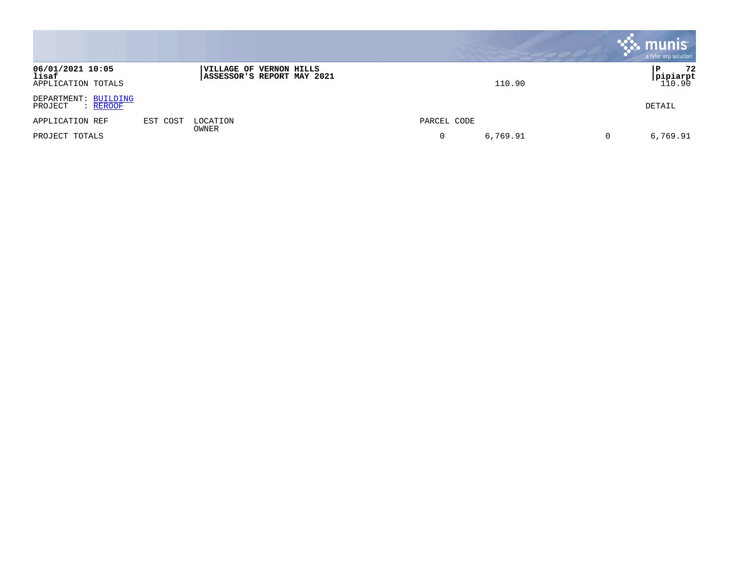|                                                 |          |                                                              |               | $\sim$ munis<br>a tyler erp solution |
|-------------------------------------------------|----------|--------------------------------------------------------------|---------------|--------------------------------------|
| 06/01/2021 10:05<br>lisaf<br>APPLICATION TOTALS |          | <b>VILLAGE OF VERNON HILLS</b><br>ASSESSOR'S REPORT MAY 2021 | 110.90        | 72<br>Р<br> pipiarpt<br>110.90       |
| DEPARTMENT: BUILDING<br>: REROOF<br>PROJECT     |          |                                                              |               | DETAIL                               |
| APPLICATION REF                                 | EST COST | LOCATION<br>OWNER                                            | PARCEL CODE   |                                      |
| PROJECT TOTALS                                  |          |                                                              | 6,769.91<br>0 | 6,769.91<br>0                        |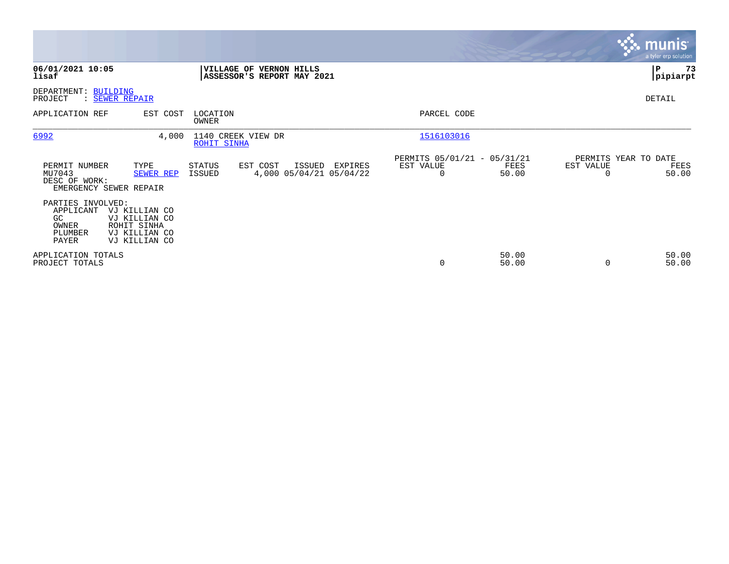|                                                                    |                                                                                 |                                          |                                                              |         |                                                         |                |                                               | munist<br>a tyler erp solution |
|--------------------------------------------------------------------|---------------------------------------------------------------------------------|------------------------------------------|--------------------------------------------------------------|---------|---------------------------------------------------------|----------------|-----------------------------------------------|--------------------------------|
| 06/01/2021 10:05<br>lisaf                                          |                                                                                 |                                          | <b>VILLAGE OF VERNON HILLS</b><br>ASSESSOR'S REPORT MAY 2021 |         |                                                         |                |                                               | 73<br>P<br> pipiarpt           |
| DEPARTMENT: BUILDING<br>PROJECT                                    | : SEWER REPAIR                                                                  |                                          |                                                              |         |                                                         |                |                                               | DETAIL                         |
| APPLICATION REF                                                    | EST COST                                                                        | LOCATION<br>OWNER                        |                                                              |         | PARCEL CODE                                             |                |                                               |                                |
| 6992                                                               | 4,000                                                                           | 1140 CREEK VIEW DR<br><b>ROHIT SINHA</b> |                                                              |         | 1516103016                                              |                |                                               |                                |
| PERMIT NUMBER<br>MU7043<br>DESC OF WORK:                           | TYPE<br>SEWER REP<br>EMERGENCY SEWER REPAIR                                     | <b>STATUS</b><br>ISSUED                  | EST COST<br>ISSUED<br>4,000 05/04/21 05/04/22                | EXPIRES | PERMITS 05/01/21 - 05/31/21<br>EST VALUE<br>$\mathbf 0$ | FEES<br>50.00  | PERMITS YEAR TO DATE<br>EST VALUE<br>$\Omega$ | FEES<br>50.00                  |
| PARTIES INVOLVED:<br>APPLICANT<br>GC.<br>OWNER<br>PLUMBER<br>PAYER | VJ KILLIAN CO<br>VJ KILLIAN CO<br>ROHIT SINHA<br>VJ KILLIAN CO<br>VJ KILLIAN CO |                                          |                                                              |         |                                                         |                |                                               |                                |
| APPLICATION TOTALS<br>PROJECT TOTALS                               |                                                                                 |                                          |                                                              |         | 0                                                       | 50.00<br>50.00 | $\Omega$                                      | 50.00<br>50.00                 |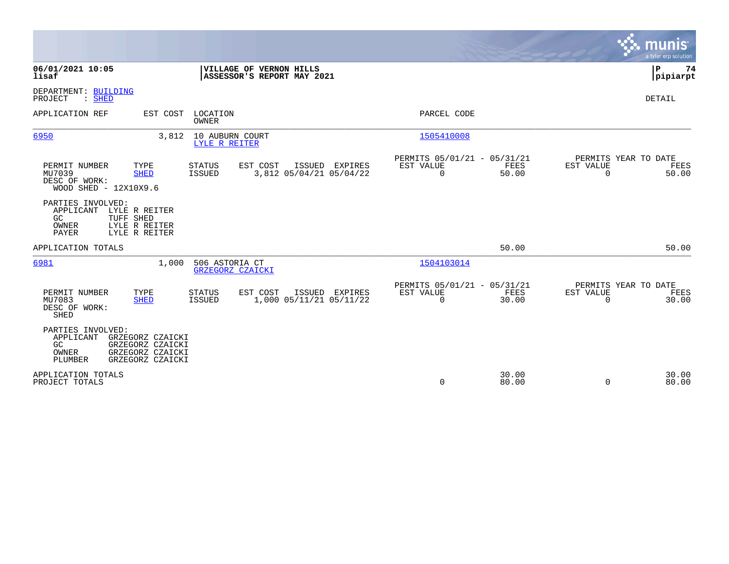|                                                                                                                                                                                     |                                                                          | munis<br>a tyler erp solution                                     |
|-------------------------------------------------------------------------------------------------------------------------------------------------------------------------------------|--------------------------------------------------------------------------|-------------------------------------------------------------------|
| 06/01/2021 10:05<br>VILLAGE OF VERNON HILLS<br>lisaf<br>ASSESSOR'S REPORT MAY 2021                                                                                                  |                                                                          | P<br>74<br> pipiarpt                                              |
| DEPARTMENT: BUILDING<br>PROJECT<br>$:$ SHED                                                                                                                                         |                                                                          | DETAIL                                                            |
| APPLICATION REF<br>LOCATION<br>EST COST<br>OWNER                                                                                                                                    | PARCEL CODE                                                              |                                                                   |
| 6950<br>3,812<br>10 AUBURN COURT<br>LYLE R REITER                                                                                                                                   | 1505410008                                                               |                                                                   |
| PERMIT NUMBER<br>TYPE<br>EST COST<br>ISSUED EXPIRES<br><b>STATUS</b><br>MU7039<br><b>SHED</b><br><b>ISSUED</b><br>3,812 05/04/21 05/04/22<br>DESC OF WORK:<br>WOOD SHED - 12X10X9.6 | PERMITS 05/01/21 - 05/31/21<br>FEES<br>EST VALUE<br>$\mathbf 0$<br>50.00 | PERMITS YEAR TO DATE<br>EST VALUE<br>FEES<br>$\mathbf 0$<br>50.00 |
| PARTIES INVOLVED:<br>APPLICANT<br>LYLE R REITER<br>GC<br>TUFF SHED<br>LYLE R REITER<br>OWNER<br><b>PAYER</b><br>LYLE R REITER                                                       |                                                                          |                                                                   |
| APPLICATION TOTALS                                                                                                                                                                  | 50.00                                                                    | 50.00                                                             |
| 506 ASTORIA CT<br>6981<br>1,000<br>GRZEGORZ CZAICKI                                                                                                                                 | 1504103014                                                               |                                                                   |
| EST COST<br>PERMIT NUMBER<br>TYPE<br>ISSUED EXPIRES<br><b>STATUS</b><br>1,000 05/11/21 05/11/22<br>MU7083<br><b>SHED</b><br>ISSUED<br>DESC OF WORK:<br>SHED                         | PERMITS 05/01/21 - 05/31/21<br>EST VALUE<br>FEES<br>0<br>30.00           | PERMITS YEAR TO DATE<br>EST VALUE<br>FEES<br>30.00<br>$\mathbf 0$ |
| PARTIES INVOLVED:<br>APPLICANT<br>GRZEGORZ CZAICKI<br>GC<br>GRZEGORZ CZAICKI<br>OWNER<br>GRZEGORZ CZAICKI<br><b>PLUMBER</b><br>GRZEGORZ CZAICKI                                     |                                                                          |                                                                   |
| APPLICATION TOTALS<br>PROJECT TOTALS                                                                                                                                                | 30.00<br>0<br>80.00                                                      | 30.00<br>80.00<br>0                                               |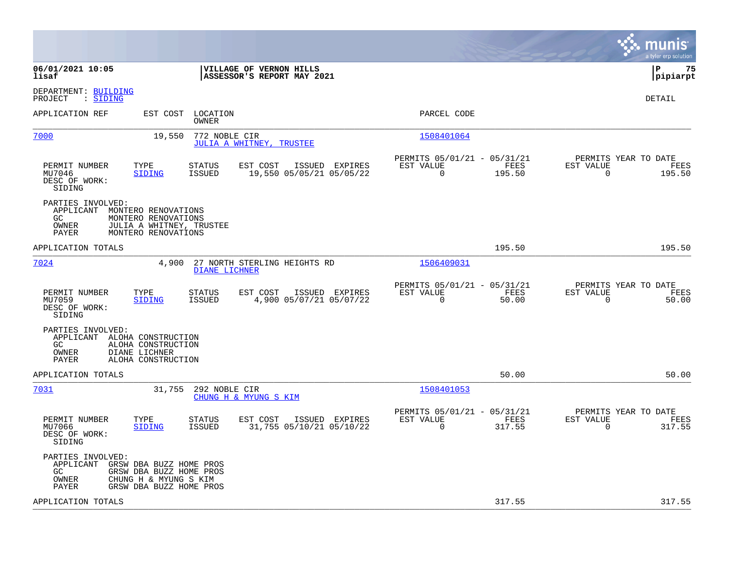|                                                                                                                                                                        |                                                                           | munis<br>a tyler erp solution                                      |
|------------------------------------------------------------------------------------------------------------------------------------------------------------------------|---------------------------------------------------------------------------|--------------------------------------------------------------------|
| 06/01/2021 10:05<br>VILLAGE OF VERNON HILLS<br>lisaf<br>ASSESSOR'S REPORT MAY 2021                                                                                     |                                                                           | P<br>75<br> pipiarpt                                               |
| DEPARTMENT: BUILDING<br>: SIDING<br>PROJECT                                                                                                                            |                                                                           | DETAIL                                                             |
| APPLICATION REF<br>EST COST<br>LOCATION<br>OWNER                                                                                                                       | PARCEL CODE                                                               |                                                                    |
| 7000<br>19,550<br>772 NOBLE CIR<br>JULIA A WHITNEY, TRUSTEE                                                                                                            | 1508401064                                                                |                                                                    |
| PERMIT NUMBER<br>TYPE<br>STATUS<br>EST COST<br>ISSUED EXPIRES<br>MU7046<br>SIDING<br>ISSUED<br>19,550 05/05/21 05/05/22<br>DESC OF WORK:<br>SIDING                     | PERMITS 05/01/21 - 05/31/21<br>EST VALUE<br>FEES<br>$\mathbf 0$<br>195.50 | PERMITS YEAR TO DATE<br>EST VALUE<br>FEES<br>$\mathbf 0$<br>195.50 |
| PARTIES INVOLVED:<br>APPLICANT<br>MONTERO RENOVATIONS<br>GC.<br>MONTERO RENOVATIONS<br>OWNER<br>JULIA A WHITNEY, TRUSTEE<br>PAYER<br>MONTERO RENOVATIONS               |                                                                           |                                                                    |
| APPLICATION TOTALS                                                                                                                                                     | 195.50                                                                    | 195.50                                                             |
| 7024<br>4,900<br>27 NORTH STERLING HEIGHTS RD<br><b>DIANE LICHNER</b>                                                                                                  | 1506409031                                                                |                                                                    |
| EST COST<br>PERMIT NUMBER<br>TYPE<br><b>STATUS</b><br>ISSUED EXPIRES<br>MU7059<br><b>ISSUED</b><br>4,900 05/07/21 05/07/22<br><b>SIDING</b><br>DESC OF WORK:<br>SIDING | PERMITS 05/01/21 - 05/31/21<br>EST VALUE<br>FEES<br>0<br>50.00            | PERMITS YEAR TO DATE<br>EST VALUE<br>FEES<br>$\mathbf 0$<br>50.00  |
| PARTIES INVOLVED:<br>APPLICANT ALOHA CONSTRUCTION<br>GC<br>ALOHA CONSTRUCTION<br>OWNER<br>DIANE LICHNER<br>PAYER<br>ALOHA CONSTRUCTION                                 |                                                                           |                                                                    |
| APPLICATION TOTALS                                                                                                                                                     | 50.00                                                                     | 50.00                                                              |
| 7031<br>31,755<br>292 NOBLE CIR<br>CHUNG H & MYUNG S KIM                                                                                                               | 1508401053                                                                |                                                                    |
| EST COST<br>ISSUED EXPIRES<br>PERMIT NUMBER<br>TYPE<br><b>STATUS</b><br>MU7066<br><b>SIDING</b><br>ISSUED<br>31,755 05/10/21 05/10/22<br>DESC OF WORK:<br>SIDING       | PERMITS 05/01/21 - 05/31/21<br>EST VALUE<br>FEES<br>0<br>317.55           | PERMITS YEAR TO DATE<br>EST VALUE<br>FEES<br>317.55<br>0           |
| PARTIES INVOLVED:<br>APPLICANT<br>GRSW DBA BUZZ HOME PROS<br>GC<br>GRSW DBA BUZZ HOME PROS<br>CHUNG H & MYUNG S KIM<br>OWNER<br>GRSW DBA BUZZ HOME PROS<br>PAYER       |                                                                           |                                                                    |
| APPLICATION TOTALS                                                                                                                                                     | 317.55                                                                    | 317.55                                                             |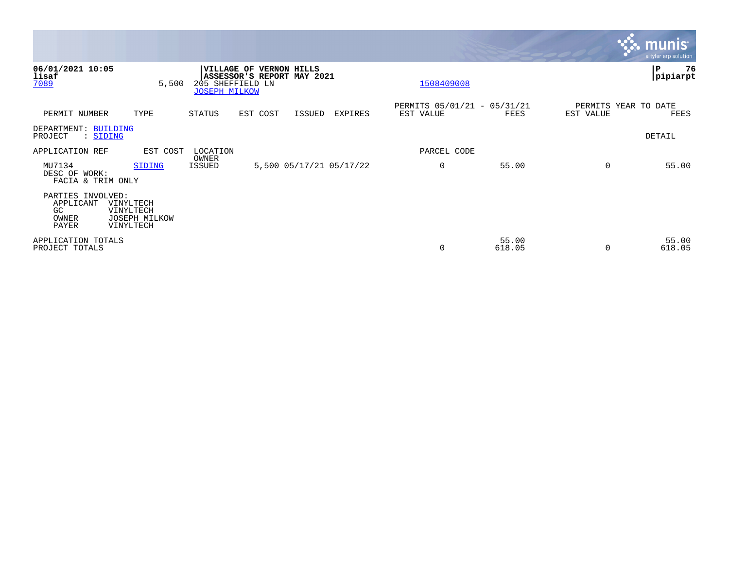|                                                         |                                                      |                                                               |                                                   |        |                         |                                          |                 |           | <b>munis</b><br>a tyler erp solution |
|---------------------------------------------------------|------------------------------------------------------|---------------------------------------------------------------|---------------------------------------------------|--------|-------------------------|------------------------------------------|-----------------|-----------|--------------------------------------|
| 06/01/2021 10:05<br>lisaf<br>7089                       | 5,500                                                | <b>VILLAGE OF</b><br>205 SHEFFIELD LN<br><b>JOSEPH MILKOW</b> | <b>VERNON HILLS</b><br>ASSESSOR'S REPORT MAY 2021 |        |                         | 1508409008                               |                 |           | ∣P<br>76<br>pipiarpt                 |
| PERMIT NUMBER                                           | TYPE                                                 | STATUS                                                        | EST COST                                          | ISSUED | EXPIRES                 | PERMITS 05/01/21 - 05/31/21<br>EST VALUE | FEES            | EST VALUE | PERMITS YEAR TO DATE<br>FEES         |
| DEPARTMENT: BUILDING<br>: SIDING<br>PROJECT             |                                                      |                                                               |                                                   |        |                         |                                          |                 |           | DETAIL                               |
| APPLICATION REF                                         | EST COST                                             | LOCATION                                                      |                                                   |        |                         | PARCEL CODE                              |                 |           |                                      |
| MU7134<br>DESC OF WORK:<br>FACIA & TRIM ONLY            | SIDING                                               | OWNER<br>ISSUED                                               |                                                   |        | 5,500 05/17/21 05/17/22 | $\overline{0}$                           | 55.00           | $\Omega$  | 55.00                                |
| PARTIES INVOLVED:<br>APPLICANT<br>GC.<br>OWNER<br>PAYER | VINYLTECH<br>VINYLTECH<br>JOSEPH MILKOW<br>VINYLTECH |                                                               |                                                   |        |                         |                                          |                 |           |                                      |
| APPLICATION TOTALS<br>PROJECT TOTALS                    |                                                      |                                                               |                                                   |        |                         | 0                                        | 55.00<br>618.05 |           | 55.00<br>618.05                      |

**Tara**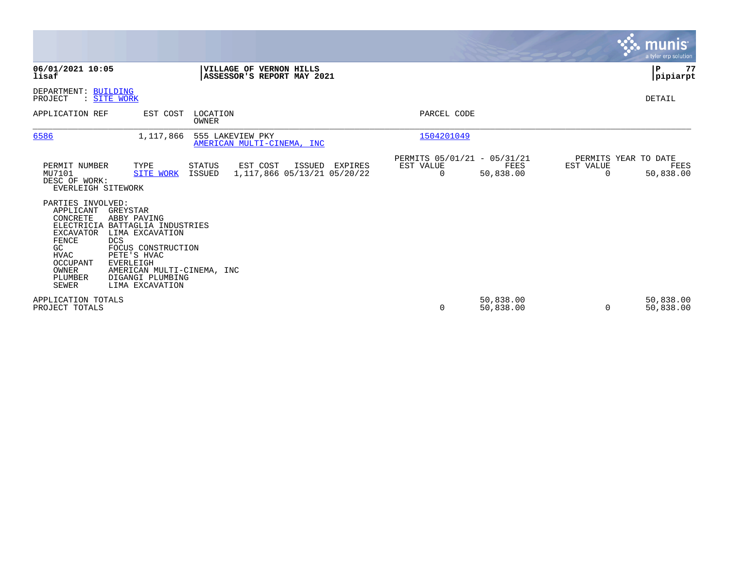|                                                                                                                                                            |                                                                                                                                                                                                                |                          |                                                       |         |                                               |                        |                                        | <b>munis</b><br>a tyler erp solution |
|------------------------------------------------------------------------------------------------------------------------------------------------------------|----------------------------------------------------------------------------------------------------------------------------------------------------------------------------------------------------------------|--------------------------|-------------------------------------------------------|---------|-----------------------------------------------|------------------------|----------------------------------------|--------------------------------------|
| 06/01/2021 10:05<br>lisaf                                                                                                                                  |                                                                                                                                                                                                                |                          | VILLAGE OF VERNON HILLS<br>ASSESSOR'S REPORT MAY 2021 |         |                                               |                        |                                        | $\mathbf P$<br>77<br> pipiarpt       |
| DEPARTMENT: BUILDING<br>PROJECT                                                                                                                            | : SITE WORK                                                                                                                                                                                                    |                          |                                                       |         |                                               |                        |                                        | DETAIL                               |
| APPLICATION REF                                                                                                                                            | EST COST                                                                                                                                                                                                       | LOCATION<br><b>OWNER</b> |                                                       |         | PARCEL CODE                                   |                        |                                        |                                      |
| 6586                                                                                                                                                       | 1,117,866                                                                                                                                                                                                      | 555 LAKEVIEW PKY         | AMERICAN MULTI-CINEMA, INC                            |         | 1504201049                                    |                        |                                        |                                      |
| PERMIT NUMBER<br>MU7101<br>DESC OF WORK:<br>EVERLEIGH SITEWORK                                                                                             | TYPE<br><b>SITE WORK</b>                                                                                                                                                                                       | STATUS<br>ISSUED         | EST COST<br>ISSUED<br>1, 117, 866 05/13/21 05/20/22   | EXPIRES | PERMITS 05/01/21 - 05/31/21<br>EST VALUE<br>0 | FEES<br>50,838.00      | PERMITS YEAR TO DATE<br>EST VALUE<br>0 | FEES<br>50,838.00                    |
| PARTIES INVOLVED:<br>APPLICANT<br>CONCRETE<br>ELECTRICIA<br><b>EXCAVATOR</b><br>FENCE<br>GC<br><b>HVAC</b><br>OCCUPANT<br>OWNER<br>PLUMBER<br><b>SEWER</b> | GREYSTAR<br>ABBY PAVING<br>BATTAGLIA INDUSTRIES<br>LIMA EXCAVATION<br><b>DCS</b><br>FOCUS CONSTRUCTION<br>PETE'S HVAC<br><b>EVERLEIGH</b><br>AMERICAN MULTI-CINEMA, INC<br>DIGANGI PLUMBING<br>LIMA EXCAVATION |                          |                                                       |         |                                               |                        |                                        |                                      |
| APPLICATION TOTALS<br>PROJECT TOTALS                                                                                                                       |                                                                                                                                                                                                                |                          |                                                       |         | 0                                             | 50,838.00<br>50,838.00 | $\Omega$                               | 50,838.00<br>50,838.00               |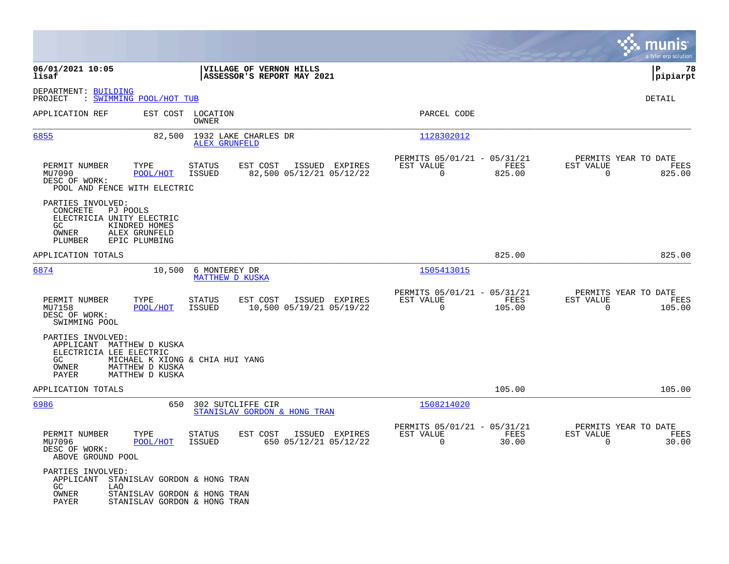|                                                                                                         |                                                 |                                                              |                            |                |                                                         |                |                                                     | munis<br>a tyler erp solution |
|---------------------------------------------------------------------------------------------------------|-------------------------------------------------|--------------------------------------------------------------|----------------------------|----------------|---------------------------------------------------------|----------------|-----------------------------------------------------|-------------------------------|
| 06/01/2021 10:05<br>lisaf                                                                               |                                                 | VILLAGE OF VERNON HILLS                                      | ASSESSOR'S REPORT MAY 2021 |                |                                                         |                |                                                     | l P<br>78<br> pipiarpt        |
| DEPARTMENT: BUILDING<br>: SWIMMING POOL/HOT TUB<br>PROJECT                                              |                                                 |                                                              |                            |                |                                                         |                |                                                     | DETAIL                        |
| APPLICATION REF                                                                                         |                                                 | EST COST LOCATION<br>OWNER                                   |                            |                | PARCEL CODE                                             |                |                                                     |                               |
| 6855                                                                                                    | 82,500                                          | 1932 LAKE CHARLES DR<br><b>ALEX GRUNFELD</b>                 |                            |                | 1128302012                                              |                |                                                     |                               |
| PERMIT NUMBER<br>MU7090<br>DESC OF WORK:<br>POOL AND FENCE WITH ELECTRIC                                | TYPE<br>POOL/HOT                                | <b>STATUS</b><br>EST COST<br>ISSUED                          | 82,500 05/12/21 05/12/22   | ISSUED EXPIRES | PERMITS 05/01/21 - 05/31/21<br>EST VALUE<br>0           | FEES<br>825.00 | PERMITS YEAR TO DATE<br>EST VALUE<br>$\mathbf 0$    | FEES<br>825.00                |
| PARTIES INVOLVED:<br><b>CONCRETE</b><br>PJ POOLS<br>ELECTRICIA UNITY ELECTRIC<br>GC<br>OWNER<br>PLUMBER | KINDRED HOMES<br>ALEX GRUNFELD<br>EPIC PLUMBING |                                                              |                            |                |                                                         |                |                                                     |                               |
| APPLICATION TOTALS                                                                                      |                                                 |                                                              |                            |                |                                                         | 825.00         |                                                     | 825.00                        |
| 6874                                                                                                    |                                                 | 10,500 6 MONTEREY DR<br><b>MATTHEW D KUSKA</b>               |                            |                | 1505413015                                              |                |                                                     |                               |
| PERMIT NUMBER<br>MU7158<br>DESC OF WORK:<br>SWIMMING POOL                                               | TYPE<br>POOL/HOT                                | EST COST<br>STATUS<br>ISSUED                                 | 10,500 05/19/21 05/19/22   | ISSUED EXPIRES | PERMITS 05/01/21 - 05/31/21<br>EST VALUE<br>$\Omega$    | FEES<br>105.00 | PERMITS YEAR TO DATE<br>EST VALUE<br>$\Omega$       | FEES<br>105.00                |
| PARTIES INVOLVED:<br>APPLICANT MATTHEW D KUSKA<br>ELECTRICIA LEE ELECTRIC<br>GC<br>OWNER<br>PAYER       | MATTHEW D KUSKA<br>MATTHEW D KUSKA              | MICHAEL K XIONG & CHIA HUI YANG                              |                            |                |                                                         |                |                                                     |                               |
| APPLICATION TOTALS                                                                                      |                                                 |                                                              |                            |                |                                                         | 105.00         |                                                     | 105.00                        |
| 6986                                                                                                    | 650                                             | 302 SUTCLIFFE CIR<br>STANISLAV GORDON & HONG TRAN            |                            |                | 1508214020                                              |                |                                                     |                               |
| PERMIT NUMBER<br>MU7096<br>DESC OF WORK:<br>ABOVE GROUND POOL                                           | TYPE<br>POOL/HOT                                | <b>STATUS</b><br>EST COST<br><b>ISSUED</b>                   | 650 05/12/21 05/12/22      | ISSUED EXPIRES | PERMITS 05/01/21 - 05/31/21<br>EST VALUE<br>$\mathbf 0$ | FEES<br>30.00  | PERMITS YEAR TO DATE<br>EST VALUE<br>$\overline{0}$ | FEES<br>30.00                 |
| PARTIES INVOLVED:<br>APPLICANT STANISLAV GORDON & HONG TRAN<br>GC.<br>LAO<br>OWNER<br>PAYER             |                                                 | STANISLAV GORDON & HONG TRAN<br>STANISLAV GORDON & HONG TRAN |                            |                |                                                         |                |                                                     |                               |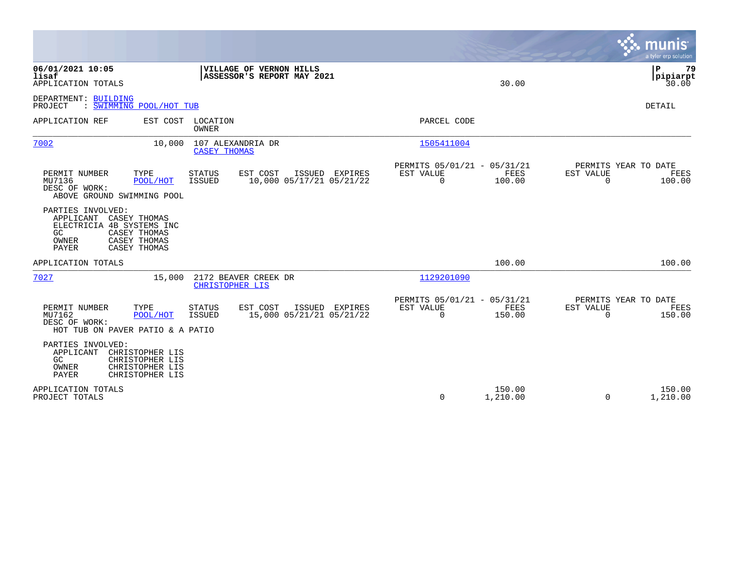|                                                                                                                                                                                       |                                                                           | munis<br>a tyler erp solution                                   |
|---------------------------------------------------------------------------------------------------------------------------------------------------------------------------------------|---------------------------------------------------------------------------|-----------------------------------------------------------------|
| 06/01/2021 10:05<br>VILLAGE OF VERNON HILLS<br>ASSESSOR'S REPORT MAY 2021<br>lisaf<br>APPLICATION TOTALS                                                                              | 30.00                                                                     | l P<br>79<br> pipiarpt<br>30.00                                 |
| DEPARTMENT: BUILDING<br>: SWIMMING POOL/HOT TUB<br>PROJECT                                                                                                                            |                                                                           | <b>DETAIL</b>                                                   |
| EST COST LOCATION<br>APPLICATION REF<br>OWNER                                                                                                                                         | PARCEL CODE                                                               |                                                                 |
| 7002<br>10,000<br>107 ALEXANDRIA DR<br><b>CASEY THOMAS</b>                                                                                                                            | 1505411004                                                                |                                                                 |
| PERMIT NUMBER<br>TYPE<br><b>STATUS</b><br>EST COST<br>ISSUED EXPIRES<br>10,000 05/17/21 05/21/22<br>MU7136<br>POOL/HOT<br>ISSUED<br>DESC OF WORK:<br>ABOVE GROUND SWIMMING POOL       | PERMITS 05/01/21 - 05/31/21<br>EST VALUE<br>FEES<br>0<br>100.00           | PERMITS YEAR TO DATE<br>EST VALUE<br>FEES<br>$\Omega$<br>100.00 |
| PARTIES INVOLVED:<br>APPLICANT<br>CASEY THOMAS<br>ELECTRICIA 4B SYSTEMS INC<br>CASEY THOMAS<br>GC.<br>CASEY THOMAS<br><b>OWNER</b><br>CASEY THOMAS<br>PAYER                           |                                                                           |                                                                 |
| APPLICATION TOTALS                                                                                                                                                                    | 100.00                                                                    | 100.00                                                          |
| 7027<br>15,000<br>2172 BEAVER CREEK DR<br>CHRISTOPHER LIS                                                                                                                             | 1129201090                                                                |                                                                 |
| TYPE<br>ISSUED EXPIRES<br>PERMIT NUMBER<br>STATUS<br>EST COST<br>15,000 05/21/21 05/21/22<br>MU7162<br>POOL/HOT<br><b>ISSUED</b><br>DESC OF WORK:<br>HOT TUB ON PAVER PATIO & A PATIO | PERMITS 05/01/21 - 05/31/21<br>EST VALUE<br>FEES<br>$\mathbf 0$<br>150.00 | PERMITS YEAR TO DATE<br>EST VALUE<br>FEES<br>$\Omega$<br>150.00 |
| PARTIES INVOLVED:<br>CHRISTOPHER LIS<br>APPLICANT<br>GC<br>CHRISTOPHER LIS<br>OWNER<br>CHRISTOPHER LIS<br>PAYER<br>CHRISTOPHER LIS                                                    |                                                                           |                                                                 |
| APPLICATION TOTALS<br>PROJECT TOTALS                                                                                                                                                  | 150.00<br>$\Omega$<br>1,210.00                                            | 150.00<br>$\Omega$<br>1,210.00                                  |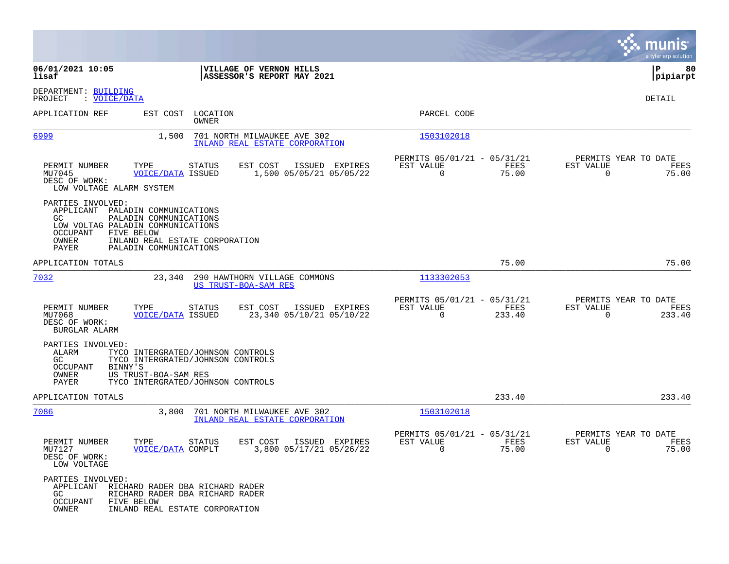|                                                                            |                                                                                                                                                                           |                                                               |                                                      |                |                                               | a tyler erp solution  |
|----------------------------------------------------------------------------|---------------------------------------------------------------------------------------------------------------------------------------------------------------------------|---------------------------------------------------------------|------------------------------------------------------|----------------|-----------------------------------------------|-----------------------|
| 06/01/2021 10:05<br>lisaf                                                  |                                                                                                                                                                           | VILLAGE OF VERNON HILLS<br>ASSESSOR'S REPORT MAY 2021         |                                                      |                |                                               | ∣P<br>80<br> pipiarpt |
| DEPARTMENT: BUILDING<br>PROJECT<br>: VOICE/DATA                            |                                                                                                                                                                           |                                                               |                                                      |                |                                               | DETAIL                |
| APPLICATION REF                                                            | EST COST LOCATION<br>OWNER                                                                                                                                                |                                                               | PARCEL CODE                                          |                |                                               |                       |
| 6999                                                                       | 1,500                                                                                                                                                                     | 701 NORTH MILWAUKEE AVE 302<br>INLAND REAL ESTATE CORPORATION | 1503102018                                           |                |                                               |                       |
| PERMIT NUMBER<br>MU7045<br>DESC OF WORK:<br>LOW VOLTAGE ALARM SYSTEM       | TYPE<br><b>STATUS</b><br>VOICE/DATA ISSUED                                                                                                                                | EST COST<br>ISSUED EXPIRES<br>1,500 05/05/21 05/05/22         | PERMITS 05/01/21 - 05/31/21<br>EST VALUE<br>0        | FEES<br>75.00  | PERMITS YEAR TO DATE<br>EST VALUE<br>0        | FEES<br>75.00         |
| PARTIES INVOLVED:<br>GC.<br>OCCUPANT<br>OWNER<br>PAYER                     | APPLICANT PALADIN COMMUNICATIONS<br>PALADIN COMMUNICATIONS<br>LOW VOLTAG PALADIN COMMUNICATIONS<br>FIVE BELOW<br>INLAND REAL ESTATE CORPORATION<br>PALADIN COMMUNICATIONS |                                                               |                                                      |                |                                               |                       |
| APPLICATION TOTALS                                                         |                                                                                                                                                                           |                                                               |                                                      | 75.00          |                                               | 75.00                 |
| 7032                                                                       | 23,340                                                                                                                                                                    | 290 HAWTHORN VILLAGE COMMONS<br><b>US TRUST-BOA-SAM RES</b>   | 1133302053                                           |                |                                               |                       |
| PERMIT NUMBER<br>MU7068<br>DESC OF WORK:<br>BURGLAR ALARM                  | TYPE<br><b>STATUS</b><br><b>VOICE/DATA ISSUED</b>                                                                                                                         | EST COST<br>ISSUED EXPIRES<br>23,340 05/10/21 05/10/22        | PERMITS 05/01/21 - 05/31/21<br>EST VALUE<br>0        | FEES<br>233.40 | PERMITS YEAR TO DATE<br>EST VALUE<br>0        | FEES<br>233.40        |
| PARTIES INVOLVED:<br>ALARM<br>GC.<br>OCCUPANT<br>BINNY'S<br>OWNER<br>PAYER | TYCO INTERGRATED/JOHNSON CONTROLS<br>TYCO INTERGRATED/JOHNSON CONTROLS<br>US TRUST-BOA-SAM RES<br>TYCO INTERGRATED/JOHNSON CONTROLS                                       |                                                               |                                                      |                |                                               |                       |
| APPLICATION TOTALS                                                         |                                                                                                                                                                           |                                                               |                                                      | 233.40         |                                               | 233.40                |
| 7086                                                                       | 3,800                                                                                                                                                                     | 701 NORTH MILWAUKEE AVE 302<br>INLAND REAL ESTATE CORPORATION | 1503102018                                           |                |                                               |                       |
| PERMIT NUMBER<br>MU7127<br>DESC OF WORK:<br>LOW VOLTAGE                    | TYPE STATUS<br>VOICE/DATA COMPLT                                                                                                                                          | EST COST ISSUED EXPIRES<br>3,800 05/17/21 05/26/22            | PERMITS 05/01/21 - 05/31/21<br>EST VALUE<br>$\Omega$ | FEES<br>75.00  | PERMITS YEAR TO DATE<br>EST VALUE<br>$\Omega$ | FEES<br>75.00         |
| PARTIES INVOLVED:<br>GC<br>OCCUPANT<br>OWNER                               | APPLICANT RICHARD RADER DBA RICHARD RADER<br>RICHARD RADER DBA RICHARD RADER<br>FIVE BELOW<br>INLAND REAL ESTATE CORPORATION                                              |                                                               |                                                      |                |                                               |                       |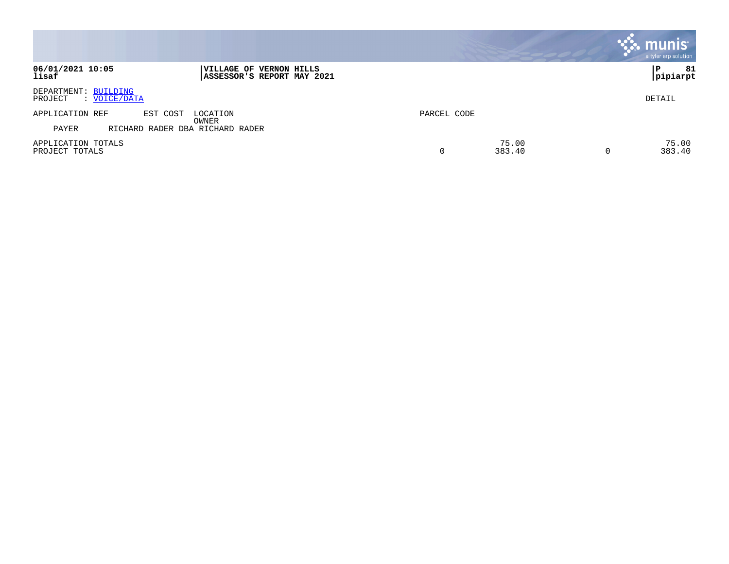|                                                 |                                                       |             |                 |   | munis <sup>®</sup><br>a tyler erp solution |
|-------------------------------------------------|-------------------------------------------------------|-------------|-----------------|---|--------------------------------------------|
| 06/01/2021 10:05<br>lisaf                       | VILLAGE OF VERNON HILLS<br>ASSESSOR'S REPORT MAY 2021 |             |                 |   | 81<br>P<br> pipiarpt                       |
| DEPARTMENT: BUILDING<br>: VOICE/DATA<br>PROJECT |                                                       |             |                 |   | DETAIL                                     |
| APPLICATION REF<br>EST COST                     | LOCATION<br>OWNER                                     | PARCEL CODE |                 |   |                                            |
| PAYER                                           | RICHARD RADER DBA RICHARD RADER                       |             |                 |   |                                            |
| APPLICATION TOTALS<br>PROJECT TOTALS            |                                                       | 0           | 75.00<br>383.40 | 0 | 75.00<br>383.40                            |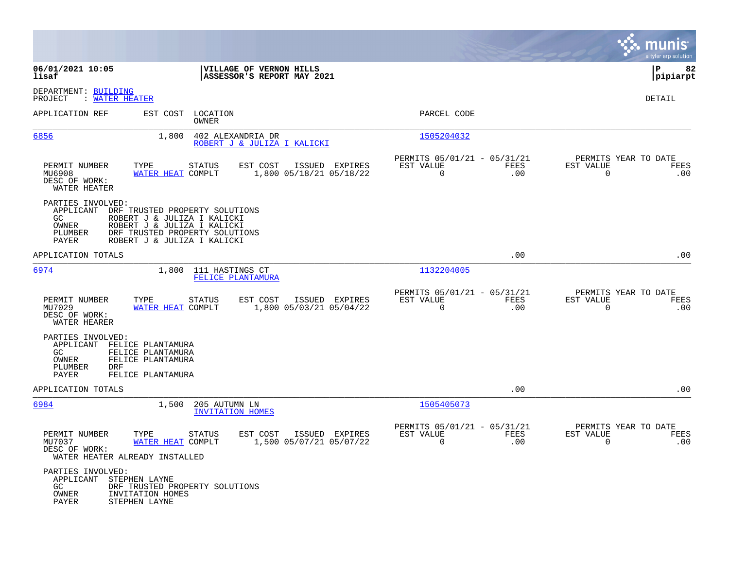|                                                                                                                                                              |                                                                                                                             |                                                                            | munis<br>a tyler erp solution                                          |
|--------------------------------------------------------------------------------------------------------------------------------------------------------------|-----------------------------------------------------------------------------------------------------------------------------|----------------------------------------------------------------------------|------------------------------------------------------------------------|
| 06/01/2021 10:05<br>lisaf                                                                                                                                    | VILLAGE OF VERNON HILLS<br>ASSESSOR'S REPORT MAY 2021                                                                       |                                                                            | $\mathbf P$<br>82<br> pipiarpt                                         |
| DEPARTMENT: BUILDING<br>: WATER HEATER<br>PROJECT                                                                                                            |                                                                                                                             |                                                                            | DETAIL                                                                 |
| APPLICATION REF                                                                                                                                              | EST COST LOCATION<br>OWNER                                                                                                  | PARCEL CODE                                                                |                                                                        |
| 6856                                                                                                                                                         | 1,800<br>402 ALEXANDRIA DR<br>ROBERT J & JULIZA I KALICKI                                                                   | 1505204032                                                                 |                                                                        |
| PERMIT NUMBER<br>TYPE<br>MU6908<br>DESC OF WORK:<br>WATER HEATER                                                                                             | <b>STATUS</b><br>EST COST<br>ISSUED EXPIRES<br>WATER HEAT COMPLT<br>1,800 05/18/21 05/18/22                                 | PERMITS 05/01/21 - 05/31/21<br>EST VALUE<br><b>FEES</b><br>$\Omega$<br>.00 | PERMITS YEAR TO DATE<br>EST VALUE<br><b>FEES</b><br>$\Omega$<br>.00    |
| PARTIES INVOLVED:<br>APPLICANT DRF TRUSTED PROPERTY SOLUTIONS<br>GC<br>OWNER<br>PLUMBER<br>PAYER                                                             | ROBERT J & JULIZA I KALICKI<br>ROBERT J & JULIZA I KALICKI<br>DRF TRUSTED PROPERTY SOLUTIONS<br>ROBERT J & JULIZA I KALICKI |                                                                            |                                                                        |
| APPLICATION TOTALS                                                                                                                                           |                                                                                                                             | .00                                                                        | .00                                                                    |
| 6974                                                                                                                                                         | 1,800<br>111 HASTINGS CT<br>FELICE PLANTAMURA                                                                               | 1132204005                                                                 |                                                                        |
| PERMIT NUMBER<br>TYPE<br>MU7029<br>DESC OF WORK:<br>WATER HEARER                                                                                             | <b>STATUS</b><br>EST COST<br>ISSUED EXPIRES<br>WATER HEAT COMPLT<br>1,800 05/03/21 05/04/22                                 | PERMITS 05/01/21 - 05/31/21<br>EST VALUE<br>FEES<br>$\mathbf 0$<br>.00     | PERMITS YEAR TO DATE<br>EST VALUE<br><b>FEES</b><br>$\mathbf 0$<br>.00 |
| PARTIES INVOLVED:<br>APPLICANT<br>FELICE PLANTAMURA<br>FELICE PLANTAMURA<br>GC<br>FELICE PLANTAMURA<br>OWNER<br>PLUMBER<br>DRF<br>FELICE PLANTAMURA<br>PAYER |                                                                                                                             |                                                                            |                                                                        |
| APPLICATION TOTALS                                                                                                                                           |                                                                                                                             | .00                                                                        | .00                                                                    |
| 6984                                                                                                                                                         | 1,500<br>205 AUTUMN LN<br><b>INVITATION HOMES</b>                                                                           | 1505405073                                                                 |                                                                        |
| PERMIT NUMBER<br>TYPE<br>MU7037<br>DESC OF WORK:<br>WATER HEATER ALREADY INSTALLED                                                                           | <b>STATUS</b><br>EST COST<br>ISSUED EXPIRES<br>WATER HEAT COMPLT<br>1,500 05/07/21 05/07/22                                 | PERMITS 05/01/21 - 05/31/21<br>EST VALUE<br>FEES<br>$\mathbf 0$<br>.00     | PERMITS YEAR TO DATE<br>EST VALUE<br>FEES<br>$\mathbf 0$<br>.00        |
| PARTIES INVOLVED:<br>APPLICANT<br>STEPHEN LAYNE<br>GC.<br>OWNER<br>INVITATION HOMES<br>PAYER<br>STEPHEN LAYNE                                                | DRF TRUSTED PROPERTY SOLUTIONS                                                                                              |                                                                            |                                                                        |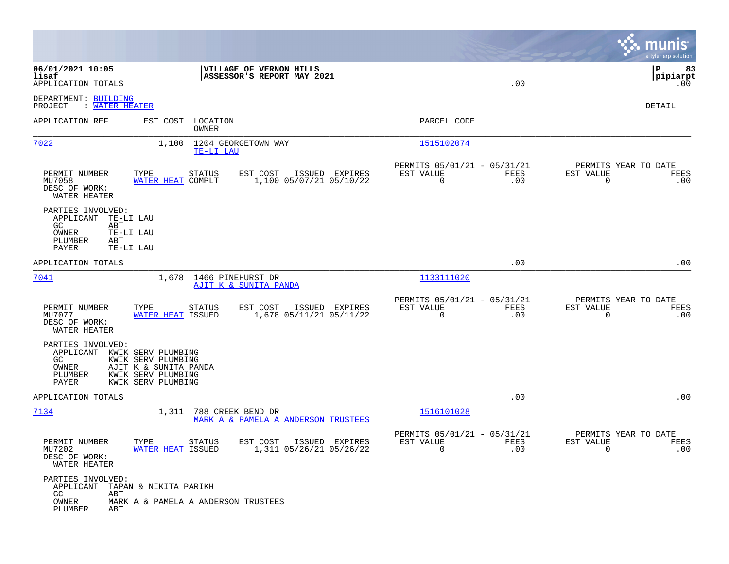|                                                                                  |                                                                                                               |                                                       |                                                            |             | munis<br>a tyler erp solution                                      |
|----------------------------------------------------------------------------------|---------------------------------------------------------------------------------------------------------------|-------------------------------------------------------|------------------------------------------------------------|-------------|--------------------------------------------------------------------|
| 06/01/2021 10:05<br>lisaf<br>APPLICATION TOTALS                                  |                                                                                                               | VILLAGE OF VERNON HILLS<br>ASSESSOR'S REPORT MAY 2021 |                                                            | .00         | 83<br>l P<br>$ $ pipiarpt<br>.00                                   |
| DEPARTMENT: BUILDING<br>: WATER HEATER<br>PROJECT                                |                                                                                                               |                                                       |                                                            |             | DETAIL                                                             |
| APPLICATION REF                                                                  | EST COST<br>LOCATION<br>OWNER                                                                                 |                                                       | PARCEL CODE                                                |             |                                                                    |
| 7022                                                                             | 1,100<br>TE-LI LAU                                                                                            | 1204 GEORGETOWN WAY                                   | 1515102074                                                 |             |                                                                    |
| PERMIT NUMBER<br>MU7058<br>DESC OF WORK:<br>WATER HEATER                         | TYPE<br>STATUS<br>WATER HEAT COMPLT                                                                           | EST COST<br>ISSUED EXPIRES<br>1,100 05/07/21 05/10/22 | PERMITS 05/01/21 - 05/31/21<br>EST VALUE<br>$\overline{0}$ | FEES<br>.00 | PERMITS YEAR TO DATE<br>EST VALUE<br>FEES<br>$\mathbf 0$<br>.00    |
| PARTIES INVOLVED:<br>APPLICANT<br>GC.<br>ABT<br>OWNER<br>PLUMBER<br>ABT<br>PAYER | TE-LI LAU<br>TE-LI LAU<br>TE-LI LAU                                                                           |                                                       |                                                            |             |                                                                    |
| APPLICATION TOTALS                                                               |                                                                                                               |                                                       |                                                            | .00         | .00                                                                |
| <u>7041</u>                                                                      | 1,678 1466 PINEHURST DR                                                                                       | AJIT K & SUNITA PANDA                                 | 1133111020                                                 |             |                                                                    |
| PERMIT NUMBER<br>MU7077<br>DESC OF WORK:<br>WATER HEATER                         | TYPE<br><b>STATUS</b><br>WATER HEAT ISSUED                                                                    | EST COST<br>ISSUED EXPIRES<br>1,678 05/11/21 05/11/22 | PERMITS 05/01/21 - 05/31/21<br>EST VALUE<br>$\mathbf 0$    | FEES<br>.00 | PERMITS YEAR TO DATE<br>EST VALUE<br>FEES<br>0<br>.00              |
| PARTIES INVOLVED:<br>APPLICANT<br>GC.<br>OWNER<br>PLUMBER<br>PAYER               | KWIK SERV PLUMBING<br>KWIK SERV PLUMBING<br>AJIT K & SUNITA PANDA<br>KWIK SERV PLUMBING<br>KWIK SERV PLUMBING |                                                       |                                                            |             |                                                                    |
| APPLICATION TOTALS                                                               |                                                                                                               |                                                       |                                                            | .00         | .00                                                                |
| 7134                                                                             | 1,311<br>788 CREEK BEND DR                                                                                    | MARK A & PAMELA A ANDERSON TRUSTEES                   | 1516101028                                                 |             |                                                                    |
| PERMIT NUMBER<br>MU7202<br>DESC OF WORK:<br>WATER HEATER                         | TYPE<br><b>STATUS</b><br>WATER HEAT ISSUED                                                                    | EST COST<br>ISSUED EXPIRES<br>1,311 05/26/21 05/26/22 | PERMITS 05/01/21 - 05/31/21<br>EST VALUE                   | FEES<br>.00 | PERMITS YEAR TO DATE<br>EST VALUE<br>FEES<br>.00<br>$\overline{0}$ |
| PARTIES INVOLVED:<br>APPLICANT<br>GC<br>ABT<br>OWNER<br>PLUMBER<br>ABT           | TAPAN & NIKITA PARIKH<br>MARK A & PAMELA A ANDERSON TRUSTEES                                                  |                                                       |                                                            |             |                                                                    |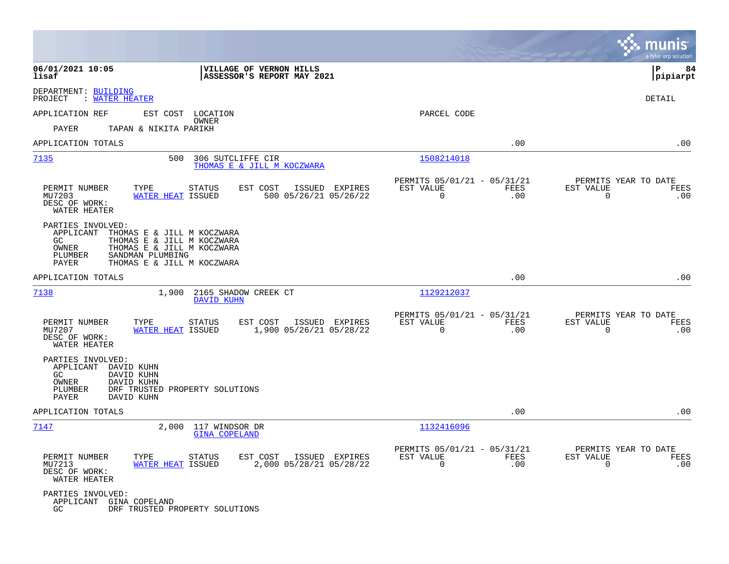|                                                                                                                                                                                                               |                                                                        |                                                         |                    | munis<br>a tyler erp solution                                          |
|---------------------------------------------------------------------------------------------------------------------------------------------------------------------------------------------------------------|------------------------------------------------------------------------|---------------------------------------------------------|--------------------|------------------------------------------------------------------------|
| 06/01/2021 10:05<br>lisaf                                                                                                                                                                                     | VILLAGE OF VERNON HILLS<br>ASSESSOR'S REPORT MAY 2021                  |                                                         |                    | lР<br>84<br> pipiarpt                                                  |
| DEPARTMENT: BUILDING<br>: WATER HEATER<br>PROJECT                                                                                                                                                             |                                                                        |                                                         |                    | DETAIL                                                                 |
| APPLICATION REF                                                                                                                                                                                               | EST COST LOCATION                                                      | PARCEL CODE                                             |                    |                                                                        |
| PAYER<br>TAPAN & NIKITA PARIKH                                                                                                                                                                                | OWNER                                                                  |                                                         |                    |                                                                        |
| APPLICATION TOTALS                                                                                                                                                                                            |                                                                        |                                                         | .00                | .00                                                                    |
| 7135<br>500                                                                                                                                                                                                   | 306 SUTCLIFFE CIR<br>THOMAS E & JILL M KOCZWARA                        | 1508214018                                              |                    |                                                                        |
| PERMIT NUMBER<br>TYPE<br><b>WATER HEAT ISSUED</b><br>MU7203<br>DESC OF WORK:<br>WATER HEATER                                                                                                                  | <b>STATUS</b><br>EST COST<br>ISSUED EXPIRES<br>500 05/26/21 05/26/22   | PERMITS 05/01/21 - 05/31/21<br>EST VALUE<br>$\mathbf 0$ | FEES<br>.00        | PERMITS YEAR TO DATE<br>EST VALUE<br>FEES<br>$\Omega$<br>.00           |
| PARTIES INVOLVED:<br>APPLICANT<br>THOMAS E & JILL M KOCZWARA<br>THOMAS E & JILL M KOCZWARA<br>GC<br>OWNER<br>THOMAS E & JILL M KOCZWARA<br>PLUMBER<br>SANDMAN PLUMBING<br>PAYER<br>THOMAS E & JILL M KOCZWARA |                                                                        |                                                         |                    |                                                                        |
| APPLICATION TOTALS                                                                                                                                                                                            |                                                                        |                                                         | .00                | .00                                                                    |
| 7138                                                                                                                                                                                                          | 1,900 2165 SHADOW CREEK CT<br>DAVID KUHN                               | 1129212037                                              |                    |                                                                        |
| PERMIT NUMBER<br>TYPE<br>MU7207<br>WATER HEAT ISSUED<br>DESC OF WORK:<br>WATER HEATER                                                                                                                         | EST COST<br><b>STATUS</b><br>ISSUED EXPIRES<br>1,900 05/26/21 05/28/22 | PERMITS 05/01/21 - 05/31/21<br>EST VALUE<br>$\mathbf 0$ | <b>FEES</b><br>.00 | PERMITS YEAR TO DATE<br>EST VALUE<br>FEES<br>$\mathbf 0$<br>.00        |
| PARTIES INVOLVED:<br>APPLICANT DAVID KUHN<br>GC<br>DAVID KUHN<br>OWNER<br>DAVID KUHN<br>PLUMBER<br>PAYER<br>DAVID KUHN                                                                                        | DRF TRUSTED PROPERTY SOLUTIONS                                         |                                                         |                    |                                                                        |
| APPLICATION TOTALS                                                                                                                                                                                            |                                                                        |                                                         | .00                | .00                                                                    |
| 7147<br>2,000                                                                                                                                                                                                 | 117 WINDSOR DR<br><b>GINA COPELAND</b>                                 | 1132416096                                              |                    |                                                                        |
| PERMIT NUMBER<br>TYPE<br>WATER HEAT ISSUED<br>MU7213<br>DESC OF WORK:<br>WATER HEATER                                                                                                                         | EST COST<br>ISSUED EXPIRES<br>STATUS<br>2,000 05/28/21 05/28/22        | PERMITS 05/01/21 - 05/31/21<br>EST VALUE<br>$\mathbf 0$ | FEES<br>.00        | PERMITS YEAR TO DATE<br>EST VALUE<br><b>FEES</b><br>.00<br>$\mathbf 0$ |
| PARTIES INVOLVED:<br>APPLICANT GINA COPELAND<br>GC                                                                                                                                                            | DRF TRUSTED PROPERTY SOLUTIONS                                         |                                                         |                    |                                                                        |

**Contract**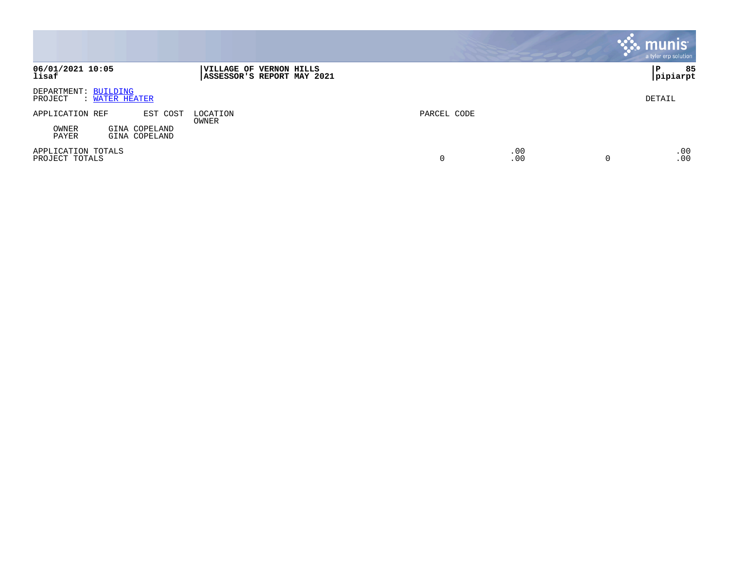|                                                   |                                                       |             |            | munis<br>a tyler erp solution |
|---------------------------------------------------|-------------------------------------------------------|-------------|------------|-------------------------------|
| 06/01/2021 10:05<br>lisaf                         | VILLAGE OF VERNON HILLS<br>ASSESSOR'S REPORT MAY 2021 |             |            | 85<br> P<br>pipiarpt          |
| DEPARTMENT: BUILDING<br>PROJECT<br>: WATER HEATER |                                                       |             |            | DETAIL                        |
| APPLICATION REF<br>EST COST                       | LOCATION<br>OWNER                                     | PARCEL CODE |            |                               |
| OWNER<br>GINA COPELAND<br>PAYER<br>GINA COPELAND  |                                                       |             |            |                               |
| APPLICATION TOTALS<br>PROJECT TOTALS              |                                                       |             | .00<br>.00 | .00<br>.00                    |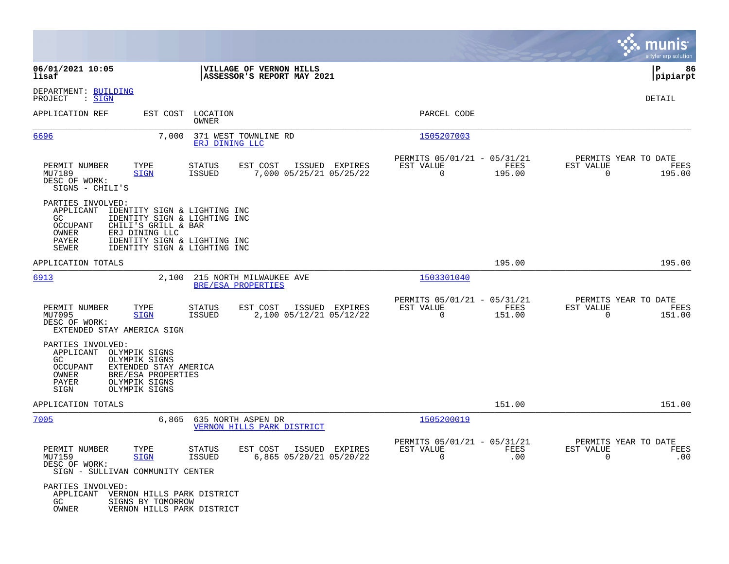|                                                                                                                                                                                                                                                                    |                                                                                         |                                                                        | munis<br>a tyler erp solution                                         |
|--------------------------------------------------------------------------------------------------------------------------------------------------------------------------------------------------------------------------------------------------------------------|-----------------------------------------------------------------------------------------|------------------------------------------------------------------------|-----------------------------------------------------------------------|
| 06/01/2021 10:05<br>lisaf                                                                                                                                                                                                                                          | VILLAGE OF VERNON HILLS<br>ASSESSOR'S REPORT MAY 2021                                   |                                                                        | 86<br>IΡ<br> pipiarpt                                                 |
| DEPARTMENT: BUILDING<br>PROJECT<br>$\mathrel{\mathop:} \mathrel{\mathsf{SIGN}}$                                                                                                                                                                                    |                                                                                         |                                                                        | DETAIL                                                                |
| APPLICATION REF                                                                                                                                                                                                                                                    | EST COST LOCATION<br>OWNER                                                              | PARCEL CODE                                                            |                                                                       |
| 6696<br>7,000                                                                                                                                                                                                                                                      | 371 WEST TOWNLINE RD<br>ERJ DINING LLC                                                  | 1505207003                                                             |                                                                       |
| TYPE<br>PERMIT NUMBER<br>MU7189<br><b>SIGN</b><br>DESC OF WORK:<br>SIGNS - CHILI'S                                                                                                                                                                                 | ISSUED EXPIRES<br><b>STATUS</b><br>EST COST<br><b>ISSUED</b><br>7,000 05/25/21 05/25/22 | PERMITS 05/01/21 - 05/31/21<br>FEES<br>EST VALUE<br>$\Omega$<br>195.00 | PERMITS YEAR TO DATE<br>EST VALUE<br>FEES<br>$\Omega$<br>195.00       |
| PARTIES INVOLVED:<br>APPLICANT<br>IDENTITY SIGN & LIGHTING INC<br>IDENTITY SIGN & LIGHTING INC<br>GC<br><b>OCCUPANT</b><br>CHILI'S GRILL & BAR<br>OWNER<br>ERJ DINING LLC<br>PAYER<br>IDENTITY SIGN & LIGHTING INC<br><b>SEWER</b><br>IDENTITY SIGN & LIGHTING INC |                                                                                         |                                                                        |                                                                       |
| APPLICATION TOTALS                                                                                                                                                                                                                                                 |                                                                                         | 195.00                                                                 | 195.00                                                                |
| 6913                                                                                                                                                                                                                                                               | 2,100 215 NORTH MILWAUKEE AVE<br>BRE/ESA PROPERTIES                                     | 1503301040                                                             |                                                                       |
| PERMIT NUMBER<br>TYPE<br>MU7095<br><b>SIGN</b><br>DESC OF WORK:<br>EXTENDED STAY AMERICA SIGN                                                                                                                                                                      | EST COST<br>ISSUED EXPIRES<br>STATUS<br>2,100 05/12/21 05/12/22<br>ISSUED               | PERMITS 05/01/21 - 05/31/21<br>EST VALUE<br>FEES<br>$\Omega$<br>151.00 | PERMITS YEAR TO DATE<br>EST VALUE<br>FEES<br>$\overline{0}$<br>151.00 |
| PARTIES INVOLVED:<br>APPLICANT<br>OLYMPIK SIGNS<br>OLYMPIK SIGNS<br>GC.<br><b>OCCUPANT</b><br>EXTENDED STAY AMERICA<br>OWNER<br>BRE/ESA PROPERTIES<br>PAYER<br>OLYMPIK SIGNS<br>SIGN<br>OLYMPIK SIGNS                                                              |                                                                                         |                                                                        |                                                                       |
| APPLICATION TOTALS                                                                                                                                                                                                                                                 |                                                                                         | 151.00                                                                 | 151.00                                                                |
| 7005<br>6,865                                                                                                                                                                                                                                                      | 635 NORTH ASPEN DR<br>VERNON HILLS PARK DISTRICT                                        | 1505200019                                                             |                                                                       |
| PERMIT NUMBER<br>TYPE<br>MU7159<br><b>SIGN</b><br>DESC OF WORK:<br>SIGN - SULLIVAN COMMUNITY CENTER                                                                                                                                                                | STATUS<br>EST COST ISSUED EXPIRES<br>6,865 05/20/21 05/20/22<br>ISSUED                  | PERMITS 05/01/21 - 05/31/21<br>EST VALUE<br>FEES<br>.00<br>$\Omega$    | PERMITS YEAR TO DATE<br>EST VALUE<br>FEES<br>.00<br>$\Omega$          |
| PARTIES INVOLVED:<br>APPLICANT<br>VERNON HILLS PARK DISTRICT<br>GC<br>SIGNS BY TOMORROW<br>OWNER<br>VERNON HILLS PARK DISTRICT                                                                                                                                     |                                                                                         |                                                                        |                                                                       |